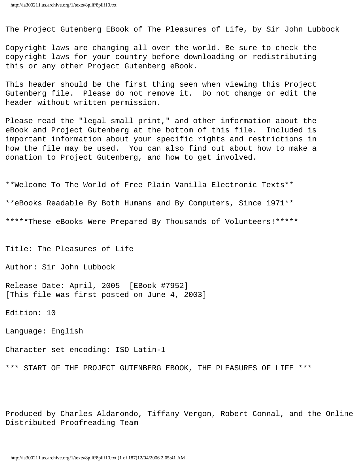The Project Gutenberg EBook of The Pleasures of Life, by Sir John Lubbock

Copyright laws are changing all over the world. Be sure to check the copyright laws for your country before downloading or redistributing this or any other Project Gutenberg eBook.

This header should be the first thing seen when viewing this Project Gutenberg file. Please do not remove it. Do not change or edit the header without written permission.

Please read the "legal small print," and other information about the eBook and Project Gutenberg at the bottom of this file. Included is important information about your specific rights and restrictions in how the file may be used. You can also find out about how to make a donation to Project Gutenberg, and how to get involved.

\*\*Welcome To The World of Free Plain Vanilla Electronic Texts\*\* \*\*eBooks Readable By Both Humans and By Computers, Since 1971\*\* \*\*\*\*\*These eBooks Were Prepared By Thousands of Volunteers!\*\*\*\*\*

Title: The Pleasures of Life

Author: Sir John Lubbock

Release Date: April, 2005 [EBook #7952] [This file was first posted on June 4, 2003]

Edition: 10

Language: English

Character set encoding: ISO Latin-1

\*\*\* START OF THE PROJECT GUTENBERG EBOOK, THE PLEASURES OF LIFE \*\*\*

Produced by Charles Aldarondo, Tiffany Vergon, Robert Connal, and the Online Distributed Proofreading Team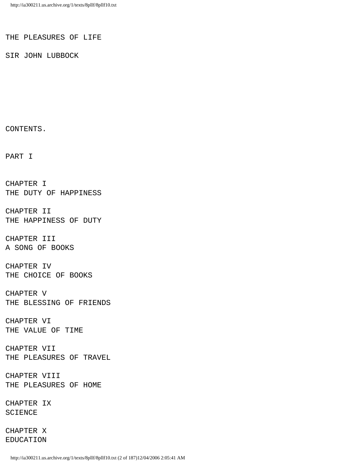#### THE PLEASURES OF LIFE

SIR JOHN LUBBOCK

CONTENTS.

PART I

CHAPTER I THE DUTY OF HAPPINESS

CHAPTER II THE HAPPINESS OF DUTY

CHAPTER III A SONG OF BOOKS

CHAPTER IV THE CHOICE OF BOOKS

CHAPTER V THE BLESSING OF FRIENDS

CHAPTER VI THE VALUE OF TIME

CHAPTER VII THE PLEASURES OF TRAVEL

CHAPTER VIII THE PLEASURES OF HOME

CHAPTER IX SCIENCE

CHAPTER X EDUCATION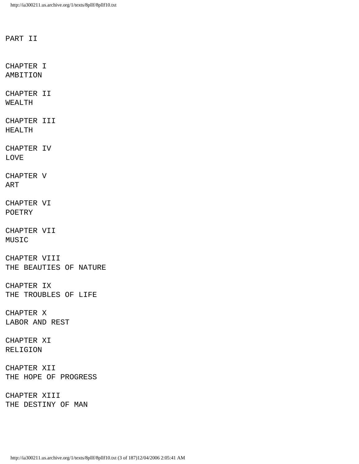PART II

CHAPTER I AMBITION

CHAPTER II WEALTH

CHAPTER III HEALTH

CHAPTER IV LOVE

CHAPTER V ART

CHAPTER VI POETRY

CHAPTER VII MUSIC

CHAPTER VIII THE BEAUTIES OF NATURE

CHAPTER IX THE TROUBLES OF LIFE

CHAPTER X LABOR AND REST

CHAPTER XI RELIGION

CHAPTER XII THE HOPE OF PROGRESS

CHAPTER XIII THE DESTINY OF MAN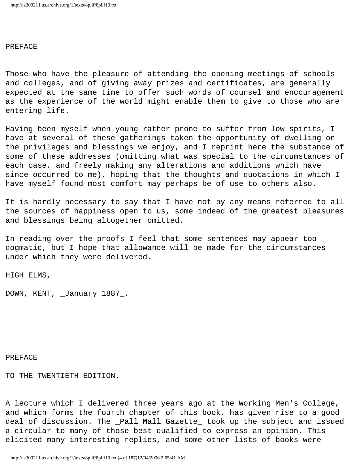## PREFACE

Those who have the pleasure of attending the opening meetings of schools and colleges, and of giving away prizes and certificates, are generally expected at the same time to offer such words of counsel and encouragement as the experience of the world might enable them to give to those who are entering life.

Having been myself when young rather prone to suffer from low spirits, I have at several of these gatherings taken the opportunity of dwelling on the privileges and blessings we enjoy, and I reprint here the substance of some of these addresses (omitting what was special to the circumstances of each case, and freely making any alterations and additions which have since occurred to me), hoping that the thoughts and quotations in which I have myself found most comfort may perhaps be of use to others also.

It is hardly necessary to say that I have not by any means referred to all the sources of happiness open to us, some indeed of the greatest pleasures and blessings being altogether omitted.

In reading over the proofs I feel that some sentences may appear too dogmatic, but I hope that allowance will be made for the circumstances under which they were delivered.

HIGH ELMS,

DOWN, KENT, \_January 1887\_.

## PREFACE

TO THE TWENTIETH EDITION.

A lecture which I delivered three years ago at the Working Men's College, and which forms the fourth chapter of this book, has given rise to a good deal of discussion. The \_Pall Mall Gazette\_ took up the subject and issued a circular to many of those best qualified to express an opinion. This elicited many interesting replies, and some other lists of books were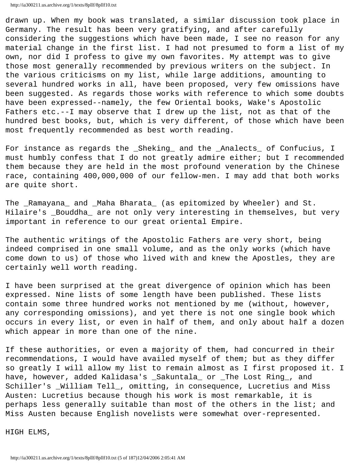http://ia300211.us.archive.org/1/texts/8pllf/8pllf10.txt

drawn up. When my book was translated, a similar discussion took place in Germany. The result has been very gratifying, and after carefully considering the suggestions which have been made, I see no reason for any material change in the first list. I had not presumed to form a list of my own, nor did I profess to give my own favorites. My attempt was to give those most generally recommended by previous writers on the subject. In the various criticisms on my list, while large additions, amounting to several hundred works in all, have been proposed, very few omissions have been suggested. As regards those works with reference to which some doubts have been expressed--namely, the few Oriental books, Wake's Apostolic Fathers etc.--I may observe that I drew up the list, not as that of the hundred best books, but, which is very different, of those which have been most frequently recommended as best worth reading.

For instance as regards the \_Sheking\_ and the \_Analects\_ of Confucius, I must humbly confess that I do not greatly admire either; but I recommended them because they are held in the most profound veneration by the Chinese race, containing 400,000,000 of our fellow-men. I may add that both works are quite short.

The \_Ramayana\_ and \_Maha Bharata\_ (as epitomized by Wheeler) and St. Hilaire's \_Bouddha\_ are not only very interesting in themselves, but very important in reference to our great oriental Empire.

The authentic writings of the Apostolic Fathers are very short, being indeed comprised in one small volume, and as the only works (which have come down to us) of those who lived with and knew the Apostles, they are certainly well worth reading.

I have been surprised at the great divergence of opinion which has been expressed. Nine lists of some length have been published. These lists contain some three hundred works not mentioned by me (without, however, any corresponding omissions), and yet there is not one single book which occurs in every list, or even in half of them, and only about half a dozen which appear in more than one of the nine.

If these authorities, or even a majority of them, had concurred in their recommendations, I would have availed myself of them; but as they differ so greatly I will allow my list to remain almost as I first proposed it. I have, however, added Kalidasa's \_Sakuntala\_ or \_The Lost Ring\_, and Schiller's \_William Tell\_, omitting, in consequence, Lucretius and Miss Austen: Lucretius because though his work is most remarkable, it is perhaps less generally suitable than most of the others in the list; and Miss Austen because English novelists were somewhat over-represented.

HIGH ELMS,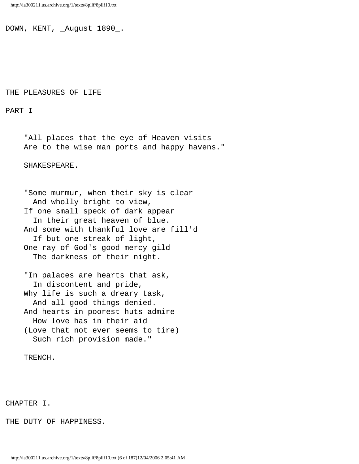DOWN, KENT, \_August 1890\_.

### THE PLEASURES OF LIFE

PART I

 "All places that the eye of Heaven visits Are to the wise man ports and happy havens."

SHAKESPEARE.

 "Some murmur, when their sky is clear And wholly bright to view, If one small speck of dark appear In their great heaven of blue. And some with thankful love are fill'd If but one streak of light, One ray of God's good mercy gild The darkness of their night.

 "In palaces are hearts that ask, In discontent and pride, Why life is such a dreary task, And all good things denied. And hearts in poorest huts admire How love has in their aid (Love that not ever seems to tire) Such rich provision made."

TRENCH.

# CHAPTER I.

THE DUTY OF HAPPINESS.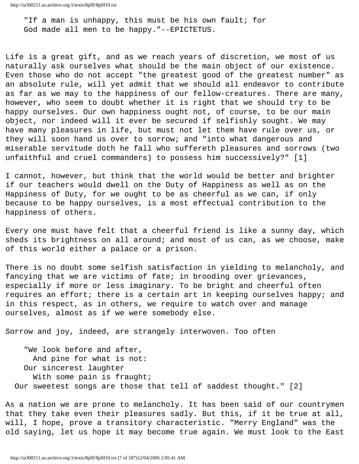"If a man is unhappy, this must be his own fault; for God made all men to be happy."--EPICTETUS.

Life is a great gift, and as we reach years of discretion, we most of us naturally ask ourselves what should be the main object of our existence. Even those who do not accept "the greatest good of the greatest number" as an absolute rule, will yet admit that we should all endeavor to contribute as far as we may to the happiness of our fellow-creatures. There are many, however, who seem to doubt whether it is right that we should try to be happy ourselves. Our own happiness ought not, of course, to be our main object, nor indeed will it ever be secured if selfishly sought. We may have many pleasures in life, but must not let them have rule over us, or they will soon hand us over to sorrow; and "into what dangerous and miserable servitude doth he fall who suffereth pleasures and sorrows (two unfaithful and cruel commanders) to possess him successively?" [1]

I cannot, however, but think that the world would be better and brighter if our teachers would dwell on the Duty of Happiness as well as on the Happiness of Duty, for we ought to be as cheerful as we can, if only because to be happy ourselves, is a most effectual contribution to the happiness of others.

Every one must have felt that a cheerful friend is like a sunny day, which sheds its brightness on all around; and most of us can, as we choose, make of this world either a palace or a prison.

There is no doubt some selfish satisfaction in yielding to melancholy, and fancying that we are victims of fate; in brooding over grievances, especially if more or less imaginary. To be bright and cheerful often requires an effort; there is a certain art in keeping ourselves happy; and in this respect, as in others, we require to watch over and manage ourselves, almost as if we were somebody else.

Sorrow and joy, indeed, are strangely interwoven. Too often

 "We look before and after, And pine for what is not: Our sincerest laughter With some pain is fraught; Our sweetest songs are those that tell of saddest thought." [2]

As a nation we are prone to melancholy. It has been said of our countrymen that they take even their pleasures sadly. But this, if it be true at all, will, I hope, prove a transitory characteristic. "Merry England" was the old saying, let us hope it may become true again. We must look to the East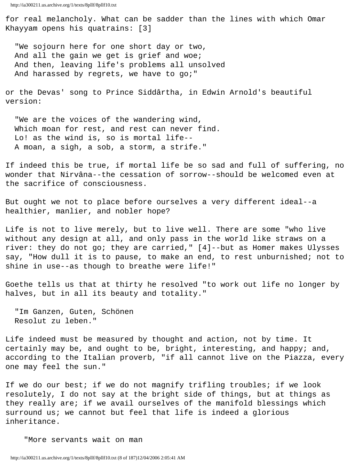http://ia300211.us.archive.org/1/texts/8pllf/8pllf10.txt

for real melancholy. What can be sadder than the lines with which Omar Khayyam opens his quatrains: [3]

 "We sojourn here for one short day or two, And all the gain we get is grief and woe; And then, leaving life's problems all unsolved And harassed by regrets, we have to go;"

or the Devas' song to Prince Siddârtha, in Edwin Arnold's beautiful version:

 "We are the voices of the wandering wind, Which moan for rest, and rest can never find. Lo! as the wind is, so is mortal life-- A moan, a sigh, a sob, a storm, a strife."

If indeed this be true, if mortal life be so sad and full of suffering, no wonder that Nirvâna--the cessation of sorrow--should be welcomed even at the sacrifice of consciousness.

But ought we not to place before ourselves a very different ideal--a healthier, manlier, and nobler hope?

Life is not to live merely, but to live well. There are some "who live without any design at all, and only pass in the world like straws on a river: they do not go; they are carried," [4]--but as Homer makes Ulysses say, "How dull it is to pause, to make an end, to rest unburnished; not to shine in use--as though to breathe were life!"

Goethe tells us that at thirty he resolved "to work out life no longer by halves, but in all its beauty and totality."

 "Im Ganzen, Guten, Schönen Resolut zu leben."

Life indeed must be measured by thought and action, not by time. It certainly may be, and ought to be, bright, interesting, and happy; and, according to the Italian proverb, "if all cannot live on the Piazza, every one may feel the sun."

If we do our best; if we do not magnify trifling troubles; if we look resolutely, I do not say at the bright side of things, but at things as they really are; if we avail ourselves of the manifold blessings which surround us; we cannot but feel that life is indeed a glorious inheritance.

"More servants wait on man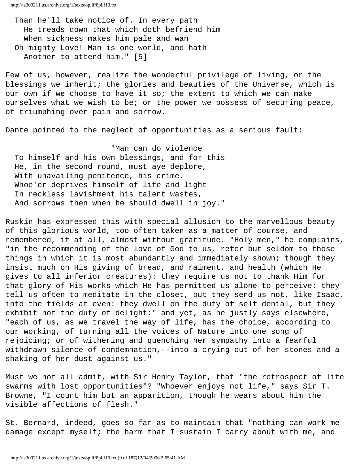http://ia300211.us.archive.org/1/texts/8pllf/8pllf10.txt

 Than he'll take notice of. In every path He treads down that which doth befriend him When sickness makes him pale and wan Oh mighty Love! Man is one world, and hath Another to attend him." [5]

Few of us, however, realize the wonderful privilege of living, or the blessings we inherit; the glories and beauties of the Universe, which is our own if we choose to have it so; the extent to which we can make ourselves what we wish to be; or the power we possess of securing peace, of triumphing over pain and sorrow.

Dante pointed to the neglect of opportunities as a serious fault:

 "Man can do violence To himself and his own blessings, and for this He, in the second round, must aye deplore, With unavailing penitence, his crime. Whoe'er deprives himself of life and light In reckless lavishment his talent wastes, And sorrows then when he should dwell in joy."

Ruskin has expressed this with special allusion to the marvellous beauty of this glorious world, too often taken as a matter of course, and remembered, if at all, almost without gratitude. "Holy men," he complains, "in the recommending of the love of God to us, refer but seldom to those things in which it is most abundantly and immediately shown; though they insist much on His giving of bread, and raiment, and health (which He gives to all inferior creatures): they require us not to thank Him for that glory of His works which He has permitted us alone to perceive: they tell us often to meditate in the closet, but they send us not, like Isaac, into the fields at even: they dwell on the duty of self denial, but they exhibit not the duty of delight:" and yet, as he justly says elsewhere, "each of us, as we travel the way of life, has the choice, according to our working, of turning all the voices of Nature into one song of rejoicing; or of withering and quenching her sympathy into a fearful withdrawn silence of condemnation,--into a crying out of her stones and a shaking of her dust against us."

Must we not all admit, with Sir Henry Taylor, that "the retrospect of life swarms with lost opportunities"? "Whoever enjoys not life," says Sir T. Browne, "I count him but an apparition, though he wears about him the visible affections of flesh."

St. Bernard, indeed, goes so far as to maintain that "nothing can work me damage except myself; the harm that I sustain I carry about with me, and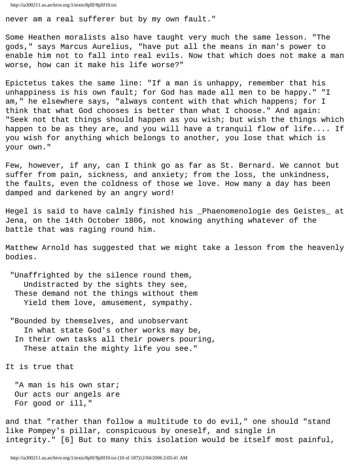never am a real sufferer but by my own fault."

Some Heathen moralists also have taught very much the same lesson. "The gods," says Marcus Aurelius, "have put all the means in man's power to enable him not to fall into real evils. Now that which does not make a man worse, how can it make his life worse?"

Epictetus takes the same line: "If a man is unhappy, remember that his unhappiness is his own fault; for God has made all men to be happy." "I am," he elsewhere says, "always content with that which happens; for I think that what God chooses is better than what I choose." And again: "Seek not that things should happen as you wish; but wish the things which happen to be as they are, and you will have a tranquil flow of life.... If you wish for anything which belongs to another, you lose that which is your own."

Few, however, if any, can I think go as far as St. Bernard. We cannot but suffer from pain, sickness, and anxiety; from the loss, the unkindness, the faults, even the coldness of those we love. How many a day has been damped and darkened by an angry word!

Hegel is said to have calmly finished his \_Phaenomenologie des Geistes\_ at Jena, on the 14th October 1806, not knowing anything whatever of the battle that was raging round him.

Matthew Arnold has suggested that we might take a lesson from the heavenly bodies.

 "Unaffrighted by the silence round them, Undistracted by the sights they see, These demand not the things without them Yield them love, amusement, sympathy.

 "Bounded by themselves, and unobservant In what state God's other works may be, In their own tasks all their powers pouring, These attain the mighty life you see."

It is true that

 "A man is his own star; Our acts our angels are For good or ill,"

and that "rather than follow a multitude to do evil," one should "stand like Pompey's pillar, conspicuous by oneself, and single in integrity." [6] But to many this isolation would be itself most painful,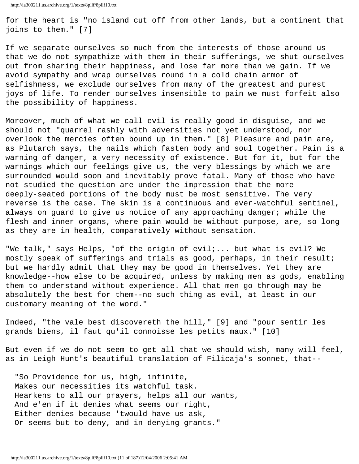for the heart is "no island cut off from other lands, but a continent that joins to them." [7]

If we separate ourselves so much from the interests of those around us that we do not sympathize with them in their sufferings, we shut ourselves out from sharing their happiness, and lose far more than we gain. If we avoid sympathy and wrap ourselves round in a cold chain armor of selfishness, we exclude ourselves from many of the greatest and purest joys of life. To render ourselves insensible to pain we must forfeit also the possibility of happiness.

Moreover, much of what we call evil is really good in disguise, and we should not "quarrel rashly with adversities not yet understood, nor overlook the mercies often bound up in them." [8] Pleasure and pain are, as Plutarch says, the nails which fasten body and soul together. Pain is a warning of danger, a very necessity of existence. But for it, but for the warnings which our feelings give us, the very blessings by which we are surrounded would soon and inevitably prove fatal. Many of those who have not studied the question are under the impression that the more deeply-seated portions of the body must be most sensitive. The very reverse is the case. The skin is a continuous and ever-watchful sentinel, always on guard to give us notice of any approaching danger; while the flesh and inner organs, where pain would be without purpose, are, so long as they are in health, comparatively without sensation.

"We talk," says Helps, "of the origin of evil;... but what is evil? We mostly speak of sufferings and trials as good, perhaps, in their result; but we hardly admit that they may be good in themselves. Yet they are knowledge--how else to be acquired, unless by making men as gods, enabling them to understand without experience. All that men go through may be absolutely the best for them--no such thing as evil, at least in our customary meaning of the word."

Indeed, "the vale best discovereth the hill," [9] and "pour sentir les grands biens, il faut qu'il connoisse les petits maux." [10]

But even if we do not seem to get all that we should wish, many will feel, as in Leigh Hunt's beautiful translation of Filicaja's sonnet, that--

 "So Providence for us, high, infinite, Makes our necessities its watchful task. Hearkens to all our prayers, helps all our wants, And e'en if it denies what seems our right, Either denies because 'twould have us ask, Or seems but to deny, and in denying grants."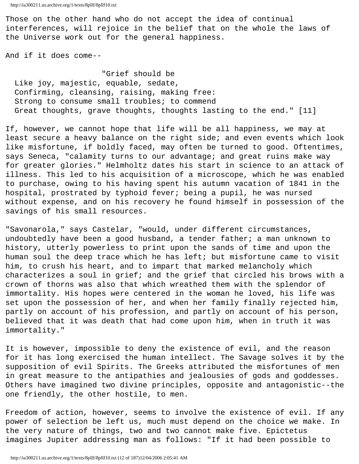Those on the other hand who do not accept the idea of continual interferences, will rejoice in the belief that on the whole the laws of the Universe work out for the general happiness.

And if it does come--

 "Grief should be Like joy, majestic, equable, sedate, Confirming, cleansing, raising, making free: Strong to consume small troubles; to commend Great thoughts, grave thoughts, thoughts lasting to the end." [11]

If, however, we cannot hope that life will be all happiness, we may at least secure a heavy balance on the right side; and even events which look like misfortune, if boldly faced, may often be turned to good. Oftentimes, says Seneca, "calamity turns to our advantage; and great ruins make way for greater glories." Helmholtz dates his start in science to an attack of illness. This led to his acquisition of a microscope, which he was enabled to purchase, owing to his having spent his autumn vacation of 1841 in the hospital, prostrated by typhoid fever; being a pupil, he was nursed without expense, and on his recovery he found himself in possession of the savings of his small resources.

"Savonarola," says Castelar, "would, under different circumstances, undoubtedly have been a good husband, a tender father; a man unknown to history, utterly powerless to print upon the sands of time and upon the human soul the deep trace which he has left; but misfortune came to visit him, to crush his heart, and to impart that marked melancholy which characterizes a soul in grief; and the grief that circled his brows with a crown of thorns was also that which wreathed them with the splendor of immortality. His hopes were centered in the woman he loved, his life was set upon the possession of her, and when her family finally rejected him, partly on account of his profession, and partly on account of his person, believed that it was death that had come upon him, when in truth it was immortality."

It is however, impossible to deny the existence of evil, and the reason for it has long exercised the human intellect. The Savage solves it by the supposition of evil Spirits. The Greeks attributed the misfortunes of men in great measure to the antipathies and jealousies of gods and goddesses. Others have imagined two divine principles, opposite and antagonistic--the one friendly, the other hostile, to men.

Freedom of action, however, seems to involve the existence of evil. If any power of selection be left us, much must depend on the choice we make. In the very nature of things, two and two cannot make five. Epictetus imagines Jupiter addressing man as follows: "If it had been possible to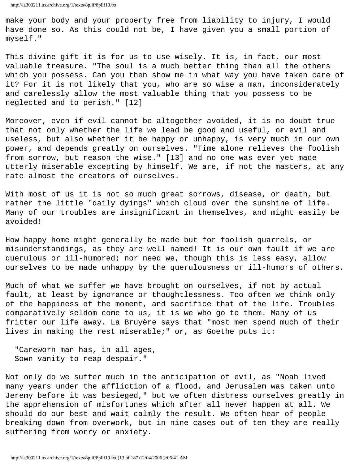make your body and your property free from liability to injury, I would have done so. As this could not be, I have given you a small portion of myself."

This divine gift it is for us to use wisely. It is, in fact, our most valuable treasure. "The soul is a much better thing than all the others which you possess. Can you then show me in what way you have taken care of it? For it is not likely that you, who are so wise a man, inconsiderately and carelessly allow the most valuable thing that you possess to be neglected and to perish." [12]

Moreover, even if evil cannot be altogether avoided, it is no doubt true that not only whether the life we lead be good and useful, or evil and useless, but also whether it be happy or unhappy, is very much in our own power, and depends greatly on ourselves. "Time alone relieves the foolish from sorrow, but reason the wise." [13] and no one was ever yet made utterly miserable excepting by himself. We are, if not the masters, at any rate almost the creators of ourselves.

With most of us it is not so much great sorrows, disease, or death, but rather the little "daily dyings" which cloud over the sunshine of life. Many of our troubles are insignificant in themselves, and might easily be avoided!

How happy home might generally be made but for foolish quarrels, or misunderstandings, as they are well named! It is our own fault if we are querulous or ill-humored; nor need we, though this is less easy, allow ourselves to be made unhappy by the querulousness or ill-humors of others.

Much of what we suffer we have brought on ourselves, if not by actual fault, at least by ignorance or thoughtlessness. Too often we think only of the happiness of the moment, and sacrifice that of the life. Troubles comparatively seldom come to us, it is we who go to them. Many of us fritter our life away. La Bruyère says that "most men spend much of their lives in making the rest miserable;" or, as Goethe puts it:

 "Careworn man has, in all ages, Sown vanity to reap despair."

Not only do we suffer much in the anticipation of evil, as "Noah lived many years under the affliction of a flood, and Jerusalem was taken unto Jeremy before it was besieged," but we often distress ourselves greatly in the apprehension of misfortunes which after all never happen at all. We should do our best and wait calmly the result. We often hear of people breaking down from overwork, but in nine cases out of ten they are really suffering from worry or anxiety.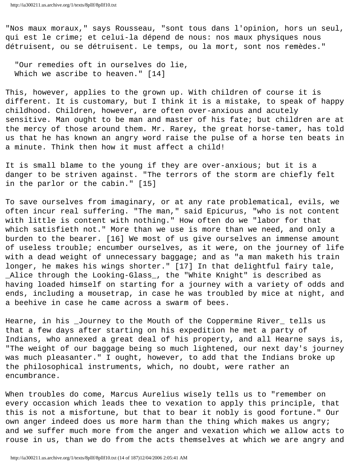"Nos maux moraux," says Rousseau, "sont tous dans l'opinion, hors un seul, qui est le crime; et celui-la dépend de nous: nos maux physiques nous détruisent, ou se détruisent. Le temps, ou la mort, sont nos remèdes."

 "Our remedies oft in ourselves do lie, Which we ascribe to heaven." [14]

This, however, applies to the grown up. With children of course it is different. It is customary, but I think it is a mistake, to speak of happy childhood. Children, however, are often over-anxious and acutely sensitive. Man ought to be man and master of his fate; but children are at the mercy of those around them. Mr. Rarey, the great horse-tamer, has told us that he has known an angry word raise the pulse of a horse ten beats in a minute. Think then how it must affect a child!

It is small blame to the young if they are over-anxious; but it is a danger to be striven against. "The terrors of the storm are chiefly felt in the parlor or the cabin." [15]

To save ourselves from imaginary, or at any rate problematical, evils, we often incur real suffering. "The man," said Epicurus, "who is not content with little is content with nothing." How often do we "labor for that which satisfieth not." More than we use is more than we need, and only a burden to the bearer. [16] We most of us give ourselves an immense amount of useless trouble; encumber ourselves, as it were, on the journey of life with a dead weight of unnecessary baggage; and as "a man maketh his train longer, he makes his wings shorter." [17] In that delightful fairy tale, \_Alice through the Looking-Glass\_, the "White Knight" is described as having loaded himself on starting for a journey with a variety of odds and ends, including a mousetrap, in case he was troubled by mice at night, and a beehive in case he came across a swarm of bees.

Hearne, in his \_Journey to the Mouth of the Coppermine River\_ tells us that a few days after starting on his expedition he met a party of Indians, who annexed a great deal of his property, and all Hearne says is, "The weight of our baggage being so much lightened, our next day's journey was much pleasanter." I ought, however, to add that the Indians broke up the philosophical instruments, which, no doubt, were rather an encumbrance.

When troubles do come, Marcus Aurelius wisely tells us to "remember on every occasion which leads thee to vexation to apply this principle, that this is not a misfortune, but that to bear it nobly is good fortune." Our own anger indeed does us more harm than the thing which makes us angry; and we suffer much more from the anger and vexation which we allow acts to rouse in us, than we do from the acts themselves at which we are angry and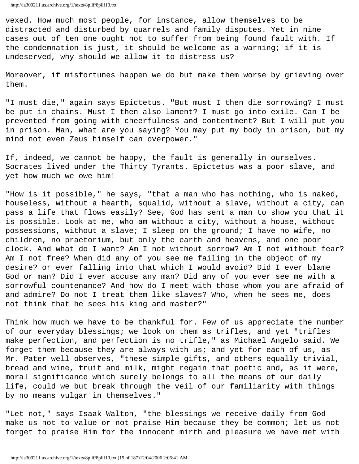vexed. How much most people, for instance, allow themselves to be distracted and disturbed by quarrels and family disputes. Yet in nine cases out of ten one ought not to suffer from being found fault with. If the condemnation is just, it should be welcome as a warning; if it is undeserved, why should we allow it to distress us?

Moreover, if misfortunes happen we do but make them worse by grieving over them.

"I must die," again says Epictetus. "But must I then die sorrowing? I must be put in chains. Must I then also lament? I must go into exile. Can I be prevented from going with cheerfulness and contentment? But I will put you in prison. Man, what are you saying? You may put my body in prison, but my mind not even Zeus himself can overpower."

If, indeed, we cannot be happy, the fault is generally in ourselves. Socrates lived under the Thirty Tyrants. Epictetus was a poor slave, and yet how much we owe him!

"How is it possible," he says, "that a man who has nothing, who is naked, houseless, without a hearth, squalid, without a slave, without a city, can pass a life that flows easily? See, God has sent a man to show you that it is possible. Look at me, who am without a city, without a house, without possessions, without a slave; I sleep on the ground; I have no wife, no children, no praetorium, but only the earth and heavens, and one poor clock. And what do I want? Am I not without sorrow? Am I not without fear? Am I not free? When did any of you see me failing in the object of my desire? or ever falling into that which I would avoid? Did I ever blame God or man? Did I ever accuse any man? Did any of you ever see me with a sorrowful countenance? And how do I meet with those whom you are afraid of and admire? Do not I treat them like slaves? Who, when he sees me, does not think that he sees his king and master?"

Think how much we have to be thankful for. Few of us appreciate the number of our everyday blessings; we look on them as trifles, and yet "trifles make perfection, and perfection is no trifle," as Michael Angelo said. We forget them because they are always with us; and yet for each of us, as Mr. Pater well observes, "these simple gifts, and others equally trivial, bread and wine, fruit and milk, might regain that poetic and, as it were, moral significance which surely belongs to all the means of our daily life, could we but break through the veil of our familiarity with things by no means vulgar in themselves."

"Let not," says Isaak Walton, "the blessings we receive daily from God make us not to value or not praise Him because they be common; let us not forget to praise Him for the innocent mirth and pleasure we have met with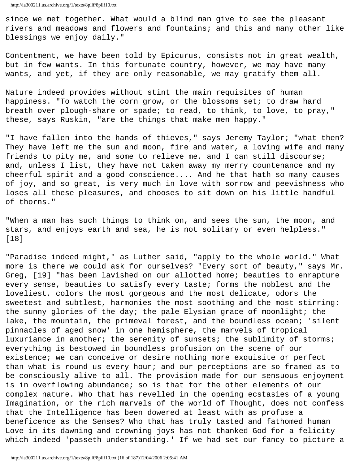since we met together. What would a blind man give to see the pleasant rivers and meadows and flowers and fountains; and this and many other like blessings we enjoy daily."

Contentment, we have been told by Epicurus, consists not in great wealth, but in few wants. In this fortunate country, however, we may have many wants, and yet, if they are only reasonable, we may gratify them all.

Nature indeed provides without stint the main requisites of human happiness. "To watch the corn grow, or the blossoms set; to draw hard breath over plough-share or spade; to read, to think, to love, to pray," these, says Ruskin, "are the things that make men happy."

"I have fallen into the hands of thieves," says Jeremy Taylor; "what then? They have left me the sun and moon, fire and water, a loving wife and many friends to pity me, and some to relieve me, and I can still discourse; and, unless I list, they have not taken away my merry countenance and my cheerful spirit and a good conscience.... And he that hath so many causes of joy, and so great, is very much in love with sorrow and peevishness who loses all these pleasures, and chooses to sit down on his little handful of thorns."

"When a man has such things to think on, and sees the sun, the moon, and stars, and enjoys earth and sea, he is not solitary or even helpless." [18]

"Paradise indeed might," as Luther said, "apply to the whole world." What more is there we could ask for ourselves? "Every sort of beauty," says Mr. Greg, [19] "has been lavished on our allotted home; beauties to enrapture every sense, beauties to satisfy every taste; forms the noblest and the loveliest, colors the most gorgeous and the most delicate, odors the sweetest and subtlest, harmonies the most soothing and the most stirring: the sunny glories of the day; the pale Elysian grace of moonlight; the lake, the mountain, the primeval forest, and the boundless ocean; 'silent pinnacles of aged snow' in one hemisphere, the marvels of tropical luxuriance in another; the serenity of sunsets; the sublimity of storms; everything is bestowed in boundless profusion on the scene of our existence; we can conceive or desire nothing more exquisite or perfect than what is round us every hour; and our perceptions are so framed as to be consciously alive to all. The provision made for our sensuous enjoyment is in overflowing abundance; so is that for the other elements of our complex nature. Who that has revelled in the opening ecstasies of a young Imagination, or the rich marvels of the world of Thought, does not confess that the Intelligence has been dowered at least with as profuse a beneficence as the Senses? Who that has truly tasted and fathomed human Love in its dawning and crowning joys has not thanked God for a felicity which indeed 'passeth understanding.' If we had set our fancy to picture a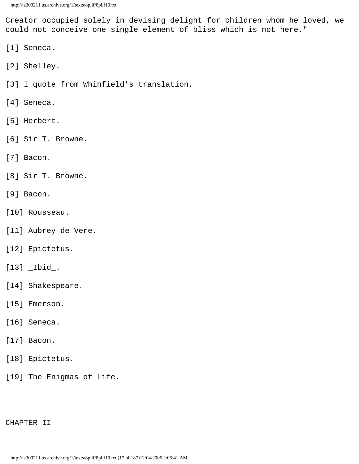Creator occupied solely in devising delight for children whom he loved, we could not conceive one single element of bliss which is not here."

- [1] Seneca.
- [2] Shelley.
- [3] I quote from Whinfield's translation.
- [4] Seneca.
- [5] Herbert.
- [6] Sir T. Browne.
- [7] Bacon.
- [8] Sir T. Browne.
- [9] Bacon.
- [10] Rousseau.
- [11] Aubrey de Vere.
- [12] Epictetus.
- [13] \_Ibid\_.
- [14] Shakespeare.
- [15] Emerson.
- [16] Seneca.
- [17] Bacon.
- [18] Epictetus.
- [19] The Enigmas of Life.

# CHAPTER II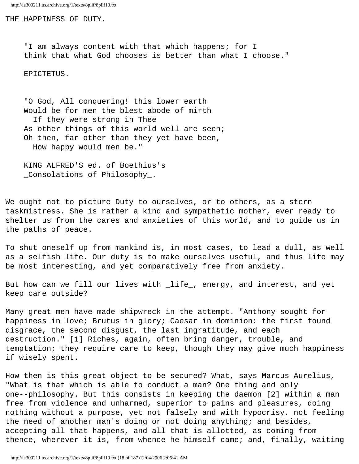THE HAPPINESS OF DUTY.

 "I am always content with that which happens; for I think that what God chooses is better than what I choose."

EPICTETUS.

 "O God, All conquering! this lower earth Would be for men the blest abode of mirth If they were strong in Thee As other things of this world well are seen; Oh then, far other than they yet have been, How happy would men be."

 KING ALFRED'S ed. of Boethius's \_Consolations of Philosophy\_.

We ought not to picture Duty to ourselves, or to others, as a stern taskmistress. She is rather a kind and sympathetic mother, ever ready to shelter us from the cares and anxieties of this world, and to guide us in the paths of peace.

To shut oneself up from mankind is, in most cases, to lead a dull, as well as a selfish life. Our duty is to make ourselves useful, and thus life may be most interesting, and yet comparatively free from anxiety.

But how can we fill our lives with \_life\_, energy, and interest, and yet keep care outside?

Many great men have made shipwreck in the attempt. "Anthony sought for happiness in love; Brutus in glory; Caesar in dominion: the first found disgrace, the second disgust, the last ingratitude, and each destruction." [1] Riches, again, often bring danger, trouble, and temptation; they require care to keep, though they may give much happiness if wisely spent.

How then is this great object to be secured? What, says Marcus Aurelius, "What is that which is able to conduct a man? One thing and only one--philosophy. But this consists in keeping the daemon [2] within a man free from violence and unharmed, superior to pains and pleasures, doing nothing without a purpose, yet not falsely and with hypocrisy, not feeling the need of another man's doing or not doing anything; and besides, accepting all that happens, and all that is allotted, as coming from thence, wherever it is, from whence he himself came; and, finally, waiting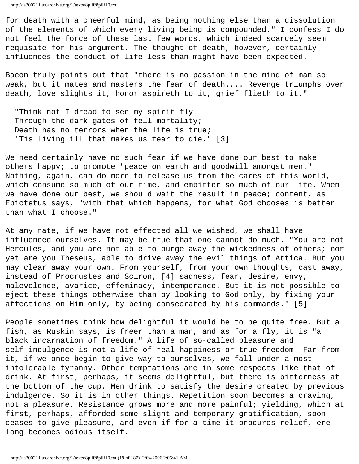for death with a cheerful mind, as being nothing else than a dissolution of the elements of which every living being is compounded." I confess I do not feel the force of these last few words, which indeed scarcely seem requisite for his argument. The thought of death, however, certainly influences the conduct of life less than might have been expected.

Bacon truly points out that "there is no passion in the mind of man so weak, but it mates and masters the fear of death.... Revenge triumphs over death, love slights it, honor aspireth to it, grief flieth to it."

 "Think not I dread to see my spirit fly Through the dark gates of fell mortality; Death has no terrors when the life is true; 'Tis living ill that makes us fear to die." [3]

We need certainly have no such fear if we have done our best to make others happy; to promote "peace on earth and goodwill amongst men." Nothing, again, can do more to release us from the cares of this world, which consume so much of our time, and embitter so much of our life. When we have done our best, we should wait the result in peace; content, as Epictetus says, "with that which happens, for what God chooses is better than what I choose."

At any rate, if we have not effected all we wished, we shall have influenced ourselves. It may be true that one cannot do much. "You are not Hercules, and you are not able to purge away the wickedness of others; nor yet are you Theseus, able to drive away the evil things of Attica. But you may clear away your own. From yourself, from your own thoughts, cast away, instead of Procrustes and Sciron, [4] sadness, fear, desire, envy, malevolence, avarice, effeminacy, intemperance. But it is not possible to eject these things otherwise than by looking to God only, by fixing your affections on Him only, by being consecrated by his commands." [5]

People sometimes think how delightful it would be to be quite free. But a fish, as Ruskin says, is freer than a man, and as for a fly, it is "a black incarnation of freedom." A life of so-called pleasure and self-indulgence is not a life of real happiness or true freedom. Far from it, if we once begin to give way to ourselves, we fall under a most intolerable tyranny. Other temptations are in some respects like that of drink. At first, perhaps, it seems delightful, but there is bitterness at the bottom of the cup. Men drink to satisfy the desire created by previous indulgence. So it is in other things. Repetition soon becomes a craving, not a pleasure. Resistance grows more and more painful; yielding, which at first, perhaps, afforded some slight and temporary gratification, soon ceases to give pleasure, and even if for a time it procures relief, ere long becomes odious itself.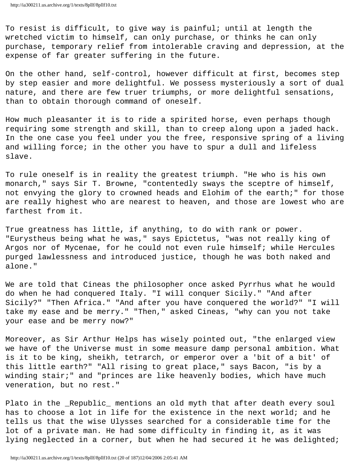To resist is difficult, to give way is painful; until at length the wretched victim to himself, can only purchase, or thinks he can only purchase, temporary relief from intolerable craving and depression, at the expense of far greater suffering in the future.

On the other hand, self-control, however difficult at first, becomes step by step easier and more delightful. We possess mysteriously a sort of dual nature, and there are few truer triumphs, or more delightful sensations, than to obtain thorough command of oneself.

How much pleasanter it is to ride a spirited horse, even perhaps though requiring some strength and skill, than to creep along upon a jaded hack. In the one case you feel under you the free, responsive spring of a living and willing force; in the other you have to spur a dull and lifeless slave.

To rule oneself is in reality the greatest triumph. "He who is his own monarch," says Sir T. Browne, "contentedly sways the sceptre of himself, not envying the glory to crowned heads and Elohim of the earth;" for those are really highest who are nearest to heaven, and those are lowest who are farthest from it.

True greatness has little, if anything, to do with rank or power. "Eurystheus being what he was," says Epictetus, "was not really king of Argos nor of Mycenae, for he could not even rule himself; while Hercules purged lawlessness and introduced justice, though he was both naked and alone."

We are told that Cineas the philosopher once asked Pyrrhus what he would do when he had conquered Italy. "I will conquer Sicily." "And after Sicily?" "Then Africa." "And after you have conquered the world?" "I will take my ease and be merry." "Then," asked Cineas, "why can you not take your ease and be merry now?"

Moreover, as Sir Arthur Helps has wisely pointed out, "the enlarged view we have of the Universe must in some measure damp personal ambition. What is it to be king, sheikh, tetrarch, or emperor over a 'bit of a bit' of this little earth?" "All rising to great place," says Bacon, "is by a winding stair;" and "princes are like heavenly bodies, which have much veneration, but no rest."

Plato in the \_Republic\_ mentions an old myth that after death every soul has to choose a lot in life for the existence in the next world; and he tells us that the wise Ulysses searched for a considerable time for the lot of a private man. He had some difficulty in finding it, as it was lying neglected in a corner, but when he had secured it he was delighted;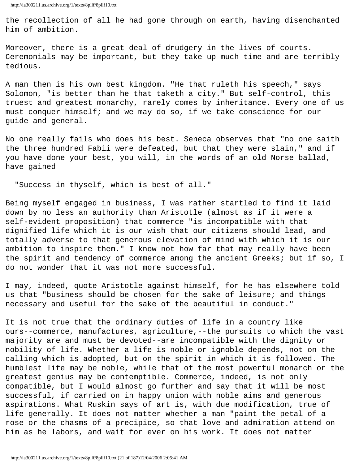the recollection of all he had gone through on earth, having disenchanted him of ambition.

Moreover, there is a great deal of drudgery in the lives of courts. Ceremonials may be important, but they take up much time and are terribly tedious.

A man then is his own best kingdom. "He that ruleth his speech," says Solomon, "is better than he that taketh a city." But self-control, this truest and greatest monarchy, rarely comes by inheritance. Every one of us must conquer himself; and we may do so, if we take conscience for our guide and general.

No one really fails who does his best. Seneca observes that "no one saith the three hundred Fabii were defeated, but that they were slain," and if you have done your best, you will, in the words of an old Norse ballad, have gained

"Success in thyself, which is best of all."

Being myself engaged in business, I was rather startled to find it laid down by no less an authority than Aristotle (almost as if it were a self-evident proposition) that commerce "is incompatible with that dignified life which it is our wish that our citizens should lead, and totally adverse to that generous elevation of mind with which it is our ambition to inspire them." I know not how far that may really have been the spirit and tendency of commerce among the ancient Greeks; but if so, I do not wonder that it was not more successful.

I may, indeed, quote Aristotle against himself, for he has elsewhere told us that "business should be chosen for the sake of leisure; and things necessary and useful for the sake of the beautiful in conduct."

It is not true that the ordinary duties of life in a country like ours--commerce, manufactures, agriculture,--the pursuits to which the vast majority are and must be devoted--are incompatible with the dignity or nobility of life. Whether a life is noble or ignoble depends, not on the calling which is adopted, but on the spirit in which it is followed. The humblest life may be noble, while that of the most powerful monarch or the greatest genius may be contemptible. Commerce, indeed, is not only compatible, but I would almost go further and say that it will be most successful, if carried on in happy union with noble aims and generous aspirations. What Ruskin says of art is, with due modification, true of life generally. It does not matter whether a man "paint the petal of a rose or the chasms of a precipice, so that love and admiration attend on him as he labors, and wait for ever on his work. It does not matter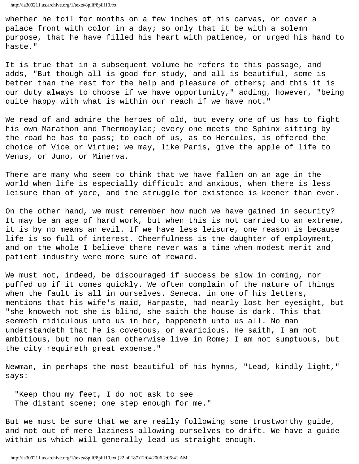whether he toil for months on a few inches of his canvas, or cover a palace front with color in a day; so only that it be with a solemn purpose, that he have filled his heart with patience, or urged his hand to haste."

It is true that in a subsequent volume he refers to this passage, and adds, "But though all is good for study, and all is beautiful, some is better than the rest for the help and pleasure of others; and this it is our duty always to choose if we have opportunity," adding, however, "being quite happy with what is within our reach if we have not."

We read of and admire the heroes of old, but every one of us has to fight his own Marathon and Thermopylae; every one meets the Sphinx sitting by the road he has to pass; to each of us, as to Hercules, is offered the choice of Vice or Virtue; we may, like Paris, give the apple of life to Venus, or Juno, or Minerva.

There are many who seem to think that we have fallen on an age in the world when life is especially difficult and anxious, when there is less leisure than of yore, and the struggle for existence is keener than ever.

On the other hand, we must remember how much we have gained in security? It may be an age of hard work, but when this is not carried to an extreme, it is by no means an evil. If we have less leisure, one reason is because life is so full of interest. Cheerfulness is the daughter of employment, and on the whole I believe there never was a time when modest merit and patient industry were more sure of reward.

We must not, indeed, be discouraged if success be slow in coming, nor puffed up if it comes quickly. We often complain of the nature of things when the fault is all in ourselves. Seneca, in one of his letters, mentions that his wife's maid, Harpaste, had nearly lost her eyesight, but "she knoweth not she is blind, she saith the house is dark. This that seemeth ridiculous unto us in her, happeneth unto us all. No man understandeth that he is covetous, or avaricious. He saith, I am not ambitious, but no man can otherwise live in Rome; I am not sumptuous, but the city requireth great expense."

Newman, in perhaps the most beautiful of his hymns, "Lead, kindly light," says:

 "Keep thou my feet, I do not ask to see The distant scene; one step enough for me."

But we must be sure that we are really following some trustworthy guide, and not out of mere laziness allowing ourselves to drift. We have a guide within us which will generally lead us straight enough.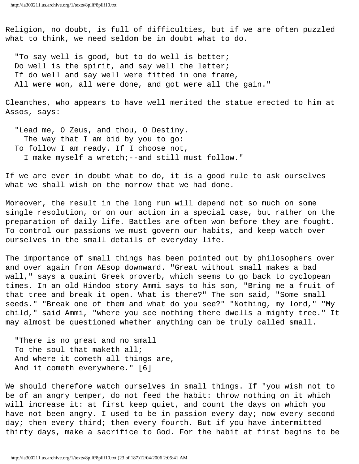Religion, no doubt, is full of difficulties, but if we are often puzzled what to think, we need seldom be in doubt what to do.

 "To say well is good, but to do well is better; Do well is the spirit, and say well the letter; If do well and say well were fitted in one frame, All were won, all were done, and got were all the gain."

Cleanthes, who appears to have well merited the statue erected to him at Assos, says:

 "Lead me, O Zeus, and thou, O Destiny. The way that I am bid by you to go: To follow I am ready. If I choose not, I make myself a wretch;--and still must follow."

If we are ever in doubt what to do, it is a good rule to ask ourselves what we shall wish on the morrow that we had done.

Moreover, the result in the long run will depend not so much on some single resolution, or on our action in a special case, but rather on the preparation of daily life. Battles are often won before they are fought. To control our passions we must govern our habits, and keep watch over ourselves in the small details of everyday life.

The importance of small things has been pointed out by philosophers over and over again from AEsop downward. "Great without small makes a bad wall," says a quaint Greek proverb, which seems to go back to cyclopean times. In an old Hindoo story Ammi says to his son, "Bring me a fruit of that tree and break it open. What is there?" The son said, "Some small seeds." "Break one of them and what do you see?" "Nothing, my lord," "My child," said Ammi, "where you see nothing there dwells a mighty tree." It may almost be questioned whether anything can be truly called small.

 "There is no great and no small To the soul that maketh all; And where it cometh all things are, And it cometh everywhere." [6]

We should therefore watch ourselves in small things. If "you wish not to be of an angry temper, do not feed the habit: throw nothing on it which will increase it: at first keep quiet, and count the days on which you have not been angry. I used to be in passion every day; now every second day; then every third; then every fourth. But if you have intermitted thirty days, make a sacrifice to God. For the habit at first begins to be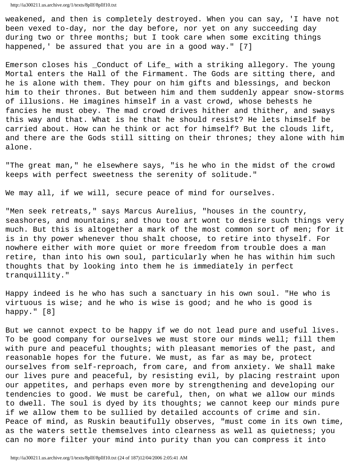```
http://ia300211.us.archive.org/1/texts/8pllf/8pllf10.txt
```
weakened, and then is completely destroyed. When you can say, 'I have not been vexed to-day, nor the day before, nor yet on any succeeding day during two or three months; but I took care when some exciting things happened,' be assured that you are in a good way." [7]

Emerson closes his \_Conduct of Life\_ with a striking allegory. The young Mortal enters the Hall of the Firmament. The Gods are sitting there, and he is alone with them. They pour on him gifts and blessings, and beckon him to their thrones. But between him and them suddenly appear snow-storms of illusions. He imagines himself in a vast crowd, whose behests he fancies he must obey. The mad crowd drives hither and thither, and sways this way and that. What is he that he should resist? He lets himself be carried about. How can he think or act for himself? But the clouds lift, and there are the Gods still sitting on their thrones; they alone with him alone.

"The great man," he elsewhere says, "is he who in the midst of the crowd keeps with perfect sweetness the serenity of solitude."

We may all, if we will, secure peace of mind for ourselves.

"Men seek retreats," says Marcus Aurelius, "houses in the country, seashores, and mountains; and thou too art wont to desire such things very much. But this is altogether a mark of the most common sort of men; for it is in thy power whenever thou shalt choose, to retire into thyself. For nowhere either with more quiet or more freedom from trouble does a man retire, than into his own soul, particularly when he has within him such thoughts that by looking into them he is immediately in perfect tranquillity."

Happy indeed is he who has such a sanctuary in his own soul. "He who is virtuous is wise; and he who is wise is good; and he who is good is happy." [8]

But we cannot expect to be happy if we do not lead pure and useful lives. To be good company for ourselves we must store our minds well; fill them with pure and peaceful thoughts; with pleasant memories of the past, and reasonable hopes for the future. We must, as far as may be, protect ourselves from self-reproach, from care, and from anxiety. We shall make our lives pure and peaceful, by resisting evil, by placing restraint upon our appetites, and perhaps even more by strengthening and developing our tendencies to good. We must be careful, then, on what we allow our minds to dwell. The soul is dyed by its thoughts; we cannot keep our minds pure if we allow them to be sullied by detailed accounts of crime and sin. Peace of mind, as Ruskin beautifully observes, "must come in its own time, as the waters settle themselves into clearness as well as quietness; you can no more filter your mind into purity than you can compress it into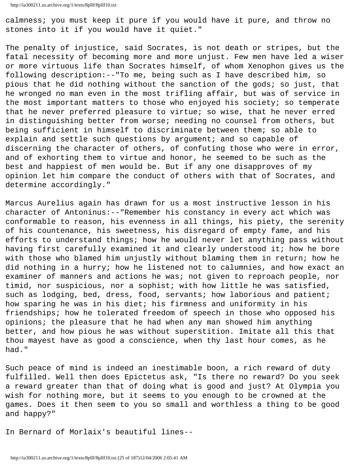calmness; you must keep it pure if you would have it pure, and throw no stones into it if you would have it quiet."

The penalty of injustice, said Socrates, is not death or stripes, but the fatal necessity of becoming more and more unjust. Few men have led a wiser or more virtuous life than Socrates himself, of whom Xenophon gives us the following description:--"To me, being such as I have described him, so pious that he did nothing without the sanction of the gods; so just, that he wronged no man even in the most trifling affair, but was of service in the most important matters to those who enjoyed his society; so temperate that he never preferred pleasure to virtue; so wise, that he never erred in distinguishing better from worse; needing no counsel from others, but being sufficient in himself to discriminate between them; so able to explain and settle such questions by argument; and so capable of discerning the character of others, of confuting those who were in error, and of exhorting them to virtue and honor, he seemed to be such as the best and happiest of men would be. But if any one disapproves of my opinion let him compare the conduct of others with that of Socrates, and determine accordingly."

Marcus Aurelius again has drawn for us a most instructive lesson in his character of Antoninus:--"Remember his constancy in every act which was conformable to reason, his evenness in all things, his piety, the serenity of his countenance, his sweetness, his disregard of empty fame, and his efforts to understand things; how he would never let anything pass without having first carefully examined it and clearly understood it; how he bore with those who blamed him unjustly without blaming them in return; how he did nothing in a hurry; how he listened not to calumnies, and how exact an examiner of manners and actions he was; not given to reproach people, nor timid, nor suspicious, nor a sophist; with how little he was satisfied, such as lodging, bed, dress, food, servants; how laborious and patient; how sparing he was in his diet; his firmness and uniformity in his friendships; how he tolerated freedom of speech in those who opposed his opinions; the pleasure that he had when any man showed him anything better, and how pious he was without superstition. Imitate all this that thou mayest have as good a conscience, when thy last hour comes, as he had."

Such peace of mind is indeed an inestimable boon, a rich reward of duty fulfilled. Well then does Epictetus ask, "Is there no reward? Do you seek a reward greater than that of doing what is good and just? At Olympia you wish for nothing more, but it seems to you enough to be crowned at the games. Does it then seem to you so small and worthless a thing to be good and happy?"

In Bernard of Morlaix's beautiful lines--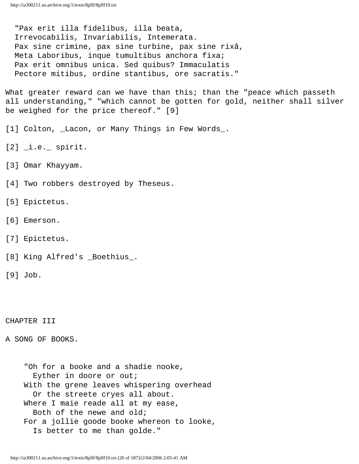"Pax erit illa fidelibus, illa beata, Irrevocabilis, Invariabilis, Intemerata. Pax sine crimine, pax sine turbine, pax sine rixâ, Meta Laboribus, inque tumultibus anchora fixa; Pax erit omnibus unica. Sed quibus? Immaculatis Pectore mitibus, ordine stantibus, ore sacratis."

What greater reward can we have than this; than the "peace which passeth all understanding," "which cannot be gotten for gold, neither shall silver be weighed for the price thereof." [9]

[1] Colton, Lacon, or Many Things in Few Words\_.

 $[2]$   $\_\text{i.e.}$  spirit.

[3] Omar Khayyam.

[4] Two robbers destroyed by Theseus.

[5] Epictetus.

[6] Emerson.

[7] Epictetus.

[8] King Alfred's \_Boethius\_.

[9] Job.

CHAPTER III

A SONG OF BOOKS.

 "Oh for a booke and a shadie nooke, Eyther in doore or out; With the grene leaves whispering overhead Or the streete cryes all about. Where I maie reade all at my ease, Both of the newe and old; For a jollie goode booke whereon to looke, Is better to me than golde."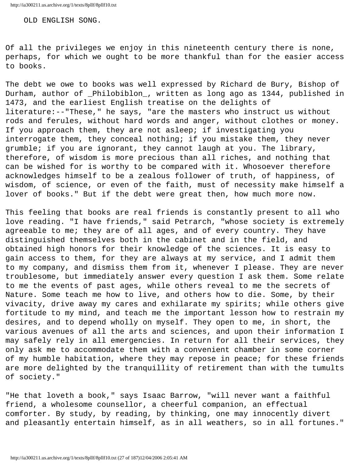OLD ENGLISH SONG.

Of all the privileges we enjoy in this nineteenth century there is none, perhaps, for which we ought to be more thankful than for the easier access to books.

The debt we owe to books was well expressed by Richard de Bury, Bishop of Durham, author of \_Philobiblon\_, written as long ago as 1344, published in 1473, and the earliest English treatise on the delights of literature:--"These," he says, "are the masters who instruct us without rods and ferules, without hard words and anger, without clothes or money. If you approach them, they are not asleep; if investigating you interrogate them, they conceal nothing; if you mistake them, they never grumble; if you are ignorant, they cannot laugh at you. The library, therefore, of wisdom is more precious than all riches, and nothing that can be wished for is worthy to be compared with it. Whosoever therefore acknowledges himself to be a zealous follower of truth, of happiness, of wisdom, of science, or even of the faith, must of necessity make himself a lover of books." But if the debt were great then, how much more now.

This feeling that books are real friends is constantly present to all who love reading. "I have friends," said Petrarch, "whose society is extremely agreeable to me; they are of all ages, and of every country. They have distinguished themselves both in the cabinet and in the field, and obtained high honors for their knowledge of the sciences. It is easy to gain access to them, for they are always at my service, and I admit them to my company, and dismiss them from it, whenever I please. They are never troublesome, but immediately answer every question I ask them. Some relate to me the events of past ages, while others reveal to me the secrets of Nature. Some teach me how to live, and others how to die. Some, by their vivacity, drive away my cares and exhilarate my spirits; while others give fortitude to my mind, and teach me the important lesson how to restrain my desires, and to depend wholly on myself. They open to me, in short, the various avenues of all the arts and sciences, and upon their information I may safely rely in all emergencies. In return for all their services, they only ask me to accommodate them with a convenient chamber in some corner of my humble habitation, where they may repose in peace; for these friends are more delighted by the tranquillity of retirement than with the tumults of society."

"He that loveth a book," says Isaac Barrow, "will never want a faithful friend, a wholesome counsellor, a cheerful companion, an effectual comforter. By study, by reading, by thinking, one may innocently divert and pleasantly entertain himself, as in all weathers, so in all fortunes."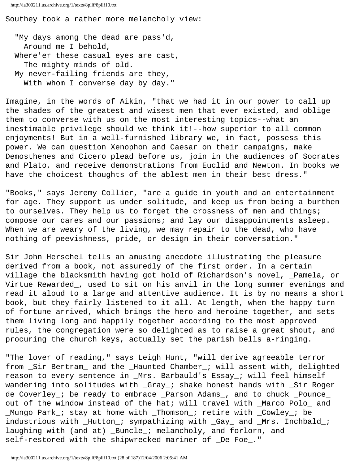Southey took a rather more melancholy view:

 "My days among the dead are pass'd, Around me I behold, Where'er these casual eyes are cast, The mighty minds of old. My never-failing friends are they, With whom I converse day by day."

Imagine, in the words of Aikin, "that we had it in our power to call up the shades of the greatest and wisest men that ever existed, and oblige them to converse with us on the most interesting topics--what an inestimable privilege should we think it!--how superior to all common enjoyments! But in a well-furnished library we, in fact, possess this power. We can question Xenophon and Caesar on their campaigns, make Demosthenes and Cicero plead before us, join in the audiences of Socrates and Plato, and receive demonstrations from Euclid and Newton. In books we have the choicest thoughts of the ablest men in their best dress."

"Books," says Jeremy Collier, "are a guide in youth and an entertainment for age. They support us under solitude, and keep us from being a burthen to ourselves. They help us to forget the crossness of men and things; compose our cares and our passions; and lay our disappointments asleep. When we are weary of the living, we may repair to the dead, who have nothing of peevishness, pride, or design in their conversation."

Sir John Herschel tells an amusing anecdote illustrating the pleasure derived from a book, not assuredly of the first order. In a certain village the blacksmith having got hold of Richardson's novel, \_Pamela, or Virtue Rewarded\_, used to sit on his anvil in the long summer evenings and read it aloud to a large and attentive audience. It is by no means a short book, but they fairly listened to it all. At length, when the happy turn of fortune arrived, which brings the hero and heroine together, and sets them living long and happily together according to the most approved rules, the congregation were so delighted as to raise a great shout, and procuring the church keys, actually set the parish bells a-ringing.

"The lover of reading," says Leigh Hunt, "will derive agreeable terror from \_Sir Bertram\_ and the \_Haunted Chamber\_; will assent with, delighted reason to every sentence in \_Mrs. Barbauld's Essay\_; will feel himself wandering into solitudes with \_Gray\_; shake honest hands with \_Sir Roger de Coverley\_; be ready to embrace \_Parson Adams\_, and to chuck \_Pounce\_ out of the window instead of the hat; will travel with \_Marco Polo\_ and \_Mungo Park\_; stay at home with \_Thomson\_; retire with \_Cowley\_; be industrious with \_Hutton\_; sympathizing with \_Gay\_ and \_Mrs. Inchbald\_; laughing with (and at) \_Buncle\_; melancholy, and forlorn, and self-restored with the shipwrecked mariner of \_De Foe\_."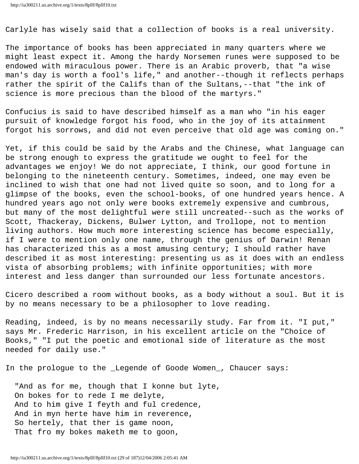Carlyle has wisely said that a collection of books is a real university.

The importance of books has been appreciated in many quarters where we might least expect it. Among the hardy Norsemen runes were supposed to be endowed with miraculous power. There is an Arabic proverb, that "a wise man's day is worth a fool's life," and another--though it reflects perhaps rather the spirit of the Califs than of the Sultans,--that "the ink of science is more precious than the blood of the martyrs."

Confucius is said to have described himself as a man who "in his eager pursuit of knowledge forgot his food, who in the joy of its attainment forgot his sorrows, and did not even perceive that old age was coming on."

Yet, if this could be said by the Arabs and the Chinese, what language can be strong enough to express the gratitude we ought to feel for the advantages we enjoy! We do not appreciate, I think, our good fortune in belonging to the nineteenth century. Sometimes, indeed, one may even be inclined to wish that one had not lived quite so soon, and to long for a glimpse of the books, even the school-books, of one hundred years hence. A hundred years ago not only were books extremely expensive and cumbrous, but many of the most delightful were still uncreated--such as the works of Scott, Thackeray, Dickens, Bulwer Lytton, and Trollope, not to mention living authors. How much more interesting science has become especially, if I were to mention only one name, through the genius of Darwin! Renan has characterized this as a most amusing century; I should rather have described it as most interesting: presenting us as it does with an endless vista of absorbing problems; with infinite opportunities; with more interest and less danger than surrounded our less fortunate ancestors.

Cicero described a room without books, as a body without a soul. But it is by no means necessary to be a philosopher to love reading.

Reading, indeed, is by no means necessarily study. Far from it. "I put," says Mr. Frederic Harrison, in his excellent article on the "Choice of Books," "I put the poetic and emotional side of literature as the most needed for daily use."

In the prologue to the \_Legende of Goode Women\_, Chaucer says:

 "And as for me, though that I konne but lyte, On bokes for to rede I me delyte, And to him give I feyth and ful credence, And in myn herte have him in reverence, So hertely, that ther is game noon, That fro my bokes maketh me to goon,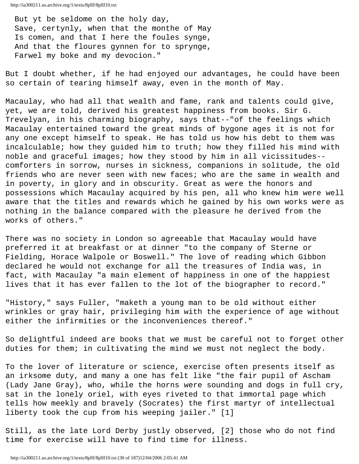But yt be seldome on the holy day, Save, certynly, when that the monthe of May Is comen, and that I here the foules synge, And that the floures gynnen for to sprynge, Farwel my boke and my devocion."

But I doubt whether, if he had enjoyed our advantages, he could have been so certain of tearing himself away, even in the month of May.

Macaulay, who had all that wealth and fame, rank and talents could give, yet, we are told, derived his greatest happiness from books. Sir G. Trevelyan, in his charming biography, says that--"of the feelings which Macaulay entertained toward the great minds of bygone ages it is not for any one except himself to speak. He has told us how his debt to them was incalculable; how they guided him to truth; how they filled his mind with noble and graceful images; how they stood by him in all vicissitudes- comforters in sorrow, nurses in sickness, companions in solitude, the old friends who are never seen with new faces; who are the same in wealth and in poverty, in glory and in obscurity. Great as were the honors and possessions which Macaulay acquired by his pen, all who knew him were well aware that the titles and rewards which he gained by his own works were as nothing in the balance compared with the pleasure he derived from the works of others."

There was no society in London so agreeable that Macaulay would have preferred it at breakfast or at dinner "to the company of Sterne or Fielding, Horace Walpole or Boswell." The love of reading which Gibbon declared he would not exchange for all the treasures of India was, in fact, with Macaulay "a main element of happiness in one of the happiest lives that it has ever fallen to the lot of the biographer to record."

"History," says Fuller, "maketh a young man to be old without either wrinkles or gray hair, privileging him with the experience of age without either the infirmities or the inconveniences thereof."

So delightful indeed are books that we must be careful not to forget other duties for them; in cultivating the mind we must not neglect the body.

To the lover of literature or science, exercise often presents itself as an irksome duty, and many a one has felt like "the fair pupil of Ascham (Lady Jane Gray), who, while the horns were sounding and dogs in full cry, sat in the lonely oriel, with eyes riveted to that immortal page which tells how meekly and bravely (Socrates) the first martyr of intellectual liberty took the cup from his weeping jailer." [1]

Still, as the late Lord Derby justly observed, [2] those who do not find time for exercise will have to find time for illness.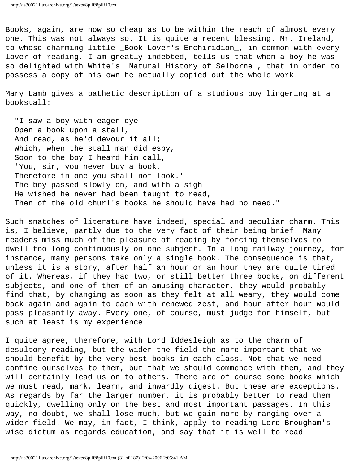Books, again, are now so cheap as to be within the reach of almost every one. This was not always so. It is quite a recent blessing. Mr. Ireland, to whose charming little \_Book Lover's Enchiridion\_, in common with every lover of reading. I am greatly indebted, tells us that when a boy he was so delighted with White's \_Natural History of Selborne\_, that in order to possess a copy of his own he actually copied out the whole work.

Mary Lamb gives a pathetic description of a studious boy lingering at a bookstall:

 "I saw a boy with eager eye Open a book upon a stall, And read, as he'd devour it all; Which, when the stall man did espy, Soon to the boy I heard him call, 'You, sir, you never buy a book, Therefore in one you shall not look.' The boy passed slowly on, and with a sigh He wished he never had been taught to read, Then of the old churl's books he should have had no need."

Such snatches of literature have indeed, special and peculiar charm. This is, I believe, partly due to the very fact of their being brief. Many readers miss much of the pleasure of reading by forcing themselves to dwell too long continuously on one subject. In a long railway journey, for instance, many persons take only a single book. The consequence is that, unless it is a story, after half an hour or an hour they are quite tired of it. Whereas, if they had two, or still better three books, on different subjects, and one of them of an amusing character, they would probably find that, by changing as soon as they felt at all weary, they would come back again and again to each with renewed zest, and hour after hour would pass pleasantly away. Every one, of course, must judge for himself, but such at least is my experience.

I quite agree, therefore, with Lord Iddesleigh as to the charm of desultory reading, but the wider the field the more important that we should benefit by the very best books in each class. Not that we need confine ourselves to them, but that we should commence with them, and they will certainly lead us on to others. There are of course some books which we must read, mark, learn, and inwardly digest. But these are exceptions. As regards by far the larger number, it is probably better to read them quickly, dwelling only on the best and most important passages. In this way, no doubt, we shall lose much, but we gain more by ranging over a wider field. We may, in fact, I think, apply to reading Lord Brougham's wise dictum as regards education, and say that it is well to read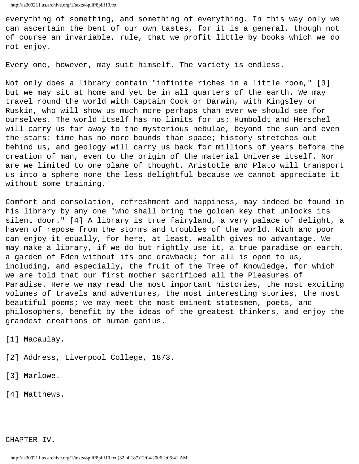everything of something, and something of everything. In this way only we can ascertain the bent of our own tastes, for it is a general, though not of course an invariable, rule, that we profit little by books which we do not enjoy.

Every one, however, may suit himself. The variety is endless.

Not only does a library contain "infinite riches in a little room," [3] but we may sit at home and yet be in all quarters of the earth. We may travel round the world with Captain Cook or Darwin, with Kingsley or Ruskin, who will show us much more perhaps than ever we should see for ourselves. The world itself has no limits for us; Humboldt and Herschel will carry us far away to the mysterious nebulae, beyond the sun and even the stars: time has no more bounds than space; history stretches out behind us, and geology will carry us back for millions of years before the creation of man, even to the origin of the material Universe itself. Nor are we limited to one plane of thought. Aristotle and Plato will transport us into a sphere none the less delightful because we cannot appreciate it without some training.

Comfort and consolation, refreshment and happiness, may indeed be found in his library by any one "who shall bring the golden key that unlocks its silent door." [4] A library is true fairyland, a very palace of delight, a haven of repose from the storms and troubles of the world. Rich and poor can enjoy it equally, for here, at least, wealth gives no advantage. We may make a library, if we do but rightly use it, a true paradise on earth, a garden of Eden without its one drawback; for all is open to us, including, and especially, the fruit of the Tree of Knowledge, for which we are told that our first mother sacrificed all the Pleasures of Paradise. Here we may read the most important histories, the most exciting volumes of travels and adventures, the most interesting stories, the most beautiful poems; we may meet the most eminent statesmen, poets, and philosophers, benefit by the ideas of the greatest thinkers, and enjoy the grandest creations of human genius.

[1] Macaulay.

- [2] Address, Liverpool College, 1873.
- [3] Marlowe.
- [4] Matthews.

CHAPTER IV.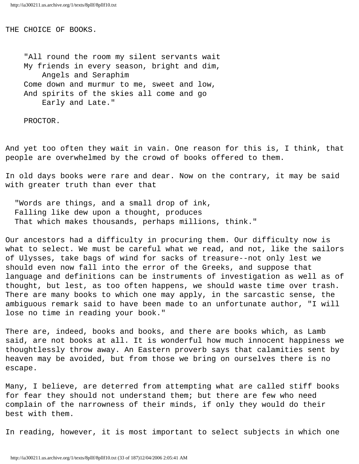THE CHOICE OF BOOKS.

 "All round the room my silent servants wait My friends in every season, bright and dim, Angels and Seraphim Come down and murmur to me, sweet and low, And spirits of the skies all come and go Early and Late."

PROCTOR.

And yet too often they wait in vain. One reason for this is, I think, that people are overwhelmed by the crowd of books offered to them.

In old days books were rare and dear. Now on the contrary, it may be said with greater truth than ever that

 "Words are things, and a small drop of ink, Falling like dew upon a thought, produces That which makes thousands, perhaps millions, think."

Our ancestors had a difficulty in procuring them. Our difficulty now is what to select. We must be careful what we read, and not, like the sailors of Ulysses, take bags of wind for sacks of treasure--not only lest we should even now fall into the error of the Greeks, and suppose that language and definitions can be instruments of investigation as well as of thought, but lest, as too often happens, we should waste time over trash. There are many books to which one may apply, in the sarcastic sense, the ambiguous remark said to have been made to an unfortunate author, "I will lose no time in reading your book."

There are, indeed, books and books, and there are books which, as Lamb said, are not books at all. It is wonderful how much innocent happiness we thoughtlessly throw away. An Eastern proverb says that calamities sent by heaven may be avoided, but from those we bring on ourselves there is no escape.

Many, I believe, are deterred from attempting what are called stiff books for fear they should not understand them; but there are few who need complain of the narrowness of their minds, if only they would do their best with them.

In reading, however, it is most important to select subjects in which one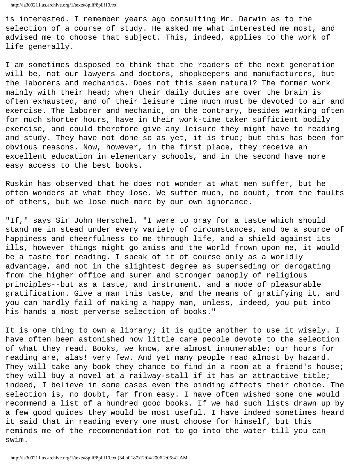is interested. I remember years ago consulting Mr. Darwin as to the selection of a course of study. He asked me what interested me most, and advised me to choose that subject. This, indeed, applies to the work of life generally.

I am sometimes disposed to think that the readers of the next generation will be, not our lawyers and doctors, shopkeepers and manufacturers, but the laborers and mechanics. Does not this seem natural? The former work mainly with their head; when their daily duties are over the brain is often exhausted, and of their leisure time much must be devoted to air and exercise. The laborer and mechanic, on the contrary, besides working often for much shorter hours, have in their work-time taken sufficient bodily exercise, and could therefore give any leisure they might have to reading and study. They have not done so as yet, it is true; but this has been for obvious reasons. Now, however, in the first place, they receive an excellent education in elementary schools, and in the second have more easy access to the best books.

Ruskin has observed that he does not wonder at what men suffer, but he often wonders at what they lose. We suffer much, no doubt, from the faults of others, but we lose much more by our own ignorance.

"If," says Sir John Herschel, "I were to pray for a taste which should stand me in stead under every variety of circumstances, and be a source of happiness and cheerfulness to me through life, and a shield against its ills, however things might go amiss and the world frown upon me, it would be a taste for reading. I speak of it of course only as a worldly advantage, and not in the slightest degree as superseding or derogating from the higher office and surer and stronger panoply of religious principles--but as a taste, and instrument, and a mode of pleasurable gratification. Give a man this taste, and the means of gratifying it, and you can hardly fail of making a happy man, unless, indeed, you put into his hands a most perverse selection of books."

It is one thing to own a library; it is quite another to use it wisely. I have often been astonished how little care people devote to the selection of what they read. Books, we know, are almost innumerable; our hours for reading are, alas! very few. And yet many people read almost by hazard. They will take any book they chance to find in a room at a friend's house; they will buy a novel at a railway-stall if it has an attractive title; indeed, I believe in some cases even the binding affects their choice. The selection is, no doubt, far from easy. I have often wished some one would recommend a list of a hundred good books. If we had such lists drawn up by a few good guides they would be most useful. I have indeed sometimes heard it said that in reading every one must choose for himself, but this reminds me of the recommendation not to go into the water till you can swim.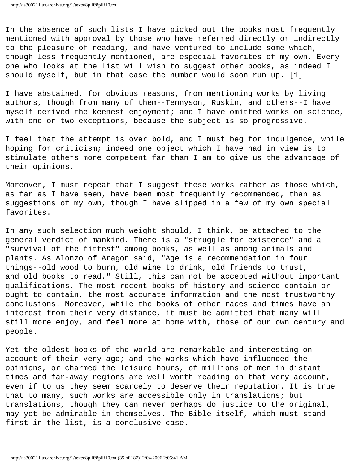In the absence of such lists I have picked out the books most frequently mentioned with approval by those who have referred directly or indirectly to the pleasure of reading, and have ventured to include some which, though less frequently mentioned, are especial favorites of my own. Every one who looks at the list will wish to suggest other books, as indeed I should myself, but in that case the number would soon run up. [1]

I have abstained, for obvious reasons, from mentioning works by living authors, though from many of them--Tennyson, Ruskin, and others--I have myself derived the keenest enjoyment; and I have omitted works on science, with one or two exceptions, because the subject is so progressive.

I feel that the attempt is over bold, and I must beg for indulgence, while hoping for criticism; indeed one object which I have had in view is to stimulate others more competent far than I am to give us the advantage of their opinions.

Moreover, I must repeat that I suggest these works rather as those which, as far as I have seen, have been most frequently recommended, than as suggestions of my own, though I have slipped in a few of my own special favorites.

In any such selection much weight should, I think, be attached to the general verdict of mankind. There is a "struggle for existence" and a "survival of the fittest" among books, as well as among animals and plants. As Alonzo of Aragon said, "Age is a recommendation in four things--old wood to burn, old wine to drink, old friends to trust, and old books to read." Still, this can not be accepted without important qualifications. The most recent books of history and science contain or ought to contain, the most accurate information and the most trustworthy conclusions. Moreover, while the books of other races and times have an interest from their very distance, it must be admitted that many will still more enjoy, and feel more at home with, those of our own century and people.

Yet the oldest books of the world are remarkable and interesting on account of their very age; and the works which have influenced the opinions, or charmed the leisure hours, of millions of men in distant times and far-away regions are well worth reading on that very account, even if to us they seem scarcely to deserve their reputation. It is true that to many, such works are accessible only in translations; but translations, though they can never perhaps do justice to the original, may yet be admirable in themselves. The Bible itself, which must stand first in the list, is a conclusive case.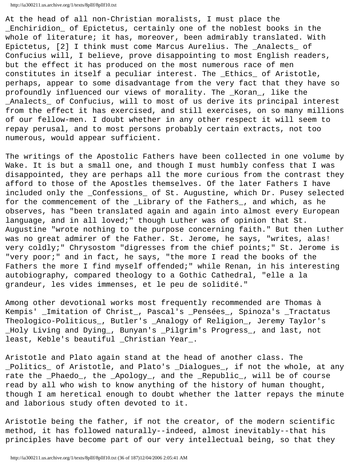http://ia300211.us.archive.org/1/texts/8pllf/8pllf10.txt

At the head of all non-Christian moralists, I must place the \_Enchiridion\_ of Epictetus, certainly one of the noblest books in the whole of literature; it has, moreover, been admirably translated. With Epictetus, [2] I think must come Marcus Aurelius. The \_Analects\_ of Confucius will, I believe, prove disappointing to most English readers, but the effect it has produced on the most numerous race of men constitutes in itself a peculiar interest. The \_Ethics\_ of Aristotle, perhaps, appear to some disadvantage from the very fact that they have so profoundly influenced our views of morality. The \_Koran\_, like the \_Analects\_ of Confucius, will to most of us derive its principal interest from the effect it has exercised, and still exercises, on so many millions of our fellow-men. I doubt whether in any other respect it will seem to repay perusal, and to most persons probably certain extracts, not too numerous, would appear sufficient.

The writings of the Apostolic Fathers have been collected in one volume by Wake. It is but a small one, and though I must humbly confess that I was disappointed, they are perhaps all the more curious from the contrast they afford to those of the Apostles themselves. Of the later Fathers I have included only the \_Confessions\_ of St. Augustine, which Dr. Pusey selected for the commencement of the \_Library of the Fathers\_, and which, as he observes, has "been translated again and again into almost every European language, and in all loved;" though Luther was of opinion that St. Augustine "wrote nothing to the purpose concerning faith." But then Luther was no great admirer of the Father. St. Jerome, he says, "writes, alas! very coldly;" Chrysostom "digresses from the chief points;" St. Jerome is "very poor;" and in fact, he says, "the more I read the books of the Fathers the more I find myself offended;" while Renan, in his interesting autobiography, compared theology to a Gothic Cathedral, "elle a la grandeur, les vides immenses, et le peu de solidité."

Among other devotional works most frequently recommended are Thomas à Kempis' \_Imitation of Christ\_, Pascal's \_Pensées\_, Spinoza's \_Tractatus Theologico-Politicus\_, Butler's \_Analogy of Religion\_, Jeremy Taylor's \_Holy Living and Dying\_, Bunyan's \_Pilgrim's Progress\_, and last, not least, Keble's beautiful \_Christian Year\_.

Aristotle and Plato again stand at the head of another class. The \_Politics\_ of Aristotle, and Plato's \_Dialogues\_, if not the whole, at any rate the \_Phaedo\_, the \_Apology\_, and the \_Republic\_, will be of course read by all who wish to know anything of the history of human thought, though I am heretical enough to doubt whether the latter repays the minute and laborious study often devoted to it.

Aristotle being the father, if not the creator, of the modern scientific method, it has followed naturally--indeed, almost inevitably--that his principles have become part of our very intellectual being, so that they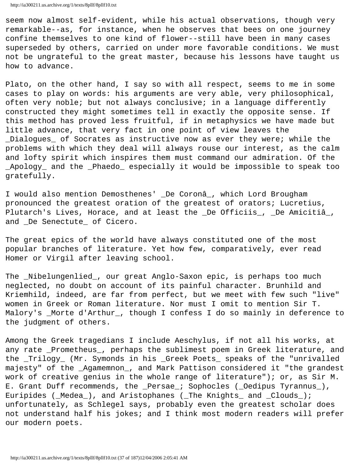seem now almost self-evident, while his actual observations, though very remarkable--as, for instance, when he observes that bees on one journey confine themselves to one kind of flower--still have been in many cases superseded by others, carried on under more favorable conditions. We must not be ungrateful to the great master, because his lessons have taught us how to advance.

Plato, on the other hand, I say so with all respect, seems to me in some cases to play on words: his arguments are very able, very philosophical, often very noble; but not always conclusive; in a language differently constructed they might sometimes tell in exactly the opposite sense. If this method has proved less fruitful, if in metaphysics we have made but little advance, that very fact in one point of view leaves the \_Dialogues\_ of Socrates as instructive now as ever they were; while the problems with which they deal will always rouse our interest, as the calm and lofty spirit which inspires them must command our admiration. Of the \_Apology\_ and the \_Phaedo\_ especially it would be impossible to speak too gratefully.

I would also mention Demosthenes' \_De Coronâ\_, which Lord Brougham pronounced the greatest oration of the greatest of orators; Lucretius, Plutarch's Lives, Horace, and at least the \_De Officiis\_, \_De Amicitiâ\_, and \_De Senectute\_ of Cicero.

The great epics of the world have always constituted one of the most popular branches of literature. Yet how few, comparatively, ever read Homer or Virgil after leaving school.

The \_Nibelungenlied\_, our great Anglo-Saxon epic, is perhaps too much neglected, no doubt on account of its painful character. Brunhild and Kriemhild, indeed, are far from perfect, but we meet with few such "live" women in Greek or Roman literature. Nor must I omit to mention Sir T. Malory's \_Morte d'Arthur\_, though I confess I do so mainly in deference to the judgment of others.

Among the Greek tragedians I include Aeschylus, if not all his works, at any rate \_Prometheus\_, perhaps the sublimest poem in Greek literature, and the \_Trilogy\_ (Mr. Symonds in his \_Greek Poets\_ speaks of the "unrivalled majesty" of the \_Agamemnon\_, and Mark Pattison considered it "the grandest work of creative genius in the whole range of literature"); or, as Sir M. E. Grant Duff recommends, the \_Persae\_; Sophocles (\_Oedipus Tyrannus\_), Euripides (\_Medea\_), and Aristophanes (\_The Knights\_ and \_Clouds\_); unfortunately, as Schlegel says, probably even the greatest scholar does not understand half his jokes; and I think most modern readers will prefer our modern poets.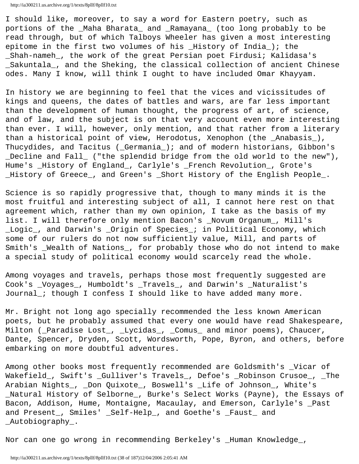I should like, moreover, to say a word for Eastern poetry, such as portions of the \_Maha Bharata\_ and \_Ramayana\_ (too long probably to be read through, but of which Talboys Wheeler has given a most interesting epitome in the first two volumes of his \_History of India\_); the \_Shah-nameh\_, the work of the great Persian poet Firdusi; Kalidasa's \_Sakuntala\_, and the Sheking, the classical collection of ancient Chinese odes. Many I know, will think I ought to have included Omar Khayyam.

In history we are beginning to feel that the vices and vicissitudes of kings and queens, the dates of battles and wars, are far less important than the development of human thought, the progress of art, of science, and of law, and the subject is on that very account even more interesting than ever. I will, however, only mention, and that rather from a literary than a historical point of view, Herodotus, Xenophon (the \_Anabasis\_), Thucydides, and Tacitus (\_Germania\_); and of modern historians, Gibbon's \_Decline and Fall\_ ("the splendid bridge from the old world to the new"), Hume's \_History of England\_, Carlyle's \_French Revolution\_, Grote's \_History of Greece\_, and Green's \_Short History of the English People\_.

Science is so rapidly progressive that, though to many minds it is the most fruitful and interesting subject of all, I cannot here rest on that agreement which, rather than my own opinion, I take as the basis of my list. I will therefore only mention Bacon's \_Novum Organum\_, Mill's \_Logic\_, and Darwin's \_Origin of Species\_; in Political Economy, which some of our rulers do not now sufficiently value, Mill, and parts of Smith's \_Wealth of Nations\_, for probably those who do not intend to make a special study of political economy would scarcely read the whole.

Among voyages and travels, perhaps those most frequently suggested are Cook's \_Voyages\_, Humboldt's \_Travels\_, and Darwin's \_Naturalist's Journal\_; though I confess I should like to have added many more.

Mr. Bright not long ago specially recommended the less known American poets, but he probably assumed that every one would have read Shakespeare, Milton (\_Paradise Lost\_, \_Lycidas\_, \_Comus\_ and minor poems), Chaucer, Dante, Spencer, Dryden, Scott, Wordsworth, Pope, Byron, and others, before embarking on more doubtful adventures.

Among other books most frequently recommended are Goldsmith's \_Vicar of Wakefield\_, Swift's \_Gulliver's Travels\_, Defoe's \_Robinson Crusoe\_, \_The Arabian Nights\_, \_Don Quixote\_, Boswell's \_Life of Johnson\_, White's \_Natural History of Selborne\_, Burke's Select Works (Payne), the Essays of Bacon, Addison, Hume, Montaigne, Macaulay, and Emerson, Carlyle's \_Past and Present\_, Smiles' \_Self-Help\_, and Goethe's \_Faust\_ and \_Autobiography\_.

Nor can one go wrong in recommending Berkeley's \_Human Knowledge\_,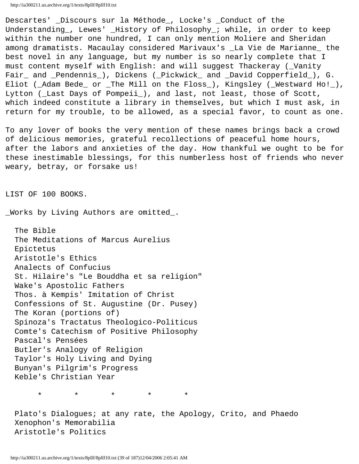Descartes' \_Discours sur la Méthode\_, Locke's \_Conduct of the Understanding\_, Lewes' \_History of Philosophy\_; while, in order to keep within the number one hundred, I can only mention Moliere and Sheridan among dramatists. Macaulay considered Marivaux's \_La Vie de Marianne\_ the best novel in any language, but my number is so nearly complete that I must content myself with English: and will suggest Thackeray (\_Vanity Fair\_ and \_Pendennis\_), Dickens (\_Pickwick\_ and \_David Copperfield\_), G. Eliot (\_Adam Bede\_ or \_The Mill on the Floss\_), Kingsley (\_Westward Ho!\_), Lytton (\_Last Days of Pompeii\_), and last, not least, those of Scott, which indeed constitute a library in themselves, but which I must ask, in return for my trouble, to be allowed, as a special favor, to count as one.

To any lover of books the very mention of these names brings back a crowd of delicious memories, grateful recollections of peaceful home hours, after the labors and anxieties of the day. How thankful we ought to be for these inestimable blessings, for this numberless host of friends who never weary, betray, or forsake us!

LIST OF 100 BOOKS.

\_Works by Living Authors are omitted\_.

 The Bible The Meditations of Marcus Aurelius Epictetus Aristotle's Ethics Analects of Confucius St. Hilaire's "Le Bouddha et sa religion" Wake's Apostolic Fathers Thos. à Kempis' Imitation of Christ Confessions of St. Augustine (Dr. Pusey) The Koran (portions of) Spinoza's Tractatus Theologico-Politicus Comte's Catechism of Positive Philosophy Pascal's Pensées Butler's Analogy of Religion Taylor's Holy Living and Dying Bunyan's Pilgrim's Progress Keble's Christian Year

\* \* \* \* \*

Plato's Dialogues; at any rate, the Apology, Crito, and Phaedo Xenophon's Memorabilia Aristotle's Politics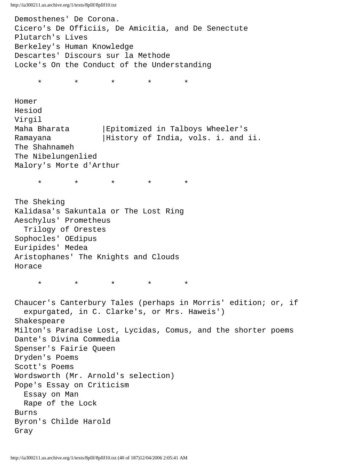Demosthenes' De Corona. Cicero's De Officiis, De Amicitia, and De Senectute Plutarch's Lives Berkeley's Human Knowledge Descartes' Discours sur la Methode Locke's On the Conduct of the Understanding

\* \* \* \* \*

 Homer Hesiod Virgil Maha Bharata |Epitomized in Talboys Wheeler's Ramayana | History of India, vols. i. and ii. The Shahnameh The Nibelungenlied Malory's Morte d'Arthur

\* \* \* \* \*

 The Sheking Kalidasa's Sakuntala or The Lost Ring Aeschylus' Prometheus Trilogy of Orestes Sophocles' OEdipus Euripides' Medea Aristophanes' The Knights and Clouds Horace

\* \* \* \* \*

 Chaucer's Canterbury Tales (perhaps in Morris' edition; or, if expurgated, in C. Clarke's, or Mrs. Haweis') Shakespeare Milton's Paradise Lost, Lycidas, Comus, and the shorter poems Dante's Divina Commedia Spenser's Fairie Queen Dryden's Poems Scott's Poems Wordsworth (Mr. Arnold's selection) Pope's Essay on Criticism Essay on Man Rape of the Lock Burns Byron's Childe Harold Gray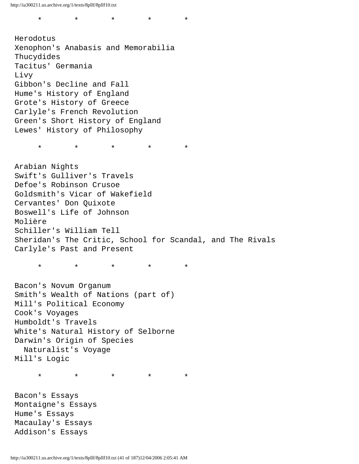\* \* \* \* \*

 Herodotus Xenophon's Anabasis and Memorabilia Thucydides Tacitus' Germania Livy Gibbon's Decline and Fall Hume's History of England Grote's History of Greece Carlyle's French Revolution Green's Short History of England Lewes' History of Philosophy

\* \* \* \* \*

 Arabian Nights Swift's Gulliver's Travels Defoe's Robinson Crusoe Goldsmith's Vicar of Wakefield Cervantes' Don Quixote Boswell's Life of Johnson Molière Schiller's William Tell Sheridan's The Critic, School for Scandal, and The Rivals Carlyle's Past and Present

\* \* \* \* \*

 Bacon's Novum Organum Smith's Wealth of Nations (part of) Mill's Political Economy Cook's Voyages Humboldt's Travels White's Natural History of Selborne Darwin's Origin of Species Naturalist's Voyage Mill's Logic

\* \* \* \* \*

 Bacon's Essays Montaigne's Essays Hume's Essays Macaulay's Essays Addison's Essays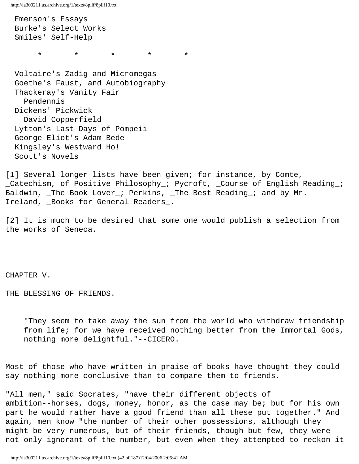Emerson's Essays Burke's Select Works Smiles' Self-Help \* \* \* \* \*

 Voltaire's Zadig and Micromegas Goethe's Faust, and Autobiography Thackeray's Vanity Fair Pendennis Dickens' Pickwick David Copperfield Lytton's Last Days of Pompeii George Eliot's Adam Bede Kingsley's Westward Ho! Scott's Novels

[1] Several longer lists have been given; for instance, by Comte, \_Catechism, of Positive Philosophy\_; Pycroft, \_Course of English Reading\_; Baldwin, \_The Book Lover\_; Perkins, \_The Best Reading\_; and by Mr. Ireland, \_Books for General Readers\_.

[2] It is much to be desired that some one would publish a selection from the works of Seneca.

CHAPTER V.

THE BLESSING OF FRIENDS.

 "They seem to take away the sun from the world who withdraw friendship from life; for we have received nothing better from the Immortal Gods, nothing more delightful."--CICERO.

Most of those who have written in praise of books have thought they could say nothing more conclusive than to compare them to friends.

"All men," said Socrates, "have their different objects of ambition--horses, dogs, money, honor, as the case may be; but for his own part he would rather have a good friend than all these put together." And again, men know "the number of their other possessions, although they might be very numerous, but of their friends, though but few, they were not only ignorant of the number, but even when they attempted to reckon it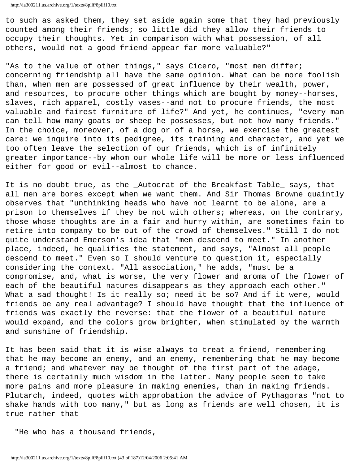to such as asked them, they set aside again some that they had previously counted among their friends; so little did they allow their friends to occupy their thoughts. Yet in comparison with what possession, of all others, would not a good friend appear far more valuable?"

"As to the value of other things," says Cicero, "most men differ; concerning friendship all have the same opinion. What can be more foolish than, when men are possessed of great influence by their wealth, power, and resources, to procure other things which are bought by money--horses, slaves, rich apparel, costly vases--and not to procure friends, the most valuable and fairest furniture of life?" And yet, he continues, "every man can tell how many goats or sheep he possesses, but not how many friends." In the choice, moreover, of a dog or of a horse, we exercise the greatest care: we inquire into its pedigree, its training and character, and yet we too often leave the selection of our friends, which is of infinitely greater importance--by whom our whole life will be more or less influenced either for good or evil--almost to chance.

It is no doubt true, as the \_Autocrat of the Breakfast Table\_ says, that all men are bores except when we want them. And Sir Thomas Browne quaintly observes that "unthinking heads who have not learnt to be alone, are a prison to themselves if they be not with others; whereas, on the contrary, those whose thoughts are in a fair and hurry within, are sometimes fain to retire into company to be out of the crowd of themselves." Still I do not quite understand Emerson's idea that "men descend to meet." In another place, indeed, he qualifies the statement, and says, "Almost all people descend to meet." Even so I should venture to question it, especially considering the context. "All association," he adds, "must be a compromise, and, what is worse, the very flower and aroma of the flower of each of the beautiful natures disappears as they approach each other." What a sad thought! Is it really so; need it be so? And if it were, would friends be any real advantage? I should have thought that the influence of friends was exactly the reverse: that the flower of a beautiful nature would expand, and the colors grow brighter, when stimulated by the warmth and sunshine of friendship.

It has been said that it is wise always to treat a friend, remembering that he may become an enemy, and an enemy, remembering that he may become a friend; and whatever may be thought of the first part of the adage, there is certainly much wisdom in the latter. Many people seem to take more pains and more pleasure in making enemies, than in making friends. Plutarch, indeed, quotes with approbation the advice of Pythagoras "not to shake hands with too many," but as long as friends are well chosen, it is true rather that

"He who has a thousand friends,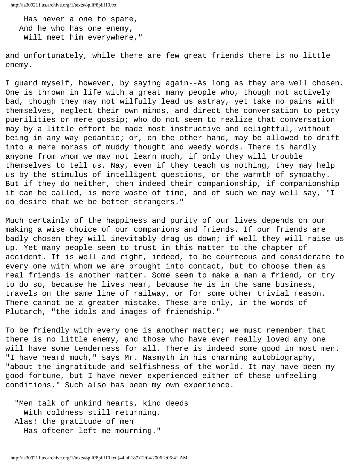Has never a one to spare, And he who has one enemy, Will meet him everywhere,"

and unfortunately, while there are few great friends there is no little enemy.

I guard myself, however, by saying again--As long as they are well chosen. One is thrown in life with a great many people who, though not actively bad, though they may not wilfully lead us astray, yet take no pains with themselves, neglect their own minds, and direct the conversation to petty puerilities or mere gossip; who do not seem to realize that conversation may by a little effort be made most instructive and delightful, without being in any way pedantic; or, on the other hand, may be allowed to drift into a mere morass of muddy thought and weedy words. There is hardly anyone from whom we may not learn much, if only they will trouble themselves to tell us. Nay, even if they teach us nothing, they may help us by the stimulus of intelligent questions, or the warmth of sympathy. But if they do neither, then indeed their companionship, if companionship it can be called, is mere waste of time, and of such we may well say, "I do desire that we be better strangers."

Much certainly of the happiness and purity of our lives depends on our making a wise choice of our companions and friends. If our friends are badly chosen they will inevitably drag us down; if well they will raise us up. Yet many people seem to trust in this matter to the chapter of accident. It is well and right, indeed, to be courteous and considerate to every one with whom we are brought into contact, but to choose them as real friends is another matter. Some seem to make a man a friend, or try to do so, because he lives near, because he is in the same business, travels on the same line of railway, or for some other trivial reason. There cannot be a greater mistake. These are only, in the words of Plutarch, "the idols and images of friendship."

To be friendly with every one is another matter; we must remember that there is no little enemy, and those who have ever really loved any one will have some tenderness for all. There is indeed some good in most men. "I have heard much," says Mr. Nasmyth in his charming autobiography, "about the ingratitude and selfishness of the world. It may have been my good fortune, but I have never experienced either of these unfeeling conditions." Such also has been my own experience.

 "Men talk of unkind hearts, kind deeds With coldness still returning. Alas! the gratitude of men Has oftener left me mourning."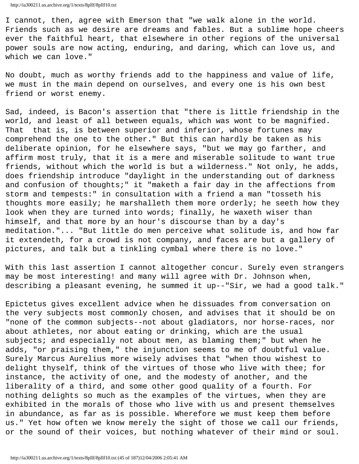I cannot, then, agree with Emerson that "we walk alone in the world. Friends such as we desire are dreams and fables. But a sublime hope cheers ever the faithful heart, that elsewhere in other regions of the universal power souls are now acting, enduring, and daring, which can love us, and which we can love."

No doubt, much as worthy friends add to the happiness and value of life, we must in the main depend on ourselves, and every one is his own best friend or worst enemy.

Sad, indeed, is Bacon's assertion that "there is little friendship in the world, and least of all between equals, which was wont to be magnified. That that is, is between superior and inferior, whose fortunes may comprehend the one to the other." But this can hardly be taken as his deliberate opinion, for he elsewhere says, "but we may go farther, and affirm most truly, that it is a mere and miserable solitude to want true friends, without which the world is but a wilderness." Not only, he adds, does friendship introduce "daylight in the understanding out of darkness and confusion of thoughts;" it "maketh a fair day in the affections from storm and tempests:" in consultation with a friend a man "tosseth his thoughts more easily; he marshalleth them more orderly; he seeth how they look when they are turned into words; finally, he waxeth wiser than himself, and that more by an hour's discourse than by a day's meditation."... "But little do men perceive what solitude is, and how far it extendeth, for a crowd is not company, and faces are but a gallery of pictures, and talk but a tinkling cymbal where there is no love."

With this last assertion I cannot altogether concur. Surely even strangers may be most interesting! and many will agree with Dr. Johnson when, describing a pleasant evening, he summed it up--"Sir, we had a good talk."

Epictetus gives excellent advice when he dissuades from conversation on the very subjects most commonly chosen, and advises that it should be on "none of the common subjects--not about gladiators, nor horse-races, nor about athletes, nor about eating or drinking, which are the usual subjects; and especially not about men, as blaming them;" but when he adds, "or praising them," the injunction seems to me of doubtful value. Surely Marcus Aurelius more wisely advises that "when thou wishest to delight thyself, think of the virtues of those who live with thee; for instance, the activity of one, and the modesty of another, and the liberality of a third, and some other good quality of a fourth. For nothing delights so much as the examples of the virtues, when they are exhibited in the morals of those who live with us and present themselves in abundance, as far as is possible. Wherefore we must keep them before us." Yet how often we know merely the sight of those we call our friends, or the sound of their voices, but nothing whatever of their mind or soul.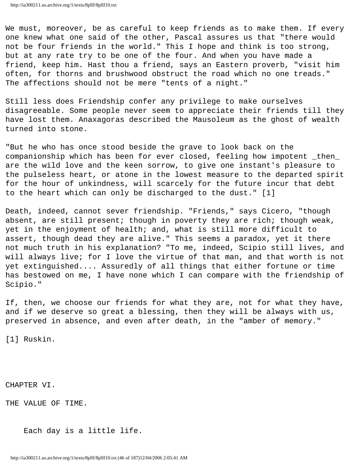We must, moreover, be as careful to keep friends as to make them. If every one knew what one said of the other, Pascal assures us that "there would not be four friends in the world." This I hope and think is too strong, but at any rate try to be one of the four. And when you have made a friend, keep him. Hast thou a friend, says an Eastern proverb, "visit him often, for thorns and brushwood obstruct the road which no one treads." The affections should not be mere "tents of a night."

Still less does Friendship confer any privilege to make ourselves disagreeable. Some people never seem to appreciate their friends till they have lost them. Anaxagoras described the Mausoleum as the ghost of wealth turned into stone.

"But he who has once stood beside the grave to look back on the companionship which has been for ever closed, feeling how impotent \_then\_ are the wild love and the keen sorrow, to give one instant's pleasure to the pulseless heart, or atone in the lowest measure to the departed spirit for the hour of unkindness, will scarcely for the future incur that debt to the heart which can only be discharged to the dust." [1]

Death, indeed, cannot sever friendship. "Friends," says Cicero, "though absent, are still present; though in poverty they are rich; though weak, yet in the enjoyment of health; and, what is still more difficult to assert, though dead they are alive." This seems a paradox, yet it there not much truth in his explanation? "To me, indeed, Scipio still lives, and will always live; for I love the virtue of that man, and that worth is not yet extinguished.... Assuredly of all things that either fortune or time has bestowed on me, I have none which I can compare with the friendship of Scipio."

If, then, we choose our friends for what they are, not for what they have, and if we deserve so great a blessing, then they will be always with us, preserved in absence, and even after death, in the "amber of memory."

[1] Ruskin.

CHAPTER VI.

THE VALUE OF TIME.

Each day is a little life.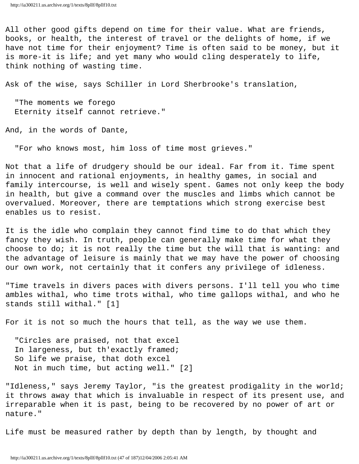All other good gifts depend on time for their value. What are friends, books, or health, the interest of travel or the delights of home, if we have not time for their enjoyment? Time is often said to be money, but it is more-it is life; and yet many who would cling desperately to life, think nothing of wasting time.

Ask of the wise, says Schiller in Lord Sherbrooke's translation,

 "The moments we forego Eternity itself cannot retrieve."

And, in the words of Dante,

"For who knows most, him loss of time most grieves."

Not that a life of drudgery should be our ideal. Far from it. Time spent in innocent and rational enjoyments, in healthy games, in social and family intercourse, is well and wisely spent. Games not only keep the body in health, but give a command over the muscles and limbs which cannot be overvalued. Moreover, there are temptations which strong exercise best enables us to resist.

It is the idle who complain they cannot find time to do that which they fancy they wish. In truth, people can generally make time for what they choose to do; it is not really the time but the will that is wanting: and the advantage of leisure is mainly that we may have the power of choosing our own work, not certainly that it confers any privilege of idleness.

"Time travels in divers paces with divers persons. I'll tell you who time ambles withal, who time trots withal, who time gallops withal, and who he stands still withal." [1]

For it is not so much the hours that tell, as the way we use them.

 "Circles are praised, not that excel In largeness, but th'exactly framed; So life we praise, that doth excel Not in much time, but acting well." [2]

"Idleness," says Jeremy Taylor, "is the greatest prodigality in the world; it throws away that which is invaluable in respect of its present use, and irreparable when it is past, being to be recovered by no power of art or nature."

Life must be measured rather by depth than by length, by thought and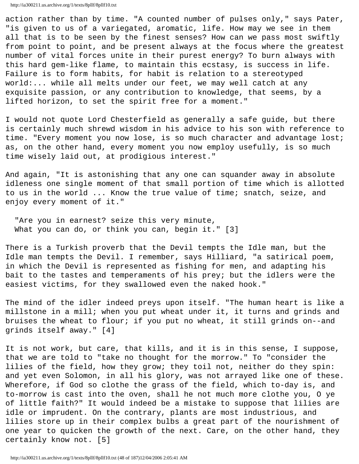action rather than by time. "A counted number of pulses only," says Pater, "is given to us of a variegated, aromatic, life. How may we see in them all that is to be seen by the finest senses? How can we pass most swiftly from point to point, and be present always at the focus where the greatest number of vital forces unite in their purest energy? To burn always with this hard gem-like flame, to maintain this ecstasy, is success in life. Failure is to form habits, for habit is relation to a stereotyped world:... while all melts under our feet, we may well catch at any exquisite passion, or any contribution to knowledge, that seems, by a lifted horizon, to set the spirit free for a moment."

I would not quote Lord Chesterfield as generally a safe guide, but there is certainly much shrewd wisdom in his advice to his son with reference to time. "Every moment you now lose, is so much character and advantage lost; as, on the other hand, every moment you now employ usefully, is so much time wisely laid out, at prodigious interest."

And again, "It is astonishing that any one can squander away in absolute idleness one single moment of that small portion of time which is allotted to us in the world ... Know the true value of time; snatch, seize, and enjoy every moment of it."

 "Are you in earnest? seize this very minute, What you can do, or think you can, begin it." [3]

There is a Turkish proverb that the Devil tempts the Idle man, but the Idle man tempts the Devil. I remember, says Hilliard, "a satirical poem, in which the Devil is represented as fishing for men, and adapting his bait to the tastes and temperaments of his prey; but the idlers were the easiest victims, for they swallowed even the naked hook."

The mind of the idler indeed preys upon itself. "The human heart is like a millstone in a mill; when you put wheat under it, it turns and grinds and bruises the wheat to flour; if you put no wheat, it still grinds on--and grinds itself away." [4]

It is not work, but care, that kills, and it is in this sense, I suppose, that we are told to "take no thought for the morrow." To "consider the lilies of the field, how they grow; they toil not, neither do they spin: and yet even Solomon, in all his glory, was not arrayed like one of these. Wherefore, if God so clothe the grass of the field, which to-day is, and to-morrow is cast into the oven, shall he not much more clothe you, O ye of little faith?" It would indeed be a mistake to suppose that lilies are idle or imprudent. On the contrary, plants are most industrious, and lilies store up in their complex bulbs a great part of the nourishment of one year to quicken the growth of the next. Care, on the other hand, they certainly know not. [5]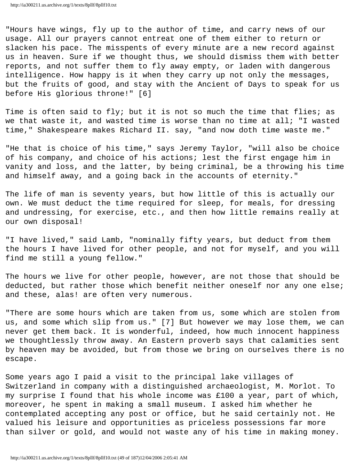"Hours have wings, fly up to the author of time, and carry news of our usage. All our prayers cannot entreat one of them either to return or slacken his pace. The misspents of every minute are a new record against us in heaven. Sure if we thought thus, we should dismiss them with better reports, and not suffer them to fly away empty, or laden with dangerous intelligence. How happy is it when they carry up not only the messages, but the fruits of good, and stay with the Ancient of Days to speak for us before His glorious throne!" [6]

Time is often said to fly; but it is not so much the time that flies; as we that waste it, and wasted time is worse than no time at all; "I wasted time," Shakespeare makes Richard II. say, "and now doth time waste me."

"He that is choice of his time," says Jeremy Taylor, "will also be choice of his company, and choice of his actions; lest the first engage him in vanity and loss, and the latter, by being criminal, be a throwing his time and himself away, and a going back in the accounts of eternity."

The life of man is seventy years, but how little of this is actually our own. We must deduct the time required for sleep, for meals, for dressing and undressing, for exercise, etc., and then how little remains really at our own disposal!

"I have lived," said Lamb, "nominally fifty years, but deduct from them the hours I have lived for other people, and not for myself, and you will find me still a young fellow."

The hours we live for other people, however, are not those that should be deducted, but rather those which benefit neither oneself nor any one else; and these, alas! are often very numerous.

"There are some hours which are taken from us, some which are stolen from us, and some which slip from us." [7] But however we may lose them, we can never get them back. It is wonderful, indeed, how much innocent happiness we thoughtlessly throw away. An Eastern proverb says that calamities sent by heaven may be avoided, but from those we bring on ourselves there is no escape.

Some years ago I paid a visit to the principal lake villages of Switzerland in company with a distinguished archaeologist, M. Morlot. To my surprise I found that his whole income was £100 a year, part of which, moreover, he spent in making a small museum. I asked him whether he contemplated accepting any post or office, but he said certainly not. He valued his leisure and opportunities as priceless possessions far more than silver or gold, and would not waste any of his time in making money.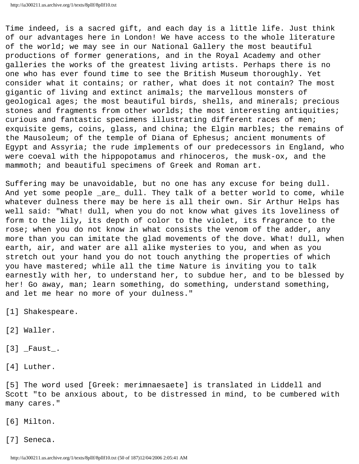Time indeed, is a sacred gift, and each day is a little life. Just think of our advantages here in London! We have access to the whole literature of the world; we may see in our National Gallery the most beautiful productions of former generations, and in the Royal Academy and other galleries the works of the greatest living artists. Perhaps there is no one who has ever found time to see the British Museum thoroughly. Yet consider what it contains; or rather, what does it not contain? The most gigantic of living and extinct animals; the marvellous monsters of geological ages; the most beautiful birds, shells, and minerals; precious stones and fragments from other worlds; the most interesting antiquities; curious and fantastic specimens illustrating different races of men; exquisite gems, coins, glass, and china; the Elgin marbles; the remains of the Mausoleum; of the temple of Diana of Ephesus; ancient monuments of Egypt and Assyria; the rude implements of our predecessors in England, who were coeval with the hippopotamus and rhinoceros, the musk-ox, and the mammoth; and beautiful specimens of Greek and Roman art.

Suffering may be unavoidable, but no one has any excuse for being dull. And yet some people \_are\_ dull. They talk of a better world to come, while whatever dulness there may be here is all their own. Sir Arthur Helps has well said: "What! dull, when you do not know what gives its loveliness of form to the lily, its depth of color to the violet, its fragrance to the rose; when you do not know in what consists the venom of the adder, any more than you can imitate the glad movements of the dove. What! dull, when earth, air, and water are all alike mysteries to you, and when as you stretch out your hand you do not touch anything the properties of which you have mastered; while all the time Nature is inviting you to talk earnestly with her, to understand her, to subdue her, and to be blessed by her! Go away, man; learn something, do something, understand something, and let me hear no more of your dulness."

[1] Shakespeare.

- [2] Waller.
- $[3]$   $_$  Faust $_$ .
- [4] Luther.

[5] The word used [Greek: merimnaesaete] is translated in Liddell and Scott "to be anxious about, to be distressed in mind, to be cumbered with many cares."

[6] Milton.

[7] Seneca.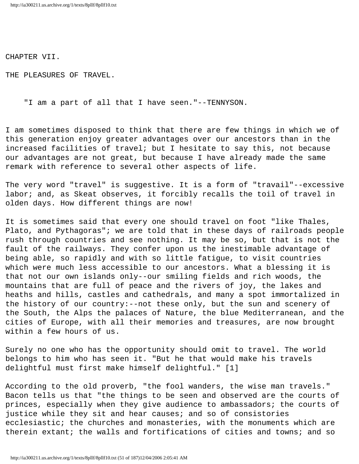CHAPTER VII.

THE PLEASURES OF TRAVEL.

"I am a part of all that I have seen."--TENNYSON.

I am sometimes disposed to think that there are few things in which we of this generation enjoy greater advantages over our ancestors than in the increased facilities of travel; but I hesitate to say this, not because our advantages are not great, but because I have already made the same remark with reference to several other aspects of life.

The very word "travel" is suggestive. It is a form of "travail"--excessive labor; and, as Skeat observes, it forcibly recalls the toil of travel in olden days. How different things are now!

It is sometimes said that every one should travel on foot "like Thales, Plato, and Pythagoras"; we are told that in these days of railroads people rush through countries and see nothing. It may be so, but that is not the fault of the railways. They confer upon us the inestimable advantage of being able, so rapidly and with so little fatigue, to visit countries which were much less accessible to our ancestors. What a blessing it is that not our own islands only--our smiling fields and rich woods, the mountains that are full of peace and the rivers of joy, the lakes and heaths and hills, castles and cathedrals, and many a spot immortalized in the history of our country:--not these only, but the sun and scenery of the South, the Alps the palaces of Nature, the blue Mediterranean, and the cities of Europe, with all their memories and treasures, are now brought within a few hours of us.

Surely no one who has the opportunity should omit to travel. The world belongs to him who has seen it. "But he that would make his travels delightful must first make himself delightful." [1]

According to the old proverb, "the fool wanders, the wise man travels." Bacon tells us that "the things to be seen and observed are the courts of princes, especially when they give audience to ambassadors; the courts of justice while they sit and hear causes; and so of consistories ecclesiastic; the churches and monasteries, with the monuments which are therein extant; the walls and fortifications of cities and towns; and so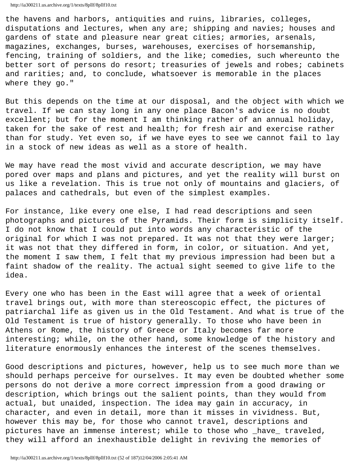the havens and harbors, antiquities and ruins, libraries, colleges, disputations and lectures, when any are; shipping and navies; houses and gardens of state and pleasure near great cities; armories, arsenals, magazines, exchanges, burses, warehouses, exercises of horsemanship, fencing, training of soldiers, and the like; comedies, such whereunto the better sort of persons do resort; treasuries of jewels and robes; cabinets and rarities; and, to conclude, whatsoever is memorable in the places where they go."

But this depends on the time at our disposal, and the object with which we travel. If we can stay long in any one place Bacon's advice is no doubt excellent; but for the moment I am thinking rather of an annual holiday, taken for the sake of rest and health; for fresh air and exercise rather than for study. Yet even so, if we have eyes to see we cannot fail to lay in a stock of new ideas as well as a store of health.

We may have read the most vivid and accurate description, we may have pored over maps and plans and pictures, and yet the reality will burst on us like a revelation. This is true not only of mountains and glaciers, of palaces and cathedrals, but even of the simplest examples.

For instance, like every one else, I had read descriptions and seen photographs and pictures of the Pyramids. Their form is simplicity itself. I do not know that I could put into words any characteristic of the original for which I was not prepared. It was not that they were larger; it was not that they differed in form, in color, or situation. And yet, the moment I saw them, I felt that my previous impression had been but a faint shadow of the reality. The actual sight seemed to give life to the idea.

Every one who has been in the East will agree that a week of oriental travel brings out, with more than stereoscopic effect, the pictures of patriarchal life as given us in the Old Testament. And what is true of the Old Testament is true of history generally. To those who have been in Athens or Rome, the history of Greece or Italy becomes far more interesting; while, on the other hand, some knowledge of the history and literature enormously enhances the interest of the scenes themselves.

Good descriptions and pictures, however, help us to see much more than we should perhaps perceive for ourselves. It may even be doubted whether some persons do not derive a more correct impression from a good drawing or description, which brings out the salient points, than they would from actual, but unaided, inspection. The idea may gain in accuracy, in character, and even in detail, more than it misses in vividness. But, however this may be, for those who cannot travel, descriptions and pictures have an immense interest; while to those who \_have\_ traveled, they will afford an inexhaustible delight in reviving the memories of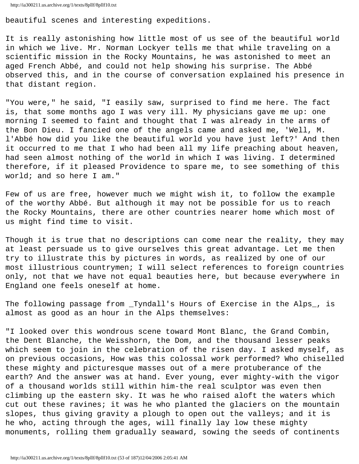```
http://ia300211.us.archive.org/1/texts/8pllf/8pllf10.txt
```
beautiful scenes and interesting expeditions.

It is really astonishing how little most of us see of the beautiful world in which we live. Mr. Norman Lockyer tells me that while traveling on a scientific mission in the Rocky Mountains, he was astonished to meet an aged French Abbé, and could not help showing his surprise. The Abbé observed this, and in the course of conversation explained his presence in that distant region.

"You were," he said, "I easily saw, surprised to find me here. The fact is, that some months ago I was very ill. My physicians gave me up: one morning I seemed to faint and thought that I was already in the arms of the Bon Dieu. I fancied one of the angels came and asked me, 'Well, M. l'Abbé how did you like the beautiful world you have just left?' And then it occurred to me that I who had been all my life preaching about heaven, had seen almost nothing of the world in which I was living. I determined therefore, if it pleased Providence to spare me, to see something of this world; and so here I am."

Few of us are free, however much we might wish it, to follow the example of the worthy Abbé. But although it may not be possible for us to reach the Rocky Mountains, there are other countries nearer home which most of us might find time to visit.

Though it is true that no descriptions can come near the reality, they may at least persuade us to give ourselves this great advantage. Let me then try to illustrate this by pictures in words, as realized by one of our most illustrious countrymen; I will select references to foreign countries only, not that we have not equal beauties here, but because everywhere in England one feels oneself at home.

The following passage from \_Tyndall's Hours of Exercise in the Alps\_, is almost as good as an hour in the Alps themselves:

"I looked over this wondrous scene toward Mont Blanc, the Grand Combin, the Dent Blanche, the Weisshorn, the Dom, and the thousand lesser peaks which seem to join in the celebration of the risen day. I asked myself, as on previous occasions, How was this colossal work performed? Who chiselled these mighty and picturesque masses out of a mere protuberance of the earth? And the answer was at hand. Ever young, ever mighty-with the vigor of a thousand worlds still within him-the real sculptor was even then climbing up the eastern sky. It was he who raised aloft the waters which cut out these ravines; it was he who planted the glaciers on the mountain slopes, thus giving gravity a plough to open out the valleys; and it is he who, acting through the ages, will finally lay low these mighty monuments, rolling them gradually seaward, sowing the seeds of continents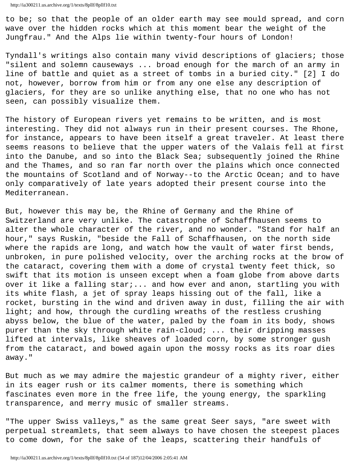to be; so that the people of an older earth may see mould spread, and corn wave over the hidden rocks which at this moment bear the weight of the Jungfrau." And the Alps lie within twenty-four hours of London!

Tyndall's writings also contain many vivid descriptions of glaciers; those "silent and solemn causeways ... broad enough for the march of an army in line of battle and quiet as a street of tombs in a buried city." [2] I do not, however, borrow from him or from any one else any description of glaciers, for they are so unlike anything else, that no one who has not seen, can possibly visualize them.

The history of European rivers yet remains to be written, and is most interesting. They did not always run in their present courses. The Rhone, for instance, appears to have been itself a great traveler. At least there seems reasons to believe that the upper waters of the Valais fell at first into the Danube, and so into the Black Sea; subsequently joined the Rhine and the Thames, and so ran far north over the plains which once connected the mountains of Scotland and of Norway--to the Arctic Ocean; and to have only comparatively of late years adopted their present course into the Mediterranean.

But, however this may be, the Rhine of Germany and the Rhine of Switzerland are very unlike. The catastrophe of Schaffhausen seems to alter the whole character of the river, and no wonder. "Stand for half an hour," says Ruskin, "beside the Fall of Schaffhausen, on the north side where the rapids are long, and watch how the vault of water first bends, unbroken, in pure polished velocity, over the arching rocks at the brow of the cataract, covering them with a dome of crystal twenty feet thick, so swift that its motion is unseen except when a foam globe from above darts over it like a falling star:... and how ever and anon, startling you with its white flash, a jet of spray leaps hissing out of the fall, like a rocket, bursting in the wind and driven away in dust, filling the air with light; and how, through the curdling wreaths of the restless crushing abyss below, the blue of the water, paled by the foam in its body, shows purer than the sky through white rain-cloud; ... their dripping masses lifted at intervals, like sheaves of loaded corn, by some stronger gush from the cataract, and bowed again upon the mossy rocks as its roar dies away."

But much as we may admire the majestic grandeur of a mighty river, either in its eager rush or its calmer moments, there is something which fascinates even more in the free life, the young energy, the sparkling transparence, and merry music of smaller streams.

"The upper Swiss valleys," as the same great Seer says, "are sweet with perpetual streamlets, that seem always to have chosen the steepest places to come down, for the sake of the leaps, scattering their handfuls of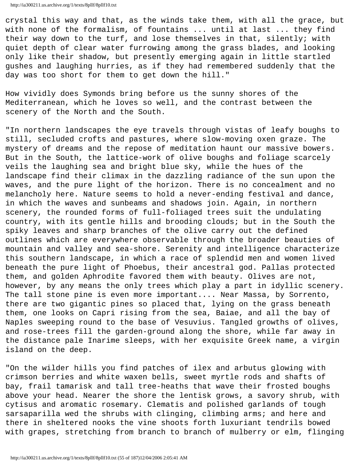crystal this way and that, as the winds take them, with all the grace, but with none of the formalism, of fountains ... until at last ... they find their way down to the turf, and lose themselves in that, silently; with quiet depth of clear water furrowing among the grass blades, and looking only like their shadow, but presently emerging again in little startled gushes and laughing hurries, as if they had remembered suddenly that the day was too short for them to get down the hill."

How vividly does Symonds bring before us the sunny shores of the Mediterranean, which he loves so well, and the contrast between the scenery of the North and the South.

"In northern landscapes the eye travels through vistas of leafy boughs to still, secluded crofts and pastures, where slow-moving oxen graze. The mystery of dreams and the repose of meditation haunt our massive bowers. But in the South, the lattice-work of olive boughs and foliage scarcely veils the laughing sea and bright blue sky, while the hues of the landscape find their climax in the dazzling radiance of the sun upon the waves, and the pure light of the horizon. There is no concealment and no melancholy here. Nature seems to hold a never-ending festival and dance, in which the waves and sunbeams and shadows join. Again, in northern scenery, the rounded forms of full-foliaged trees suit the undulating country, with its gentle hills and brooding clouds; but in the South the spiky leaves and sharp branches of the olive carry out the defined outlines which are everywhere observable through the broader beauties of mountain and valley and sea-shore. Serenity and intelligence characterize this southern landscape, in which a race of splendid men and women lived beneath the pure light of Phoebus, their ancestral god. Pallas protected them, and golden Aphrodite favored them with beauty. Olives are not, however, by any means the only trees which play a part in idyllic scenery. The tall stone pine is even more important.... Near Massa, by Sorrento, there are two gigantic pines so placed that, lying on the grass beneath them, one looks on Capri rising from the sea, Baiae, and all the bay of Naples sweeping round to the base of Vesuvius. Tangled growths of olives, and rose-trees fill the garden-ground along the shore, while far away in the distance pale Inarime sleeps, with her exquisite Greek name, a virgin island on the deep.

"On the wilder hills you find patches of ilex and arbutus glowing with crimson berries and white waxen bells, sweet myrtle rods and shafts of bay, frail tamarisk and tall tree-heaths that wave their frosted boughs above your head. Nearer the shore the lentisk grows, a savory shrub, with cytisus and aromatic rosemary. Clematis and polished garlands of tough sarsaparilla wed the shrubs with clinging, climbing arms; and here and there in sheltered nooks the vine shoots forth luxuriant tendrils bowed with grapes, stretching from branch to branch of mulberry or elm, flinging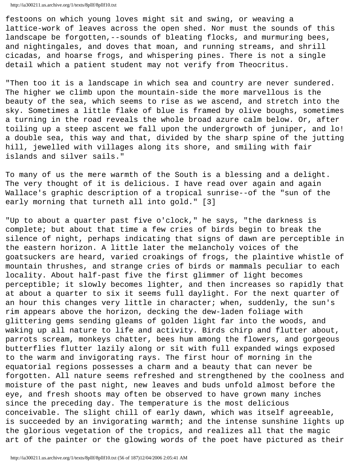festoons on which young loves might sit and swing, or weaving a lattice-work of leaves across the open shed. Nor must the sounds of this landscape be forgotten,--sounds of bleating flocks, and murmuring bees, and nightingales, and doves that moan, and running streams, and shrill cicadas, and hoarse frogs, and whispering pines. There is not a single detail which a patient student may not verify from Theocritus.

"Then too it is a landscape in which sea and country are never sundered. The higher we climb upon the mountain-side the more marvellous is the beauty of the sea, which seems to rise as we ascend, and stretch into the sky. Sometimes a little flake of blue is framed by olive boughs, sometimes a turning in the road reveals the whole broad azure calm below. Or, after toiling up a steep ascent we fall upon the undergrowth of juniper, and lo! a double sea, this way and that, divided by the sharp spine of the jutting hill, jewelled with villages along its shore, and smiling with fair islands and silver sails."

To many of us the mere warmth of the South is a blessing and a delight. The very thought of it is delicious. I have read over again and again Wallace's graphic description of a tropical sunrise--of the "sun of the early morning that turneth all into gold." [3]

"Up to about a quarter past five o'clock," he says, "the darkness is complete; but about that time a few cries of birds begin to break the silence of night, perhaps indicating that signs of dawn are perceptible in the eastern horizon. A little later the melancholy voices of the goatsuckers are heard, varied croakings of frogs, the plaintive whistle of mountain thrushes, and strange cries of birds or mammals peculiar to each locality. About half-past five the first glimmer of light becomes perceptible; it slowly becomes lighter, and then increases so rapidly that at about a quarter to six it seems full daylight. For the next quarter of an hour this changes very little in character; when, suddenly, the sun's rim appears above the horizon, decking the dew-laden foliage with glittering gems sending gleams of golden light far into the woods, and waking up all nature to life and activity. Birds chirp and flutter about, parrots scream, monkeys chatter, bees hum among the flowers, and gorgeous butterflies flutter lazily along or sit with full expanded wings exposed to the warm and invigorating rays. The first hour of morning in the equatorial regions possesses a charm and a beauty that can never be forgotten. All nature seems refreshed and strengthened by the coolness and moisture of the past night, new leaves and buds unfold almost before the eye, and fresh shoots may often be observed to have grown many inches since the preceding day. The temperature is the most delicious conceivable. The slight chill of early dawn, which was itself agreeable, is succeeded by an invigorating warmth; and the intense sunshine lights up the glorious vegetation of the tropics, and realizes all that the magic art of the painter or the glowing words of the poet have pictured as their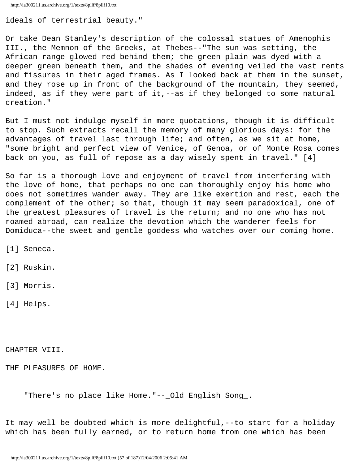```
http://ia300211.us.archive.org/1/texts/8pllf/8pllf10.txt
```
ideals of terrestrial beauty."

Or take Dean Stanley's description of the colossal statues of Amenophis III., the Memnon of the Greeks, at Thebes--"The sun was setting, the African range glowed red behind them; the green plain was dyed with a deeper green beneath them, and the shades of evening veiled the vast rents and fissures in their aged frames. As I looked back at them in the sunset, and they rose up in front of the background of the mountain, they seemed, indeed, as if they were part of it,--as if they belonged to some natural creation."

But I must not indulge myself in more quotations, though it is difficult to stop. Such extracts recall the memory of many glorious days: for the advantages of travel last through life; and often, as we sit at home, "some bright and perfect view of Venice, of Genoa, or of Monte Rosa comes back on you, as full of repose as a day wisely spent in travel." [4]

So far is a thorough love and enjoyment of travel from interfering with the love of home, that perhaps no one can thoroughly enjoy his home who does not sometimes wander away. They are like exertion and rest, each the complement of the other; so that, though it may seem paradoxical, one of the greatest pleasures of travel is the return; and no one who has not roamed abroad, can realize the devotion which the wanderer feels for Domiduca--the sweet and gentle goddess who watches over our coming home.

[1] Seneca.

[2] Ruskin.

[3] Morris.

[4] Helps.

CHAPTER VIII.

THE PLEASURES OF HOME.

"There's no place like Home."--\_Old English Song\_.

It may well be doubted which is more delightful,--to start for a holiday which has been fully earned, or to return home from one which has been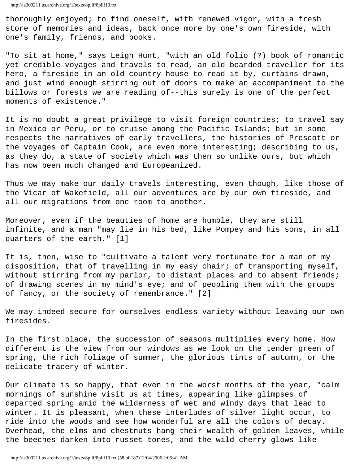thoroughly enjoyed; to find oneself, with renewed vigor, with a fresh store of memories and ideas, back once more by one's own fireside, with one's family, friends, and books.

"To sit at home," says Leigh Hunt, "with an old folio (?) book of romantic yet credible voyages and travels to read, an old bearded traveller for its hero, a fireside in an old country house to read it by, curtains drawn, and just wind enough stirring out of doors to make an accompaniment to the billows or forests we are reading of--this surely is one of the perfect moments of existence."

It is no doubt a great privilege to visit foreign countries; to travel say in Mexico or Peru, or to cruise among the Pacific Islands; but in some respects the narratives of early travellers, the histories of Prescott or the voyages of Captain Cook, are even more interesting; describing to us, as they do, a state of society which was then so unlike ours, but which has now been much changed and Europeanized.

Thus we may make our daily travels interesting, even though, like those of the Vicar of Wakefield, all our adventures are by our own fireside, and all our migrations from one room to another.

Moreover, even if the beauties of home are humble, they are still infinite, and a man "may lie in his bed, like Pompey and his sons, in all quarters of the earth." [1]

It is, then, wise to "cultivate a talent very fortunate for a man of my disposition, that of travelling in my easy chair; of transporting myself, without stirring from my parlor, to distant places and to absent friends; of drawing scenes in my mind's eye; and of peopling them with the groups of fancy, or the society of remembrance." [2]

We may indeed secure for ourselves endless variety without leaving our own firesides.

In the first place, the succession of seasons multiplies every home. How different is the view from our windows as we look on the tender green of spring, the rich foliage of summer, the glorious tints of autumn, or the delicate tracery of winter.

Our climate is so happy, that even in the worst months of the year, "calm mornings of sunshine visit us at times, appearing like glimpses of departed spring amid the wilderness of wet and windy days that lead to winter. It is pleasant, when these interludes of silver light occur, to ride into the woods and see how wonderful are all the colors of decay. Overhead, the elms and chestnuts hang their wealth of golden leaves, while the beeches darken into russet tones, and the wild cherry glows like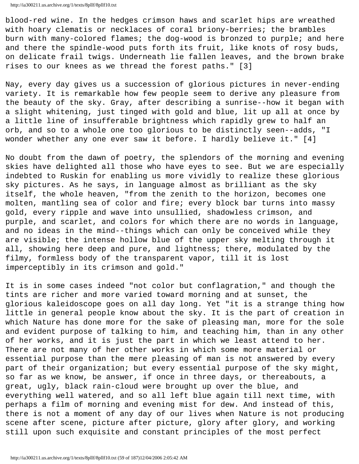blood-red wine. In the hedges crimson haws and scarlet hips are wreathed with hoary clematis or necklaces of coral briony-berries; the brambles burn with many-colored flames; the dog-wood is bronzed to purple; and here and there the spindle-wood puts forth its fruit, like knots of rosy buds, on delicate frail twigs. Underneath lie fallen leaves, and the brown brake rises to our knees as we thread the forest paths." [3]

Nay, every day gives us a succession of glorious pictures in never-ending variety. It is remarkable how few people seem to derive any pleasure from the beauty of the sky. Gray, after describing a sunrise--how it began with a slight whitening, just tinged with gold and blue, lit up all at once by a little line of insufferable brightness which rapidly grew to half an orb, and so to a whole one too glorious to be distinctly seen--adds, "I wonder whether any one ever saw it before. I hardly believe it." [4]

No doubt from the dawn of poetry, the splendors of the morning and evening skies have delighted all those who have eyes to see. But we are especially indebted to Ruskin for enabling us more vividly to realize these glorious sky pictures. As he says, in language almost as brilliant as the sky itself, the whole heaven, "from the zenith to the horizon, becomes one molten, mantling sea of color and fire; every block bar turns into massy gold, every ripple and wave into unsullied, shadowless crimson, and purple, and scarlet, and colors for which there are no words in language, and no ideas in the mind--things which can only be conceived while they are visible; the intense hollow blue of the upper sky melting through it all, showing here deep and pure, and lightness; there, modulated by the filmy, formless body of the transparent vapor, till it is lost imperceptibly in its crimson and gold."

It is in some cases indeed "not color but conflagration," and though the tints are richer and more varied toward morning and at sunset, the glorious kaleidoscope goes on all day long. Yet "it is a strange thing how little in general people know about the sky. It is the part of creation in which Nature has done more for the sake of pleasing man, more for the sole and evident purpose of talking to him, and teaching him, than in any other of her works, and it is just the part in which we least attend to her. There are not many of her other works in which some more material or essential purpose than the mere pleasing of man is not answered by every part of their organization; but every essential purpose of the sky might, so far as we know, be answer, if once in three days, or thereabouts, a great, ugly, black rain-cloud were brought up over the blue, and everything well watered, and so all left blue again till next time, with perhaps a film of morning and evening mist for dew. And instead of this, there is not a moment of any day of our lives when Nature is not producing scene after scene, picture after picture, glory after glory, and working still upon such exquisite and constant principles of the most perfect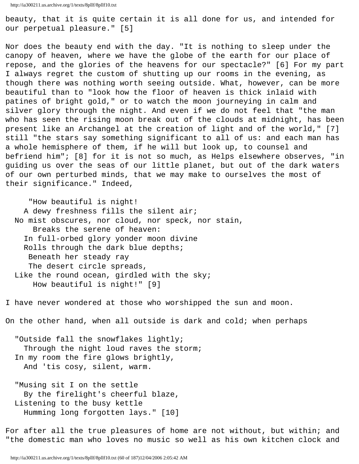beauty, that it is quite certain it is all done for us, and intended for our perpetual pleasure." [5]

Nor does the beauty end with the day. "It is nothing to sleep under the canopy of heaven, where we have the globe of the earth for our place of repose, and the glories of the heavens for our spectacle?" [6] For my part I always regret the custom of shutting up our rooms in the evening, as though there was nothing worth seeing outside. What, however, can be more beautiful than to "look how the floor of heaven is thick inlaid with patines of bright gold," or to watch the moon journeying in calm and silver glory through the night. And even if we do not feel that "the man who has seen the rising moon break out of the clouds at midnight, has been present like an Archangel at the creation of light and of the world," [7] still "the stars say something significant to all of us: and each man has a whole hemisphere of them, if he will but look up, to counsel and befriend him"; [8] for it is not so much, as Helps elsewhere observes, "in guiding us over the seas of our little planet, but out of the dark waters of our own perturbed minds, that we may make to ourselves the most of their significance." Indeed,

 "How beautiful is night! A dewy freshness fills the silent air; No mist obscures, nor cloud, nor speck, nor stain, Breaks the serene of heaven: In full-orbed glory yonder moon divine Rolls through the dark blue depths; Beneath her steady ray The desert circle spreads, Like the round ocean, girdled with the sky; How beautiful is night!" [9]

I have never wondered at those who worshipped the sun and moon.

On the other hand, when all outside is dark and cold; when perhaps

 "Outside fall the snowflakes lightly; Through the night loud raves the storm; In my room the fire glows brightly, And 'tis cosy, silent, warm.

 "Musing sit I on the settle By the firelight's cheerful blaze, Listening to the busy kettle Humming long forgotten lays." [10]

For after all the true pleasures of home are not without, but within; and "the domestic man who loves no music so well as his own kitchen clock and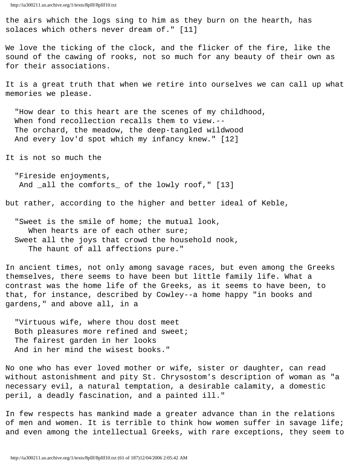the airs which the logs sing to him as they burn on the hearth, has solaces which others never dream of." [11]

We love the ticking of the clock, and the flicker of the fire, like the sound of the cawing of rooks, not so much for any beauty of their own as for their associations.

It is a great truth that when we retire into ourselves we can call up what memories we please.

 "How dear to this heart are the scenes of my childhood, When fond recollection recalls them to view.-- The orchard, the meadow, the deep-tangled wildwood And every lov'd spot which my infancy knew." [12]

It is not so much the

 "Fireside enjoyments, And \_all the comforts\_ of the lowly roof," [13]

but rather, according to the higher and better ideal of Keble,

 "Sweet is the smile of home; the mutual look, When hearts are of each other sure; Sweet all the joys that crowd the household nook, The haunt of all affections pure."

In ancient times, not only among savage races, but even among the Greeks themselves, there seems to have been but little family life. What a contrast was the home life of the Greeks, as it seems to have been, to that, for instance, described by Cowley--a home happy "in books and gardens," and above all, in a

 "Virtuous wife, where thou dost meet Both pleasures more refined and sweet; The fairest garden in her looks And in her mind the wisest books."

No one who has ever loved mother or wife, sister or daughter, can read without astonishment and pity St. Chrysostom's description of woman as "a necessary evil, a natural temptation, a desirable calamity, a domestic peril, a deadly fascination, and a painted ill."

In few respects has mankind made a greater advance than in the relations of men and women. It is terrible to think how women suffer in savage life; and even among the intellectual Greeks, with rare exceptions, they seem to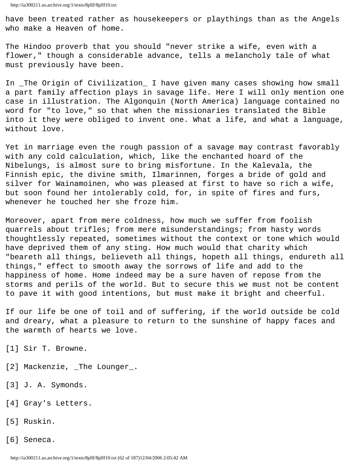have been treated rather as housekeepers or playthings than as the Angels who make a Heaven of home.

The Hindoo proverb that you should "never strike a wife, even with a flower," though a considerable advance, tells a melancholy tale of what must previously have been.

In \_The Origin of Civilization\_ I have given many cases showing how small a part family affection plays in savage life. Here I will only mention one case in illustration. The Algonquin (North America) language contained no word for "to love," so that when the missionaries translated the Bible into it they were obliged to invent one. What a life, and what a language, without love.

Yet in marriage even the rough passion of a savage may contrast favorably with any cold calculation, which, like the enchanted hoard of the Nibelungs, is almost sure to bring misfortune. In the Kalevala, the Finnish epic, the divine smith, Ilmarinnen, forges a bride of gold and silver for Wainamoinen, who was pleased at first to have so rich a wife, but soon found her intolerably cold, for, in spite of fires and furs, whenever he touched her she froze him.

Moreover, apart from mere coldness, how much we suffer from foolish quarrels about trifles; from mere misunderstandings; from hasty words thoughtlessly repeated, sometimes without the context or tone which would have deprived them of any sting. How much would that charity which "beareth all things, believeth all things, hopeth all things, endureth all things," effect to smooth away the sorrows of life and add to the happiness of home. Home indeed may be a sure haven of repose from the storms and perils of the world. But to secure this we must not be content to pave it with good intentions, but must make it bright and cheerful.

If our life be one of toil and of suffering, if the world outside be cold and dreary, what a pleasure to return to the sunshine of happy faces and the warmth of hearts we love.

- [1] Sir T. Browne.
- [2] Mackenzie, \_The Lounger\_.
- [3] J. A. Symonds.
- [4] Gray's Letters.
- [5] Ruskin.
- [6] Seneca.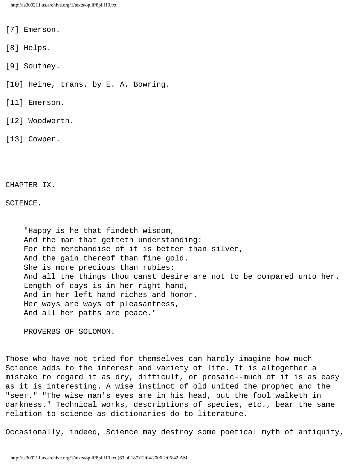[7] Emerson.

[8] Helps.

[9] Southey.

[10] Heine, trans. by E. A. Bowring.

[11] Emerson.

[12] Woodworth.

[13] Cowper.

CHAPTER IX.

SCIENCE.

 "Happy is he that findeth wisdom, And the man that getteth understanding: For the merchandise of it is better than silver, And the gain thereof than fine gold. She is more precious than rubies: And all the things thou canst desire are not to be compared unto her. Length of days is in her right hand, And in her left hand riches and honor. Her ways are ways of pleasantness, And all her paths are peace."

PROVERBS OF SOLOMON.

Those who have not tried for themselves can hardly imagine how much Science adds to the interest and variety of life. It is altogether a mistake to regard it as dry, difficult, or prosaic--much of it is as easy as it is interesting. A wise instinct of old united the prophet and the "seer." "The wise man's eyes are in his head, but the fool walketh in darkness." Technical works, descriptions of species, etc., bear the same relation to science as dictionaries do to literature.

Occasionally, indeed, Science may destroy some poetical myth of antiquity,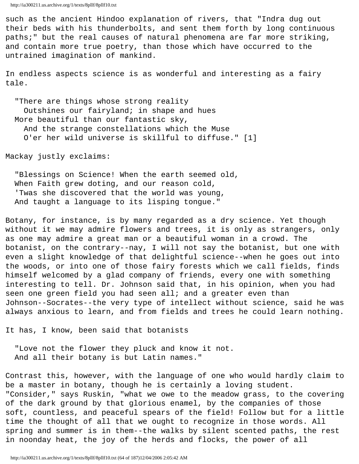```
http://ia300211.us.archive.org/1/texts/8pllf/8pllf10.txt
```
such as the ancient Hindoo explanation of rivers, that "Indra dug out their beds with his thunderbolts, and sent them forth by long continuous paths;" but the real causes of natural phenomena are far more striking, and contain more true poetry, than those which have occurred to the untrained imagination of mankind.

In endless aspects science is as wonderful and interesting as a fairy tale.

 "There are things whose strong reality Outshines our fairyland; in shape and hues More beautiful than our fantastic sky, And the strange constellations which the Muse O'er her wild universe is skillful to diffuse." [1]

Mackay justly exclaims:

 "Blessings on Science! When the earth seemed old, When Faith grew doting, and our reason cold, 'Twas she discovered that the world was young, And taught a language to its lisping tongue."

Botany, for instance, is by many regarded as a dry science. Yet though without it we may admire flowers and trees, it is only as strangers, only as one may admire a great man or a beautiful woman in a crowd. The botanist, on the contrary--nay, I will not say the botanist, but one with even a slight knowledge of that delightful science--when he goes out into the woods, or into one of those fairy forests which we call fields, finds himself welcomed by a glad company of friends, every one with something interesting to tell. Dr. Johnson said that, in his opinion, when you had seen one green field you had seen all; and a greater even than Johnson--Socrates--the very type of intellect without science, said he was always anxious to learn, and from fields and trees he could learn nothing.

It has, I know, been said that botanists

 "Love not the flower they pluck and know it not. And all their botany is but Latin names."

Contrast this, however, with the language of one who would hardly claim to be a master in botany, though he is certainly a loving student. "Consider," says Ruskin, "what we owe to the meadow grass, to the covering of the dark ground by that glorious enamel, by the companies of those soft, countless, and peaceful spears of the field! Follow but for a little time the thought of all that we ought to recognize in those words. All spring and summer is in them--the walks by silent scented paths, the rest in noonday heat, the joy of the herds and flocks, the power of all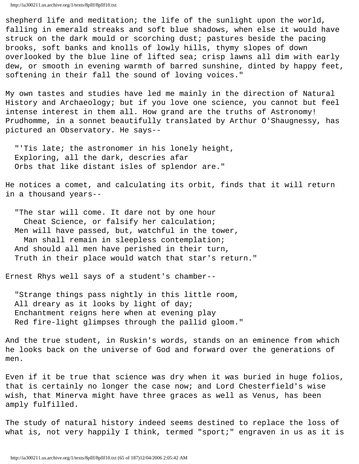shepherd life and meditation; the life of the sunlight upon the world, falling in emerald streaks and soft blue shadows, when else it would have struck on the dark mould or scorching dust; pastures beside the pacing brooks, soft banks and knolls of lowly hills, thymy slopes of down overlooked by the blue line of lifted sea; crisp lawns all dim with early dew, or smooth in evening warmth of barred sunshine, dinted by happy feet, softening in their fall the sound of loving voices."

My own tastes and studies have led me mainly in the direction of Natural History and Archaeology; but if you love one science, you cannot but feel intense interest in them all. How grand are the truths of Astronomy! Prudhomme, in a sonnet beautifully translated by Arthur O'Shaugnessy, has pictured an Observatory. He says--

 "'Tis late; the astronomer in his lonely height, Exploring, all the dark, descries afar Orbs that like distant isles of splendor are."

He notices a comet, and calculating its orbit, finds that it will return in a thousand years--

 "The star will come. It dare not by one hour Cheat Science, or falsify her calculation; Men will have passed, but, watchful in the tower, Man shall remain in sleepless contemplation; And should all men have perished in their turn, Truth in their place would watch that star's return."

Ernest Rhys well says of a student's chamber--

 "Strange things pass nightly in this little room, All dreary as it looks by light of day; Enchantment reigns here when at evening play Red fire-light glimpses through the pallid gloom."

And the true student, in Ruskin's words, stands on an eminence from which he looks back on the universe of God and forward over the generations of men.

Even if it be true that science was dry when it was buried in huge folios, that is certainly no longer the case now; and Lord Chesterfield's wise wish, that Minerva might have three graces as well as Venus, has been amply fulfilled.

The study of natural history indeed seems destined to replace the loss of what is, not very happily I think, termed "sport;" engraven in us as it is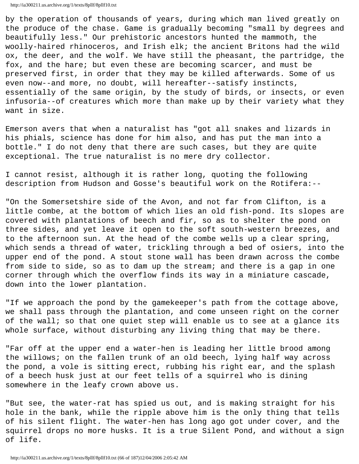by the operation of thousands of years, during which man lived greatly on the produce of the chase. Game is gradually becoming "small by degrees and beautifully less." Our prehistoric ancestors hunted the mammoth, the woolly-haired rhinoceros, and Irish elk; the ancient Britons had the wild ox, the deer, and the wolf. We have still the pheasant, the partridge, the fox, and the hare; but even these are becoming scarcer, and must be preserved first, in order that they may be killed afterwards. Some of us even now--and more, no doubt, will hereafter--satisfy instincts, essentially of the same origin, by the study of birds, or insects, or even infusoria--of creatures which more than make up by their variety what they want in size.

Emerson avers that when a naturalist has "got all snakes and lizards in his phials, science has done for him also, and has put the man into a bottle." I do not deny that there are such cases, but they are quite exceptional. The true naturalist is no mere dry collector.

I cannot resist, although it is rather long, quoting the following description from Hudson and Gosse's beautiful work on the Rotifera:--

"On the Somersetshire side of the Avon, and not far from Clifton, is a little combe, at the bottom of which lies an old fish-pond. Its slopes are covered with plantations of beech and fir, so as to shelter the pond on three sides, and yet leave it open to the soft south-western breezes, and to the afternoon sun. At the head of the combe wells up a clear spring, which sends a thread of water, trickling through a bed of osiers, into the upper end of the pond. A stout stone wall has been drawn across the combe from side to side, so as to dam up the stream; and there is a gap in one corner through which the overflow finds its way in a miniature cascade, down into the lower plantation.

"If we approach the pond by the gamekeeper's path from the cottage above, we shall pass through the plantation, and come unseen right on the corner of the wall; so that one quiet step will enable us to see at a glance its whole surface, without disturbing any living thing that may be there.

"Far off at the upper end a water-hen is leading her little brood among the willows; on the fallen trunk of an old beech, lying half way across the pond, a vole is sitting erect, rubbing his right ear, and the splash of a beech husk just at our feet tells of a squirrel who is dining somewhere in the leafy crown above us.

"But see, the water-rat has spied us out, and is making straight for his hole in the bank, while the ripple above him is the only thing that tells of his silent flight. The water-hen has long ago got under cover, and the squirrel drops no more husks. It is a true Silent Pond, and without a sign of life.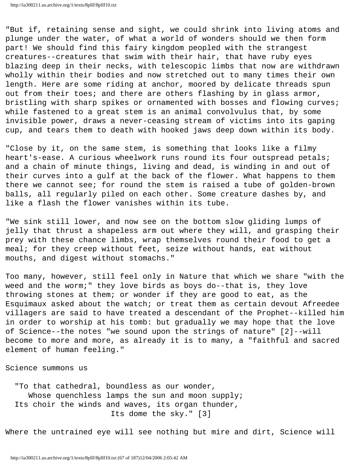"But if, retaining sense and sight, we could shrink into living atoms and plunge under the water, of what a world of wonders should we then form part! We should find this fairy kingdom peopled with the strangest creatures--creatures that swim with their hair, that have ruby eyes blazing deep in their necks, with telescopic limbs that now are withdrawn wholly within their bodies and now stretched out to many times their own length. Here are some riding at anchor, moored by delicate threads spun out from their toes; and there are others flashing by in glass armor, bristling with sharp spikes or ornamented with bosses and flowing curves; while fastened to a great stem is an animal convolvulus that, by some invisible power, draws a never-ceasing stream of victims into its gaping cup, and tears them to death with hooked jaws deep down within its body.

"Close by it, on the same stem, is something that looks like a filmy heart's-ease. A curious wheelwork runs round its four outspread petals; and a chain of minute things, living and dead, is winding in and out of their curves into a gulf at the back of the flower. What happens to them there we cannot see; for round the stem is raised a tube of golden-brown balls, all regularly piled on each other. Some creature dashes by, and like a flash the flower vanishes within its tube.

"We sink still lower, and now see on the bottom slow gliding lumps of jelly that thrust a shapeless arm out where they will, and grasping their prey with these chance limbs, wrap themselves round their food to get a meal; for they creep without feet, seize without hands, eat without mouths, and digest without stomachs."

Too many, however, still feel only in Nature that which we share "with the weed and the worm;" they love birds as boys do--that is, they love throwing stones at them; or wonder if they are good to eat, as the Esquimaux asked about the watch; or treat them as certain devout Afreedee villagers are said to have treated a descendant of the Prophet--killed him in order to worship at his tomb: but gradually we may hope that the love of Science--the notes "we sound upon the strings of nature" [2]--will become to more and more, as already it is to many, a "faithful and sacred element of human feeling."

Science summons us

 "To that cathedral, boundless as our wonder, Whose quenchless lamps the sun and moon supply; Its choir the winds and waves, its organ thunder, Its dome the sky." [3]

Where the untrained eye will see nothing but mire and dirt, Science will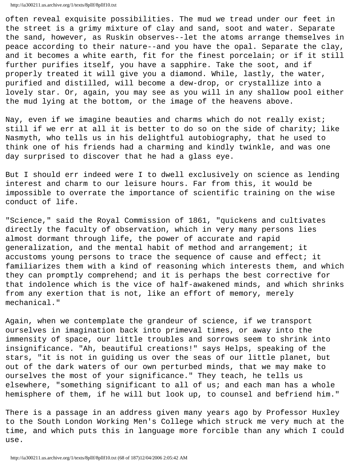often reveal exquisite possibilities. The mud we tread under our feet in the street is a grimy mixture of clay and sand, soot and water. Separate the sand, however, as Ruskin observes--let the atoms arrange themselves in peace according to their nature--and you have the opal. Separate the clay, and it becomes a white earth, fit for the finest porcelain; or if it still further purifies itself, you have a sapphire. Take the soot, and if properly treated it will give you a diamond. While, lastly, the water, purified and distilled, will become a dew-drop, or crystallize into a lovely star. Or, again, you may see as you will in any shallow pool either the mud lying at the bottom, or the image of the heavens above.

Nay, even if we imagine beauties and charms which do not really exist; still if we err at all it is better to do so on the side of charity; like Nasmyth, who tells us in his delightful autobiography, that he used to think one of his friends had a charming and kindly twinkle, and was one day surprised to discover that he had a glass eye.

But I should err indeed were I to dwell exclusively on science as lending interest and charm to our leisure hours. Far from this, it would be impossible to overrate the importance of scientific training on the wise conduct of life.

"Science," said the Royal Commission of 1861, "quickens and cultivates directly the faculty of observation, which in very many persons lies almost dormant through life, the power of accurate and rapid generalization, and the mental habit of method and arrangement; it accustoms young persons to trace the sequence of cause and effect; it familiarizes them with a kind of reasoning which interests them, and which they can promptly comprehend; and it is perhaps the best corrective for that indolence which is the vice of half-awakened minds, and which shrinks from any exertion that is not, like an effort of memory, merely mechanical."

Again, when we contemplate the grandeur of science, if we transport ourselves in imagination back into primeval times, or away into the immensity of space, our little troubles and sorrows seem to shrink into insignificance. "Ah, beautiful creations!" says Helps, speaking of the stars, "it is not in guiding us over the seas of our little planet, but out of the dark waters of our own perturbed minds, that we may make to ourselves the most of your significance." They teach, he tells us elsewhere, "something significant to all of us; and each man has a whole hemisphere of them, if he will but look up, to counsel and befriend him."

There is a passage in an address given many years ago by Professor Huxley to the South London Working Men's College which struck me very much at the time, and which puts this in language more forcible than any which I could use.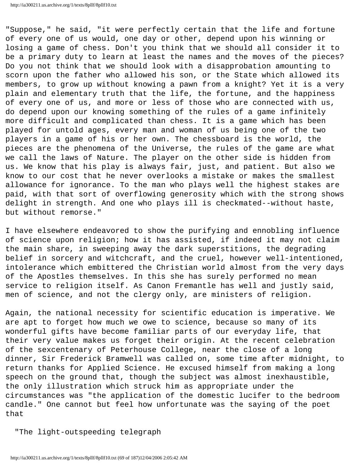"Suppose," he said, "it were perfectly certain that the life and fortune of every one of us would, one day or other, depend upon his winning or losing a game of chess. Don't you think that we should all consider it to be a primary duty to learn at least the names and the moves of the pieces? Do you not think that we should look with a disapprobation amounting to scorn upon the father who allowed his son, or the State which allowed its members, to grow up without knowing a pawn from a knight? Yet it is a very plain and elementary truth that the life, the fortune, and the happiness of every one of us, and more or less of those who are connected with us, do depend upon our knowing something of the rules of a game infinitely more difficult and complicated than chess. It is a game which has been played for untold ages, every man and woman of us being one of the two players in a game of his or her own. The chessboard is the world, the pieces are the phenomena of the Universe, the rules of the game are what we call the laws of Nature. The player on the other side is hidden from us. We know that his play is always fair, just, and patient. But also we know to our cost that he never overlooks a mistake or makes the smallest allowance for ignorance. To the man who plays well the highest stakes are paid, with that sort of overflowing generosity which with the strong shows delight in strength. And one who plays ill is checkmated--without haste, but without remorse."

I have elsewhere endeavored to show the purifying and ennobling influence of science upon religion; how it has assisted, if indeed it may not claim the main share, in sweeping away the dark superstitions, the degrading belief in sorcery and witchcraft, and the cruel, however well-intentioned, intolerance which embittered the Christian world almost from the very days of the Apostles themselves. In this she has surely performed no mean service to religion itself. As Canon Fremantle has well and justly said, men of science, and not the clergy only, are ministers of religion.

Again, the national necessity for scientific education is imperative. We are apt to forget how much we owe to science, because so many of its wonderful gifts have become familiar parts of our everyday life, that their very value makes us forget their origin. At the recent celebration of the sexcentenary of Peterhouse College, near the close of a long dinner, Sir Frederick Bramwell was called on, some time after midnight, to return thanks for Applied Science. He excused himself from making a long speech on the ground that, though the subject was almost inexhaustible, the only illustration which struck him as appropriate under the circumstances was "the application of the domestic lucifer to the bedroom candle." One cannot but feel how unfortunate was the saying of the poet that

"The light-outspeeding telegraph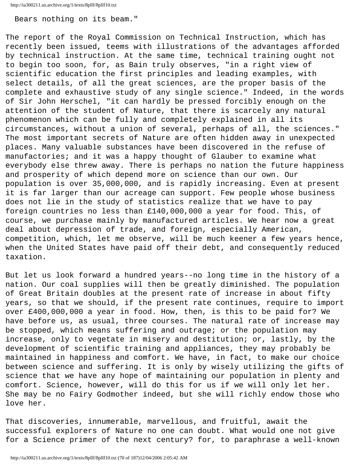Bears nothing on its beam."

The report of the Royal Commission on Technical Instruction, which has recently been issued, teems with illustrations of the advantages afforded by technical instruction. At the same time, technical training ought not to begin too soon, for, as Bain truly observes, "in a right view of scientific education the first principles and leading examples, with select details, of all the great sciences, are the proper basis of the complete and exhaustive study of any single science." Indeed, in the words of Sir John Herschel, "it can hardly be pressed forcibly enough on the attention of the student of Nature, that there is scarcely any natural phenomenon which can be fully and completely explained in all its circumstances, without a union of several, perhaps of all, the sciences." The most important secrets of Nature are often hidden away in unexpected places. Many valuable substances have been discovered in the refuse of manufactories; and it was a happy thought of Glauber to examine what everybody else threw away. There is perhaps no nation the future happiness and prosperity of which depend more on science than our own. Our population is over 35,000,000, and is rapidly increasing. Even at present it is far larger than our acreage can support. Few people whose business does not lie in the study of statistics realize that we have to pay foreign countries no less than £140,000,000 a year for food. This, of course, we purchase mainly by manufactured articles. We hear now a great deal about depression of trade, and foreign, especially American, competition, which, let me observe, will be much keener a few years hence, when the United States have paid off their debt, and consequently reduced taxation.

But let us look forward a hundred years--no long time in the history of a nation. Our coal supplies will then be greatly diminished. The population of Great Britain doubles at the present rate of increase in about fifty years, so that we should, if the present rate continues, require to import over £400,000,000 a year in food. How, then, is this to be paid for? We have before us, as usual, three courses. The natural rate of increase may be stopped, which means suffering and outrage; or the population may increase, only to vegetate in misery and destitution; or, lastly, by the development of scientific training and appliances, they may probably be maintained in happiness and comfort. We have, in fact, to make our choice between science and suffering. It is only by wisely utilizing the gifts of science that we have any hope of maintaining our population in plenty and comfort. Science, however, will do this for us if we will only let her. She may be no Fairy Godmother indeed, but she will richly endow those who love her.

That discoveries, innumerable, marvellous, and fruitful, await the successful explorers of Nature no one can doubt. What would one not give for a Science primer of the next century? for, to paraphrase a well-known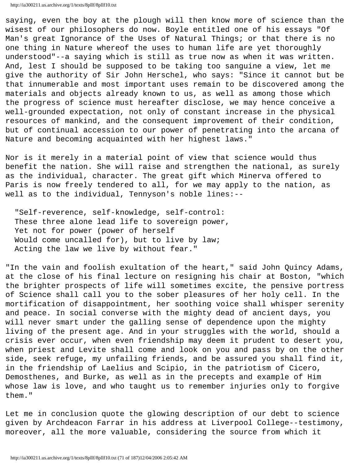saying, even the boy at the plough will then know more of science than the wisest of our philosophers do now. Boyle entitled one of his essays "Of Man's great Ignorance of the Uses of Natural Things; or that there is no one thing in Nature whereof the uses to human life are yet thoroughly understood"--a saying which is still as true now as when it was written. And, lest I should be supposed to be taking too sanguine a view, let me give the authority of Sir John Herschel, who says: "Since it cannot but be that innumerable and most important uses remain to be discovered among the materials and objects already known to us, as well as among those which the progress of science must hereafter disclose, we may hence conceive a well-grounded expectation, not only of constant increase in the physical resources of mankind, and the consequent improvement of their condition, but of continual accession to our power of penetrating into the arcana of Nature and becoming acquainted with her highest laws."

Nor is it merely in a material point of view that science would thus benefit the nation. She will raise and strengthen the national, as surely as the individual, character. The great gift which Minerva offered to Paris is now freely tendered to all, for we may apply to the nation, as well as to the individual, Tennyson's noble lines:--

 "Self-reverence, self-knowledge, self-control: These three alone lead life to sovereign power, Yet not for power (power of herself Would come uncalled for), but to live by law; Acting the law we live by without fear."

"In the vain and foolish exultation of the heart," said John Quincy Adams, at the close of his final lecture on resigning his chair at Boston, "which the brighter prospects of life will sometimes excite, the pensive portress of Science shall call you to the sober pleasures of her holy cell. In the mortification of disappointment, her soothing voice shall whisper serenity and peace. In social converse with the mighty dead of ancient days, you will never smart under the galling sense of dependence upon the mighty living of the present age. And in your struggles with the world, should a crisis ever occur, when even friendship may deem it prudent to desert you, when priest and Levite shall come and look on you and pass by on the other side, seek refuge, my unfailing friends, and be assured you shall find it, in the friendship of Laelius and Scipio, in the patriotism of Cicero, Demosthenes, and Burke, as well as in the precepts and example of Him whose law is love, and who taught us to remember injuries only to forgive them."

Let me in conclusion quote the glowing description of our debt to science given by Archdeacon Farrar in his address at Liverpool College--testimony, moreover, all the more valuable, considering the source from which it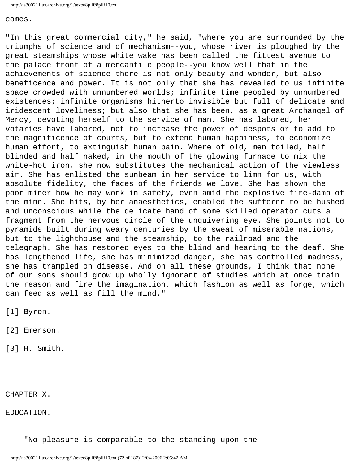comes.

"In this great commercial city," he said, "where you are surrounded by the triumphs of science and of mechanism--you, whose river is ploughed by the great steamships whose white wake has been called the fittest avenue to the palace front of a mercantile people--you know well that in the achievements of science there is not only beauty and wonder, but also beneficence and power. It is not only that she has revealed to us infinite space crowded with unnumbered worlds; infinite time peopled by unnumbered existences; infinite organisms hitherto invisible but full of delicate and iridescent loveliness; but also that she has been, as a great Archangel of Mercy, devoting herself to the service of man. She has labored, her votaries have labored, not to increase the power of despots or to add to the magnificence of courts, but to extend human happiness, to economize human effort, to extinguish human pain. Where of old, men toiled, half blinded and half naked, in the mouth of the glowing furnace to mix the white-hot iron, she now substitutes the mechanical action of the viewless air. She has enlisted the sunbeam in her service to limn for us, with absolute fidelity, the faces of the friends we love. She has shown the poor miner how he may work in safety, even amid the explosive fire-damp of the mine. She hits, by her anaesthetics, enabled the sufferer to be hushed and unconscious while the delicate hand of some skilled operator cuts a fragment from the nervous circle of the unquivering eye. She points not to pyramids built during weary centuries by the sweat of miserable nations, but to the lighthouse and the steamship, to the railroad and the telegraph. She has restored eyes to the blind and hearing to the deaf. She has lengthened life, she has minimized danger, she has controlled madness, she has trampled on disease. And on all these grounds, I think that none of our sons should grow up wholly ignorant of studies which at once train the reason and fire the imagination, which fashion as well as forge, which can feed as well as fill the mind."

[1] Byron.

[2] Emerson.

[3] H. Smith.

CHAPTER X.

EDUCATION.

"No pleasure is comparable to the standing upon the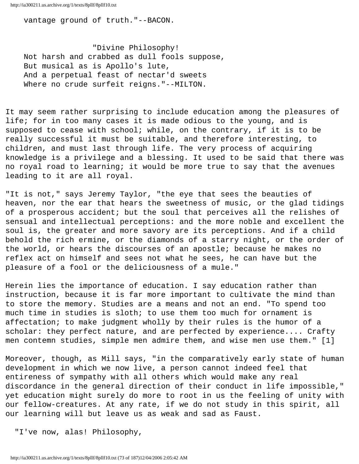vantage ground of truth."--BACON.

 "Divine Philosophy! Not harsh and crabbed as dull fools suppose, But musical as is Apollo's lute, And a perpetual feast of nectar'd sweets Where no crude surfeit reigns."--MILTON.

It may seem rather surprising to include education among the pleasures of life; for in too many cases it is made odious to the young, and is supposed to cease with school; while, on the contrary, if it is to be really successful it must be suitable, and therefore interesting, to children, and must last through life. The very process of acquiring knowledge is a privilege and a blessing. It used to be said that there was no royal road to learning; it would be more true to say that the avenues leading to it are all royal.

"It is not," says Jeremy Taylor, "the eye that sees the beauties of heaven, nor the ear that hears the sweetness of music, or the glad tidings of a prosperous accident; but the soul that perceives all the relishes of sensual and intellectual perceptions: and the more noble and excellent the soul is, the greater and more savory are its perceptions. And if a child behold the rich ermine, or the diamonds of a starry night, or the order of the world, or hears the discourses of an apostle; because he makes no reflex act on himself and sees not what he sees, he can have but the pleasure of a fool or the deliciousness of a mule."

Herein lies the importance of education. I say education rather than instruction, because it is far more important to cultivate the mind than to store the memory. Studies are a means and not an end. "To spend too much time in studies is sloth; to use them too much for ornament is affectation; to make judgment wholly by their rules is the humor of a scholar: they perfect nature, and are perfected by experience.... Crafty men contemn studies, simple men admire them, and wise men use them." [1]

Moreover, though, as Mill says, "in the comparatively early state of human development in which we now live, a person cannot indeed feel that entireness of sympathy with all others which would make any real discordance in the general direction of their conduct in life impossible," yet education might surely do more to root in us the feeling of unity with our fellow-creatures. At any rate, if we do not study in this spirit, all our learning will but leave us as weak and sad as Faust.

"I've now, alas! Philosophy,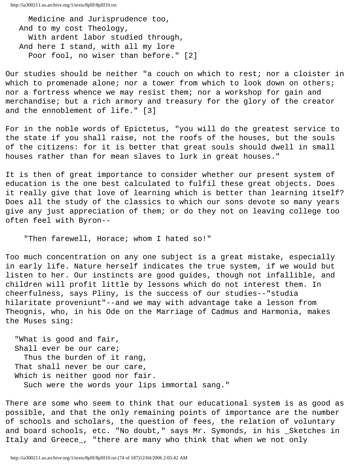Medicine and Jurisprudence too, And to my cost Theology, With ardent labor studied through, And here I stand, with all my lore Poor fool, no wiser than before." [2]

Our studies should be neither "a couch on which to rest; nor a cloister in which to promenade alone; nor a tower from which to look down on others; nor a fortress whence we may resist them; nor a workshop for gain and merchandise; but a rich armory and treasury for the glory of the creator and the ennoblement of life." [3]

For in the noble words of Epictetus, "you will do the greatest service to the state if you shall raise, not the roofs of the houses, but the souls of the citizens: for it is better that great souls should dwell in small houses rather than for mean slaves to lurk in great houses."

It is then of great importance to consider whether our present system of education is the one best calculated to fulfil these great objects. Does it really give that love of learning which is better than learning itself? Does all the study of the classics to which our sons devote so many years give any just appreciation of them; or do they not on leaving college too often feel with Byron--

"Then farewell, Horace; whom I hated so!"

Too much concentration on any one subject is a great mistake, especially in early life. Nature herself indicates the true system, if we would but listen to her. Our instincts are good guides, though not infallible, and children will profit little by lessons which do not interest them. In cheerfulness, says Pliny, is the success of our studies--"studia hilaritate proveniunt"--and we may with advantage take a lesson from Theognis, who, in his Ode on the Marriage of Cadmus and Harmonia, makes the Muses sing:

 "What is good and fair, Shall ever be our care; Thus the burden of it rang, That shall never be our care, Which is neither good nor fair. Such were the words your lips immortal sang."

There are some who seem to think that our educational system is as good as possible, and that the only remaining points of importance are the number of schools and scholars, the question of fees, the relation of voluntary and board schools, etc. "No doubt," says Mr. Symonds, in his \_Sketches in Italy and Greece\_, "there are many who think that when we not only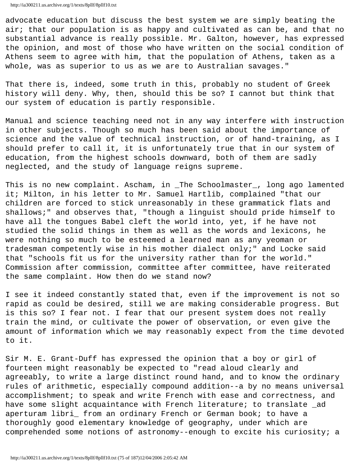advocate education but discuss the best system we are simply beating the air; that our population is as happy and cultivated as can be, and that no substantial advance is really possible. Mr. Galton, however, has expressed the opinion, and most of those who have written on the social condition of Athens seem to agree with him, that the population of Athens, taken as a whole, was as superior to us as we are to Australian savages."

That there is, indeed, some truth in this, probably no student of Greek history will deny. Why, then, should this be so? I cannot but think that our system of education is partly responsible.

Manual and science teaching need not in any way interfere with instruction in other subjects. Though so much has been said about the importance of science and the value of technical instruction, or of hand-training, as I should prefer to call it, it is unfortunately true that in our system of education, from the highest schools downward, both of them are sadly neglected, and the study of language reigns supreme.

This is no new complaint. Ascham, in \_The Schoolmaster\_, long ago lamented it; Milton, in his letter to Mr. Samuel Hartlib, complained "that our children are forced to stick unreasonably in these grammatick flats and shallows;" and observes that, "though a linguist should pride himself to have all the tongues Babel cleft the world into, yet, if he have not studied the solid things in them as well as the words and lexicons, he were nothing so much to be esteemed a learned man as any yeoman or tradesman competently wise in his mother dialect only;" and Locke said that "schools fit us for the university rather than for the world." Commission after commission, committee after committee, have reiterated the same complaint. How then do we stand now?

I see it indeed constantly stated that, even if the improvement is not so rapid as could be desired, still we are making considerable progress. But is this so? I fear not. I fear that our present system does not really train the mind, or cultivate the power of observation, or even give the amount of information which we may reasonably expect from the time devoted to it.

Sir M. E. Grant-Duff has expressed the opinion that a boy or girl of fourteen might reasonably be expected to "read aloud clearly and agreeably, to write a large distinct round hand, and to know the ordinary rules of arithmetic, especially compound addition--a by no means universal accomplishment; to speak and write French with ease and correctness, and have some slight acquaintance with French literature; to translate \_ad aperturam libri\_ from an ordinary French or German book; to have a thoroughly good elementary knowledge of geography, under which are comprehended some notions of astronomy--enough to excite his curiosity; a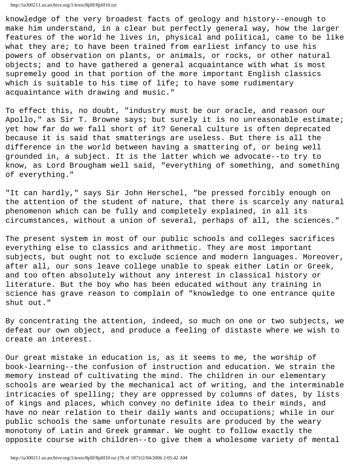knowledge of the very broadest facts of geology and history--enough to make him understand, in a clear but perfectly general way, how the larger features of the world he lives in, physical and political, came to be like what they are; to have been trained from earliest infancy to use his powers of observation on plants, or animals, or rocks, or other natural objects; and to have gathered a general acquaintance with what is most supremely good in that portion of the more important English classics which is suitable to his time of life; to have some rudimentary acquaintance with drawing and music."

To effect this, no doubt, "industry must be our oracle, and reason our Apollo," as Sir T. Browne says; but surely it is no unreasonable estimate; yet how far do we fall short of it? General culture is often deprecated because it is said that smatterings are useless. But there is all the difference in the world between having a smattering of, or being well grounded in, a subject. It is the latter which we advocate--to try to know, as Lord Brougham well said, "everything of something, and something of everything."

"It can hardly," says Sir John Herschel, "be pressed forcibly enough on the attention of the student of nature, that there is scarcely any natural phenomenon which can be fully and completely explained, in all its circumstances, without a union of several, perhaps of all, the sciences."

The present system in most of our public schools and colleges sacrifices everything else to classics and arithmetic. They are most important subjects, but ought not to exclude science and modern languages. Moreover, after all, our sons leave college unable to speak either Latin or Greek, and too often absolutely without any interest in classical history or literature. But the boy who has been educated without any training in science has grave reason to complain of "knowledge to one entrance quite shut out."

By concentrating the attention, indeed, so much on one or two subjects, we defeat our own object, and produce a feeling of distaste where we wish to create an interest.

Our great mistake in education is, as it seems to me, the worship of book-learning--the confusion of instruction and education. We strain the memory instead of cultivating the mind. The children in our elementary schools are wearied by the mechanical act of writing, and the interminable intricacies of spelling; they are oppressed by columns of dates, by lists of kings and places, which convey no definite idea to their minds, and have no near relation to their daily wants and occupations; while in our public schools the same unfortunate results are produced by the weary monotony of Latin and Greek grammar. We ought to follow exactly the opposite course with children--to give them a wholesome variety of mental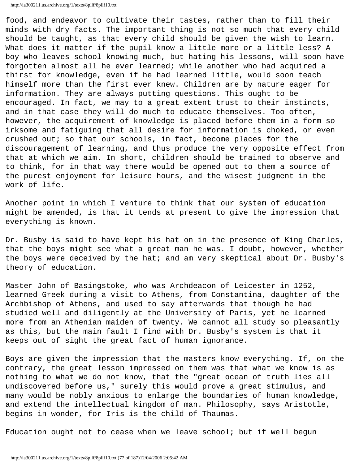```
http://ia300211.us.archive.org/1/texts/8pllf/8pllf10.txt
```
food, and endeavor to cultivate their tastes, rather than to fill their minds with dry facts. The important thing is not so much that every child should be taught, as that every child should be given the wish to learn. What does it matter if the pupil know a little more or a little less? A boy who leaves school knowing much, but hating his lessons, will soon have forgotten almost all he ever learned; while another who had acquired a thirst for knowledge, even if he had learned little, would soon teach himself more than the first ever knew. Children are by nature eager for information. They are always putting questions. This ought to be encouraged. In fact, we may to a great extent trust to their instincts, and in that case they will do much to educate themselves. Too often, however, the acquirement of knowledge is placed before them in a form so irksome and fatiguing that all desire for information is choked, or even crushed out; so that our schools, in fact, become places for the discouragement of learning, and thus produce the very opposite effect from that at which we aim. In short, children should be trained to observe and to think, for in that way there would be opened out to them a source of the purest enjoyment for leisure hours, and the wisest judgment in the work of life.

Another point in which I venture to think that our system of education might be amended, is that it tends at present to give the impression that everything is known.

Dr. Busby is said to have kept his hat on in the presence of King Charles, that the boys might see what a great man he was. I doubt, however, whether the boys were deceived by the hat; and am very skeptical about Dr. Busby's theory of education.

Master John of Basingstoke, who was Archdeacon of Leicester in 1252, learned Greek during a visit to Athens, from Constantina, daughter of the Archbishop of Athens, and used to say afterwards that though he had studied well and diligently at the University of Paris, yet he learned more from an Athenian maiden of twenty. We cannot all study so pleasantly as this, but the main fault I find with Dr. Busby's system is that it keeps out of sight the great fact of human ignorance.

Boys are given the impression that the masters know everything. If, on the contrary, the great lesson impressed on them was that what we know is as nothing to what we do not know, that the "great ocean of truth lies all undiscovered before us," surely this would prove a great stimulus, and many would be nobly anxious to enlarge the boundaries of human knowledge, and extend the intellectual kingdom of man. Philosophy, says Aristotle, begins in wonder, for Iris is the child of Thaumas.

Education ought not to cease when we leave school; but if well begun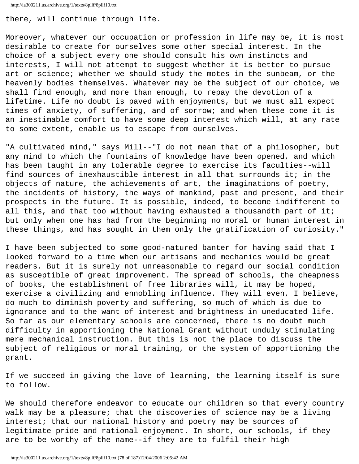```
http://ia300211.us.archive.org/1/texts/8pllf/8pllf10.txt
```
there, will continue through life.

Moreover, whatever our occupation or profession in life may be, it is most desirable to create for ourselves some other special interest. In the choice of a subject every one should consult his own instincts and interests, I will not attempt to suggest whether it is better to pursue art or science; whether we should study the motes in the sunbeam, or the heavenly bodies themselves. Whatever may be the subject of our choice, we shall find enough, and more than enough, to repay the devotion of a lifetime. Life no doubt is paved with enjoyments, but we must all expect times of anxiety, of suffering, and of sorrow; and when these come it is an inestimable comfort to have some deep interest which will, at any rate to some extent, enable us to escape from ourselves.

"A cultivated mind," says Mill--"I do not mean that of a philosopher, but any mind to which the fountains of knowledge have been opened, and which has been taught in any tolerable degree to exercise its faculties--will find sources of inexhaustible interest in all that surrounds it; in the objects of nature, the achievements of art, the imaginations of poetry, the incidents of history, the ways of mankind, past and present, and their prospects in the future. It is possible, indeed, to become indifferent to all this, and that too without having exhausted a thousandth part of it; but only when one has had from the beginning no moral or human interest in these things, and has sought in them only the gratification of curiosity."

I have been subjected to some good-natured banter for having said that I looked forward to a time when our artisans and mechanics would be great readers. But it is surely not unreasonable to regard our social condition as susceptible of great improvement. The spread of schools, the cheapness of books, the establishment of free libraries will, it may be hoped, exercise a civilizing and ennobling influence. They will even, I believe, do much to diminish poverty and suffering, so much of which is due to ignorance and to the want of interest and brightness in uneducated life. So far as our elementary schools are concerned, there is no doubt much difficulty in apportioning the National Grant without unduly stimulating mere mechanical instruction. But this is not the place to discuss the subject of religious or moral training, or the system of apportioning the grant.

If we succeed in giving the love of learning, the learning itself is sure to follow.

We should therefore endeavor to educate our children so that every country walk may be a pleasure; that the discoveries of science may be a living interest; that our national history and poetry may be sources of legitimate pride and rational enjoyment. In short, our schools, if they are to be worthy of the name--if they are to fulfil their high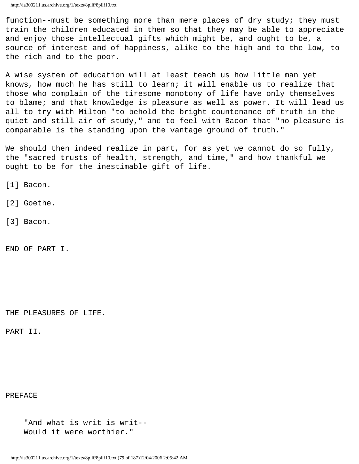function--must be something more than mere places of dry study; they must train the children educated in them so that they may be able to appreciate and enjoy those intellectual gifts which might be, and ought to be, a source of interest and of happiness, alike to the high and to the low, to the rich and to the poor.

A wise system of education will at least teach us how little man yet knows, how much he has still to learn; it will enable us to realize that those who complain of the tiresome monotony of life have only themselves to blame; and that knowledge is pleasure as well as power. It will lead us all to try with Milton "to behold the bright countenance of truth in the quiet and still air of study," and to feel with Bacon that "no pleasure is comparable is the standing upon the vantage ground of truth."

We should then indeed realize in part, for as yet we cannot do so fully, the "sacred trusts of health, strength, and time," and how thankful we ought to be for the inestimable gift of life.

[1] Bacon.

[2] Goethe.

[3] Bacon.

END OF PART I.

THE PLEASURES OF LIFE.

PART II.

PREFACE

 "And what is writ is writ-- Would it were worthier."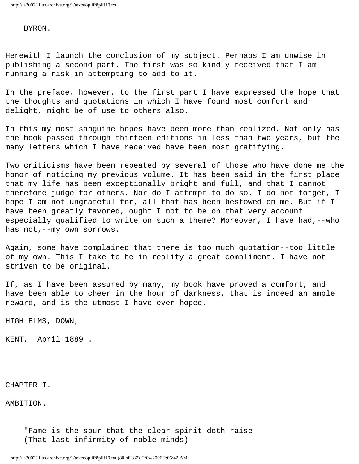## BYRON.

Herewith I launch the conclusion of my subject. Perhaps I am unwise in publishing a second part. The first was so kindly received that I am running a risk in attempting to add to it.

In the preface, however, to the first part I have expressed the hope that the thoughts and quotations in which I have found most comfort and delight, might be of use to others also.

In this my most sanguine hopes have been more than realized. Not only has the book passed through thirteen editions in less than two years, but the many letters which I have received have been most gratifying.

Two criticisms have been repeated by several of those who have done me the honor of noticing my previous volume. It has been said in the first place that my life has been exceptionally bright and full, and that I cannot therefore judge for others. Nor do I attempt to do so. I do not forget, I hope I am not ungrateful for, all that has been bestowed on me. But if I have been greatly favored, ought I not to be on that very account especially qualified to write on such a theme? Moreover, I have had,--who has not,--my own sorrows.

Again, some have complained that there is too much quotation--too little of my own. This I take to be in reality a great compliment. I have not striven to be original.

If, as I have been assured by many, my book have proved a comfort, and have been able to cheer in the hour of darkness, that is indeed an ample reward, and is the utmost I have ever hoped.

HIGH ELMS, DOWN,

KENT, \_April 1889\_.

CHAPTER I.

AMBITION.

 "Fame is the spur that the clear spirit doth raise (That last infirmity of noble minds)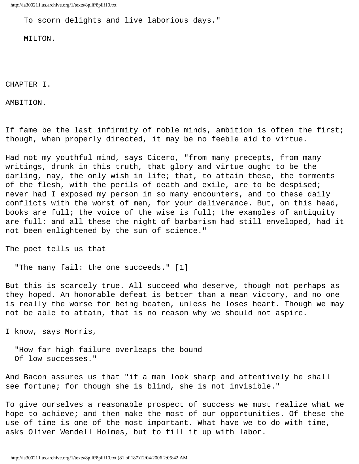To scorn delights and live laborious days."

MILTON.

CHAPTER I.

AMBITION.

If fame be the last infirmity of noble minds, ambition is often the first; though, when properly directed, it may be no feeble aid to virtue.

Had not my youthful mind, says Cicero, "from many precepts, from many writings, drunk in this truth, that glory and virtue ought to be the darling, nay, the only wish in life; that, to attain these, the torments of the flesh, with the perils of death and exile, are to be despised; never had I exposed my person in so many encounters, and to these daily conflicts with the worst of men, for your deliverance. But, on this head, books are full; the voice of the wise is full; the examples of antiquity are full: and all these the night of barbarism had still enveloped, had it not been enlightened by the sun of science."

The poet tells us that

"The many fail: the one succeeds." [1]

But this is scarcely true. All succeed who deserve, though not perhaps as they hoped. An honorable defeat is better than a mean victory, and no one is really the worse for being beaten, unless he loses heart. Though we may not be able to attain, that is no reason why we should not aspire.

I know, says Morris,

 "How far high failure overleaps the bound Of low successes."

And Bacon assures us that "if a man look sharp and attentively he shall see fortune; for though she is blind, she is not invisible."

To give ourselves a reasonable prospect of success we must realize what we hope to achieve; and then make the most of our opportunities. Of these the use of time is one of the most important. What have we to do with time, asks Oliver Wendell Holmes, but to fill it up with labor.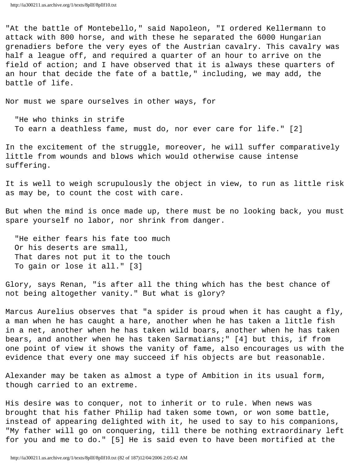"At the battle of Montebello," said Napoleon, "I ordered Kellermann to attack with 800 horse, and with these he separated the 6000 Hungarian grenadiers before the very eyes of the Austrian cavalry. This cavalry was half a league off, and required a quarter of an hour to arrive on the field of action; and I have observed that it is always these quarters of an hour that decide the fate of a battle," including, we may add, the battle of life.

Nor must we spare ourselves in other ways, for

 "He who thinks in strife To earn a deathless fame, must do, nor ever care for life." [2]

In the excitement of the struggle, moreover, he will suffer comparatively little from wounds and blows which would otherwise cause intense suffering.

It is well to weigh scrupulously the object in view, to run as little risk as may be, to count the cost with care.

But when the mind is once made up, there must be no looking back, you must spare yourself no labor, nor shrink from danger.

 "He either fears his fate too much Or his deserts are small, That dares not put it to the touch To gain or lose it all." [3]

Glory, says Renan, "is after all the thing which has the best chance of not being altogether vanity." But what is glory?

Marcus Aurelius observes that "a spider is proud when it has caught a fly, a man when he has caught a hare, another when he has taken a little fish in a net, another when he has taken wild boars, another when he has taken bears, and another when he has taken Sarmatians;" [4] but this, if from one point of view it shows the vanity of fame, also encourages us with the evidence that every one may succeed if his objects are but reasonable.

Alexander may be taken as almost a type of Ambition in its usual form, though carried to an extreme.

His desire was to conquer, not to inherit or to rule. When news was brought that his father Philip had taken some town, or won some battle, instead of appearing delighted with it, he used to say to his companions, "My father will go on conquering, till there be nothing extraordinary left for you and me to do." [5] He is said even to have been mortified at the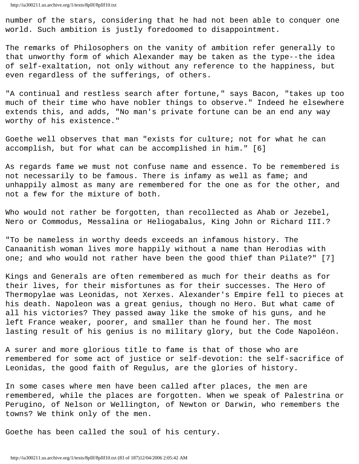number of the stars, considering that he had not been able to conquer one world. Such ambition is justly foredoomed to disappointment.

The remarks of Philosophers on the vanity of ambition refer generally to that unworthy form of which Alexander may be taken as the type--the idea of self-exaltation, not only without any reference to the happiness, but even regardless of the sufferings, of others.

"A continual and restless search after fortune," says Bacon, "takes up too much of their time who have nobler things to observe." Indeed he elsewhere extends this, and adds, "No man's private fortune can be an end any way worthy of his existence."

Goethe well observes that man "exists for culture; not for what he can accomplish, but for what can be accomplished in him." [6]

As regards fame we must not confuse name and essence. To be remembered is not necessarily to be famous. There is infamy as well as fame; and unhappily almost as many are remembered for the one as for the other, and not a few for the mixture of both.

Who would not rather be forgotten, than recollected as Ahab or Jezebel, Nero or Commodus, Messalina or Heliogabalus, King John or Richard III.?

"To be nameless in worthy deeds exceeds an infamous history. The Canaanitish woman lives more happily without a name than Herodias with one; and who would not rather have been the good thief than Pilate?" [7]

Kings and Generals are often remembered as much for their deaths as for their lives, for their misfortunes as for their successes. The Hero of Thermopylae was Leonidas, not Xerxes. Alexander's Empire fell to pieces at his death. Napoleon was a great genius, though no Hero. But what came of all his victories? They passed away like the smoke of his guns, and he left France weaker, poorer, and smaller than he found her. The most lasting result of his genius is no military glory, but the Code Napoléon.

A surer and more glorious title to fame is that of those who are remembered for some act of justice or self-devotion: the self-sacrifice of Leonidas, the good faith of Regulus, are the glories of history.

In some cases where men have been called after places, the men are remembered, while the places are forgotten. When we speak of Palestrina or Perugino, of Nelson or Wellington, of Newton or Darwin, who remembers the towns? We think only of the men.

Goethe has been called the soul of his century.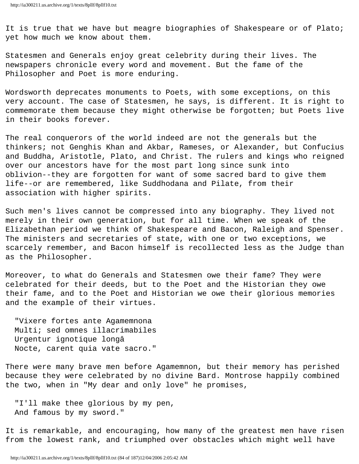It is true that we have but meagre biographies of Shakespeare or of Plato; yet how much we know about them.

Statesmen and Generals enjoy great celebrity during their lives. The newspapers chronicle every word and movement. But the fame of the Philosopher and Poet is more enduring.

Wordsworth deprecates monuments to Poets, with some exceptions, on this very account. The case of Statesmen, he says, is different. It is right to commemorate them because they might otherwise be forgotten; but Poets live in their books forever.

The real conquerors of the world indeed are not the generals but the thinkers; not Genghis Khan and Akbar, Rameses, or Alexander, but Confucius and Buddha, Aristotle, Plato, and Christ. The rulers and kings who reigned over our ancestors have for the most part long since sunk into oblivion--they are forgotten for want of some sacred bard to give them life--or are remembered, like Suddhodana and Pilate, from their association with higher spirits.

Such men's lives cannot be compressed into any biography. They lived not merely in their own generation, but for all time. When we speak of the Elizabethan period we think of Shakespeare and Bacon, Raleigh and Spenser. The ministers and secretaries of state, with one or two exceptions, we scarcely remember, and Bacon himself is recollected less as the Judge than as the Philosopher.

Moreover, to what do Generals and Statesmen owe their fame? They were celebrated for their deeds, but to the Poet and the Historian they owe their fame, and to the Poet and Historian we owe their glorious memories and the example of their virtues.

 "Vixere fortes ante Agamemnona Multi; sed omnes illacrimabiles Urgentur ignotique longâ Nocte, carent quia vate sacro."

There were many brave men before Agamemnon, but their memory has perished because they were celebrated by no divine Bard. Montrose happily combined the two, when in "My dear and only love" he promises,

 "I'll make thee glorious by my pen, And famous by my sword."

It is remarkable, and encouraging, how many of the greatest men have risen from the lowest rank, and triumphed over obstacles which might well have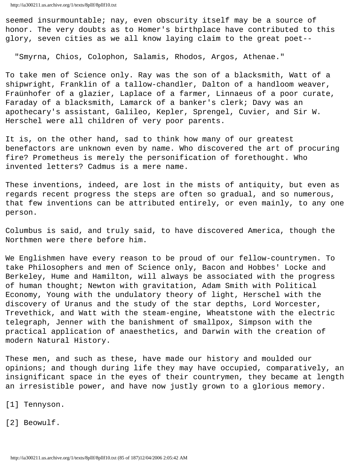seemed insurmountable; nay, even obscurity itself may be a source of honor. The very doubts as to Homer's birthplace have contributed to this glory, seven cities as we all know laying claim to the great poet--

"Smyrna, Chios, Colophon, Salamis, Rhodos, Argos, Athenae."

To take men of Science only. Ray was the son of a blacksmith, Watt of a shipwright, Franklin of a tallow-chandler, Dalton of a handloom weaver, Fraünhofer of a glazier, Laplace of a farmer, Linnaeus of a poor curate, Faraday of a blacksmith, Lamarck of a banker's clerk; Davy was an apothecary's assistant, Galileo, Kepler, Sprengel, Cuvier, and Sir W. Herschel were all children of very poor parents.

It is, on the other hand, sad to think how many of our greatest benefactors are unknown even by name. Who discovered the art of procuring fire? Prometheus is merely the personification of forethought. Who invented letters? Cadmus is a mere name.

These inventions, indeed, are lost in the mists of antiquity, but even as regards recent progress the steps are often so gradual, and so numerous, that few inventions can be attributed entirely, or even mainly, to any one person.

Columbus is said, and truly said, to have discovered America, though the Northmen were there before him.

We Englishmen have every reason to be proud of our fellow-countrymen. To take Philosophers and men of Science only, Bacon and Hobbes' Locke and Berkeley, Hume and Hamilton, will always be associated with the progress of human thought; Newton with gravitation, Adam Smith with Political Economy, Young with the undulatory theory of light, Herschel with the discovery of Uranus and the study of the star depths, Lord Worcester, Trevethick, and Watt with the steam-engine, Wheatstone with the electric telegraph, Jenner with the banishment of smallpox, Simpson with the practical application of anaesthetics, and Darwin with the creation of modern Natural History.

These men, and such as these, have made our history and moulded our opinions; and though during life they may have occupied, comparatively, an insignificant space in the eyes of their countrymen, they became at length an irresistible power, and have now justly grown to a glorious memory.

[1] Tennyson.

[2] Beowulf.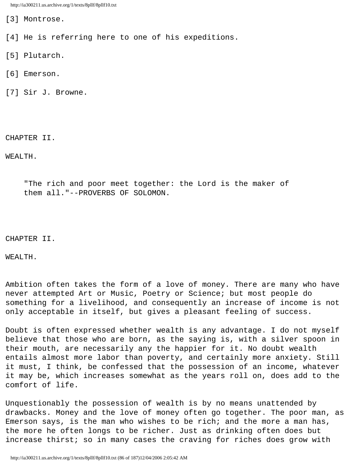[3] Montrose.

[4] He is referring here to one of his expeditions.

[5] Plutarch.

- [6] Emerson.
- [7] Sir J. Browne.

CHAPTER II.

WEALTH.

 "The rich and poor meet together: the Lord is the maker of them all."--PROVERBS OF SOLOMON.

CHAPTER II.

WEALTH.

Ambition often takes the form of a love of money. There are many who have never attempted Art or Music, Poetry or Science; but most people do something for a livelihood, and consequently an increase of income is not only acceptable in itself, but gives a pleasant feeling of success.

Doubt is often expressed whether wealth is any advantage. I do not myself believe that those who are born, as the saying is, with a silver spoon in their mouth, are necessarily any the happier for it. No doubt wealth entails almost more labor than poverty, and certainly more anxiety. Still it must, I think, be confessed that the possession of an income, whatever it may be, which increases somewhat as the years roll on, does add to the comfort of life.

Unquestionably the possession of wealth is by no means unattended by drawbacks. Money and the love of money often go together. The poor man, as Emerson says, is the man who wishes to be rich; and the more a man has, the more he often longs to be richer. Just as drinking often does but increase thirst; so in many cases the craving for riches does grow with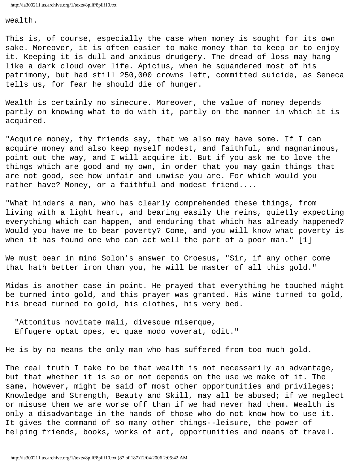wealth.

This is, of course, especially the case when money is sought for its own sake. Moreover, it is often easier to make money than to keep or to enjoy it. Keeping it is dull and anxious drudgery. The dread of loss may hang like a dark cloud over life. Apicius, when he squandered most of his patrimony, but had still 250,000 crowns left, committed suicide, as Seneca tells us, for fear he should die of hunger.

Wealth is certainly no sinecure. Moreover, the value of money depends partly on knowing what to do with it, partly on the manner in which it is acquired.

"Acquire money, thy friends say, that we also may have some. If I can acquire money and also keep myself modest, and faithful, and magnanimous, point out the way, and I will acquire it. But if you ask me to love the things which are good and my own, in order that you may gain things that are not good, see how unfair and unwise you are. For which would you rather have? Money, or a faithful and modest friend....

"What hinders a man, who has clearly comprehended these things, from living with a light heart, and bearing easily the reins, quietly expecting everything which can happen, and enduring that which has already happened? Would you have me to bear poverty? Come, and you will know what poverty is when it has found one who can act well the part of a poor man." [1]

We must bear in mind Solon's answer to Croesus, "Sir, if any other come that hath better iron than you, he will be master of all this gold."

Midas is another case in point. He prayed that everything he touched might be turned into gold, and this prayer was granted. His wine turned to gold, his bread turned to gold, his clothes, his very bed.

 "Attonitus novitate mali, divesque miserque, Effugere optat opes, et quae modo voverat, odit."

He is by no means the only man who has suffered from too much gold.

The real truth I take to be that wealth is not necessarily an advantage, but that whether it is so or not depends on the use we make of it. The same, however, might be said of most other opportunities and privileges; Knowledge and Strength, Beauty and Skill, may all be abused; if we neglect or misuse them we are worse off than if we had never had them. Wealth is only a disadvantage in the hands of those who do not know how to use it. It gives the command of so many other things--leisure, the power of helping friends, books, works of art, opportunities and means of travel.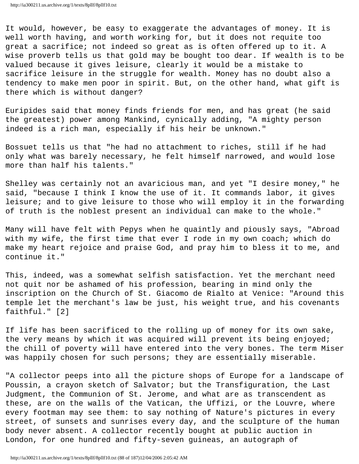It would, however, be easy to exaggerate the advantages of money. It is well worth having, and worth working for, but it does not requite too great a sacrifice; not indeed so great as is often offered up to it. A wise proverb tells us that gold may be bought too dear. If wealth is to be valued because it gives leisure, clearly it would be a mistake to sacrifice leisure in the struggle for wealth. Money has no doubt also a tendency to make men poor in spirit. But, on the other hand, what gift is there which is without danger?

Euripides said that money finds friends for men, and has great (he said the greatest) power among Mankind, cynically adding, "A mighty person indeed is a rich man, especially if his heir be unknown."

Bossuet tells us that "he had no attachment to riches, still if he had only what was barely necessary, he felt himself narrowed, and would lose more than half his talents."

Shelley was certainly not an avaricious man, and yet "I desire money," he said, "because I think I know the use of it. It commands labor, it gives leisure; and to give leisure to those who will employ it in the forwarding of truth is the noblest present an individual can make to the whole."

Many will have felt with Pepys when he quaintly and piously says, "Abroad with my wife, the first time that ever I rode in my own coach; which do make my heart rejoice and praise God, and pray him to bless it to me, and continue it."

This, indeed, was a somewhat selfish satisfaction. Yet the merchant need not quit nor be ashamed of his profession, bearing in mind only the inscription on the Church of St. Giacomo de Rialto at Venice: "Around this temple let the merchant's law be just, his weight true, and his covenants faithful." [2]

If life has been sacrificed to the rolling up of money for its own sake, the very means by which it was acquired will prevent its being enjoyed; the chill of poverty will have entered into the very bones. The term Miser was happily chosen for such persons; they are essentially miserable.

"A collector peeps into all the picture shops of Europe for a landscape of Poussin, a crayon sketch of Salvator; but the Transfiguration, the Last Judgment, the Communion of St. Jerome, and what are as transcendent as these, are on the walls of the Vatican, the Uffizi, or the Louvre, where every footman may see them: to say nothing of Nature's pictures in every street, of sunsets and sunrises every day, and the sculpture of the human body never absent. A collector recently bought at public auction in London, for one hundred and fifty-seven guineas, an autograph of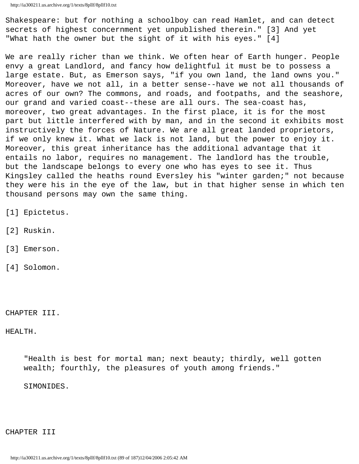Shakespeare: but for nothing a schoolboy can read Hamlet, and can detect secrets of highest concernment yet unpublished therein." [3] And yet "What hath the owner but the sight of it with his eyes." [4]

We are really richer than we think. We often hear of Earth hunger. People envy a great Landlord, and fancy how delightful it must be to possess a large estate. But, as Emerson says, "if you own land, the land owns you." Moreover, have we not all, in a better sense--have we not all thousands of acres of our own? The commons, and roads, and footpaths, and the seashore, our grand and varied coast--these are all ours. The sea-coast has, moreover, two great advantages. In the first place, it is for the most part but little interfered with by man, and in the second it exhibits most instructively the forces of Nature. We are all great landed proprietors, if we only knew it. What we lack is not land, but the power to enjoy it. Moreover, this great inheritance has the additional advantage that it entails no labor, requires no management. The landlord has the trouble, but the landscape belongs to every one who has eyes to see it. Thus Kingsley called the heaths round Eversley his "winter garden;" not because they were his in the eye of the law, but in that higher sense in which ten thousand persons may own the same thing.

- [1] Epictetus.
- [2] Ruskin.
- [3] Emerson.
- [4] Solomon.

CHAPTER III.

HEALTH.

"Health is best for mortal man; next beauty; thirdly, well gotten wealth; fourthly, the pleasures of youth among friends."

SIMONIDES.

CHAPTER III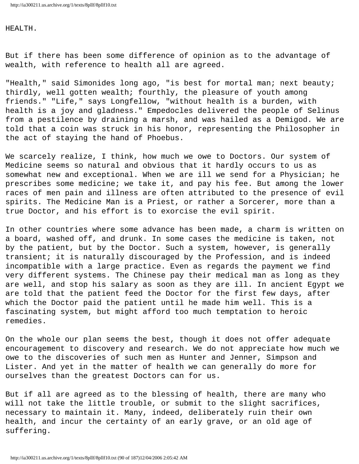## HEALTH.

But if there has been some difference of opinion as to the advantage of wealth, with reference to health all are agreed.

"Health," said Simonides long ago, "is best for mortal man; next beauty; thirdly, well gotten wealth; fourthly, the pleasure of youth among friends." "Life," says Longfellow, "without health is a burden, with health is a joy and gladness." Empedocles delivered the people of Selinus from a pestilence by draining a marsh, and was hailed as a Demigod. We are told that a coin was struck in his honor, representing the Philosopher in the act of staying the hand of Phoebus.

We scarcely realize, I think, how much we owe to Doctors. Our system of Medicine seems so natural and obvious that it hardly occurs to us as somewhat new and exceptional. When we are ill we send for a Physician; he prescribes some medicine; we take it, and pay his fee. But among the lower races of men pain and illness are often attributed to the presence of evil spirits. The Medicine Man is a Priest, or rather a Sorcerer, more than a true Doctor, and his effort is to exorcise the evil spirit.

In other countries where some advance has been made, a charm is written on a board, washed off, and drunk. In some cases the medicine is taken, not by the patient, but by the Doctor. Such a system, however, is generally transient; it is naturally discouraged by the Profession, and is indeed incompatible with a large practice. Even as regards the payment we find very different systems. The Chinese pay their medical man as long as they are well, and stop his salary as soon as they are ill. In ancient Egypt we are told that the patient feed the Doctor for the first few days, after which the Doctor paid the patient until he made him well. This is a fascinating system, but might afford too much temptation to heroic remedies.

On the whole our plan seems the best, though it does not offer adequate encouragement to discovery and research. We do not appreciate how much we owe to the discoveries of such men as Hunter and Jenner, Simpson and Lister. And yet in the matter of health we can generally do more for ourselves than the greatest Doctors can for us.

But if all are agreed as to the blessing of health, there are many who will not take the little trouble, or submit to the slight sacrifices, necessary to maintain it. Many, indeed, deliberately ruin their own health, and incur the certainty of an early grave, or an old age of suffering.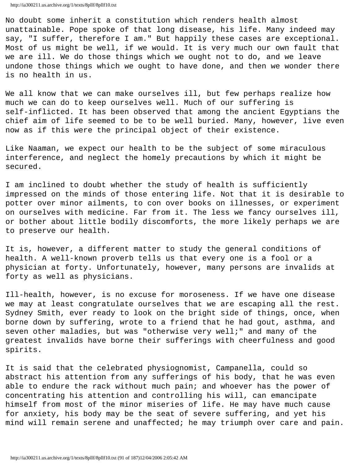No doubt some inherit a constitution which renders health almost unattainable. Pope spoke of that long disease, his life. Many indeed may say, "I suffer, therefore I am." But happily these cases are exceptional. Most of us might be well, if we would. It is very much our own fault that we are ill. We do those things which we ought not to do, and we leave undone those things which we ought to have done, and then we wonder there is no health in us.

We all know that we can make ourselves ill, but few perhaps realize how much we can do to keep ourselves well. Much of our suffering is self-inflicted. It has been observed that among the ancient Egyptians the chief aim of life seemed to be to be well buried. Many, however, live even now as if this were the principal object of their existence.

Like Naaman, we expect our health to be the subject of some miraculous interference, and neglect the homely precautions by which it might be secured.

I am inclined to doubt whether the study of health is sufficiently impressed on the minds of those entering life. Not that it is desirable to potter over minor ailments, to con over books on illnesses, or experiment on ourselves with medicine. Far from it. The less we fancy ourselves ill, or bother about little bodily discomforts, the more likely perhaps we are to preserve our health.

It is, however, a different matter to study the general conditions of health. A well-known proverb tells us that every one is a fool or a physician at forty. Unfortunately, however, many persons are invalids at forty as well as physicians.

Ill-health, however, is no excuse for moroseness. If we have one disease we may at least congratulate ourselves that we are escaping all the rest. Sydney Smith, ever ready to look on the bright side of things, once, when borne down by suffering, wrote to a friend that he had gout, asthma, and seven other maladies, but was "otherwise very well;" and many of the greatest invalids have borne their sufferings with cheerfulness and good spirits.

It is said that the celebrated physiognomist, Campanella, could so abstract his attention from any sufferings of his body, that he was even able to endure the rack without much pain; and whoever has the power of concentrating his attention and controlling his will, can emancipate himself from most of the minor miseries of life. He may have much cause for anxiety, his body may be the seat of severe suffering, and yet his mind will remain serene and unaffected; he may triumph over care and pain.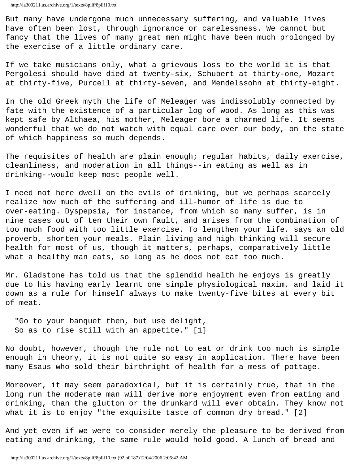But many have undergone much unnecessary suffering, and valuable lives have often been lost, through ignorance or carelessness. We cannot but fancy that the lives of many great men might have been much prolonged by the exercise of a little ordinary care.

If we take musicians only, what a grievous loss to the world it is that Pergolesi should have died at twenty-six, Schubert at thirty-one, Mozart at thirty-five, Purcell at thirty-seven, and Mendelssohn at thirty-eight.

In the old Greek myth the life of Meleager was indissolubly connected by fate with the existence of a particular log of wood. As long as this was kept safe by Althaea, his mother, Meleager bore a charmed life. It seems wonderful that we do not watch with equal care over our body, on the state of which happiness so much depends.

The requisites of health are plain enough; regular habits, daily exercise, cleanliness, and moderation in all things--in eating as well as in drinking--would keep most people well.

I need not here dwell on the evils of drinking, but we perhaps scarcely realize how much of the suffering and ill-humor of life is due to over-eating. Dyspepsia, for instance, from which so many suffer, is in nine cases out of ten their own fault, and arises from the combination of too much food with too little exercise. To lengthen your life, says an old proverb, shorten your meals. Plain living and high thinking will secure health for most of us, though it matters, perhaps, comparatively little what a healthy man eats, so long as he does not eat too much.

Mr. Gladstone has told us that the splendid health he enjoys is greatly due to his having early learnt one simple physiological maxim, and laid it down as a rule for himself always to make twenty-five bites at every bit of meat.

 "Go to your banquet then, but use delight, So as to rise still with an appetite." [1]

No doubt, however, though the rule not to eat or drink too much is simple enough in theory, it is not quite so easy in application. There have been many Esaus who sold their birthright of health for a mess of pottage.

Moreover, it may seem paradoxical, but it is certainly true, that in the long run the moderate man will derive more enjoyment even from eating and drinking, than the glutton or the drunkard will ever obtain. They know not what it is to enjoy "the exquisite taste of common dry bread." [2]

And yet even if we were to consider merely the pleasure to be derived from eating and drinking, the same rule would hold good. A lunch of bread and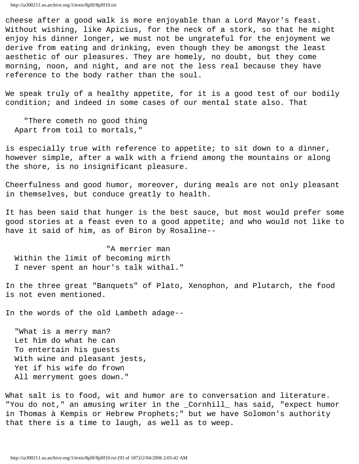cheese after a good walk is more enjoyable than a Lord Mayor's feast. Without wishing, like Apicius, for the neck of a stork, so that he might enjoy his dinner longer, we must not be ungrateful for the enjoyment we derive from eating and drinking, even though they be amongst the least aesthetic of our pleasures. They are homely, no doubt, but they come morning, noon, and night, and are not the less real because they have reference to the body rather than the soul.

We speak truly of a healthy appetite, for it is a good test of our bodily condition; and indeed in some cases of our mental state also. That

 "There cometh no good thing Apart from toil to mortals,"

is especially true with reference to appetite; to sit down to a dinner, however simple, after a walk with a friend among the mountains or along the shore, is no insignificant pleasure.

Cheerfulness and good humor, moreover, during meals are not only pleasant in themselves, but conduce greatly to health.

It has been said that hunger is the best sauce, but most would prefer some good stories at a feast even to a good appetite; and who would not like to have it said of him, as of Biron by Rosaline--

 "A merrier man Within the limit of becoming mirth I never spent an hour's talk withal."

In the three great "Banquets" of Plato, Xenophon, and Plutarch, the food is not even mentioned.

In the words of the old Lambeth adage--

 "What is a merry man? Let him do what he can To entertain his guests With wine and pleasant jests, Yet if his wife do frown All merryment goes down."

What salt is to food, wit and humor are to conversation and literature. "You do not," an amusing writer in the \_Cornhill\_ has said, "expect humor in Thomas à Kempis or Hebrew Prophets;" but we have Solomon's authority that there is a time to laugh, as well as to weep.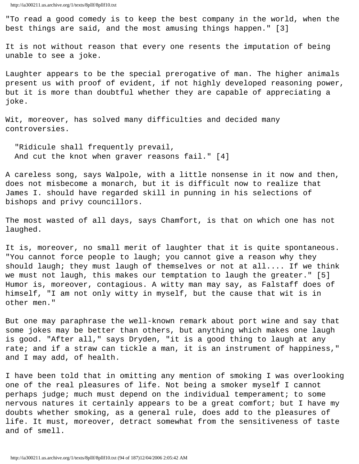"To read a good comedy is to keep the best company in the world, when the best things are said, and the most amusing things happen." [3]

It is not without reason that every one resents the imputation of being unable to see a joke.

Laughter appears to be the special prerogative of man. The higher animals present us with proof of evident, if not highly developed reasoning power, but it is more than doubtful whether they are capable of appreciating a joke.

Wit, moreover, has solved many difficulties and decided many controversies.

 "Ridicule shall frequently prevail, And cut the knot when graver reasons fail." [4]

A careless song, says Walpole, with a little nonsense in it now and then, does not misbecome a monarch, but it is difficult now to realize that James I. should have regarded skill in punning in his selections of bishops and privy councillors.

The most wasted of all days, says Chamfort, is that on which one has not laughed.

It is, moreover, no small merit of laughter that it is quite spontaneous. "You cannot force people to laugh; you cannot give a reason why they should laugh; they must laugh of themselves or not at all.... If we think we must not laugh, this makes our temptation to laugh the greater." [5] Humor is, moreover, contagious. A witty man may say, as Falstaff does of himself, "I am not only witty in myself, but the cause that wit is in other men."

But one may paraphrase the well-known remark about port wine and say that some jokes may be better than others, but anything which makes one laugh is good. "After all," says Dryden, "it is a good thing to laugh at any rate; and if a straw can tickle a man, it is an instrument of happiness," and I may add, of health.

I have been told that in omitting any mention of smoking I was overlooking one of the real pleasures of life. Not being a smoker myself I cannot perhaps judge; much must depend on the individual temperament; to some nervous natures it certainly appears to be a great comfort; but I have my doubts whether smoking, as a general rule, does add to the pleasures of life. It must, moreover, detract somewhat from the sensitiveness of taste and of smell.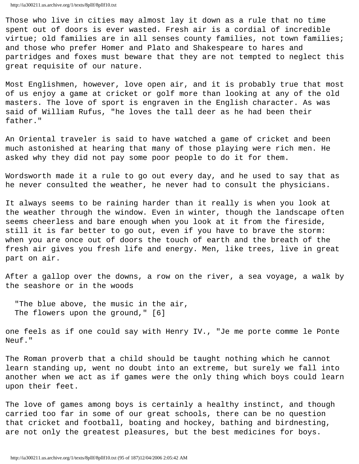Those who live in cities may almost lay it down as a rule that no time spent out of doors is ever wasted. Fresh air is a cordial of incredible virtue; old families are in all senses county families, not town families; and those who prefer Homer and Plato and Shakespeare to hares and partridges and foxes must beware that they are not tempted to neglect this great requisite of our nature.

Most Englishmen, however, love open air, and it is probably true that most of us enjoy a game at cricket or golf more than looking at any of the old masters. The love of sport is engraven in the English character. As was said of William Rufus, "he loves the tall deer as he had been their father."

An Oriental traveler is said to have watched a game of cricket and been much astonished at hearing that many of those playing were rich men. He asked why they did not pay some poor people to do it for them.

Wordsworth made it a rule to go out every day, and he used to say that as he never consulted the weather, he never had to consult the physicians.

It always seems to be raining harder than it really is when you look at the weather through the window. Even in winter, though the landscape often seems cheerless and bare enough when you look at it from the fireside, still it is far better to go out, even if you have to brave the storm: when you are once out of doors the touch of earth and the breath of the fresh air gives you fresh life and energy. Men, like trees, live in great part on air.

After a gallop over the downs, a row on the river, a sea voyage, a walk by the seashore or in the woods

 "The blue above, the music in the air, The flowers upon the ground," [6]

one feels as if one could say with Henry IV., "Je me porte comme le Ponte Neuf."

The Roman proverb that a child should be taught nothing which he cannot learn standing up, went no doubt into an extreme, but surely we fall into another when we act as if games were the only thing which boys could learn upon their feet.

The love of games among boys is certainly a healthy instinct, and though carried too far in some of our great schools, there can be no question that cricket and football, boating and hockey, bathing and birdnesting, are not only the greatest pleasures, but the best medicines for boys.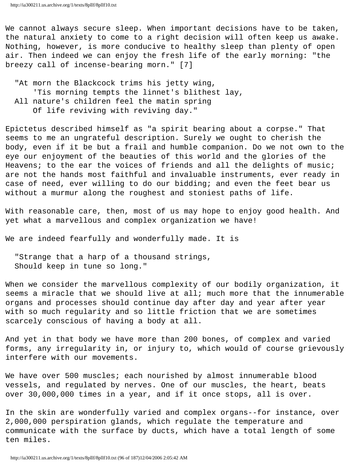We cannot always secure sleep. When important decisions have to be taken, the natural anxiety to come to a right decision will often keep us awake. Nothing, however, is more conducive to healthy sleep than plenty of open air. Then indeed we can enjoy the fresh life of the early morning: "the breezy call of incense-bearing morn." [7]

 "At morn the Blackcock trims his jetty wing, 'Tis morning tempts the linnet's blithest lay, All nature's children feel the matin spring Of life reviving with reviving day."

Epictetus described himself as "a spirit bearing about a corpse." That seems to me an ungrateful description. Surely we ought to cherish the body, even if it be but a frail and humble companion. Do we not own to the eye our enjoyment of the beauties of this world and the glories of the Heavens; to the ear the voices of friends and all the delights of music; are not the hands most faithful and invaluable instruments, ever ready in case of need, ever willing to do our bidding; and even the feet bear us without a murmur along the roughest and stoniest paths of life.

With reasonable care, then, most of us may hope to enjoy good health. And yet what a marvellous and complex organization we have!

We are indeed fearfully and wonderfully made. It is

 "Strange that a harp of a thousand strings, Should keep in tune so long."

When we consider the marvellous complexity of our bodily organization, it seems a miracle that we should live at all; much more that the innumerable organs and processes should continue day after day and year after year with so much regularity and so little friction that we are sometimes scarcely conscious of having a body at all.

And yet in that body we have more than 200 bones, of complex and varied forms, any irregularity in, or injury to, which would of course grievously interfere with our movements.

We have over 500 muscles; each nourished by almost innumerable blood vessels, and regulated by nerves. One of our muscles, the heart, beats over 30,000,000 times in a year, and if it once stops, all is over.

In the skin are wonderfully varied and complex organs--for instance, over 2,000,000 perspiration glands, which regulate the temperature and communicate with the surface by ducts, which have a total length of some ten miles.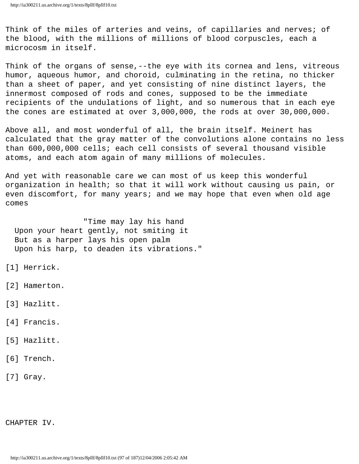Think of the miles of arteries and veins, of capillaries and nerves; of the blood, with the millions of millions of blood corpuscles, each a microcosm in itself.

Think of the organs of sense,--the eye with its cornea and lens, vitreous humor, aqueous humor, and choroid, culminating in the retina, no thicker than a sheet of paper, and yet consisting of nine distinct layers, the innermost composed of rods and cones, supposed to be the immediate recipients of the undulations of light, and so numerous that in each eye the cones are estimated at over 3,000,000, the rods at over 30,000,000.

Above all, and most wonderful of all, the brain itself. Meinert has calculated that the gray matter of the convolutions alone contains no less than 600,000,000 cells; each cell consists of several thousand visible atoms, and each atom again of many millions of molecules.

And yet with reasonable care we can most of us keep this wonderful organization in health; so that it will work without causing us pain, or even discomfort, for many years; and we may hope that even when old age comes

 "Time may lay his hand Upon your heart gently, not smiting it But as a harper lays his open palm Upon his harp, to deaden its vibrations."

- [1] Herrick.
- [2] Hamerton.
- [3] Hazlitt.
- [4] Francis.
- [5] Hazlitt.
- [6] Trench.
- [7] Gray.

CHAPTER IV.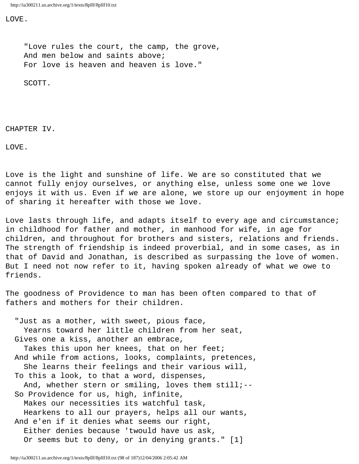LOVE.

 "Love rules the court, the camp, the grove, And men below and saints above; For love is heaven and heaven is love."

SCOTT.

CHAPTER IV.

LOVE.

Love is the light and sunshine of life. We are so constituted that we cannot fully enjoy ourselves, or anything else, unless some one we love enjoys it with us. Even if we are alone, we store up our enjoyment in hope of sharing it hereafter with those we love.

Love lasts through life, and adapts itself to every age and circumstance; in childhood for father and mother, in manhood for wife, in age for children, and throughout for brothers and sisters, relations and friends. The strength of friendship is indeed proverbial, and in some cases, as in that of David and Jonathan, is described as surpassing the love of women. But I need not now refer to it, having spoken already of what we owe to friends.

The goodness of Providence to man has been often compared to that of fathers and mothers for their children.

 "Just as a mother, with sweet, pious face, Yearns toward her little children from her seat, Gives one a kiss, another an embrace, Takes this upon her knees, that on her feet; And while from actions, looks, complaints, pretences, She learns their feelings and their various will, To this a look, to that a word, dispenses, And, whether stern or smiling, loves them still;-- So Providence for us, high, infinite, Makes our necessities its watchful task, Hearkens to all our prayers, helps all our wants, And e'en if it denies what seems our right, Either denies because 'twould have us ask, Or seems but to deny, or in denying grants." [1]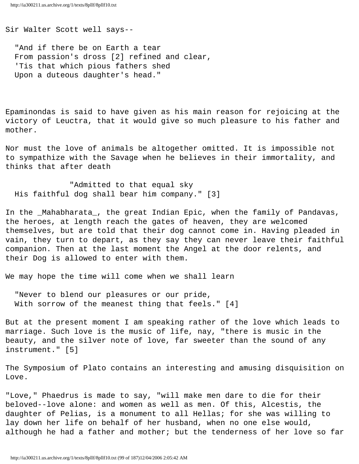Sir Walter Scott well says--

 "And if there be on Earth a tear From passion's dross [2] refined and clear, 'Tis that which pious fathers shed Upon a duteous daughter's head."

Epaminondas is said to have given as his main reason for rejoicing at the victory of Leuctra, that it would give so much pleasure to his father and mother.

Nor must the love of animals be altogether omitted. It is impossible not to sympathize with the Savage when he believes in their immortality, and thinks that after death

 "Admitted to that equal sky His faithful dog shall bear him company." [3]

In the \_Mahabharata\_, the great Indian Epic, when the family of Pandavas, the heroes, at length reach the gates of heaven, they are welcomed themselves, but are told that their dog cannot come in. Having pleaded in vain, they turn to depart, as they say they can never leave their faithful companion. Then at the last moment the Angel at the door relents, and their Dog is allowed to enter with them.

We may hope the time will come when we shall learn

 "Never to blend our pleasures or our pride, With sorrow of the meanest thing that feels." [4]

But at the present moment I am speaking rather of the love which leads to marriage. Such love is the music of life, nay, "there is music in the beauty, and the silver note of love, far sweeter than the sound of any instrument." [5]

The Symposium of Plato contains an interesting and amusing disquisition on Love.

"Love," Phaedrus is made to say, "will make men dare to die for their beloved--love alone: and women as well as men. Of this, Alcestis, the daughter of Pelias, is a monument to all Hellas; for she was willing to lay down her life on behalf of her husband, when no one else would, although he had a father and mother; but the tenderness of her love so far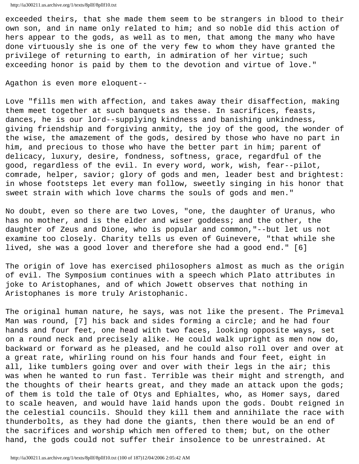exceeded theirs, that she made them seem to be strangers in blood to their own son, and in name only related to him; and so noble did this action of hers appear to the gods, as well as to men, that among the many who have done virtuously she is one of the very few to whom they have granted the privilege of returning to earth, in admiration of her virtue; such exceeding honor is paid by them to the devotion and virtue of love."

Agathon is even more eloquent--

Love "fills men with affection, and takes away their disaffection, making them meet together at such banquets as these. In sacrifices, feasts, dances, he is our lord--supplying kindness and banishing unkindness, giving friendship and forgiving anmity, the joy of the good, the wonder of the wise, the amazement of the gods, desired by those who have no part in him, and precious to those who have the better part in him; parent of delicacy, luxury, desire, fondness, softness, grace, regardful of the good, regardless of the evil. In every word, work, wish, fear--pilot, comrade, helper, savior; glory of gods and men, leader best and brightest: in whose footsteps let every man follow, sweetly singing in his honor that sweet strain with which love charms the souls of gods and men."

No doubt, even so there are two Loves, "one, the daughter of Uranus, who has no mother, and is the elder and wiser goddess; and the other, the daughter of Zeus and Dione, who is popular and common,"--but let us not examine too closely. Charity tells us even of Guinevere, "that while she lived, she was a good lover and therefore she had a good end." [6]

The origin of love has exercised philosophers almost as much as the origin of evil. The Symposium continues with a speech which Plato attributes in joke to Aristophanes, and of which Jowett observes that nothing in Aristophanes is more truly Aristophanic.

The original human nature, he says, was not like the present. The Primeval Man was round, [7] his back and sides forming a circle; and he had four hands and four feet, one head with two faces, looking opposite ways, set on a round neck and precisely alike. He could walk upright as men now do, backward or forward as he pleased, and he could also roll over and over at a great rate, whirling round on his four hands and four feet, eight in all, like tumblers going over and over with their legs in the air; this was when he wanted to run fast. Terrible was their might and strength, and the thoughts of their hearts great, and they made an attack upon the gods; of them is told the tale of Otys and Ephialtes, who, as Homer says, dared to scale heaven, and would have laid hands upon the gods. Doubt reigned in the celestial councils. Should they kill them and annihilate the race with thunderbolts, as they had done the giants, then there would be an end of the sacrifices and worship which men offered to them; but, on the other hand, the gods could not suffer their insolence to be unrestrained. At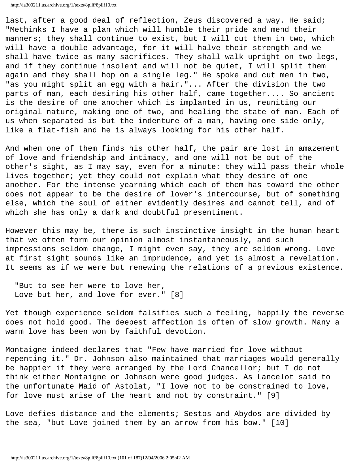last, after a good deal of reflection, Zeus discovered a way. He said; "Methinks I have a plan which will humble their pride and mend their manners; they shall continue to exist, but I will cut them in two, which will have a double advantage, for it will halve their strength and we shall have twice as many sacrifices. They shall walk upright on two legs, and if they continue insolent and will not be quiet, I will split them again and they shall hop on a single leg." He spoke and cut men in two, "as you might split an egg with a hair."... After the division the two parts of man, each desiring his other half, came together.... So ancient is the desire of one another which is implanted in us, reuniting our original nature, making one of two, and healing the state of man. Each of us when separated is but the indenture of a man, having one side only, like a flat-fish and he is always looking for his other half.

And when one of them finds his other half, the pair are lost in amazement of love and friendship and intimacy, and one will not be out of the other's sight, as I may say, even for a minute: they will pass their whole lives together; yet they could not explain what they desire of one another. For the intense yearning which each of them has toward the other does not appear to be the desire of lover's intercourse, but of something else, which the soul of either evidently desires and cannot tell, and of which she has only a dark and doubtful presentiment.

However this may be, there is such instinctive insight in the human heart that we often form our opinion almost instantaneously, and such impressions seldom change, I might even say, they are seldom wrong. Love at first sight sounds like an imprudence, and yet is almost a revelation. It seems as if we were but renewing the relations of a previous existence.

 "But to see her were to love her, Love but her, and love for ever." [8]

Yet though experience seldom falsifies such a feeling, happily the reverse does not hold good. The deepest affection is often of slow growth. Many a warm love has been won by faithful devotion.

Montaigne indeed declares that "Few have married for love without repenting it." Dr. Johnson also maintained that marriages would generally be happier if they were arranged by the Lord Chancellor; but I do not think either Montaigne or Johnson were good judges. As Lancelot said to the unfortunate Maid of Astolat, "I love not to be constrained to love, for love must arise of the heart and not by constraint." [9]

Love defies distance and the elements; Sestos and Abydos are divided by the sea, "but Love joined them by an arrow from his bow." [10]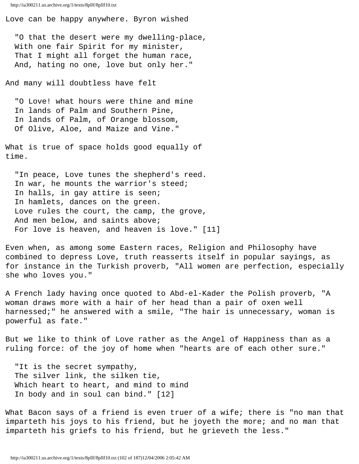Love can be happy anywhere. Byron wished

 "O that the desert were my dwelling-place, With one fair Spirit for my minister, That I might all forget the human race, And, hating no one, love but only her."

And many will doubtless have felt

 "O Love! what hours were thine and mine In lands of Palm and Southern Pine, In lands of Palm, of Orange blossom, Of Olive, Aloe, and Maize and Vine."

What is true of space holds good equally of time.

 "In peace, Love tunes the shepherd's reed. In war, he mounts the warrior's steed; In halls, in gay attire is seen; In hamlets, dances on the green. Love rules the court, the camp, the grove, And men below, and saints above; For love is heaven, and heaven is love." [11]

Even when, as among some Eastern races, Religion and Philosophy have combined to depress Love, truth reasserts itself in popular sayings, as for instance in the Turkish proverb, "All women are perfection, especially she who loves you."

A French lady having once quoted to Abd-el-Kader the Polish proverb, "A woman draws more with a hair of her head than a pair of oxen well harnessed;" he answered with a smile, "The hair is unnecessary, woman is powerful as fate."

But we like to think of Love rather as the Angel of Happiness than as a ruling force: of the joy of home when "hearts are of each other sure."

 "It is the secret sympathy, The silver link, the silken tie, Which heart to heart, and mind to mind In body and in soul can bind." [12]

What Bacon says of a friend is even truer of a wife; there is "no man that imparteth his joys to his friend, but he joyeth the more; and no man that imparteth his griefs to his friend, but he grieveth the less."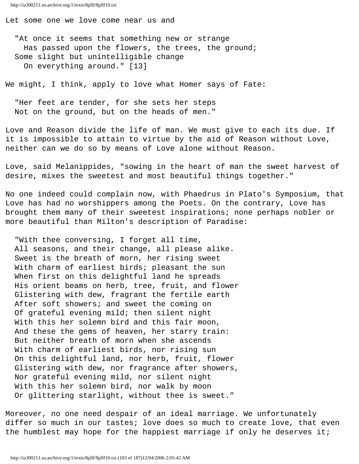Let some one we love come near us and

 "At once it seems that something new or strange Has passed upon the flowers, the trees, the ground; Some slight but unintelligible change On everything around." [13]

We might, I think, apply to love what Homer says of Fate:

 "Her feet are tender, for she sets her steps Not on the ground, but on the heads of men."

Love and Reason divide the life of man. We must give to each its due. If it is impossible to attain to virtue by the aid of Reason without Love, neither can we do so by means of Love alone without Reason.

Love, said Melanippides, "sowing in the heart of man the sweet harvest of desire, mixes the sweetest and most beautiful things together."

No one indeed could complain now, with Phaedrus in Plato's Symposium, that Love has had no worshippers among the Poets. On the contrary, Love has brought them many of their sweetest inspirations; none perhaps nobler or more beautiful than Milton's description of Paradise:

 "With thee conversing, I forget all time, All seasons, and their change, all please alike. Sweet is the breath of morn, her rising sweet With charm of earliest birds; pleasant the sun When first on this delightful land he spreads His orient beams on herb, tree, fruit, and flower Glistering with dew, fragrant the fertile earth After soft showers; and sweet the coming on Of grateful evening mild; then silent night With this her solemn bird and this fair moon, And these the gems of heaven, her starry train: But neither breath of morn when she ascends With charm of earliest birds, nor rising sun On this delightful land, nor herb, fruit, flower Glistering with dew, nor fragrance after showers, Nor grateful evening mild, nor silent night With this her solemn bird, nor walk by moon Or glittering starlight, without thee is sweet."

Moreover, no one need despair of an ideal marriage. We unfortunately differ so much in our tastes; love does so much to create love, that even the humblest may hope for the happiest marriage if only he deserves it;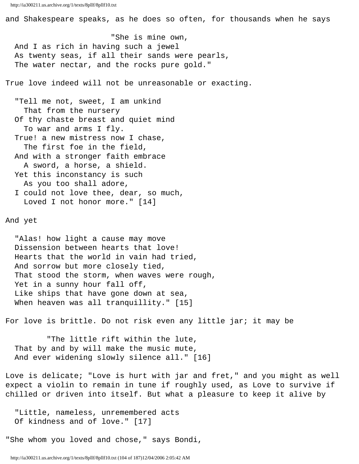and Shakespeare speaks, as he does so often, for thousands when he says

 "She is mine own, And I as rich in having such a jewel As twenty seas, if all their sands were pearls, The water nectar, and the rocks pure gold."

True love indeed will not be unreasonable or exacting.

 "Tell me not, sweet, I am unkind That from the nursery Of thy chaste breast and quiet mind To war and arms I fly. True! a new mistress now I chase, The first foe in the field, And with a stronger faith embrace A sword, a horse, a shield. Yet this inconstancy is such As you too shall adore, I could not love thee, dear, so much,

Loved I not honor more." [14]

And yet

 "Alas! how light a cause may move Dissension between hearts that love! Hearts that the world in vain had tried, And sorrow but more closely tied, That stood the storm, when waves were rough, Yet in a sunny hour fall off, Like ships that have gone down at sea, When heaven was all tranquillity." [15]

For love is brittle. Do not risk even any little jar; it may be

 "The little rift within the lute, That by and by will make the music mute, And ever widening slowly silence all." [16]

Love is delicate; "Love is hurt with jar and fret," and you might as well expect a violin to remain in tune if roughly used, as Love to survive if chilled or driven into itself. But what a pleasure to keep it alive by

 "Little, nameless, unremembered acts Of kindness and of love." [17]

"She whom you loved and chose," says Bondi,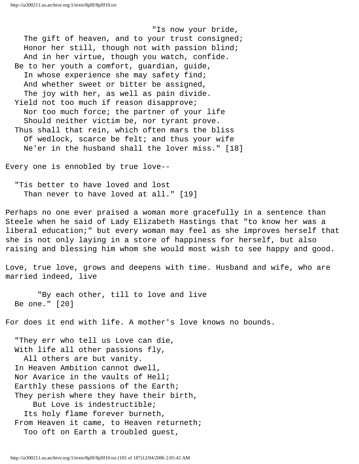"Is now your bride, The gift of heaven, and to your trust consigned; Honor her still, though not with passion blind; And in her virtue, though you watch, confide. Be to her youth a comfort, guardian, guide, In whose experience she may safety find; And whether sweet or bitter be assigned, The joy with her, as well as pain divide. Yield not too much if reason disapprove; Nor too much force; the partner of your life Should neither victim be, nor tyrant prove. Thus shall that rein, which often mars the bliss Of wedlock, scarce be felt; and thus your wife Ne'er in the husband shall the lover miss." [18]

Every one is ennobled by true love--

 "Tis better to have loved and lost Than never to have loved at all." [19]

Perhaps no one ever praised a woman more gracefully in a sentence than Steele when he said of Lady Elizabeth Hastings that "to know her was a liberal education;" but every woman may feel as she improves herself that she is not only laying in a store of happiness for herself, but also raising and blessing him whom she would most wish to see happy and good.

Love, true love, grows and deepens with time. Husband and wife, who are married indeed, live

 "By each other, till to love and live Be one." [20]

For does it end with life. A mother's love knows no bounds.

 "They err who tell us Love can die, With life all other passions fly, All others are but vanity. In Heaven Ambition cannot dwell, Nor Avarice in the vaults of Hell; Earthly these passions of the Earth; They perish where they have their birth, But Love is indestructible; Its holy flame forever burneth, From Heaven it came, to Heaven returneth; Too oft on Earth a troubled guest,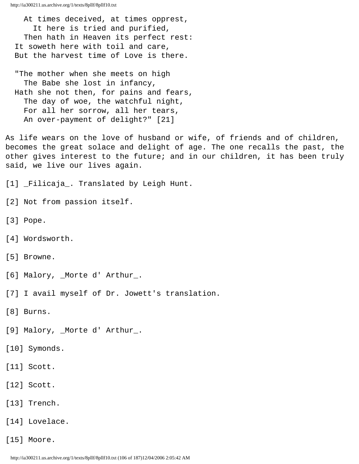At times deceived, at times opprest, It here is tried and purified, Then hath in Heaven its perfect rest: It soweth here with toil and care, But the harvest time of Love is there.

 "The mother when she meets on high The Babe she lost in infancy, Hath she not then, for pains and fears, The day of woe, the watchful night, For all her sorrow, all her tears, An over-payment of delight?" [21]

As life wears on the love of husband or wife, of friends and of children, becomes the great solace and delight of age. The one recalls the past, the other gives interest to the future; and in our children, it has been truly said, we live our lives again.

[1] \_Filicaja\_. Translated by Leigh Hunt.

- [2] Not from passion itself.
- [3] Pope.
- [4] Wordsworth.
- [5] Browne.
- [6] Malory, \_Morte d' Arthur\_.
- [7] I avail myself of Dr. Jowett's translation.
- [8] Burns.
- [9] Malory, \_Morte d' Arthur\_.
- [10] Symonds.
- [11] Scott.
- [12] Scott.
- [13] Trench.
- [14] Lovelace.
- [15] Moore.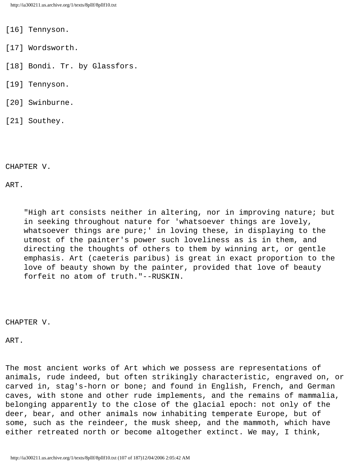- [16] Tennyson.
- [17] Wordsworth.
- [18] Bondi. Tr. by Glassfors.
- [19] Tennyson.
- [20] Swinburne.
- [21] Southey.

CHAPTER V.

ART.

 "High art consists neither in altering, nor in improving nature; but in seeking throughout nature for 'whatsoever things are lovely, whatsoever things are pure;' in loving these, in displaying to the utmost of the painter's power such loveliness as is in them, and directing the thoughts of others to them by winning art, or gentle emphasis. Art (caeteris paribus) is great in exact proportion to the love of beauty shown by the painter, provided that love of beauty forfeit no atom of truth."--RUSKIN.

CHAPTER V.

ART.

The most ancient works of Art which we possess are representations of animals, rude indeed, but often strikingly characteristic, engraved on, or carved in, stag's-horn or bone; and found in English, French, and German caves, with stone and other rude implements, and the remains of mammalia, belonging apparently to the close of the glacial epoch: not only of the deer, bear, and other animals now inhabiting temperate Europe, but of some, such as the reindeer, the musk sheep, and the mammoth, which have either retreated north or become altogether extinct. We may, I think,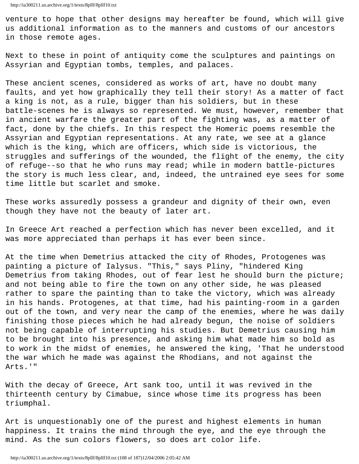venture to hope that other designs may hereafter be found, which will give us additional information as to the manners and customs of our ancestors in those remote ages.

Next to these in point of antiquity come the sculptures and paintings on Assyrian and Egyptian tombs, temples, and palaces.

These ancient scenes, considered as works of art, have no doubt many faults, and yet how graphically they tell their story! As a matter of fact a king is not, as a rule, bigger than his soldiers, but in these battle-scenes he is always so represented. We must, however, remember that in ancient warfare the greater part of the fighting was, as a matter of fact, done by the chiefs. In this respect the Homeric poems resemble the Assyrian and Egyptian representations. At any rate, we see at a glance which is the king, which are officers, which side is victorious, the struggles and sufferings of the wounded, the flight of the enemy, the city of refuge--so that he who runs may read; while in modern battle-pictures the story is much less clear, and, indeed, the untrained eye sees for some time little but scarlet and smoke.

These works assuredly possess a grandeur and dignity of their own, even though they have not the beauty of later art.

In Greece Art reached a perfection which has never been excelled, and it was more appreciated than perhaps it has ever been since.

At the time when Demetrius attacked the city of Rhodes, Protogenes was painting a picture of Ialysus. "This," says Pliny, "hindered King Demetrius from taking Rhodes, out of fear lest he should burn the picture; and not being able to fire the town on any other side, he was pleased rather to spare the painting than to take the victory, which was already in his hands. Protogenes, at that time, had his painting-room in a garden out of the town, and very near the camp of the enemies, where he was daily finishing those pieces which he had already begun, the noise of soldiers not being capable of interrupting his studies. But Demetrius causing him to be brought into his presence, and asking him what made him so bold as to work in the midst of enemies, he answered the king, 'That he understood the war which he made was against the Rhodians, and not against the Arts.'"

With the decay of Greece, Art sank too, until it was revived in the thirteenth century by Cimabue, since whose time its progress has been triumphal.

Art is unquestionably one of the purest and highest elements in human happiness. It trains the mind through the eye, and the eye through the mind. As the sun colors flowers, so does art color life.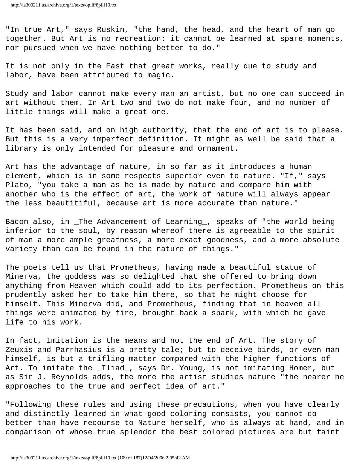"In true Art," says Ruskin, "the hand, the head, and the heart of man go together. But Art is no recreation: it cannot be learned at spare moments, nor pursued when we have nothing better to do."

It is not only in the East that great works, really due to study and labor, have been attributed to magic.

Study and labor cannot make every man an artist, but no one can succeed in art without them. In Art two and two do not make four, and no number of little things will make a great one.

It has been said, and on high authority, that the end of art is to please. But this is a very imperfect definition. It might as well be said that a library is only intended for pleasure and ornament.

Art has the advantage of nature, in so far as it introduces a human element, which is in some respects superior even to nature. "If," says Plato, "you take a man as he is made by nature and compare him with another who is the effect of art, the work of nature will always appear the less beautitiful, because art is more accurate than nature."

Bacon also, in \_The Advancement of Learning\_, speaks of "the world being inferior to the soul, by reason whereof there is agreeable to the spirit of man a more ample greatness, a more exact goodness, and a more absolute variety than can be found in the nature of things."

The poets tell us that Prometheus, having made a beautiful statue of Minerva, the goddess was so delighted that she offered to bring down anything from Heaven which could add to its perfection. Prometheus on this prudently asked her to take him there, so that he might choose for himself. This Minerva did, and Prometheus, finding that in heaven all things were animated by fire, brought back a spark, with which he gave life to his work.

In fact, Imitation is the means and not the end of Art. The story of Zeuxis and Parrhasius is a pretty tale; but to deceive birds, or even man himself, is but a trifling matter compared with the higher functions of Art. To imitate the \_Iliad\_, says Dr. Young, is not imitating Homer, but as Sir J. Reynolds adds, the more the artist studies nature "the nearer he approaches to the true and perfect idea of art."

"Following these rules and using these precautions, when you have clearly and distinctly learned in what good coloring consists, you cannot do better than have recourse to Nature herself, who is always at hand, and in comparison of whose true splendor the best colored pictures are but faint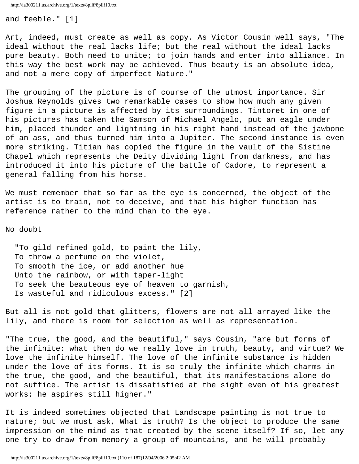and feeble." [1]

Art, indeed, must create as well as copy. As Victor Cousin well says, "The ideal without the real lacks life; but the real without the ideal lacks pure beauty. Both need to unite; to join hands and enter into alliance. In this way the best work may be achieved. Thus beauty is an absolute idea, and not a mere copy of imperfect Nature."

The grouping of the picture is of course of the utmost importance. Sir Joshua Reynolds gives two remarkable cases to show how much any given figure in a picture is affected by its surroundings. Tintoret in one of his pictures has taken the Samson of Michael Angelo, put an eagle under him, placed thunder and lightning in his right hand instead of the jawbone of an ass, and thus turned him into a Jupiter. The second instance is even more striking. Titian has copied the figure in the vault of the Sistine Chapel which represents the Deity dividing light from darkness, and has introduced it into his picture of the battle of Cadore, to represent a general falling from his horse.

We must remember that so far as the eye is concerned, the object of the artist is to train, not to deceive, and that his higher function has reference rather to the mind than to the eye.

No doubt

 "To gild refined gold, to paint the lily, To throw a perfume on the violet, To smooth the ice, or add another hue Unto the rainbow, or with taper-light To seek the beauteous eye of heaven to garnish, Is wasteful and ridiculous excess." [2]

But all is not gold that glitters, flowers are not all arrayed like the lily, and there is room for selection as well as representation.

"The true, the good, and the beautiful," says Cousin, "are but forms of the infinite: what then do we really love in truth, beauty, and virtue? We love the infinite himself. The love of the infinite substance is hidden under the love of its forms. It is so truly the infinite which charms in the true, the good, and the beautiful, that its manifestations alone do not suffice. The artist is dissatisfied at the sight even of his greatest works; he aspires still higher."

It is indeed sometimes objected that Landscape painting is not true to nature; but we must ask, What is truth? Is the object to produce the same impression on the mind as that created by the scene itself? If so, let any one try to draw from memory a group of mountains, and he will probably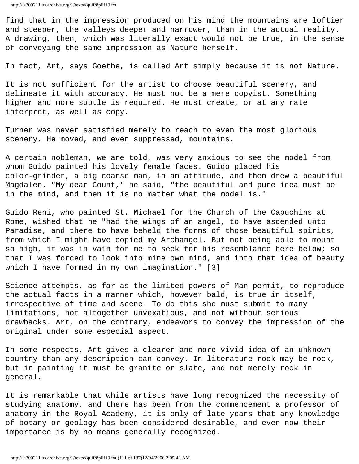find that in the impression produced on his mind the mountains are loftier and steeper, the valleys deeper and narrower, than in the actual reality. A drawing, then, which was literally exact would not be true, in the sense of conveying the same impression as Nature herself.

In fact, Art, says Goethe, is called Art simply because it is not Nature.

It is not sufficient for the artist to choose beautiful scenery, and delineate it with accuracy. He must not be a mere copyist. Something higher and more subtle is required. He must create, or at any rate interpret, as well as copy.

Turner was never satisfied merely to reach to even the most glorious scenery. He moved, and even suppressed, mountains.

A certain nobleman, we are told, was very anxious to see the model from whom Guido painted his lovely female faces. Guido placed his color-grinder, a big coarse man, in an attitude, and then drew a beautiful Magdalen. "My dear Count," he said, "the beautiful and pure idea must be in the mind, and then it is no matter what the model is."

Guido Reni, who painted St. Michael for the Church of the Capuchins at Rome, wished that he "had the wings of an angel, to have ascended unto Paradise, and there to have beheld the forms of those beautiful spirits, from which I might have copied my Archangel. But not being able to mount so high, it was in vain for me to seek for his resemblance here below; so that I was forced to look into mine own mind, and into that idea of beauty which I have formed in my own imagination." [3]

Science attempts, as far as the limited powers of Man permit, to reproduce the actual facts in a manner which, however bald, is true in itself, irrespective of time and scene. To do this she must submit to many limitations; not altogether unvexatious, and not without serious drawbacks. Art, on the contrary, endeavors to convey the impression of the original under some especial aspect.

In some respects, Art gives a clearer and more vivid idea of an unknown country than any description can convey. In literature rock may be rock, but in painting it must be granite or slate, and not merely rock in general.

It is remarkable that while artists have long recognized the necessity of studying anatomy, and there has been from the commencement a professor of anatomy in the Royal Academy, it is only of late years that any knowledge of botany or geology has been considered desirable, and even now their importance is by no means generally recognized.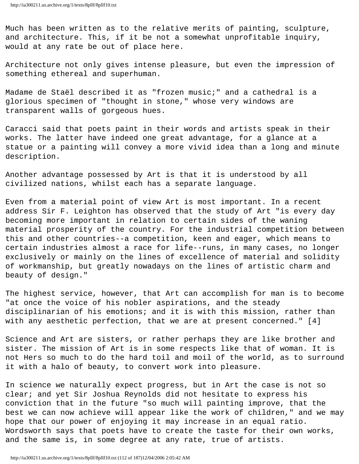Much has been written as to the relative merits of painting, sculpture, and architecture. This, if it be not a somewhat unprofitable inquiry, would at any rate be out of place here.

Architecture not only gives intense pleasure, but even the impression of something ethereal and superhuman.

Madame de Staël described it as "frozen music;" and a cathedral is a glorious specimen of "thought in stone," whose very windows are transparent walls of gorgeous hues.

Caracci said that poets paint in their words and artists speak in their works. The latter have indeed one great advantage, for a glance at a statue or a painting will convey a more vivid idea than a long and minute description.

Another advantage possessed by Art is that it is understood by all civilized nations, whilst each has a separate language.

Even from a material point of view Art is most important. In a recent address Sir F. Leighton has observed that the study of Art "is every day becoming more important in relation to certain sides of the waning material prosperity of the country. For the industrial competition between this and other countries--a competition, keen and eager, which means to certain industries almost a race for life--runs, in many cases, no longer exclusively or mainly on the lines of excellence of material and solidity of workmanship, but greatly nowadays on the lines of artistic charm and beauty of design."

The highest service, however, that Art can accomplish for man is to become "at once the voice of his nobler aspirations, and the steady disciplinarian of his emotions; and it is with this mission, rather than with any aesthetic perfection, that we are at present concerned." [4]

Science and Art are sisters, or rather perhaps they are like brother and sister. The mission of Art is in some respects like that of woman. It is not Hers so much to do the hard toil and moil of the world, as to surround it with a halo of beauty, to convert work into pleasure.

In science we naturally expect progress, but in Art the case is not so clear; and yet Sir Joshua Reynolds did not hesitate to express his conviction that in the future "so much will painting improve, that the best we can now achieve will appear like the work of children," and we may hope that our power of enjoying it may increase in an equal ratio. Wordsworth says that poets have to create the taste for their own works, and the same is, in some degree at any rate, true of artists.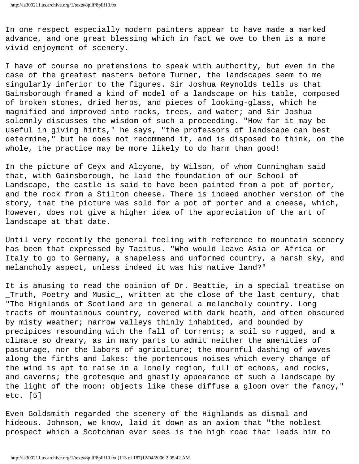In one respect especially modern painters appear to have made a marked advance, and one great blessing which in fact we owe to them is a more vivid enjoyment of scenery.

I have of course no pretensions to speak with authority, but even in the case of the greatest masters before Turner, the landscapes seem to me singularly inferior to the figures. Sir Joshua Reynolds tells us that Gainsborough framed a kind of model of a landscape on his table, composed of broken stones, dried herbs, and pieces of looking-glass, which he magnified and improved into rocks, trees, and water; and Sir Joshua solemnly discusses the wisdom of such a proceeding. "How far it may be useful in giving hints," he says, "the professors of landscape can best determine," but he does not recommend it, and is disposed to think, on the whole, the practice may be more likely to do harm than good!

In the picture of Ceyx and Alcyone, by Wilson, of whom Cunningham said that, with Gainsborough, he laid the foundation of our School of Landscape, the castle is said to have been painted from a pot of porter, and the rock from a Stilton cheese. There is indeed another version of the story, that the picture was sold for a pot of porter and a cheese, which, however, does not give a higher idea of the appreciation of the art of landscape at that date.

Until very recently the general feeling with reference to mountain scenery has been that expressed by Tacitus. "Who would leave Asia or Africa or Italy to go to Germany, a shapeless and unformed country, a harsh sky, and melancholy aspect, unless indeed it was his native land?"

It is amusing to read the opinion of Dr. Beattie, in a special treatise on \_Truth, Poetry and Music\_, written at the close of the last century, that "The Highlands of Scotland are in general a melancholy country. Long tracts of mountainous country, covered with dark heath, and often obscured by misty weather; narrow valleys thinly inhabited, and bounded by precipices resounding with the fall of torrents; a soil so rugged, and a climate so dreary, as in many parts to admit neither the amenities of pasturage, nor the labors of agriculture; the mournful dashing of waves along the firths and lakes: the portentous noises which every change of the wind is apt to raise in a lonely region, full of echoes, and rocks, and caverns; the grotesque and ghastly appearance of such a landscape by the light of the moon: objects like these diffuse a gloom over the fancy," etc. [5]

Even Goldsmith regarded the scenery of the Highlands as dismal and hideous. Johnson, we know, laid it down as an axiom that "the noblest prospect which a Scotchman ever sees is the high road that leads him to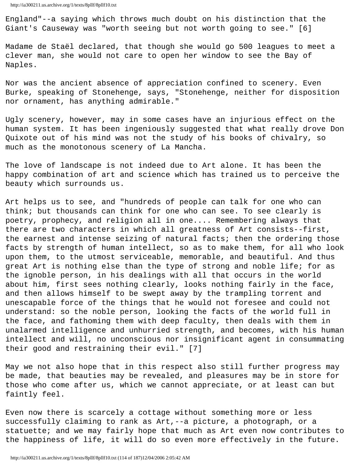England"--a saying which throws much doubt on his distinction that the Giant's Causeway was "worth seeing but not worth going to see." [6]

Madame de Staël declared, that though she would go 500 leagues to meet a clever man, she would not care to open her window to see the Bay of Naples.

Nor was the ancient absence of appreciation confined to scenery. Even Burke, speaking of Stonehenge, says, "Stonehenge, neither for disposition nor ornament, has anything admirable."

Ugly scenery, however, may in some cases have an injurious effect on the human system. It has been ingeniously suggested that what really drove Don Quixote out of his mind was not the study of his books of chivalry, so much as the monotonous scenery of La Mancha.

The love of landscape is not indeed due to Art alone. It has been the happy combination of art and science which has trained us to perceive the beauty which surrounds us.

Art helps us to see, and "hundreds of people can talk for one who can think; but thousands can think for one who can see. To see clearly is poetry, prophecy, and religion all in one.... Remembering always that there are two characters in which all greatness of Art consists--first, the earnest and intense seizing of natural facts; then the ordering those facts by strength of human intellect, so as to make them, for all who look upon them, to the utmost serviceable, memorable, and beautiful. And thus great Art is nothing else than the type of strong and noble life; for as the ignoble person, in his dealings with all that occurs in the world about him, first sees nothing clearly, looks nothing fairly in the face, and then allows himself to be swept away by the trampling torrent and unescapable force of the things that he would not foresee and could not understand: so the noble person, looking the facts of the world full in the face, and fathoming them with deep faculty, then deals with them in unalarmed intelligence and unhurried strength, and becomes, with his human intellect and will, no unconscious nor insignificant agent in consummating their good and restraining their evil." [7]

May we not also hope that in this respect also still further progress may be made, that beauties may be revealed, and pleasures may be in store for those who come after us, which we cannot appreciate, or at least can but faintly feel.

Even now there is scarcely a cottage without something more or less successfully claiming to rank as Art,--a picture, a photograph, or a statuette; and we may fairly hope that much as Art even now contributes to the happiness of life, it will do so even more effectively in the future.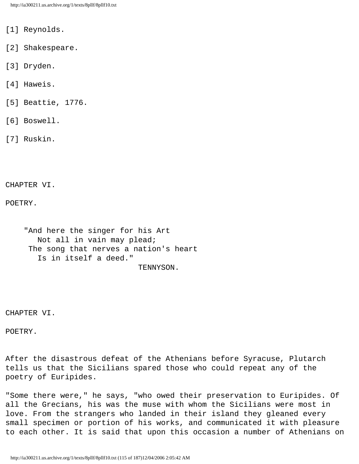- [1] Reynolds.
- [2] Shakespeare.
- [3] Dryden.
- [4] Haweis.
- [5] Beattie, 1776.
- [6] Boswell.
- [7] Ruskin.

CHAPTER VI.

POETRY.

 "And here the singer for his Art Not all in vain may plead; The song that nerves a nation's heart Is in itself a deed." TENNYSON.

CHAPTER VI.

POETRY.

After the disastrous defeat of the Athenians before Syracuse, Plutarch tells us that the Sicilians spared those who could repeat any of the poetry of Euripides.

"Some there were," he says, "who owed their preservation to Euripides. Of all the Grecians, his was the muse with whom the Sicilians were most in love. From the strangers who landed in their island they gleaned every small specimen or portion of his works, and communicated it with pleasure to each other. It is said that upon this occasion a number of Athenians on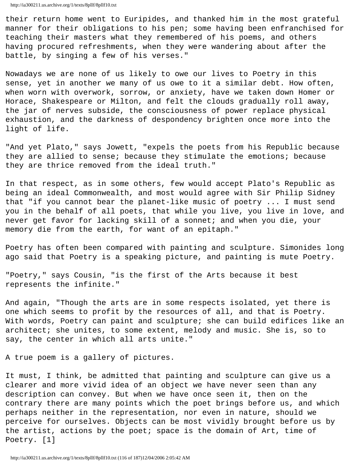their return home went to Euripides, and thanked him in the most grateful manner for their obligations to his pen; some having been enfranchised for teaching their masters what they remembered of his poems, and others having procured refreshments, when they were wandering about after the battle, by singing a few of his verses."

Nowadays we are none of us likely to owe our lives to Poetry in this sense, yet in another we many of us owe to it a similar debt. How often, when worn with overwork, sorrow, or anxiety, have we taken down Homer or Horace, Shakespeare or Milton, and felt the clouds gradually roll away, the jar of nerves subside, the consciousness of power replace physical exhaustion, and the darkness of despondency brighten once more into the light of life.

"And yet Plato," says Jowett, "expels the poets from his Republic because they are allied to sense; because they stimulate the emotions; because they are thrice removed from the ideal truth."

In that respect, as in some others, few would accept Plato's Republic as being an ideal Commonwealth, and most would agree with Sir Philip Sidney that "if you cannot bear the planet-like music of poetry ... I must send you in the behalf of all poets, that while you live, you live in love, and never get favor for lacking skill of a sonnet; and when you die, your memory die from the earth, for want of an epitaph."

Poetry has often been compared with painting and sculpture. Simonides long ago said that Poetry is a speaking picture, and painting is mute Poetry.

"Poetry," says Cousin, "is the first of the Arts because it best represents the infinite."

And again, "Though the arts are in some respects isolated, yet there is one which seems to profit by the resources of all, and that is Poetry. With words, Poetry can paint and sculpture; she can build edifices like an architect; she unites, to some extent, melody and music. She is, so to say, the center in which all arts unite."

A true poem is a gallery of pictures.

It must, I think, be admitted that painting and sculpture can give us a clearer and more vivid idea of an object we have never seen than any description can convey. But when we have once seen it, then on the contrary there are many points which the poet brings before us, and which perhaps neither in the representation, nor even in nature, should we perceive for ourselves. Objects can be most vividly brought before us by the artist, actions by the poet; space is the domain of Art, time of Poetry. [1]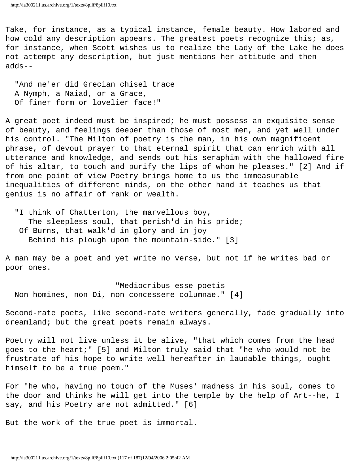Take, for instance, as a typical instance, female beauty. How labored and how cold any description appears. The greatest poets recognize this; as, for instance, when Scott wishes us to realize the Lady of the Lake he does not attempt any description, but just mentions her attitude and then adds--

 "And ne'er did Grecian chisel trace A Nymph, a Naiad, or a Grace, Of finer form or lovelier face!"

A great poet indeed must be inspired; he must possess an exquisite sense of beauty, and feelings deeper than those of most men, and yet well under his control. "The Milton of poetry is the man, in his own magnificent phrase, of devout prayer to that eternal spirit that can enrich with all utterance and knowledge, and sends out his seraphim with the hallowed fire of his altar, to touch and purify the lips of whom he pleases." [2] And if from one point of view Poetry brings home to us the immeasurable inequalities of different minds, on the other hand it teaches us that genius is no affair of rank or wealth.

"I think of Chatterton, the marvellous boy, The sleepless soul, that perish'd in his pride; Of Burns, that walk'd in glory and in joy Behind his plough upon the mountain-side." [3]

A man may be a poet and yet write no verse, but not if he writes bad or poor ones.

 "Mediocribus esse poetis Non homines, non Di, non concessere columnae." [4]

Second-rate poets, like second-rate writers generally, fade gradually into dreamland; but the great poets remain always.

Poetry will not live unless it be alive, "that which comes from the head goes to the heart;" [5] and Milton truly said that "he who would not be frustrate of his hope to write well hereafter in laudable things, ought himself to be a true poem."

For "he who, having no touch of the Muses' madness in his soul, comes to the door and thinks he will get into the temple by the help of Art--he, I say, and his Poetry are not admitted." [6]

But the work of the true poet is immortal.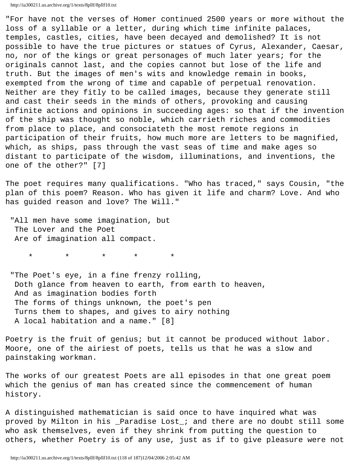"For have not the verses of Homer continued 2500 years or more without the loss of a syllable or a letter, during which time infinite palaces, temples, castles, cities, have been decayed and demolished? It is not possible to have the true pictures or statues of Cyrus, Alexander, Caesar, no, nor of the kings or great personages of much later years; for the originals cannot last, and the copies cannot but lose of the life and truth. But the images of men's wits and knowledge remain in books, exempted from the wrong of time and capable of perpetual renovation. Neither are they fitly to be called images, because they generate still and cast their seeds in the minds of others, provoking and causing infinite actions and opinions in succeeding ages: so that if the invention of the ship was thought so noble, which carrieth riches and commodities from place to place, and consociateth the most remote regions in participation of their fruits, how much more are letters to be magnified, which, as ships, pass through the vast seas of time and make ages so distant to participate of the wisdom, illuminations, and inventions, the one of the other?" [7]

The poet requires many qualifications. "Who has traced," says Cousin, "the plan of this poem? Reason. Who has given it life and charm? Love. And who has guided reason and love? The Will."

 "All men have some imagination, but The Lover and the Poet Are of imagination all compact.

\* \* \* \* \*

 "The Poet's eye, in a fine frenzy rolling, Doth glance from heaven to earth, from earth to heaven, And as imagination bodies forth The forms of things unknown, the poet's pen Turns them to shapes, and gives to airy nothing A local habitation and a name." [8]

Poetry is the fruit of genius; but it cannot be produced without labor. Moore, one of the airiest of poets, tells us that he was a slow and painstaking workman.

The works of our greatest Poets are all episodes in that one great poem which the genius of man has created since the commencement of human history.

A distinguished mathematician is said once to have inquired what was proved by Milton in his \_Paradise Lost\_; and there are no doubt still some who ask themselves, even if they shrink from putting the question to others, whether Poetry is of any use, just as if to give pleasure were not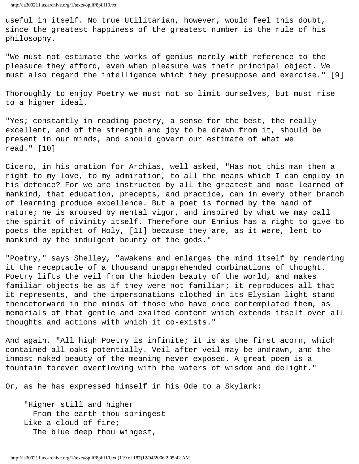useful in itself. No true Utilitarian, however, would feel this doubt, since the greatest happiness of the greatest number is the rule of his philosophy.

"We must not estimate the works of genius merely with reference to the pleasure they afford, even when pleasure was their principal object. We must also regard the intelligence which they presuppose and exercise." [9]

Thoroughly to enjoy Poetry we must not so limit ourselves, but must rise to a higher ideal.

"Yes; constantly in reading poetry, a sense for the best, the really excellent, and of the strength and joy to be drawn from it, should be present in our minds, and should govern our estimate of what we read." [10]

Cicero, in his oration for Archias, well asked, "Has not this man then a right to my love, to my admiration, to all the means which I can employ in his defence? For we are instructed by all the greatest and most learned of mankind, that education, precepts, and practice, can in every other branch of learning produce excellence. But a poet is formed by the hand of nature; he is aroused by mental vigor, and inspired by what we may call the spirit of divinity itself. Therefore our Ennius has a right to give to poets the epithet of Holy, [11] because they are, as it were, lent to mankind by the indulgent bounty of the gods."

"Poetry," says Shelley, "awakens and enlarges the mind itself by rendering it the receptacle of a thousand unapprehended combinations of thought. Poetry lifts the veil from the hidden beauty of the world, and makes familiar objects be as if they were not familiar; it reproduces all that it represents, and the impersonations clothed in its Elysian light stand thenceforward in the minds of those who have once contemplated them, as memorials of that gentle and exalted content which extends itself over all thoughts and actions with which it co-exists."

And again, "All high Poetry is infinite; it is as the first acorn, which contained all oaks potentially. Veil after veil may be undrawn, and the inmost naked beauty of the meaning never exposed. A great poem is a fountain forever overflowing with the waters of wisdom and delight."

Or, as he has expressed himself in his Ode to a Skylark:

 "Higher still and higher From the earth thou springest Like a cloud of fire; The blue deep thou wingest,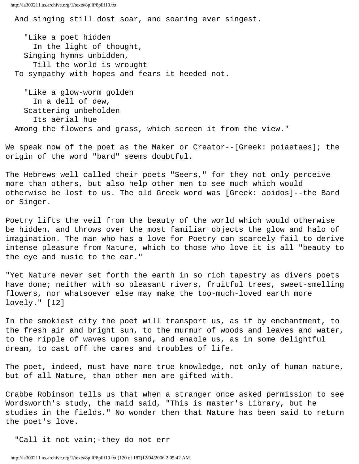And singing still dost soar, and soaring ever singest.

 "Like a poet hidden In the light of thought, Singing hymns unbidden, Till the world is wrought To sympathy with hopes and fears it heeded not.

 "Like a glow-worm golden In a dell of dew, Scattering unbeholden Its aërial hue Among the flowers and grass, which screen it from the view."

We speak now of the poet as the Maker or Creator--[Greek: poiaetaes]; the origin of the word "bard" seems doubtful.

The Hebrews well called their poets "Seers," for they not only perceive more than others, but also help other men to see much which would otherwise be lost to us. The old Greek word was [Greek: aoidos]--the Bard or Singer.

Poetry lifts the veil from the beauty of the world which would otherwise be hidden, and throws over the most familiar objects the glow and halo of imagination. The man who has a love for Poetry can scarcely fail to derive intense pleasure from Nature, which to those who love it is all "beauty to the eye and music to the ear."

"Yet Nature never set forth the earth in so rich tapestry as divers poets have done; neither with so pleasant rivers, fruitful trees, sweet-smelling flowers, nor whatsoever else may make the too-much-loved earth more lovely." [12]

In the smokiest city the poet will transport us, as if by enchantment, to the fresh air and bright sun, to the murmur of woods and leaves and water, to the ripple of waves upon sand, and enable us, as in some delightful dream, to cast off the cares and troubles of life.

The poet, indeed, must have more true knowledge, not only of human nature, but of all Nature, than other men are gifted with.

Crabbe Robinson tells us that when a stranger once asked permission to see Wordsworth's study, the maid said, "This is master's Library, but he studies in the fields." No wonder then that Nature has been said to return the poet's love.

"Call it not vain;-they do not err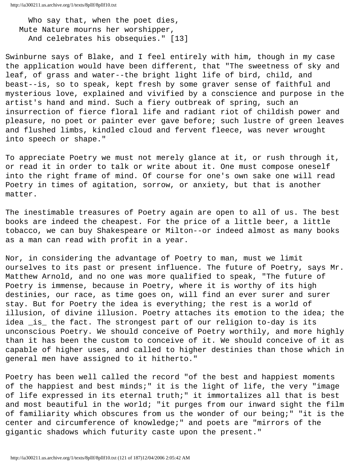Who say that, when the poet dies, Mute Nature mourns her worshipper, And celebrates his obsequies." [13]

Swinburne says of Blake, and I feel entirely with him, though in my case the application would have been different, that "The sweetness of sky and leaf, of grass and water--the bright light life of bird, child, and beast--is, so to speak, kept fresh by some graver sense of faithful and mysterious love, explained and vivified by a conscience and purpose in the artist's hand and mind. Such a fiery outbreak of spring, such an insurrection of fierce floral life and radiant riot of childish power and pleasure, no poet or painter ever gave before; such lustre of green leaves and flushed limbs, kindled cloud and fervent fleece, was never wrought into speech or shape."

To appreciate Poetry we must not merely glance at it, or rush through it, or read it in order to talk or write about it. One must compose oneself into the right frame of mind. Of course for one's own sake one will read Poetry in times of agitation, sorrow, or anxiety, but that is another matter.

The inestimable treasures of Poetry again are open to all of us. The best books are indeed the cheapest. For the price of a little beer, a little tobacco, we can buy Shakespeare or Milton--or indeed almost as many books as a man can read with profit in a year.

Nor, in considering the advantage of Poetry to man, must we limit ourselves to its past or present influence. The future of Poetry, says Mr. Matthew Arnold, and no one was more qualified to speak, "The future of Poetry is immense, because in Poetry, where it is worthy of its high destinies, our race, as time goes on, will find an ever surer and surer stay. But for Poetry the idea is everything; the rest is a world of illusion, of divine illusion. Poetry attaches its emotion to the idea; the idea is the fact. The strongest part of our religion to-day is its unconscious Poetry. We should conceive of Poetry worthily, and more highly than it has been the custom to conceive of it. We should conceive of it as capable of higher uses, and called to higher destinies than those which in general men have assigned to it hitherto."

Poetry has been well called the record "of the best and happiest moments of the happiest and best minds;" it is the light of life, the very "image of life expressed in its eternal truth;" it immortalizes all that is best and most beautiful in the world; "it purges from our inward sight the film of familiarity which obscures from us the wonder of our being;" "it is the center and circumference of knowledge;" and poets are "mirrors of the gigantic shadows which futurity caste upon the present."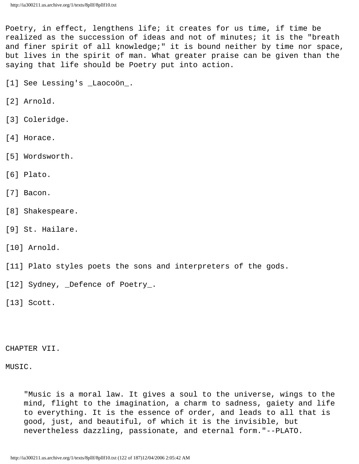Poetry, in effect, lengthens life; it creates for us time, if time be realized as the succession of ideas and not of minutes; it is the "breath and finer spirit of all knowledge;" it is bound neither by time nor space, but lives in the spirit of man. What greater praise can be given than the saying that life should be Poetry put into action.

[1] See Lessing's \_Laocoön\_.

- [2] Arnold.
- [3] Coleridge.
- [4] Horace.
- [5] Wordsworth.
- [6] Plato.
- [7] Bacon.
- [8] Shakespeare.
- [9] St. Hailare.
- [10] Arnold.
- [11] Plato styles poets the sons and interpreters of the gods.
- [12] Sydney, \_Defence of Poetry\_.

[13] Scott.

CHAPTER VII.

MUSIC.

 "Music is a moral law. It gives a soul to the universe, wings to the mind, flight to the imagination, a charm to sadness, gaiety and life to everything. It is the essence of order, and leads to all that is good, just, and beautiful, of which it is the invisible, but nevertheless dazzling, passionate, and eternal form."--PLATO.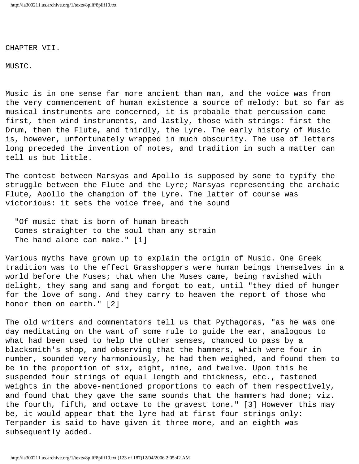CHAPTER VII.

MUSIC.

Music is in one sense far more ancient than man, and the voice was from the very commencement of human existence a source of melody: but so far as musical instruments are concerned, it is probable that percussion came first, then wind instruments, and lastly, those with strings: first the Drum, then the Flute, and thirdly, the Lyre. The early history of Music is, however, unfortunately wrapped in much obscurity. The use of letters long preceded the invention of notes, and tradition in such a matter can tell us but little.

The contest between Marsyas and Apollo is supposed by some to typify the struggle between the Flute and the Lyre; Marsyas representing the archaic Flute, Apollo the champion of the Lyre. The latter of course was victorious: it sets the voice free, and the sound

 "Of music that is born of human breath Comes straighter to the soul than any strain The hand alone can make." [1]

Various myths have grown up to explain the origin of Music. One Greek tradition was to the effect Grasshoppers were human beings themselves in a world before the Muses; that when the Muses came, being ravished with delight, they sang and sang and forgot to eat, until "they died of hunger for the love of song. And they carry to heaven the report of those who honor them on earth." [2]

The old writers and commentators tell us that Pythagoras, "as he was one day meditating on the want of some rule to guide the ear, analogous to what had been used to help the other senses, chanced to pass by a blacksmith's shop, and observing that the hammers, which were four in number, sounded very harmoniously, he had them weighed, and found them to be in the proportion of six, eight, nine, and twelve. Upon this he suspended four strings of equal length and thickness, etc., fastened weights in the above-mentioned proportions to each of them respectively, and found that they gave the same sounds that the hammers had done; viz. the fourth, fifth, and octave to the gravest tone." [3] However this may be, it would appear that the lyre had at first four strings only: Terpander is said to have given it three more, and an eighth was subsequently added.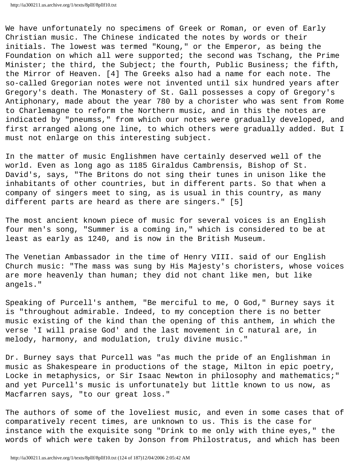We have unfortunately no specimens of Greek or Roman, or even of Early Christian music. The Chinese indicated the notes by words or their initials. The lowest was termed "Koung," or the Emperor, as being the Foundation on which all were supported; the second was Tschang, the Prime Minister; the third, the Subject; the fourth, Public Business; the fifth, the Mirror of Heaven. [4] The Greeks also had a name for each note. The so-called Gregorian notes were not invented until six hundred years after Gregory's death. The Monastery of St. Gall possesses a copy of Gregory's Antiphonary, made about the year 780 by a chorister who was sent from Rome to Charlemagne to reform the Northern music, and in this the notes are indicated by "pneumss," from which our notes were gradually developed, and first arranged along one line, to which others were gradually added. But I must not enlarge on this interesting subject.

In the matter of music Englishmen have certainly deserved well of the world. Even as long ago as 1185 Giraldus Cambrensis, Bishop of St. David's, says, "The Britons do not sing their tunes in unison like the inhabitants of other countries, but in different parts. So that when a company of singers meet to sing, as is usual in this country, as many different parts are heard as there are singers." [5]

The most ancient known piece of music for several voices is an English four men's song, "Summer is a coming in," which is considered to be at least as early as 1240, and is now in the British Museum.

The Venetian Ambassador in the time of Henry VIII. said of our English Church music: "The mass was sung by His Majesty's choristers, whose voices are more heavenly than human; they did not chant like men, but like angels."

Speaking of Purcell's anthem, "Be merciful to me, O God," Burney says it is "throughout admirable. Indeed, to my conception there is no better music existing of the kind than the opening of this anthem, in which the verse 'I will praise God' and the last movement in C natural are, in melody, harmony, and modulation, truly divine music."

Dr. Burney says that Purcell was "as much the pride of an Englishman in music as Shakespeare in productions of the stage, Milton in epic poetry, Locke in metaphysics, or Sir Isaac Newton in philosophy and mathematics;" and yet Purcell's music is unfortunately but little known to us now, as Macfarren says, "to our great loss."

The authors of some of the loveliest music, and even in some cases that of comparatively recent times, are unknown to us. This is the case for instance with the exquisite song "Drink to me only with thine eyes," the words of which were taken by Jonson from Philostratus, and which has been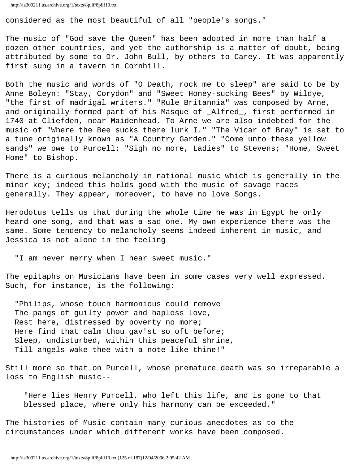```
http://ia300211.us.archive.org/1/texts/8pllf/8pllf10.txt
```
considered as the most beautiful of all "people's songs."

The music of "God save the Queen" has been adopted in more than half a dozen other countries, and yet the authorship is a matter of doubt, being attributed by some to Dr. John Bull, by others to Carey. It was apparently first sung in a tavern in Cornhill.

Both the music and words of "O Death, rock me to sleep" are said to be by Anne Boleyn: "Stay, Corydon" and "Sweet Honey-sucking Bees" by Wildye, "the first of madrigal writers." "Rule Britannia" was composed by Arne, and originally formed part of his Masque of \_Alfred\_, first performed in 1740 at Cliefden, near Maidenhead. To Arne we are also indebted for the music of "Where the Bee sucks there lurk I." "The Vicar of Bray" is set to a tune originally known as "A Country Garden." "Come unto these yellow sands" we owe to Purcell; "Sigh no more, Ladies" to Stevens; "Home, Sweet Home" to Bishop.

There is a curious melancholy in national music which is generally in the minor key; indeed this holds good with the music of savage races generally. They appear, moreover, to have no love Songs.

Herodotus tells us that during the whole time he was in Egypt he only heard one song, and that was a sad one. My own experience there was the same. Some tendency to melancholy seems indeed inherent in music, and Jessica is not alone in the feeling

"I am never merry when I hear sweet music."

The epitaphs on Musicians have been in some cases very well expressed. Such, for instance, is the following:

 "Philips, whose touch harmonious could remove The pangs of guilty power and hapless love, Rest here, distressed by poverty no more; Here find that calm thou gav'st so oft before; Sleep, undisturbed, within this peaceful shrine, Till angels wake thee with a note like thine!"

Still more so that on Purcell, whose premature death was so irreparable a loss to English music--

 "Here lies Henry Purcell, who left this life, and is gone to that blessed place, where only his harmony can be exceeded."

The histories of Music contain many curious anecdotes as to the circumstances under which different works have been composed.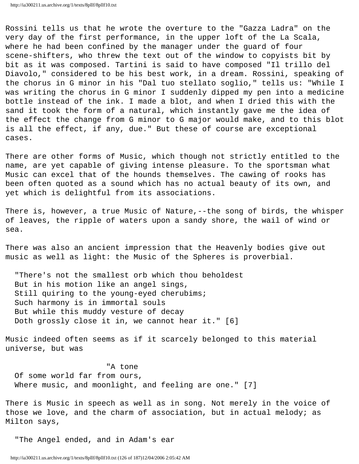Rossini tells us that he wrote the overture to the "Gazza Ladra" on the very day of the first performance, in the upper loft of the La Scala, where he had been confined by the manager under the guard of four scene-shifters, who threw the text out of the window to copyists bit by bit as it was composed. Tartini is said to have composed "Il trillo del Diavolo," considered to be his best work, in a dream. Rossini, speaking of the chorus in G minor in his "Dal tuo stellato soglio," tells us: "While I was writing the chorus in G minor I suddenly dipped my pen into a medicine bottle instead of the ink. I made a blot, and when I dried this with the sand it took the form of a natural, which instantly gave me the idea of the effect the change from G minor to G major would make, and to this blot is all the effect, if any, due." But these of course are exceptional cases.

There are other forms of Music, which though not strictly entitled to the name, are yet capable of giving intense pleasure. To the sportsman what Music can excel that of the hounds themselves. The cawing of rooks has been often quoted as a sound which has no actual beauty of its own, and yet which is delightful from its associations.

There is, however, a true Music of Nature,--the song of birds, the whisper of leaves, the ripple of waters upon a sandy shore, the wail of wind or sea.

There was also an ancient impression that the Heavenly bodies give out music as well as light: the Music of the Spheres is proverbial.

 "There's not the smallest orb which thou beholdest But in his motion like an angel sings, Still quiring to the young-eyed cherubims; Such harmony is in immortal souls But while this muddy vesture of decay Doth grossly close it in, we cannot hear it." [6]

Music indeed often seems as if it scarcely belonged to this material universe, but was

"A tone

 Of some world far from ours, Where music, and moonlight, and feeling are one." [7]

There is Music in speech as well as in song. Not merely in the voice of those we love, and the charm of association, but in actual melody; as Milton says,

"The Angel ended, and in Adam's ear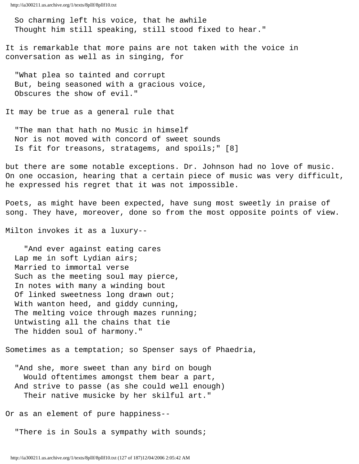So charming left his voice, that he awhile Thought him still speaking, still stood fixed to hear."

It is remarkable that more pains are not taken with the voice in conversation as well as in singing, for

 "What plea so tainted and corrupt But, being seasoned with a gracious voice, Obscures the show of evil."

It may be true as a general rule that

 "The man that hath no Music in himself Nor is not moved with concord of sweet sounds Is fit for treasons, stratagems, and spoils;" [8]

but there are some notable exceptions. Dr. Johnson had no love of music. On one occasion, hearing that a certain piece of music was very difficult, he expressed his regret that it was not impossible.

Poets, as might have been expected, have sung most sweetly in praise of song. They have, moreover, done so from the most opposite points of view.

Milton invokes it as a luxury--

 "And ever against eating cares Lap me in soft Lydian airs; Married to immortal verse Such as the meeting soul may pierce, In notes with many a winding bout Of linked sweetness long drawn out; With wanton heed, and giddy cunning, The melting voice through mazes running; Untwisting all the chains that tie The hidden soul of harmony."

Sometimes as a temptation; so Spenser says of Phaedria,

 "And she, more sweet than any bird on bough Would oftentimes amongst them bear a part, And strive to passe (as she could well enough) Their native musicke by her skilful art."

Or as an element of pure happiness--

"There is in Souls a sympathy with sounds;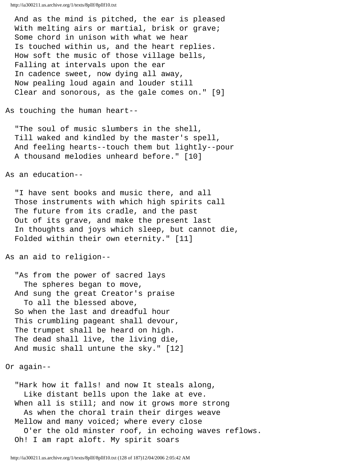And as the mind is pitched, the ear is pleased With melting airs or martial, brisk or grave; Some chord in unison with what we hear Is touched within us, and the heart replies. How soft the music of those village bells, Falling at intervals upon the ear In cadence sweet, now dying all away, Now pealing loud again and louder still Clear and sonorous, as the gale comes on." [9]

As touching the human heart--

 "The soul of music slumbers in the shell, Till waked and kindled by the master's spell, And feeling hearts--touch them but lightly--pour A thousand melodies unheard before." [10]

As an education--

 "I have sent books and music there, and all Those instruments with which high spirits call The future from its cradle, and the past Out of its grave, and make the present last In thoughts and joys which sleep, but cannot die, Folded within their own eternity." [11]

As an aid to religion--

 "As from the power of sacred lays The spheres began to move, And sung the great Creator's praise To all the blessed above, So when the last and dreadful hour This crumbling pageant shall devour, The trumpet shall be heard on high. The dead shall live, the living die, And music shall untune the sky." [12]

Or again--

 "Hark how it falls! and now It steals along, Like distant bells upon the lake at eve. When all is still; and now it grows more strong As when the choral train their dirges weave Mellow and many voiced; where every close O'er the old minster roof, in echoing waves reflows. Oh! I am rapt aloft. My spirit soars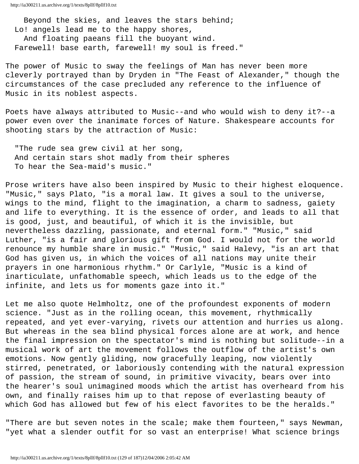Beyond the skies, and leaves the stars behind; Lo! angels lead me to the happy shores, And floating paeans fill the buoyant wind. Farewell! base earth, farewell! my soul is freed."

The power of Music to sway the feelings of Man has never been more cleverly portrayed than by Dryden in "The Feast of Alexander," though the circumstances of the case precluded any reference to the influence of Music in its noblest aspects.

Poets have always attributed to Music--and who would wish to deny it?--a power even over the inanimate forces of Nature. Shakespeare accounts for shooting stars by the attraction of Music:

 "The rude sea grew civil at her song, And certain stars shot madly from their spheres To hear the Sea-maid's music."

Prose writers have also been inspired by Music to their highest eloquence. "Music," says Plato, "is a moral law. It gives a soul to the universe, wings to the mind, flight to the imagination, a charm to sadness, gaiety and life to everything. It is the essence of order, and leads to all that is good, just, and beautiful, of which it is the invisible, but nevertheless dazzling, passionate, and eternal form." "Music," said Luther, "is a fair and glorious gift from God. I would not for the world renounce my humble share in music." "Music," said Halevy, "is an art that God has given us, in which the voices of all nations may unite their prayers in one harmonious rhythm." Or Carlyle, "Music is a kind of inarticulate, unfathomable speech, which leads us to the edge of the infinite, and lets us for moments gaze into it."

Let me also quote Helmholtz, one of the profoundest exponents of modern science. "Just as in the rolling ocean, this movement, rhythmically repeated, and yet ever-varying, rivets our attention and hurries us along. But whereas in the sea blind physical forces alone are at work, and hence the final impression on the spectator's mind is nothing but solitude--in a musical work of art the movement follows the outflow of the artist's own emotions. Now gently gliding, now gracefully leaping, now violently stirred, penetrated, or laboriously contending with the natural expression of passion, the stream of sound, in primitive vivacity, bears over into the hearer's soul unimagined moods which the artist has overheard from his own, and finally raises him up to that repose of everlasting beauty of which God has allowed but few of his elect favorites to be the heralds."

"There are but seven notes in the scale; make them fourteen," says Newman, "yet what a slender outfit for so vast an enterprise! What science brings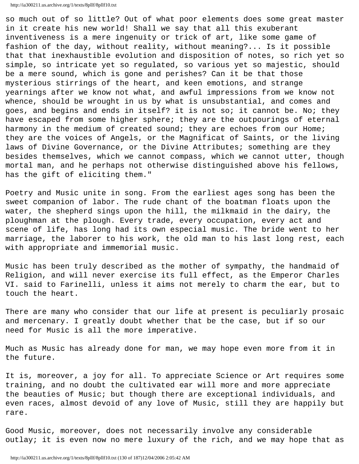so much out of so little? Out of what poor elements does some great master in it create his new world! Shall we say that all this exuberant inventiveness is a mere ingenuity or trick of art, like some game of fashion of the day, without reality, without meaning?... Is it possible that that inexhaustible evolution and disposition of notes, so rich yet so simple, so intricate yet so regulated, so various yet so majestic, should be a mere sound, which is gone and perishes? Can it be that those mysterious stirrings of the heart, and keen emotions, and strange yearnings after we know not what, and awful impressions from we know not whence, should be wrought in us by what is unsubstantial, and comes and goes, and begins and ends in itself? it is not so; it cannot be. No; they have escaped from some higher sphere; they are the outpourings of eternal harmony in the medium of created sound; they are echoes from our Home; they are the voices of Angels, or the Magnificat of Saints, or the living laws of Divine Governance, or the Divine Attributes; something are they besides themselves, which we cannot compass, which we cannot utter, though mortal man, and he perhaps not otherwise distinguished above his fellows, has the gift of eliciting them."

Poetry and Music unite in song. From the earliest ages song has been the sweet companion of labor. The rude chant of the boatman floats upon the water, the shepherd sings upon the hill, the milkmaid in the dairy, the ploughman at the plough. Every trade, every occupation, every act and scene of life, has long had its own especial music. The bride went to her marriage, the laborer to his work, the old man to his last long rest, each with appropriate and immemorial music.

Music has been truly described as the mother of sympathy, the handmaid of Religion, and will never exercise its full effect, as the Emperor Charles VI. said to Farinelli, unless it aims not merely to charm the ear, but to touch the heart.

There are many who consider that our life at present is peculiarly prosaic and mercenary. I greatly doubt whether that be the case, but if so our need for Music is all the more imperative.

Much as Music has already done for man, we may hope even more from it in the future.

It is, moreover, a joy for all. To appreciate Science or Art requires some training, and no doubt the cultivated ear will more and more appreciate the beauties of Music; but though there are exceptional individuals, and even races, almost devoid of any love of Music, still they are happily but rare.

Good Music, moreover, does not necessarily involve any considerable outlay; it is even now no mere luxury of the rich, and we may hope that as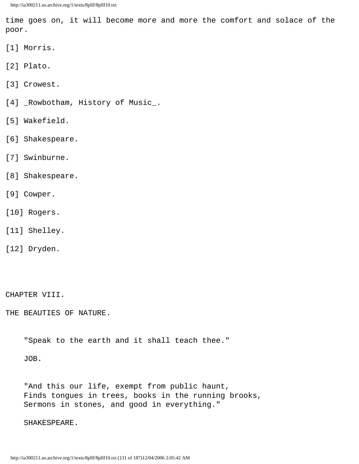time goes on, it will become more and more the comfort and solace of the poor.

- [1] Morris.
- [2] Plato.
- [3] Crowest.
- [4] \_Rowbotham, History of Music\_.
- [5] Wakefield.
- [6] Shakespeare.
- [7] Swinburne.
- [8] Shakespeare.
- [9] Cowper.
- [10] Rogers.
- [11] Shelley.
- [12] Dryden.

CHAPTER VIII.

THE BEAUTIES OF NATURE.

"Speak to the earth and it shall teach thee."

JOB.

 "And this our life, exempt from public haunt, Finds tongues in trees, books in the running brooks, Sermons in stones, and good in everything."

SHAKESPEARE.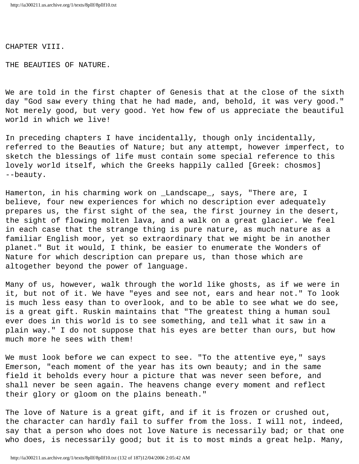CHAPTER VIII.

THE BEAUTIES OF NATURE.

We are told in the first chapter of Genesis that at the close of the sixth day "God saw every thing that he had made, and, behold, it was very good." Not merely good, but very good. Yet how few of us appreciate the beautiful world in which we live!

In preceding chapters I have incidentally, though only incidentally, referred to the Beauties of Nature; but any attempt, however imperfect, to sketch the blessings of life must contain some special reference to this lovely world itself, which the Greeks happily called [Greek: chosmos] --beauty.

Hamerton, in his charming work on \_Landscape\_, says, "There are, I believe, four new experiences for which no description ever adequately prepares us, the first sight of the sea, the first journey in the desert, the sight of flowing molten lava, and a walk on a great glacier. We feel in each case that the strange thing is pure nature, as much nature as a familiar English moor, yet so extraordinary that we might be in another planet." But it would, I think, be easier to enumerate the Wonders of Nature for which description can prepare us, than those which are altogether beyond the power of language.

Many of us, however, walk through the world like ghosts, as if we were in it, but not of it. We have "eyes and see not, ears and hear not." To look is much less easy than to overlook, and to be able to see what we do see, is a great gift. Ruskin maintains that "The greatest thing a human soul ever does in this world is to see something, and tell what it saw in a plain way." I do not suppose that his eyes are better than ours, but how much more he sees with them!

We must look before we can expect to see. "To the attentive eye," says Emerson, "each moment of the year has its own beauty; and in the same field it beholds every hour a picture that was never seen before, and shall never be seen again. The heavens change every moment and reflect their glory or gloom on the plains beneath."

The love of Nature is a great gift, and if it is frozen or crushed out, the character can hardly fail to suffer from the loss. I will not, indeed, say that a person who does not love Nature is necessarily bad; or that one who does, is necessarily good; but it is to most minds a great help. Many,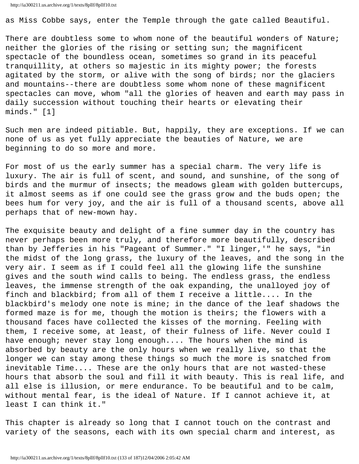```
http://ia300211.us.archive.org/1/texts/8pllf/8pllf10.txt
```
as Miss Cobbe says, enter the Temple through the gate called Beautiful.

There are doubtless some to whom none of the beautiful wonders of Nature; neither the glories of the rising or setting sun; the magnificent spectacle of the boundless ocean, sometimes so grand in its peaceful tranquillity, at others so majestic in its mighty power; the forests agitated by the storm, or alive with the song of birds; nor the glaciers and mountains--there are doubtless some whom none of these magnificent spectacles can move, whom "all the glories of heaven and earth may pass in daily succession without touching their hearts or elevating their minds." [1]

Such men are indeed pitiable. But, happily, they are exceptions. If we can none of us as yet fully appreciate the beauties of Nature, we are beginning to do so more and more.

For most of us the early summer has a special charm. The very life is luxury. The air is full of scent, and sound, and sunshine, of the song of birds and the murmur of insects; the meadows gleam with golden buttercups, it almost seems as if one could see the grass grow and the buds open; the bees hum for very joy, and the air is full of a thousand scents, above all perhaps that of new-mown hay.

The exquisite beauty and delight of a fine summer day in the country has never perhaps been more truly, and therefore more beautifully, described than by Jefferies in his "Pageant of Summer." "I linger,'" he says, "in the midst of the long grass, the luxury of the leaves, and the song in the very air. I seem as if I could feel all the glowing life the sunshine gives and the south wind calls to being. The endless grass, the endless leaves, the immense strength of the oak expanding, the unalloyed joy of finch and blackbird; from all of them I receive a little.... In the blackbird's melody one note is mine; in the dance of the leaf shadows the formed maze is for me, though the motion is theirs; the flowers with a thousand faces have collected the kisses of the morning. Feeling with them, I receive some, at least, of their fulness of life. Never could I have enough; never stay long enough.... The hours when the mind is absorbed by beauty are the only hours when we really live, so that the longer we can stay among these things so much the more is snatched from inevitable Time.... These are the only hours that are not wasted-these hours that absorb the soul and fill it with beauty. This is real life, and all else is illusion, or mere endurance. To be beautiful and to be calm, without mental fear, is the ideal of Nature. If I cannot achieve it, at least I can think it."

This chapter is already so long that I cannot touch on the contrast and variety of the seasons, each with its own special charm and interest, as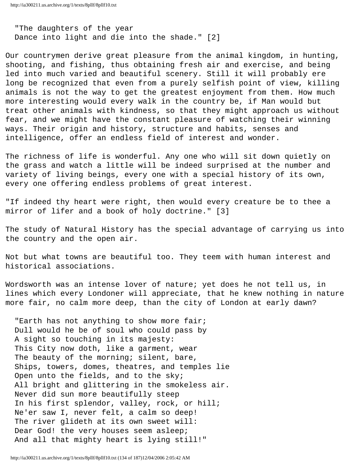"The daughters of the year Dance into light and die into the shade." [2]

Our countrymen derive great pleasure from the animal kingdom, in hunting, shooting, and fishing, thus obtaining fresh air and exercise, and being led into much varied and beautiful scenery. Still it will probably ere long be recognized that even from a purely selfish point of view, killing animals is not the way to get the greatest enjoyment from them. How much more interesting would every walk in the country be, if Man would but treat other animals with kindness, so that they might approach us without fear, and we might have the constant pleasure of watching their winning ways. Their origin and history, structure and habits, senses and intelligence, offer an endless field of interest and wonder.

The richness of life is wonderful. Any one who will sit down quietly on the grass and watch a little will be indeed surprised at the number and variety of living beings, every one with a special history of its own, every one offering endless problems of great interest.

"If indeed thy heart were right, then would every creature be to thee a mirror of lifer and a book of holy doctrine." [3]

The study of Natural History has the special advantage of carrying us into the country and the open air.

Not but what towns are beautiful too. They teem with human interest and historical associations.

Wordsworth was an intense lover of nature; yet does he not tell us, in lines which every Londoner will appreciate, that he knew nothing in nature more fair, no calm more deep, than the city of London at early dawn?

"Earth has not anything to show more fair; Dull would he be of soul who could pass by A sight so touching in its majesty: This City now doth, like a garment, wear The beauty of the morning; silent, bare, Ships, towers, domes, theatres, and temples lie Open unto the fields, and to the sky; All bright and glittering in the smokeless air. Never did sun more beautifully steep In his first splendor, valley, rock, or hill; Ne'er saw I, never felt, a calm so deep! The river glideth at its own sweet will: Dear God! the very houses seem asleep; And all that mighty heart is lying still!"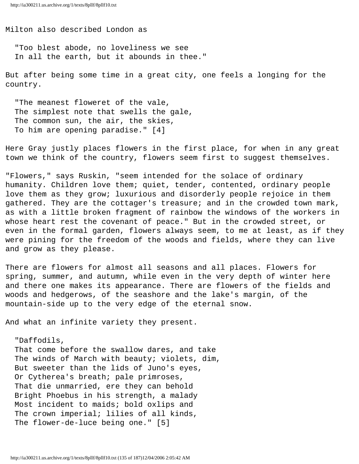Milton also described London as

 "Too blest abode, no loveliness we see In all the earth, but it abounds in thee."

But after being some time in a great city, one feels a longing for the country.

 "The meanest floweret of the vale, The simplest note that swells the gale, The common sun, the air, the skies, To him are opening paradise." [4]

Here Gray justly places flowers in the first place, for when in any great town we think of the country, flowers seem first to suggest themselves.

"Flowers," says Ruskin, "seem intended for the solace of ordinary humanity. Children love them; quiet, tender, contented, ordinary people love them as they grow; luxurious and disorderly people rejoice in them gathered. They are the cottager's treasure; and in the crowded town mark, as with a little broken fragment of rainbow the windows of the workers in whose heart rest the covenant of peace." But in the crowded street, or even in the formal garden, flowers always seem, to me at least, as if they were pining for the freedom of the woods and fields, where they can live and grow as they please.

There are flowers for almost all seasons and all places. Flowers for spring, summer, and autumn, while even in the very depth of winter here and there one makes its appearance. There are flowers of the fields and woods and hedgerows, of the seashore and the lake's margin, of the mountain-side up to the very edge of the eternal snow.

And what an infinite variety they present.

 "Daffodils, That come before the swallow dares, and take The winds of March with beauty; violets, dim, But sweeter than the lids of Juno's eyes, Or Cytherea's breath; pale primroses, That die unmarried, ere they can behold Bright Phoebus in his strength, a malady Most incident to maids; bold oxlips and The crown imperial; lilies of all kinds, The flower-de-luce being one." [5]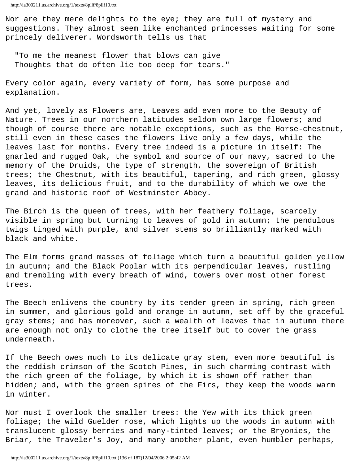Nor are they mere delights to the eye; they are full of mystery and suggestions. They almost seem like enchanted princesses waiting for some princely deliverer. Wordsworth tells us that

 "To me the meanest flower that blows can give Thoughts that do often lie too deep for tears."

Every color again, every variety of form, has some purpose and explanation.

And yet, lovely as Flowers are, Leaves add even more to the Beauty of Nature. Trees in our northern latitudes seldom own large flowers; and though of course there are notable exceptions, such as the Horse-chestnut, still even in these cases the flowers live only a few days, while the leaves last for months. Every tree indeed is a picture in itself: The gnarled and rugged Oak, the symbol and source of our navy, sacred to the memory of the Druids, the type of strength, the sovereign of British trees; the Chestnut, with its beautiful, tapering, and rich green, glossy leaves, its delicious fruit, and to the durability of which we owe the grand and historic roof of Westminster Abbey.

The Birch is the queen of trees, with her feathery foliage, scarcely visible in spring but turning to leaves of gold in autumn; the pendulous twigs tinged with purple, and silver stems so brilliantly marked with black and white.

The Elm forms grand masses of foliage which turn a beautiful golden yellow in autumn; and the Black Poplar with its perpendicular leaves, rustling and trembling with every breath of wind, towers over most other forest trees.

The Beech enlivens the country by its tender green in spring, rich green in summer, and glorious gold and orange in autumn, set off by the graceful gray stems; and has moreover, such a wealth of leaves that in autumn there are enough not only to clothe the tree itself but to cover the grass underneath.

If the Beech owes much to its delicate gray stem, even more beautiful is the reddish crimson of the Scotch Pines, in such charming contrast with the rich green of the foliage, by which it is shown off rather than hidden; and, with the green spires of the Firs, they keep the woods warm in winter.

Nor must I overlook the smaller trees: the Yew with its thick green foliage; the wild Guelder rose, which lights up the woods in autumn with translucent glossy berries and many-tinted leaves; or the Bryonies, the Briar, the Traveler's Joy, and many another plant, even humbler perhaps,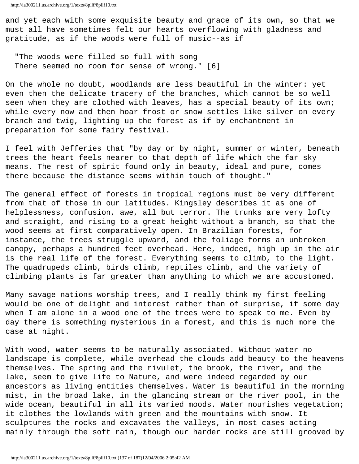and yet each with some exquisite beauty and grace of its own, so that we must all have sometimes felt our hearts overflowing with gladness and gratitude, as if the woods were full of music--as if

 "The woods were filled so full with song There seemed no room for sense of wrong." [6]

On the whole no doubt, woodlands are less beautiful in the winter: yet even then the delicate tracery of the branches, which cannot be so well seen when they are clothed with leaves, has a special beauty of its own; while every now and then hoar frost or snow settles like silver on every branch and twig, lighting up the forest as if by enchantment in preparation for some fairy festival.

I feel with Jefferies that "by day or by night, summer or winter, beneath trees the heart feels nearer to that depth of life which the far sky means. The rest of spirit found only in beauty, ideal and pure, comes there because the distance seems within touch of thought."

The general effect of forests in tropical regions must be very different from that of those in our latitudes. Kingsley describes it as one of helplessness, confusion, awe, all but terror. The trunks are very lofty and straight, and rising to a great height without a branch, so that the wood seems at first comparatively open. In Brazilian forests, for instance, the trees struggle upward, and the foliage forms an unbroken canopy, perhaps a hundred feet overhead. Here, indeed, high up in the air is the real life of the forest. Everything seems to climb, to the light. The quadrupeds climb, birds climb, reptiles climb, and the variety of climbing plants is far greater than anything to which we are accustomed.

Many savage nations worship trees, and I really think my first feeling would be one of delight and interest rather than of surprise, if some day when I am alone in a wood one of the trees were to speak to me. Even by day there is something mysterious in a forest, and this is much more the case at night.

With wood, water seems to be naturally associated. Without water no landscape is complete, while overhead the clouds add beauty to the heavens themselves. The spring and the rivulet, the brook, the river, and the lake, seem to give life to Nature, and were indeed regarded by our ancestors as living entities themselves. Water is beautiful in the morning mist, in the broad lake, in the glancing stream or the river pool, in the wide ocean, beautiful in all its varied moods. Water nourishes vegetation; it clothes the lowlands with green and the mountains with snow. It sculptures the rocks and excavates the valleys, in most cases acting mainly through the soft rain, though our harder rocks are still grooved by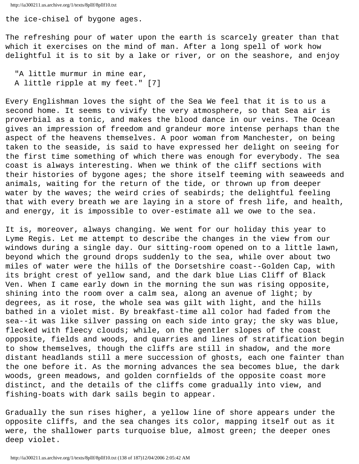the ice-chisel of bygone ages.

The refreshing pour of water upon the earth is scarcely greater than that which it exercises on the mind of man. After a long spell of work how delightful it is to sit by a lake or river, or on the seashore, and enjoy

 "A little murmur in mine ear, A little ripple at my feet." [7]

Every Englishman loves the sight of the Sea We feel that it is to us a second home. It seems to vivify the very atmosphere, so that Sea air is proverbial as a tonic, and makes the blood dance in our veins. The Ocean gives an impression of freedom and grandeur more intense perhaps than the aspect of the heavens themselves. A poor woman from Manchester, on being taken to the seaside, is said to have expressed her delight on seeing for the first time something of which there was enough for everybody. The sea coast is always interesting. When we think of the cliff sections with their histories of bygone ages; the shore itself teeming with seaweeds and animals, waiting for the return of the tide, or thrown up from deeper water by the waves; the weird cries of seabirds; the delightful feeling that with every breath we are laying in a store of fresh life, and health, and energy, it is impossible to over-estimate all we owe to the sea.

It is, moreover, always changing. We went for our holiday this year to Lyme Regis. Let me attempt to describe the changes in the view from our windows during a single day. Our sitting-room opened on to a little lawn, beyond which the ground drops suddenly to the sea, while over about two miles of water were the hills of the Dorsetshire coast--Golden Cap, with its bright crest of yellow sand, and the dark blue Lias Cliff of Black Ven. When I came early down in the morning the sun was rising opposite, shining into the room over a calm sea, along an avenue of light; by degrees, as it rose, the whole sea was gilt with light, and the hills bathed in a violet mist. By breakfast-time all color had faded from the sea--it was like silver passing on each side into gray; the sky was blue, flecked with fleecy clouds; while, on the gentler slopes of the coast opposite, fields and woods, and quarries and lines of stratification begin to show themselves, though the cliffs are still in shadow, and the more distant headlands still a mere succession of ghosts, each one fainter than the one before it. As the morning advances the sea becomes blue, the dark woods, green meadows, and golden cornfields of the opposite coast more distinct, and the details of the cliffs come gradually into view, and fishing-boats with dark sails begin to appear.

Gradually the sun rises higher, a yellow line of shore appears under the opposite cliffs, and the sea changes its color, mapping itself out as it were, the shallower parts turquoise blue, almost green; the deeper ones deep violet.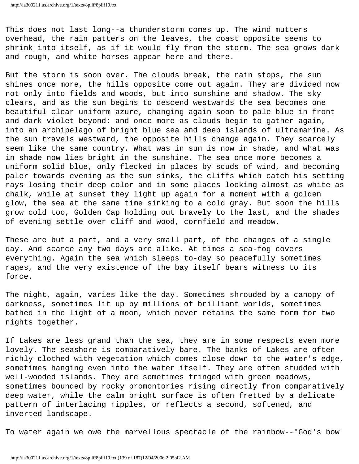This does not last long--a thunderstorm comes up. The wind mutters overhead, the rain patters on the leaves, the coast opposite seems to shrink into itself, as if it would fly from the storm. The sea grows dark and rough, and white horses appear here and there.

But the storm is soon over. The clouds break, the rain stops, the sun shines once more, the hills opposite come out again. They are divided now not only into fields and woods, but into sunshine and shadow. The sky clears, and as the sun begins to descend westwards the sea becomes one beautiful clear uniform azure, changing again soon to pale blue in front and dark violet beyond: and once more as clouds begin to gather again, into an archipelago of bright blue sea and deep islands of ultramarine. As the sun travels westward, the opposite hills change again. They scarcely seem like the same country. What was in sun is now in shade, and what was in shade now lies bright in the sunshine. The sea once more becomes a uniform solid blue, only flecked in places by scuds of wind, and becoming paler towards evening as the sun sinks, the cliffs which catch his setting rays losing their deep color and in some places looking almost as white as chalk, while at sunset they light up again for a moment with a golden glow, the sea at the same time sinking to a cold gray. But soon the hills grow cold too, Golden Cap holding out bravely to the last, and the shades of evening settle over cliff and wood, cornfield and meadow.

These are but a part, and a very small part, of the changes of a single day. And scarce any two days are alike. At times a sea-fog covers everything. Again the sea which sleeps to-day so peacefully sometimes rages, and the very existence of the bay itself bears witness to its force.

The night, again, varies like the day. Sometimes shrouded by a canopy of darkness, sometimes lit up by millions of brilliant worlds, sometimes bathed in the light of a moon, which never retains the same form for two nights together.

If Lakes are less grand than the sea, they are in some respects even more lovely. The seashore is comparatively bare. The banks of Lakes are often richly clothed with vegetation which comes close down to the water's edge, sometimes hanging even into the water itself. They are often studded with well-wooded islands. They are sometimes fringed with green meadows, sometimes bounded by rocky promontories rising directly from comparatively deep water, while the calm bright surface is often fretted by a delicate pattern of interlacing ripples, or reflects a second, softened, and inverted landscape.

To water again we owe the marvellous spectacle of the rainbow--"God's bow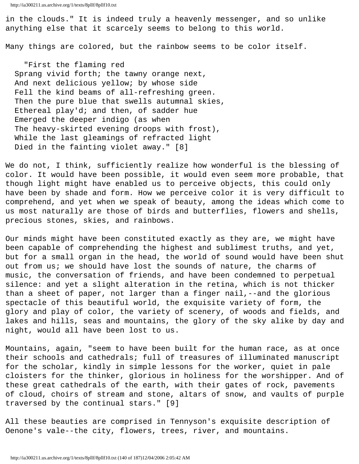in the clouds." It is indeed truly a heavenly messenger, and so unlike anything else that it scarcely seems to belong to this world.

Many things are colored, but the rainbow seems to be color itself.

 "First the flaming red Sprang vivid forth; the tawny orange next, And next delicious yellow; by whose side Fell the kind beams of all-refreshing green. Then the pure blue that swells autumnal skies, Ethereal play'd; and then, of sadder hue Emerged the deeper indigo (as when The heavy-skirted evening droops with frost), While the last gleamings of refracted light Died in the fainting violet away." [8]

We do not, I think, sufficiently realize how wonderful is the blessing of color. It would have been possible, it would even seem more probable, that though light might have enabled us to perceive objects, this could only have been by shade and form. How we perceive color it is very difficult to comprehend, and yet when we speak of beauty, among the ideas which come to us most naturally are those of birds and butterflies, flowers and shells, precious stones, skies, and rainbows.

Our minds might have been constituted exactly as they are, we might have been capable of comprehending the highest and sublimest truths, and yet, but for a small organ in the head, the world of sound would have been shut out from us; we should have lost the sounds of nature, the charms of music, the conversation of friends, and have been condemned to perpetual silence: and yet a slight alteration in the retina, which is not thicker than a sheet of paper, not larger than a finger nail,--and the glorious spectacle of this beautiful world, the exquisite variety of form, the glory and play of color, the variety of scenery, of woods and fields, and lakes and hills, seas and mountains, the glory of the sky alike by day and night, would all have been lost to us.

Mountains, again, "seem to have been built for the human race, as at once their schools and cathedrals; full of treasures of illuminated manuscript for the scholar, kindly in simple lessons for the worker, quiet in pale cloisters for the thinker, glorious in holiness for the worshipper. And of these great cathedrals of the earth, with their gates of rock, pavements of cloud, choirs of stream and stone, altars of snow, and vaults of purple traversed by the continual stars." [9]

All these beauties are comprised in Tennyson's exquisite description of Oenone's vale--the city, flowers, trees, river, and mountains.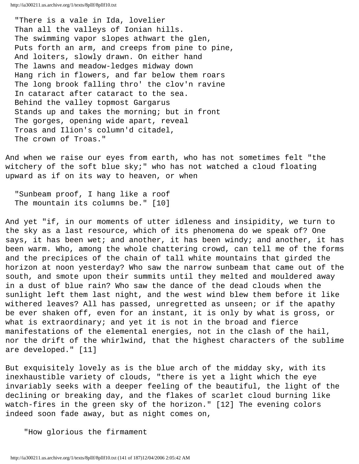"There is a vale in Ida, lovelier Than all the valleys of Ionian hills. The swimming vapor slopes athwart the glen, Puts forth an arm, and creeps from pine to pine, And loiters, slowly drawn. On either hand The lawns and meadow-ledges midway down Hang rich in flowers, and far below them roars The long brook falling thro' the clov'n ravine In cataract after cataract to the sea. Behind the valley topmost Gargarus Stands up and takes the morning; but in front The gorges, opening wide apart, reveal Troas and Ilion's column'd citadel, The crown of Troas."

And when we raise our eyes from earth, who has not sometimes felt "the witchery of the soft blue sky;" who has not watched a cloud floating upward as if on its way to heaven, or when

 "Sunbeam proof, I hang like a roof The mountain its columns be." [10]

And yet "if, in our moments of utter idleness and insipidity, we turn to the sky as a last resource, which of its phenomena do we speak of? One says, it has been wet; and another, it has been windy; and another, it has been warm. Who, among the whole chattering crowd, can tell me of the forms and the precipices of the chain of tall white mountains that girded the horizon at noon yesterday? Who saw the narrow sunbeam that came out of the south, and smote upon their summits until they melted and mouldered away in a dust of blue rain? Who saw the dance of the dead clouds when the sunlight left them last night, and the west wind blew them before it like withered leaves? All has passed, unregretted as unseen; or if the apathy be ever shaken off, even for an instant, it is only by what is gross, or what is extraordinary; and yet it is not in the broad and fierce manifestations of the elemental energies, not in the clash of the hail, nor the drift of the whirlwind, that the highest characters of the sublime are developed." [11]

But exquisitely lovely as is the blue arch of the midday sky, with its inexhaustible variety of clouds, "there is yet a light which the eye invariably seeks with a deeper feeling of the beautiful, the light of the declining or breaking day, and the flakes of scarlet cloud burning like watch-fires in the green sky of the horizon." [12] The evening colors indeed soon fade away, but as night comes on,

"How glorious the firmament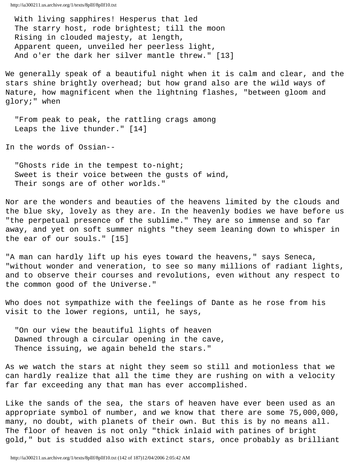With living sapphires! Hesperus that led The starry host, rode brightest; till the moon Rising in clouded majesty, at length, Apparent queen, unveiled her peerless light, And o'er the dark her silver mantle threw." [13]

We generally speak of a beautiful night when it is calm and clear, and the stars shine brightly overhead; but how grand also are the wild ways of Nature, how magnificent when the lightning flashes, "between gloom and glory;" when

 "From peak to peak, the rattling crags among Leaps the live thunder." [14]

In the words of Ossian--

"Ghosts ride in the tempest to-night; Sweet is their voice between the gusts of wind, Their songs are of other worlds."

Nor are the wonders and beauties of the heavens limited by the clouds and the blue sky, lovely as they are. In the heavenly bodies we have before us "the perpetual presence of the sublime." They are so immense and so far away, and yet on soft summer nights "they seem leaning down to whisper in the ear of our souls." [15]

"A man can hardly lift up his eyes toward the heavens," says Seneca, "without wonder and veneration, to see so many millions of radiant lights, and to observe their courses and revolutions, even without any respect to the common good of the Universe."

Who does not sympathize with the feelings of Dante as he rose from his visit to the lower regions, until, he says,

 "On our view the beautiful lights of heaven Dawned through a circular opening in the cave, Thence issuing, we again beheld the stars."

As we watch the stars at night they seem so still and motionless that we can hardly realize that all the time they are rushing on with a velocity far far exceeding any that man has ever accomplished.

Like the sands of the sea, the stars of heaven have ever been used as an appropriate symbol of number, and we know that there are some 75,000,000, many, no doubt, with planets of their own. But this is by no means all. The floor of heaven is not only "thick inlaid with patines of bright gold," but is studded also with extinct stars, once probably as brilliant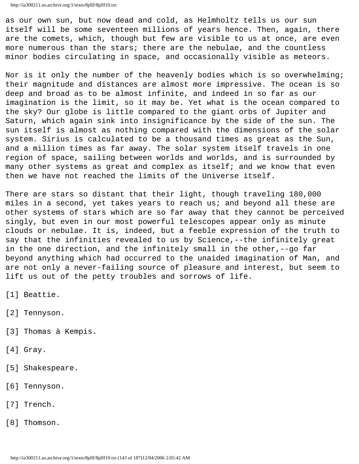as our own sun, but now dead and cold, as Helmholtz tells us our sun itself will be some seventeen millions of years hence. Then, again, there are the comets, which, though but few are visible to us at once, are even more numerous than the stars; there are the nebulae, and the countless minor bodies circulating in space, and occasionally visible as meteors.

Nor is it only the number of the heavenly bodies which is so overwhelming; their magnitude and distances are almost more impressive. The ocean is so deep and broad as to be almost infinite, and indeed in so far as our imagination is the limit, so it may be. Yet what is the ocean compared to the sky? Our globe is little compared to the giant orbs of Jupiter and Saturn, which again sink into insignificance by the side of the sun. The sun itself is almost as nothing compared with the dimensions of the solar system. Sirius is calculated to be a thousand times as great as the Sun, and a million times as far away. The solar system itself travels in one region of space, sailing between worlds and worlds, and is surrounded by many other systems as great and complex as itself; and we know that even then we have not reached the limits of the Universe itself.

There are stars so distant that their light, though traveling 180,000 miles in a second, yet takes years to reach us; and beyond all these are other systems of stars which are so far away that they cannot be perceived singly, but even in our most powerful telescopes appear only as minute clouds or nebulae. It is, indeed, but a feeble expression of the truth to say that the infinities revealed to us by Science,--the infinitely great in the one direction, and the infinitely small in the other,--go far beyond anything which had occurred to the unaided imagination of Man, and are not only a never-failing source of pleasure and interest, but seem to lift us out of the petty troubles and sorrows of life.

- [1] Beattie.
- [2] Tennyson.
- [3] Thomas à Kempis.
- [4] Gray.
- [5] Shakespeare.
- [6] Tennyson.
- [7] Trench.
- [8] Thomson.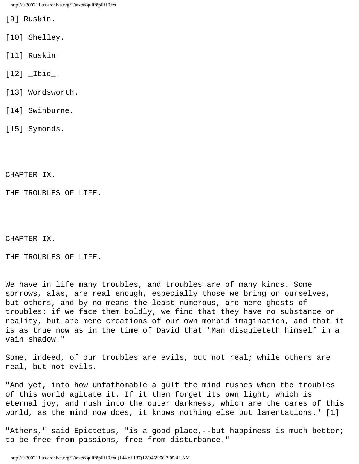- [9] Ruskin.
- [10] Shelley.
- [11] Ruskin.
- [12] \_Ibid\_.
- [13] Wordsworth.
- [14] Swinburne.
- [15] Symonds.

CHAPTER IX.

THE TROUBLES OF LIFE.

CHAPTER IX.

THE TROUBLES OF LIFE.

We have in life many troubles, and troubles are of many kinds. Some sorrows, alas, are real enough, especially those we bring on ourselves, but others, and by no means the least numerous, are mere ghosts of troubles: if we face them boldly, we find that they have no substance or reality, but are mere creations of our own morbid imagination, and that it is as true now as in the time of David that "Man disquieteth himself in a vain shadow."

Some, indeed, of our troubles are evils, but not real; while others are real, but not evils.

"And yet, into how unfathomable a gulf the mind rushes when the troubles of this world agitate it. If it then forget its own light, which is eternal joy, and rush into the outer darkness, which are the cares of this world, as the mind now does, it knows nothing else but lamentations." [1]

"Athens," said Epictetus, "is a good place, --but happiness is much better; to be free from passions, free from disturbance."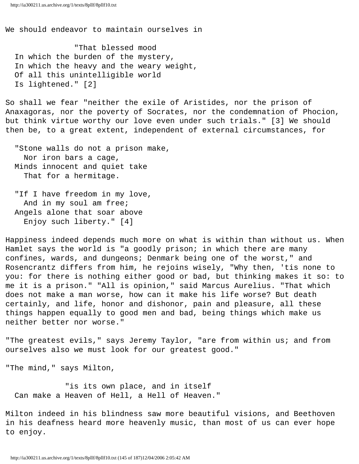We should endeavor to maintain ourselves in

 "That blessed mood In which the burden of the mystery, In which the heavy and the weary weight, Of all this unintelligible world Is lightened." [2]

So shall we fear "neither the exile of Aristides, nor the prison of Anaxagoras, nor the poverty of Socrates, nor the condemnation of Phocion, but think virtue worthy our love even under such trials." [3] We should then be, to a great extent, independent of external circumstances, for

 "Stone walls do not a prison make, Nor iron bars a cage, Minds innocent and quiet take That for a hermitage.

"If I have freedom in my love, And in my soul am free; Angels alone that soar above Enjoy such liberty." [4]

Happiness indeed depends much more on what is within than without us. When Hamlet says the world is "a goodly prison; in which there are many confines, wards, and dungeons; Denmark being one of the worst," and Rosencrantz differs from him, he rejoins wisely, "Why then, 'tis none to you: for there is nothing either good or bad, but thinking makes it so: to me it is a prison." "All is opinion," said Marcus Aurelius. "That which does not make a man worse, how can it make his life worse? But death certainly, and life, honor and dishonor, pain and pleasure, all these things happen equally to good men and bad, being things which make us neither better nor worse."

"The greatest evils," says Jeremy Taylor, "are from within us; and from ourselves also we must look for our greatest good."

"The mind," says Milton,

 "is its own place, and in itself Can make a Heaven of Hell, a Hell of Heaven."

Milton indeed in his blindness saw more beautiful visions, and Beethoven in his deafness heard more heavenly music, than most of us can ever hope to enjoy.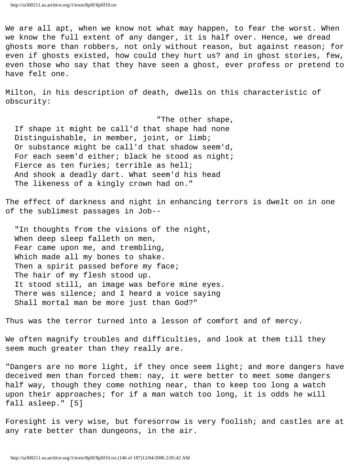We are all apt, when we know not what may happen, to fear the worst. When we know the full extent of any danger, it is half over. Hence, we dread ghosts more than robbers, not only without reason, but against reason; for even if ghosts existed, how could they hurt us? and in ghost stories, few, even those who say that they have seen a ghost, ever profess or pretend to have felt one.

Milton, in his description of death, dwells on this characteristic of obscurity:

 "The other shape, If shape it might be call'd that shape had none Distinguishable, in member, joint, or limb; Or substance might be call'd that shadow seem'd, For each seem'd either; black he stood as night; Fierce as ten furies; terrible as hell; And shook a deadly dart. What seem'd his head The likeness of a kingly crown had on."

The effect of darkness and night in enhancing terrors is dwelt on in one of the sublimest passages in Job--

 "In thoughts from the visions of the night, When deep sleep falleth on men, Fear came upon me, and trembling, Which made all my bones to shake. Then a spirit passed before my face; The hair of my flesh stood up. It stood still, an image was before mine eyes. There was silence; and I heard a voice saying Shall mortal man be more just than God?"

Thus was the terror turned into a lesson of comfort and of mercy.

We often magnify troubles and difficulties, and look at them till they seem much greater than they really are.

"Dangers are no more light, if they once seem light; and more dangers have deceived men than forced them: nay, it were better to meet some dangers half way, though they come nothing near, than to keep too long a watch upon their approaches; for if a man watch too long, it is odds he will fall asleep." [5]

Foresight is very wise, but foresorrow is very foolish; and castles are at any rate better than dungeons, in the air.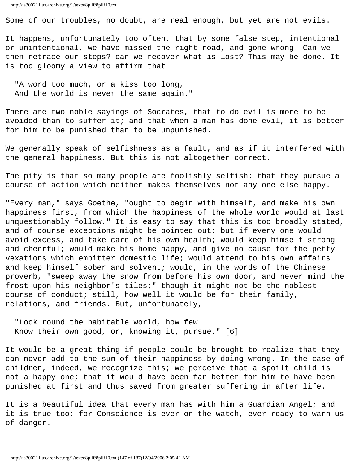Some of our troubles, no doubt, are real enough, but yet are not evils.

It happens, unfortunately too often, that by some false step, intentional or unintentional, we have missed the right road, and gone wrong. Can we then retrace our steps? can we recover what is lost? This may be done. It is too gloomy a view to affirm that

 "A word too much, or a kiss too long, And the world is never the same again."

There are two noble sayings of Socrates, that to do evil is more to be avoided than to suffer it; and that when a man has done evil, it is better for him to be punished than to be unpunished.

We generally speak of selfishness as a fault, and as if it interfered with the general happiness. But this is not altogether correct.

The pity is that so many people are foolishly selfish: that they pursue a course of action which neither makes themselves nor any one else happy.

"Every man," says Goethe, "ought to begin with himself, and make his own happiness first, from which the happiness of the whole world would at last unquestionably follow." It is easy to say that this is too broadly stated, and of course exceptions might be pointed out: but if every one would avoid excess, and take care of his own health; would keep himself strong and cheerful; would make his home happy, and give no cause for the petty vexations which embitter domestic life; would attend to his own affairs and keep himself sober and solvent; would, in the words of the Chinese proverb, "sweep away the snow from before his own door, and never mind the frost upon his neighbor's tiles;" though it might not be the noblest course of conduct; still, how well it would be for their family, relations, and friends. But, unfortunately,

 "Look round the habitable world, how few Know their own good, or, knowing it, pursue." [6]

It would be a great thing if people could be brought to realize that they can never add to the sum of their happiness by doing wrong. In the case of children, indeed, we recognize this; we perceive that a spoilt child is not a happy one; that it would have been far better for him to have been punished at first and thus saved from greater suffering in after life.

It is a beautiful idea that every man has with him a Guardian Angel; and it is true too: for Conscience is ever on the watch, ever ready to warn us of danger.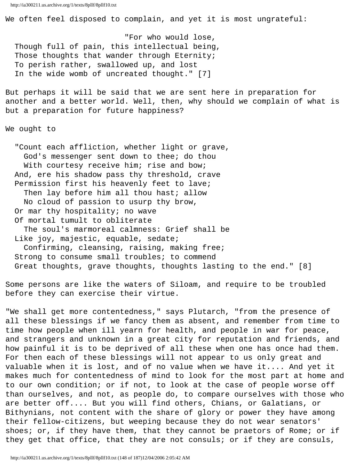We often feel disposed to complain, and yet it is most ungrateful:

 "For who would lose, Though full of pain, this intellectual being, Those thoughts that wander through Eternity; To perish rather, swallowed up, and lost In the wide womb of uncreated thought." [7]

But perhaps it will be said that we are sent here in preparation for another and a better world. Well, then, why should we complain of what is but a preparation for future happiness?

We ought to

 "Count each affliction, whether light or grave, God's messenger sent down to thee; do thou With courtesy receive him; rise and bow; And, ere his shadow pass thy threshold, crave Permission first his heavenly feet to lave; Then lay before him all thou hast; allow No cloud of passion to usurp thy brow, Or mar thy hospitality; no wave Of mortal tumult to obliterate The soul's marmoreal calmness: Grief shall be Like joy, majestic, equable, sedate; Confirming, cleansing, raising, making free; Strong to consume small troubles; to commend Great thoughts, grave thoughts, thoughts lasting to the end." [8]

Some persons are like the waters of Siloam, and require to be troubled before they can exercise their virtue.

"We shall get more contentedness," says Plutarch, "from the presence of all these blessings if we fancy them as absent, and remember from time to time how people when ill yearn for health, and people in war for peace, and strangers and unknown in a great city for reputation and friends, and how painful it is to be deprived of all these when one has once had them. For then each of these blessings will not appear to us only great and valuable when it is lost, and of no value when we have it.... And yet it makes much for contentedness of mind to look for the most part at home and to our own condition; or if not, to look at the case of people worse off than ourselves, and not, as people do, to compare ourselves with those who are better off.... But you will find others, Chians, or Galatians, or Bithynians, not content with the share of glory or power they have among their fellow-citizens, but weeping because they do not wear senators' shoes; or, if they have them, that they cannot be praetors of Rome; or if they get that office, that they are not consuls; or if they are consuls,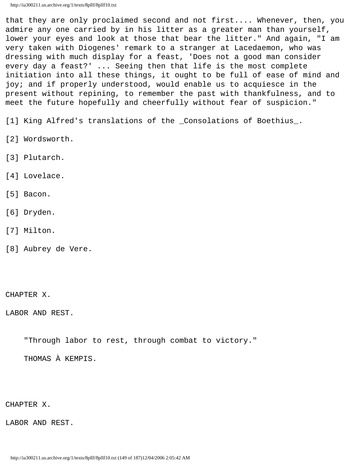that they are only proclaimed second and not first.... Whenever, then, you admire any one carried by in his litter as a greater man than yourself, lower your eyes and look at those that bear the litter." And again, "I am very taken with Diogenes' remark to a stranger at Lacedaemon, who was dressing with much display for a feast, 'Does not a good man consider every day a feast?' ... Seeing then that life is the most complete initiation into all these things, it ought to be full of ease of mind and joy; and if properly understood, would enable us to acquiesce in the present without repining, to remember the past with thankfulness, and to meet the future hopefully and cheerfully without fear of suspicion."

[1] King Alfred's translations of the \_Consolations of Boethius\_.

- [2] Wordsworth.
- [3] Plutarch.
- [4] Lovelace.
- [5] Bacon.
- [6] Dryden.
- [7] Milton.
- [8] Aubrey de Vere.

CHAPTER X.

LABOR AND REST.

"Through labor to rest, through combat to victory."

THOMAS À KEMPIS.

CHAPTER X.

LABOR AND REST.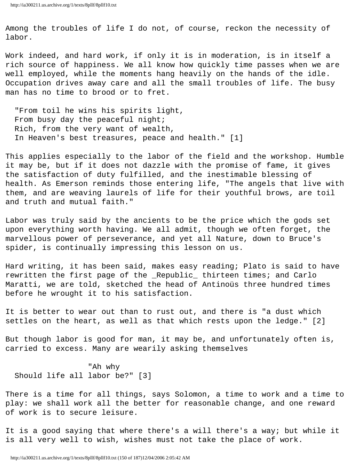Among the troubles of life I do not, of course, reckon the necessity of labor.

Work indeed, and hard work, if only it is in moderation, is in itself a rich source of happiness. We all know how quickly time passes when we are well employed, while the moments hang heavily on the hands of the idle. Occupation drives away care and all the small troubles of life. The busy man has no time to brood or to fret.

 "From toil he wins his spirits light, From busy day the peaceful night; Rich, from the very want of wealth, In Heaven's best treasures, peace and health." [1]

This applies especially to the labor of the field and the workshop. Humble it may be, but if it does not dazzle with the promise of fame, it gives the satisfaction of duty fulfilled, and the inestimable blessing of health. As Emerson reminds those entering life, "The angels that live with them, and are weaving laurels of life for their youthful brows, are toil and truth and mutual faith."

Labor was truly said by the ancients to be the price which the gods set upon everything worth having. We all admit, though we often forget, the marvellous power of perseverance, and yet all Nature, down to Bruce's spider, is continually impressing this lesson on us.

Hard writing, it has been said, makes easy reading; Plato is said to have rewritten the first page of the \_Republic\_ thirteen times; and Carlo Maratti, we are told, sketched the head of Antinoüs three hundred times before he wrought it to his satisfaction.

It is better to wear out than to rust out, and there is "a dust which settles on the heart, as well as that which rests upon the ledge." [2]

But though labor is good for man, it may be, and unfortunately often is, carried to excess. Many are wearily asking themselves

 "Ah why Should life all labor be?" [3]

There is a time for all things, says Solomon, a time to work and a time to play: we shall work all the better for reasonable change, and one reward of work is to secure leisure.

It is a good saying that where there's a will there's a way; but while it is all very well to wish, wishes must not take the place of work.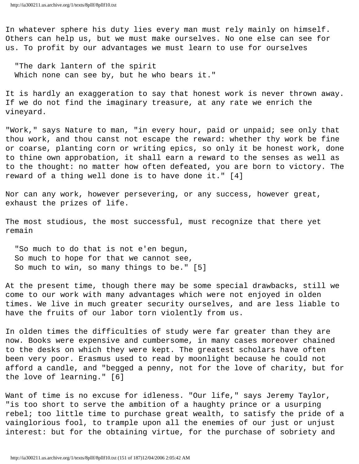In whatever sphere his duty lies every man must rely mainly on himself. Others can help us, but we must make ourselves. No one else can see for us. To profit by our advantages we must learn to use for ourselves

 "The dark lantern of the spirit Which none can see by, but he who bears it."

It is hardly an exaggeration to say that honest work is never thrown away. If we do not find the imaginary treasure, at any rate we enrich the vineyard.

"Work," says Nature to man, "in every hour, paid or unpaid; see only that thou work, and thou canst not escape the reward: whether thy work be fine or coarse, planting corn or writing epics, so only it be honest work, done to thine own approbation, it shall earn a reward to the senses as well as to the thought: no matter how often defeated, you are born to victory. The reward of a thing well done is to have done it." [4]

Nor can any work, however persevering, or any success, however great, exhaust the prizes of life.

The most studious, the most successful, must recognize that there yet remain

 "So much to do that is not e'en begun, So much to hope for that we cannot see, So much to win, so many things to be." [5]

At the present time, though there may be some special drawbacks, still we come to our work with many advantages which were not enjoyed in olden times. We live in much greater security ourselves, and are less liable to have the fruits of our labor torn violently from us.

In olden times the difficulties of study were far greater than they are now. Books were expensive and cumbersome, in many cases moreover chained to the desks on which they were kept. The greatest scholars have often been very poor. Erasmus used to read by moonlight because he could not afford a candle, and "begged a penny, not for the love of charity, but for the love of learning." [6]

Want of time is no excuse for idleness. "Our life," says Jeremy Taylor, "is too short to serve the ambition of a haughty prince or a usurping rebel; too little time to purchase great wealth, to satisfy the pride of a vainglorious fool, to trample upon all the enemies of our just or unjust interest: but for the obtaining virtue, for the purchase of sobriety and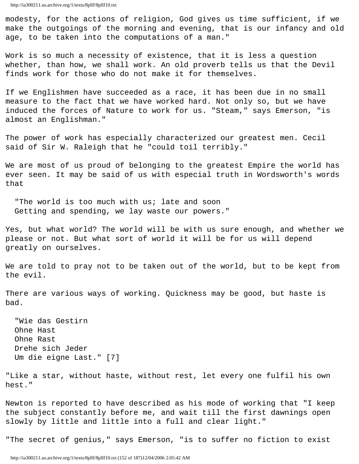modesty, for the actions of religion, God gives us time sufficient, if we make the outgoings of the morning and evening, that is our infancy and old age, to be taken into the computations of a man."

Work is so much a necessity of existence, that it is less a question whether, than how, we shall work. An old proverb tells us that the Devil finds work for those who do not make it for themselves.

If we Englishmen have succeeded as a race, it has been due in no small measure to the fact that we have worked hard. Not only so, but we have induced the forces of Nature to work for us. "Steam," says Emerson, "is almost an Englishman."

The power of work has especially characterized our greatest men. Cecil said of Sir W. Raleigh that he "could toil terribly."

We are most of us proud of belonging to the greatest Empire the world has ever seen. It may be said of us with especial truth in Wordsworth's words that

"The world is too much with us; late and soon Getting and spending, we lay waste our powers."

Yes, but what world? The world will be with us sure enough, and whether we please or not. But what sort of world it will be for us will depend greatly on ourselves.

We are told to pray not to be taken out of the world, but to be kept from the evil.

There are various ways of working. Quickness may be good, but haste is bad.

 "Wie das Gestirn Ohne Hast Ohne Rast Drehe sich Jeder Um die eigne Last." [7]

"Like a star, without haste, without rest, let every one fulfil his own hest."

Newton is reported to have described as his mode of working that "I keep the subject constantly before me, and wait till the first dawnings open slowly by little and little into a full and clear light."

"The secret of genius," says Emerson, "is to suffer no fiction to exist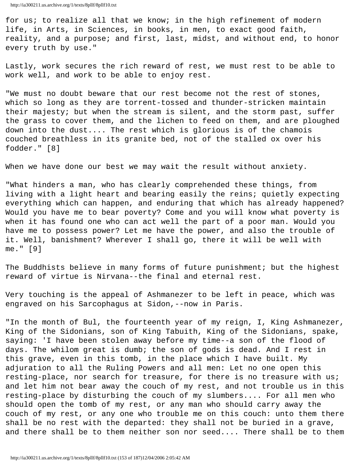for us; to realize all that we know; in the high refinement of modern life, in Arts, in Sciences, in books, in men, to exact good faith, reality, and a purpose; and first, last, midst, and without end, to honor every truth by use."

Lastly, work secures the rich reward of rest, we must rest to be able to work well, and work to be able to enjoy rest.

"We must no doubt beware that our rest become not the rest of stones, which so long as they are torrent-tossed and thunder-stricken maintain their majesty; but when the stream is silent, and the storm past, suffer the grass to cover them, and the lichen to feed on them, and are ploughed down into the dust.... The rest which is glorious is of the chamois couched breathless in its granite bed, not of the stalled ox over his fodder." [8]

When we have done our best we may wait the result without anxiety.

"What hinders a man, who has clearly comprehended these things, from living with a light heart and bearing easily the reins; quietly expecting everything which can happen, and enduring that which has already happened? Would you have me to bear poverty? Come and you will know what poverty is when it has found one who can act well the part of a poor man. Would you have me to possess power? Let me have the power, and also the trouble of it. Well, banishment? Wherever I shall go, there it will be well with me." [9]

The Buddhists believe in many forms of future punishment; but the highest reward of virtue is Nirvana--the final and eternal rest.

Very touching is the appeal of Ashmanezer to be left in peace, which was engraved on his Sarcophagus at Sidon,--now in Paris.

"In the month of Bul, the fourteenth year of my reign, I, King Ashmanezer, King of the Sidonians, son of King Tabuith, King of the Sidonians, spake, saying: 'I have been stolen away before my time--a son of the flood of days. The whilom great is dumb; the son of gods is dead. And I rest in this grave, even in this tomb, in the place which I have built. My adjuration to all the Ruling Powers and all men: Let no one open this resting-place, nor search for treasure, for there is no treasure with us; and let him not bear away the couch of my rest, and not trouble us in this resting-place by disturbing the couch of my slumbers.... For all men who should open the tomb of my rest, or any man who should carry away the couch of my rest, or any one who trouble me on this couch: unto them there shall be no rest with the departed: they shall not be buried in a grave, and there shall be to them neither son nor seed.... There shall be to them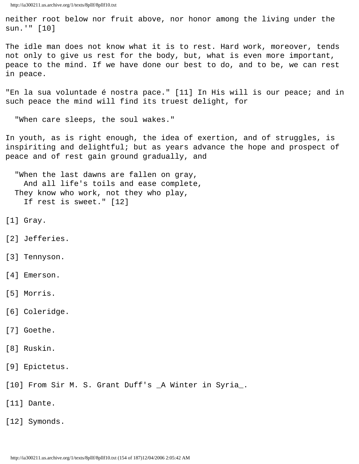neither root below nor fruit above, nor honor among the living under the sun.'" [10]

The idle man does not know what it is to rest. Hard work, moreover, tends not only to give us rest for the body, but, what is even more important, peace to the mind. If we have done our best to do, and to be, we can rest in peace.

"En la sua voluntade é nostra pace." [11] In His will is our peace; and in such peace the mind will find its truest delight, for

"When care sleeps, the soul wakes."

In youth, as is right enough, the idea of exertion, and of struggles, is inspiriting and delightful; but as years advance the hope and prospect of peace and of rest gain ground gradually, and

 "When the last dawns are fallen on gray, And all life's toils and ease complete, They know who work, not they who play, If rest is sweet." [12]

- [1] Gray.
- [2] Jefferies.
- [3] Tennyson.
- [4] Emerson.
- [5] Morris.
- [6] Coleridge.
- [7] Goethe.
- [8] Ruskin.
- [9] Epictetus.
- [10] From Sir M. S. Grant Duff's \_A Winter in Syria\_.
- [11] Dante.
- [12] Symonds.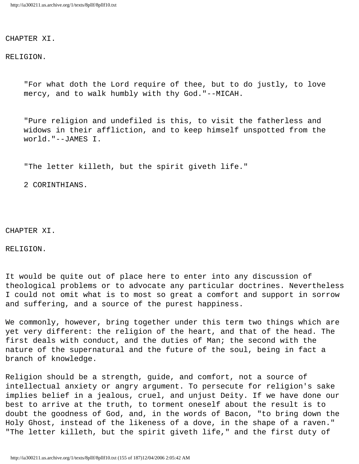CHAPTER XI.

RELIGION.

 "For what doth the Lord require of thee, but to do justly, to love mercy, and to walk humbly with thy God."--MICAH.

 "Pure religion and undefiled is this, to visit the fatherless and widows in their affliction, and to keep himself unspotted from the world."--JAMES I.

"The letter killeth, but the spirit giveth life."

2 CORINTHIANS.

CHAPTER XI.

RELIGION.

It would be quite out of place here to enter into any discussion of theological problems or to advocate any particular doctrines. Nevertheless I could not omit what is to most so great a comfort and support in sorrow and suffering, and a source of the purest happiness.

We commonly, however, bring together under this term two things which are yet very different: the religion of the heart, and that of the head. The first deals with conduct, and the duties of Man; the second with the nature of the supernatural and the future of the soul, being in fact a branch of knowledge.

Religion should be a strength, guide, and comfort, not a source of intellectual anxiety or angry argument. To persecute for religion's sake implies belief in a jealous, cruel, and unjust Deity. If we have done our best to arrive at the truth, to torment oneself about the result is to doubt the goodness of God, and, in the words of Bacon, "to bring down the Holy Ghost, instead of the likeness of a dove, in the shape of a raven." "The letter killeth, but the spirit giveth life," and the first duty of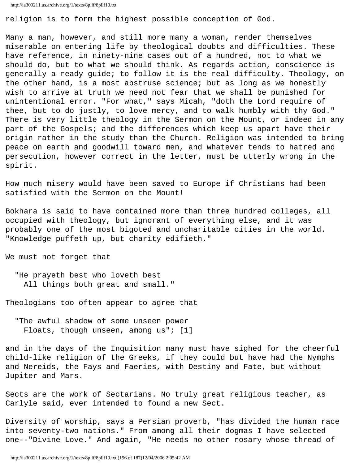```
http://ia300211.us.archive.org/1/texts/8pllf/8pllf10.txt
```
religion is to form the highest possible conception of God.

Many a man, however, and still more many a woman, render themselves miserable on entering life by theological doubts and difficulties. These have reference, in ninety-nine cases out of a hundred, not to what we should do, but to what we should think. As regards action, conscience is generally a ready guide; to follow it is the real difficulty. Theology, on the other hand, is a most abstruse science; but as long as we honestly wish to arrive at truth we need not fear that we shall be punished for unintentional error. "For what," says Micah, "doth the Lord require of thee, but to do justly, to love mercy, and to walk humbly with thy God." There is very little theology in the Sermon on the Mount, or indeed in any part of the Gospels; and the differences which keep us apart have their origin rather in the study than the Church. Religion was intended to bring peace on earth and goodwill toward men, and whatever tends to hatred and persecution, however correct in the letter, must be utterly wrong in the spirit.

How much misery would have been saved to Europe if Christians had been satisfied with the Sermon on the Mount!

Bokhara is said to have contained more than three hundred colleges, all occupied with theology, but ignorant of everything else, and it was probably one of the most bigoted and uncharitable cities in the world. "Knowledge puffeth up, but charity edifieth."

We must not forget that

 "He prayeth best who loveth best All things both great and small."

Theologians too often appear to agree that

 "The awful shadow of some unseen power Floats, though unseen, among us"; [1]

and in the days of the Inquisition many must have sighed for the cheerful child-like religion of the Greeks, if they could but have had the Nymphs and Nereids, the Fays and Faeries, with Destiny and Fate, but without Jupiter and Mars.

Sects are the work of Sectarians. No truly great religious teacher, as Carlyle said, ever intended to found a new Sect.

Diversity of worship, says a Persian proverb, "has divided the human race into seventy-two nations." From among all their dogmas I have selected one--"Divine Love." And again, "He needs no other rosary whose thread of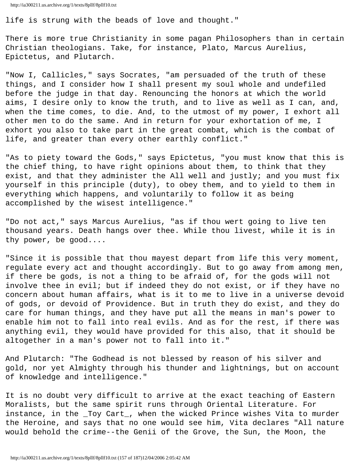life is strung with the beads of love and thought."

There is more true Christianity in some pagan Philosophers than in certain Christian theologians. Take, for instance, Plato, Marcus Aurelius, Epictetus, and Plutarch.

"Now I, Callicles," says Socrates, "am persuaded of the truth of these things, and I consider how I shall present my soul whole and undefiled before the judge in that day. Renouncing the honors at which the world aims, I desire only to know the truth, and to live as well as I can, and, when the time comes, to die. And, to the utmost of my power, I exhort all other men to do the same. And in return for your exhortation of me, I exhort you also to take part in the great combat, which is the combat of life, and greater than every other earthly conflict."

"As to piety toward the Gods," says Epictetus, "you must know that this is the chief thing, to have right opinions about them, to think that they exist, and that they administer the All well and justly; and you must fix yourself in this principle (duty), to obey them, and to yield to them in everything which happens, and voluntarily to follow it as being accomplished by the wisest intelligence."

"Do not act," says Marcus Aurelius, "as if thou wert going to live ten thousand years. Death hangs over thee. While thou livest, while it is in thy power, be good....

"Since it is possible that thou mayest depart from life this very moment, regulate every act and thought accordingly. But to go away from among men, if there be gods, is not a thing to be afraid of, for the gods will not involve thee in evil; but if indeed they do not exist, or if they have no concern about human affairs, what is it to me to live in a universe devoid of gods, or devoid of Providence. But in truth they do exist, and they do care for human things, and they have put all the means in man's power to enable him not to fall into real evils. And as for the rest, if there was anything evil, they would have provided for this also, that it should be altogether in a man's power not to fall into it."

And Plutarch: "The Godhead is not blessed by reason of his silver and gold, nor yet Almighty through his thunder and lightnings, but on account of knowledge and intelligence."

It is no doubt very difficult to arrive at the exact teaching of Eastern Moralists, but the same spirit runs through Oriental Literature. For instance, in the \_Toy Cart\_, when the wicked Prince wishes Vita to murder the Heroine, and says that no one would see him, Vita declares "All nature would behold the crime--the Genii of the Grove, the Sun, the Moon, the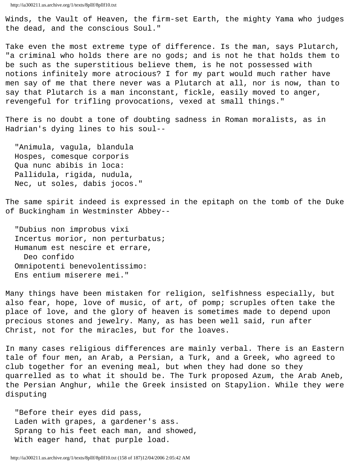Winds, the Vault of Heaven, the firm-set Earth, the mighty Yama who judges the dead, and the conscious Soul."

Take even the most extreme type of difference. Is the man, says Plutarch, "a criminal who holds there are no gods; and is not he that holds them to be such as the superstitious believe them, is he not possessed with notions infinitely more atrocious? I for my part would much rather have men say of me that there never was a Plutarch at all, nor is now, than to say that Plutarch is a man inconstant, fickle, easily moved to anger, revengeful for trifling provocations, vexed at small things."

There is no doubt a tone of doubting sadness in Roman moralists, as in Hadrian's dying lines to his soul--

 "Animula, vagula, blandula Hospes, comesque corporis Qua nunc abibis in loca: Pallidula, rigida, nudula, Nec, ut soles, dabis jocos."

The same spirit indeed is expressed in the epitaph on the tomb of the Duke of Buckingham in Westminster Abbey--

 "Dubius non improbus vixi Incertus morior, non perturbatus; Humanum est nescire et errare, Deo confido Omnipotenti benevolentissimo: Ens entium miserere mei."

Many things have been mistaken for religion, selfishness especially, but also fear, hope, love of music, of art, of pomp; scruples often take the place of love, and the glory of heaven is sometimes made to depend upon precious stones and jewelry. Many, as has been well said, run after Christ, not for the miracles, but for the loaves.

In many cases religious differences are mainly verbal. There is an Eastern tale of four men, an Arab, a Persian, a Turk, and a Greek, who agreed to club together for an evening meal, but when they had done so they quarrelled as to what it should be. The Turk proposed Azum, the Arab Aneb, the Persian Anghur, while the Greek insisted on Stapylion. While they were disputing

 "Before their eyes did pass, Laden with grapes, a gardener's ass. Sprang to his feet each man, and showed, With eager hand, that purple load.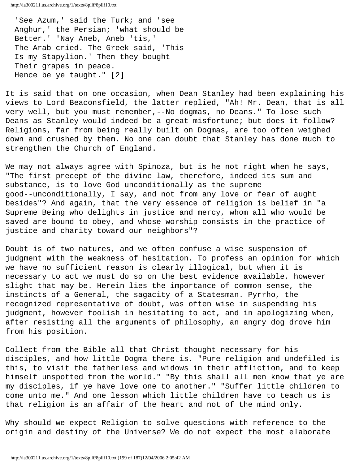'See Azum,' said the Turk; and 'see Anghur,' the Persian; 'what should be Better.' 'Nay Aneb, Aneb 'tis,' The Arab cried. The Greek said, 'This Is my Stapylion.' Then they bought Their grapes in peace. Hence be ye taught." [2]

It is said that on one occasion, when Dean Stanley had been explaining his views to Lord Beaconsfield, the latter replied, "Ah! Mr. Dean, that is all very well, but you must remember,--No dogmas, no Deans." To lose such Deans as Stanley would indeed be a great misfortune; but does it follow? Religions, far from being really built on Dogmas, are too often weighed down and crushed by them. No one can doubt that Stanley has done much to strengthen the Church of England.

We may not always agree with Spinoza, but is he not right when he says, "The first precept of the divine law, therefore, indeed its sum and substance, is to love God unconditionally as the supreme good--unconditionally, I say, and not from any love or fear of aught besides"? And again, that the very essence of religion is belief in "a Supreme Being who delights in justice and mercy, whom all who would be saved are bound to obey, and whose worship consists in the practice of justice and charity toward our neighbors"?

Doubt is of two natures, and we often confuse a wise suspension of judgment with the weakness of hesitation. To profess an opinion for which we have no sufficient reason is clearly illogical, but when it is necessary to act we must do so on the best evidence available, however slight that may be. Herein lies the importance of common sense, the instincts of a General, the sagacity of a Statesman. Pyrrho, the recognized representative of doubt, was often wise in suspending his judgment, however foolish in hesitating to act, and in apologizing when, after resisting all the arguments of philosophy, an angry dog drove him from his position.

Collect from the Bible all that Christ thought necessary for his disciples, and how little Dogma there is. "Pure religion and undefiled is this, to visit the fatherless and widows in their affliction, and to keep himself unspotted from the world." "By this shall all men know that ye are my disciples, if ye have love one to another." "Suffer little children to come unto me." And one lesson which little children have to teach us is that religion is an affair of the heart and not of the mind only.

Why should we expect Religion to solve questions with reference to the origin and destiny of the Universe? We do not expect the most elaborate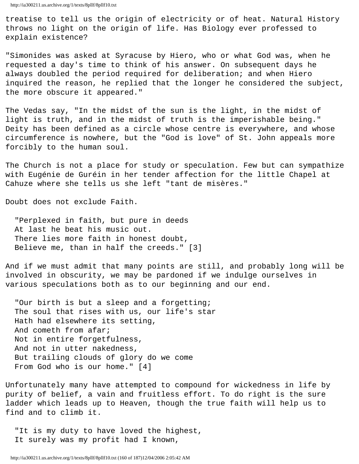treatise to tell us the origin of electricity or of heat. Natural History throws no light on the origin of life. Has Biology ever professed to explain existence?

"Simonides was asked at Syracuse by Hiero, who or what God was, when he requested a day's time to think of his answer. On subsequent days he always doubled the period required for deliberation; and when Hiero inquired the reason, he replied that the longer he considered the subject, the more obscure it appeared."

The Vedas say, "In the midst of the sun is the light, in the midst of light is truth, and in the midst of truth is the imperishable being." Deity has been defined as a circle whose centre is everywhere, and whose circumference is nowhere, but the "God is love" of St. John appeals more forcibly to the human soul.

The Church is not a place for study or speculation. Few but can sympathize with Eugénie de Guréin in her tender affection for the little Chapel at Cahuze where she tells us she left "tant de misères."

Doubt does not exclude Faith.

 "Perplexed in faith, but pure in deeds At last he beat his music out. There lies more faith in honest doubt, Believe me, than in half the creeds." [3]

And if we must admit that many points are still, and probably long will be involved in obscurity, we may be pardoned if we indulge ourselves in various speculations both as to our beginning and our end.

 "Our birth is but a sleep and a forgetting; The soul that rises with us, our life's star Hath had elsewhere its setting, And cometh from afar; Not in entire forgetfulness, And not in utter nakedness, But trailing clouds of glory do we come From God who is our home." [4]

Unfortunately many have attempted to compound for wickedness in life by purity of belief, a vain and fruitless effort. To do right is the sure ladder which leads up to Heaven, though the true faith will help us to find and to climb it.

 "It is my duty to have loved the highest, It surely was my profit had I known,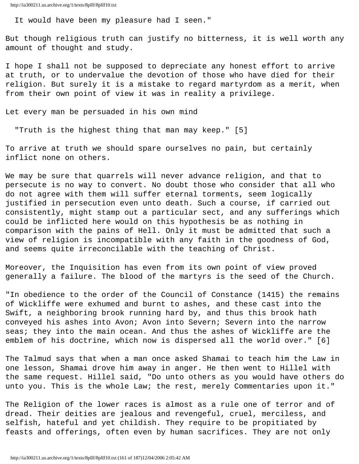It would have been my pleasure had I seen."

But though religious truth can justify no bitterness, it is well worth any amount of thought and study.

I hope I shall not be supposed to depreciate any honest effort to arrive at truth, or to undervalue the devotion of those who have died for their religion. But surely it is a mistake to regard martyrdom as a merit, when from their own point of view it was in reality a privilege.

Let every man be persuaded in his own mind

"Truth is the highest thing that man may keep." [5]

To arrive at truth we should spare ourselves no pain, but certainly inflict none on others.

We may be sure that quarrels will never advance religion, and that to persecute is no way to convert. No doubt those who consider that all who do not agree with them will suffer eternal torments, seem logically justified in persecution even unto death. Such a course, if carried out consistently, might stamp out a particular sect, and any sufferings which could be inflicted here would on this hypothesis be as nothing in comparison with the pains of Hell. Only it must be admitted that such a view of religion is incompatible with any faith in the goodness of God, and seems quite irreconcilable with the teaching of Christ.

Moreover, the Inquisition has even from its own point of view proved generally a failure. The blood of the martyrs is the seed of the Church.

"In obedience to the order of the Council of Constance (1415) the remains of Wickliffe were exhumed and burnt to ashes, and these cast into the Swift, a neighboring brook running hard by, and thus this brook hath conveyed his ashes into Avon; Avon into Severn; Severn into the narrow seas; they into the main ocean. And thus the ashes of Wickliffe are the emblem of his doctrine, which now is dispersed all the world over." [6]

The Talmud says that when a man once asked Shamai to teach him the Law in one lesson, Shamai drove him away in anger. He then went to Hillel with the same request. Hillel said, "Do unto others as you would have others do unto you. This is the whole Law; the rest, merely Commentaries upon it."

The Religion of the lower races is almost as a rule one of terror and of dread. Their deities are jealous and revengeful, cruel, merciless, and selfish, hateful and yet childish. They require to be propitiated by feasts and offerings, often even by human sacrifices. They are not only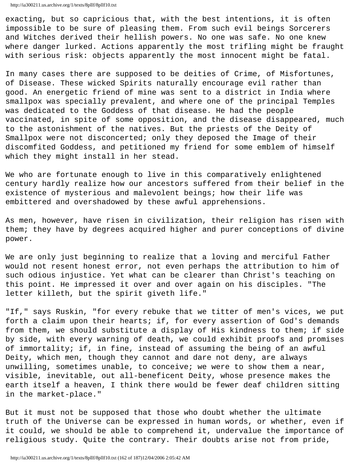exacting, but so capricious that, with the best intentions, it is often impossible to be sure of pleasing them. From such evil beings Sorcerers and Witches derived their hellish powers. No one was safe. No one knew where danger lurked. Actions apparently the most trifling might be fraught with serious risk: objects apparently the most innocent might be fatal.

In many cases there are supposed to be deities of Crime, of Misfortunes, of Disease. These wicked Spirits naturally encourage evil rather than good. An energetic friend of mine was sent to a district in India where smallpox was specially prevalent, and where one of the principal Temples was dedicated to the Goddess of that disease. He had the people vaccinated, in spite of some opposition, and the disease disappeared, much to the astonishment of the natives. But the priests of the Deity of Smallpox were not disconcerted; only they deposed the Image of their discomfited Goddess, and petitioned my friend for some emblem of himself which they might install in her stead.

We who are fortunate enough to live in this comparatively enlightened century hardly realize how our ancestors suffered from their belief in the existence of mysterious and malevolent beings; how their life was embittered and overshadowed by these awful apprehensions.

As men, however, have risen in civilization, their religion has risen with them; they have by degrees acquired higher and purer conceptions of divine power.

We are only just beginning to realize that a loving and merciful Father would not resent honest error, not even perhaps the attribution to him of such odious injustice. Yet what can be clearer than Christ's teaching on this point. He impressed it over and over again on his disciples. "The letter killeth, but the spirit giveth life."

"If," says Ruskin, "for every rebuke that we titter of men's vices, we put forth a claim upon their hearts; if, for every assertion of God's demands from them, we should substitute a display of His kindness to them; if side by side, with every warning of death, we could exhibit proofs and promises of immortality; if, in fine, instead of assuming the being of an awful Deity, which men, though they cannot and dare not deny, are always unwilling, sometimes unable, to conceive; we were to show them a near, visible, inevitable, out all-beneficent Deity, whose presence makes the earth itself a heaven, I think there would be fewer deaf children sitting in the market-place."

But it must not be supposed that those who doubt whether the ultimate truth of the Universe can be expressed in human words, or whether, even if it could, we should be able to comprehend it, undervalue the importance of religious study. Quite the contrary. Their doubts arise not from pride,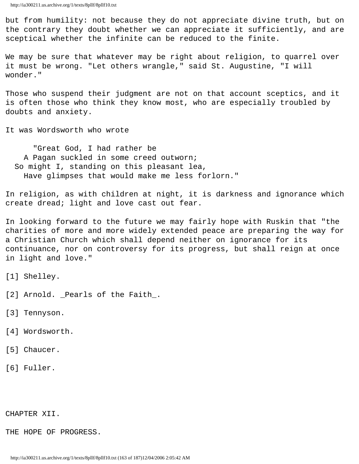but from humility: not because they do not appreciate divine truth, but on the contrary they doubt whether we can appreciate it sufficiently, and are sceptical whether the infinite can be reduced to the finite.

We may be sure that whatever may be right about religion, to quarrel over it must be wrong. "Let others wrangle," said St. Augustine, "I will wonder."

Those who suspend their judgment are not on that account sceptics, and it is often those who think they know most, who are especially troubled by doubts and anxiety.

It was Wordsworth who wrote

 "Great God, I had rather be A Pagan suckled in some creed outworn; So might I, standing on this pleasant lea, Have glimpses that would make me less forlorn."

In religion, as with children at night, it is darkness and ignorance which create dread; light and love cast out fear.

In looking forward to the future we may fairly hope with Ruskin that "the charities of more and more widely extended peace are preparing the way for a Christian Church which shall depend neither on ignorance for its continuance, nor on controversy for its progress, but shall reign at once in light and love."

- [1] Shelley.
- [2] Arnold. \_Pearls of the Faith\_.
- [3] Tennyson.
- [4] Wordsworth.
- [5] Chaucer.
- [6] Fuller.

## CHAPTER XII.

THE HOPE OF PROGRESS.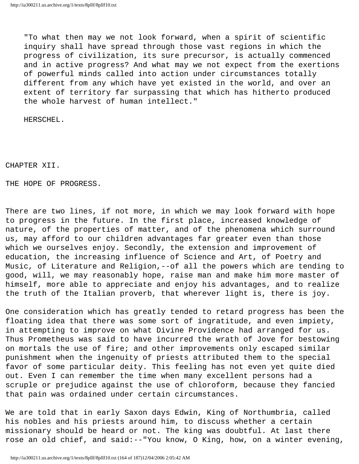"To what then may we not look forward, when a spirit of scientific inquiry shall have spread through those vast regions in which the progress of civilization, its sure precursor, is actually commenced and in active progress? And what may we not expect from the exertions of powerful minds called into action under circumstances totally different from any which have yet existed in the world, and over an extent of territory far surpassing that which has hitherto produced the whole harvest of human intellect."

HERSCHEL.

CHAPTER XII.

THE HOPE OF PROGRESS.

There are two lines, if not more, in which we may look forward with hope to progress in the future. In the first place, increased knowledge of nature, of the properties of matter, and of the phenomena which surround us, may afford to our children advantages far greater even than those which we ourselves enjoy. Secondly, the extension and improvement of education, the increasing influence of Science and Art, of Poetry and Music, of Literature and Religion,--of all the powers which are tending to good, will, we may reasonably hope, raise man and make him more master of himself, more able to appreciate and enjoy his advantages, and to realize the truth of the Italian proverb, that wherever light is, there is joy.

One consideration which has greatly tended to retard progress has been the floating idea that there was some sort of ingratitude, and even impiety, in attempting to improve on what Divine Providence had arranged for us. Thus Prometheus was said to have incurred the wrath of Jove for bestowing on mortals the use of fire; and other improvements only escaped similar punishment when the ingenuity of priests attributed them to the special favor of some particular deity. This feeling has not even yet quite died out. Even I can remember the time when many excellent persons had a scruple or prejudice against the use of chloroform, because they fancied that pain was ordained under certain circumstances.

We are told that in early Saxon days Edwin, King of Northumbria, called his nobles and his priests around him, to discuss whether a certain missionary should be heard or not. The king was doubtful. At last there rose an old chief, and said:--"You know, O King, how, on a winter evening,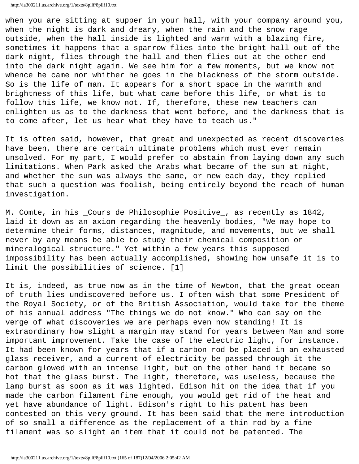when you are sitting at supper in your hall, with your company around you, when the night is dark and dreary, when the rain and the snow rage outside, when the hall inside is lighted and warm with a blazing fire, sometimes it happens that a sparrow flies into the bright hall out of the dark night, flies through the hall and then flies out at the other end into the dark night again. We see him for a few moments, but we know not whence he came nor whither he goes in the blackness of the storm outside. So is the life of man. It appears for a short space in the warmth and brightness of this life, but what came before this life, or what is to follow this life, we know not. If, therefore, these new teachers can enlighten us as to the darkness that went before, and the darkness that is to come after, let us hear what they have to teach us."

It is often said, however, that great and unexpected as recent discoveries have been, there are certain ultimate problems which must ever remain unsolved. For my part, I would prefer to abstain from laying down any such limitations. When Park asked the Arabs what became of the sun at night, and whether the sun was always the same, or new each day, they replied that such a question was foolish, being entirely beyond the reach of human investigation.

M. Comte, in his \_Cours de Philosophie Positive\_, as recently as 1842, laid it down as an axiom regarding the heavenly bodies, "We may hope to determine their forms, distances, magnitude, and movements, but we shall never by any means be able to study their chemical composition or mineralogical structure." Yet within a few years this supposed impossibility has been actually accomplished, showing how unsafe it is to limit the possibilities of science. [1]

It is, indeed, as true now as in the time of Newton, that the great ocean of truth lies undiscovered before us. I often wish that some President of the Royal Society, or of the British Association, would take for the theme of his annual address "The things we do not know." Who can say on the verge of what discoveries we are perhaps even now standing! It is extraordinary how slight a margin may stand for years between Man and some important improvement. Take the case of the electric light, for instance. It had been known for years that if a carbon rod be placed in an exhausted glass receiver, and a current of electricity be passed through it the carbon glowed with an intense light, but on the other hand it became so hot that the glass burst. The light, therefore, was useless, because the lamp burst as soon as it was lighted. Edison hit on the idea that if you made the carbon filament fine enough, you would get rid of the heat and yet have abundance of light. Edison's right to his patent has been contested on this very ground. It has been said that the mere introduction of so small a difference as the replacement of a thin rod by a fine filament was so slight an item that it could not be patented. The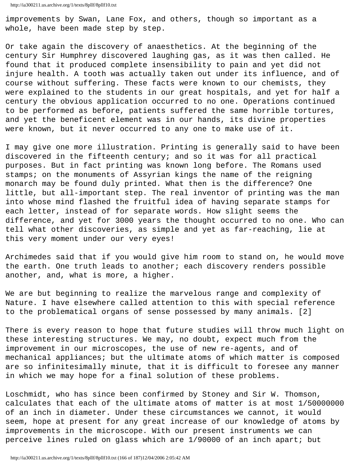improvements by Swan, Lane Fox, and others, though so important as a whole, have been made step by step.

Or take again the discovery of anaesthetics. At the beginning of the century Sir Humphrey discovered laughing gas, as it was then called. He found that it produced complete insensibility to pain and yet did not injure health. A tooth was actually taken out under its influence, and of course without suffering. These facts were known to our chemists, they were explained to the students in our great hospitals, and yet for half a century the obvious application occurred to no one. Operations continued to be performed as before, patients suffered the same horrible tortures, and yet the beneficent element was in our hands, its divine properties were known, but it never occurred to any one to make use of it.

I may give one more illustration. Printing is generally said to have been discovered in the fifteenth century; and so it was for all practical purposes. But in fact printing was known long before. The Romans used stamps; on the monuments of Assyrian kings the name of the reigning monarch may be found duly printed. What then is the difference? One little, but all-important step. The real inventor of printing was the man into whose mind flashed the fruitful idea of having separate stamps for each letter, instead of for separate words. How slight seems the difference, and yet for 3000 years the thought occurred to no one. Who can tell what other discoveries, as simple and yet as far-reaching, lie at this very moment under our very eyes!

Archimedes said that if you would give him room to stand on, he would move the earth. One truth leads to another; each discovery renders possible another, and, what is more, a higher.

We are but beginning to realize the marvelous range and complexity of Nature. I have elsewhere called attention to this with special reference to the problematical organs of sense possessed by many animals. [2]

There is every reason to hope that future studies will throw much light on these interesting structures. We may, no doubt, expect much from the improvement in our microscopes, the use of new re-agents, and of mechanical appliances; but the ultimate atoms of which matter is composed are so infinitesimally minute, that it is difficult to foresee any manner in which we may hope for a final solution of these problems.

Loschmidt, who has since been confirmed by Stoney and Sir W. Thomson, calculates that each of the ultimate atoms of matter is at most 1/50000000 of an inch in diameter. Under these circumstances we cannot, it would seem, hope at present for any great increase of our knowledge of atoms by improvements in the microscope. With our present instruments we can perceive lines ruled on glass which are 1/90000 of an inch apart; but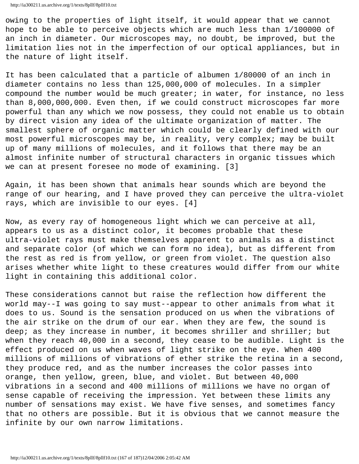owing to the properties of light itself, it would appear that we cannot hope to be able to perceive objects which are much less than 1/100000 of an inch in diameter. Our microscopes may, no doubt, be improved, but the limitation lies not in the imperfection of our optical appliances, but in the nature of light itself.

It has been calculated that a particle of albumen 1/80000 of an inch in diameter contains no less than 125,000,000 of molecules. In a simpler compound the number would be much greater; in water, for instance, no less than 8,000,000,000. Even then, if we could construct microscopes far more powerful than any which we now possess, they could not enable us to obtain by direct vision any idea of the ultimate organization of matter. The smallest sphere of organic matter which could be clearly defined with our most powerful microscopes may be, in reality, very complex; may be built up of many millions of molecules, and it follows that there may be an almost infinite number of structural characters in organic tissues which we can at present foresee no mode of examining. [3]

Again, it has been shown that animals hear sounds which are beyond the range of our hearing, and I have proved they can perceive the ultra-violet rays, which are invisible to our eyes. [4]

Now, as every ray of homogeneous light which we can perceive at all, appears to us as a distinct color, it becomes probable that these ultra-violet rays must make themselves apparent to animals as a distinct and separate color (of which we can form no idea), but as different from the rest as red is from yellow, or green from violet. The question also arises whether white light to these creatures would differ from our white light in containing this additional color.

These considerations cannot but raise the reflection how different the world may--I was going to say must--appear to other animals from what it does to us. Sound is the sensation produced on us when the vibrations of the air strike on the drum of our ear. When they are few, the sound is deep; as they increase in number, it becomes shriller and shriller; but when they reach 40,000 in a second, they cease to be audible. Light is the effect produced on us when waves of light strike on the eye. When 400 millions of millions of vibrations of ether strike the retina in a second, they produce red, and as the number increases the color passes into orange, then yellow, green, blue, and violet. But between 40,000 vibrations in a second and 400 millions of millions we have no organ of sense capable of receiving the impression. Yet between these limits any number of sensations may exist. We have five senses, and sometimes fancy that no others are possible. But it is obvious that we cannot measure the infinite by our own narrow limitations.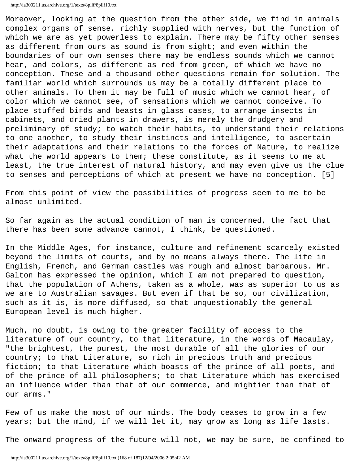Moreover, looking at the question from the other side, we find in animals complex organs of sense, richly supplied with nerves, but the function of which we are as yet powerless to explain. There may be fifty other senses as different from ours as sound is from sight; and even within the boundaries of our own senses there may be endless sounds which we cannot hear, and colors, as different as red from green, of which we have no conception. These and a thousand other questions remain for solution. The familiar world which surrounds us may be a totally different place to other animals. To them it may be full of music which we cannot hear, of color which we cannot see, of sensations which we cannot conceive. To place stuffed birds and beasts in glass cases, to arrange insects in cabinets, and dried plants in drawers, is merely the drudgery and preliminary of study; to watch their habits, to understand their relations to one another, to study their instincts and intelligence, to ascertain their adaptations and their relations to the forces of Nature, to realize what the world appears to them; these constitute, as it seems to me at least, the true interest of natural history, and may even give us the clue to senses and perceptions of which at present we have no conception. [5]

From this point of view the possibilities of progress seem to me to be almost unlimited.

So far again as the actual condition of man is concerned, the fact that there has been some advance cannot, I think, be questioned.

In the Middle Ages, for instance, culture and refinement scarcely existed beyond the limits of courts, and by no means always there. The life in English, French, and German castles was rough and almost barbarous. Mr. Galton has expressed the opinion, which I am not prepared to question, that the population of Athens, taken as a whole, was as superior to us as we are to Australian savages. But even if that be so, our civilization, such as it is, is more diffused, so that unquestionably the general European level is much higher.

Much, no doubt, is owing to the greater facility of access to the literature of our country, to that literature, in the words of Macaulay, "the brightest, the purest, the most durable of all the glories of our country; to that Literature, so rich in precious truth and precious fiction; to that Literature which boasts of the prince of all poets, and of the prince of all philosophers; to that Literature which has exercised an influence wider than that of our commerce, and mightier than that of our arms."

Few of us make the most of our minds. The body ceases to grow in a few years; but the mind, if we will let it, may grow as long as life lasts.

The onward progress of the future will not, we may be sure, be confined to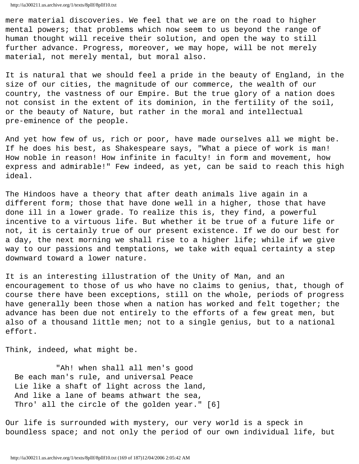mere material discoveries. We feel that we are on the road to higher mental powers; that problems which now seem to us beyond the range of human thought will receive their solution, and open the way to still further advance. Progress, moreover, we may hope, will be not merely material, not merely mental, but moral also.

It is natural that we should feel a pride in the beauty of England, in the size of our cities, the magnitude of our commerce, the wealth of our country, the vastness of our Empire. But the true glory of a nation does not consist in the extent of its dominion, in the fertility of the soil, or the beauty of Nature, but rather in the moral and intellectual pre-eminence of the people.

And yet how few of us, rich or poor, have made ourselves all we might be. If he does his best, as Shakespeare says, "What a piece of work is man! How noble in reason! How infinite in faculty! in form and movement, how express and admirable!" Few indeed, as yet, can be said to reach this high ideal.

The Hindoos have a theory that after death animals live again in a different form; those that have done well in a higher, those that have done ill in a lower grade. To realize this is, they find, a powerful incentive to a virtuous life. But whether it be true of a future life or not, it is certainly true of our present existence. If we do our best for a day, the next morning we shall rise to a higher life; while if we give way to our passions and temptations, we take with equal certainty a step downward toward a lower nature.

It is an interesting illustration of the Unity of Man, and an encouragement to those of us who have no claims to genius, that, though of course there have been exceptions, still on the whole, periods of progress have generally been those when a nation has worked and felt together; the advance has been due not entirely to the efforts of a few great men, but also of a thousand little men; not to a single genius, but to a national effort.

Think, indeed, what might be.

 "Ah! when shall all men's good Be each man's rule, and universal Peace Lie like a shaft of light across the land, And like a lane of beams athwart the sea, Thro' all the circle of the golden year." [6]

Our life is surrounded with mystery, our very world is a speck in boundless space; and not only the period of our own individual life, but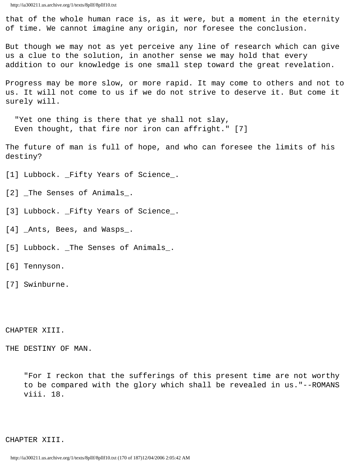that of the whole human race is, as it were, but a moment in the eternity of time. We cannot imagine any origin, nor foresee the conclusion.

But though we may not as yet perceive any line of research which can give us a clue to the solution, in another sense we may hold that every addition to our knowledge is one small step toward the great revelation.

Progress may be more slow, or more rapid. It may come to others and not to us. It will not come to us if we do not strive to deserve it. But come it surely will.

 "Yet one thing is there that ye shall not slay, Even thought, that fire nor iron can affright." [7]

The future of man is full of hope, and who can foresee the limits of his destiny?

[1] Lubbock. \_Fifty Years of Science\_.

[2] \_The Senses of Animals\_.

[3] Lubbock. \_Fifty Years of Science\_.

[4] \_Ants, Bees, and Wasps\_.

[5] Lubbock. \_The Senses of Animals\_.

[6] Tennyson.

[7] Swinburne.

CHAPTER XIII.

THE DESTINY OF MAN.

 "For I reckon that the sufferings of this present time are not worthy to be compared with the glory which shall be revealed in us."--ROMANS viii. 18.

CHAPTER XIII.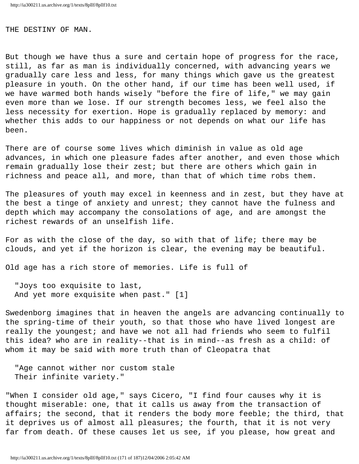## THE DESTINY OF MAN.

But though we have thus a sure and certain hope of progress for the race, still, as far as man is individually concerned, with advancing years we gradually care less and less, for many things which gave us the greatest pleasure in youth. On the other hand, if our time has been well used, if we have warmed both hands wisely "before the fire of life," we may gain even more than we lose. If our strength becomes less, we feel also the less necessity for exertion. Hope is gradually replaced by memory: and whether this adds to our happiness or not depends on what our life has been.

There are of course some lives which diminish in value as old age advances, in which one pleasure fades after another, and even those which remain gradually lose their zest; but there are others which gain in richness and peace all, and more, than that of which time robs them.

The pleasures of youth may excel in keenness and in zest, but they have at the best a tinge of anxiety and unrest; they cannot have the fulness and depth which may accompany the consolations of age, and are amongst the richest rewards of an unselfish life.

For as with the close of the day, so with that of life; there may be clouds, and yet if the horizon is clear, the evening may be beautiful.

Old age has a rich store of memories. Life is full of

 "Joys too exquisite to last, And yet more exquisite when past." [1]

Swedenborg imagines that in heaven the angels are advancing continually to the spring-time of their youth, so that those who have lived longest are really the youngest; and have we not all had friends who seem to fulfil this idea? who are in reality--that is in mind--as fresh as a child: of whom it may be said with more truth than of Cleopatra that

 "Age cannot wither nor custom stale Their infinite variety."

"When I consider old age," says Cicero, "I find four causes why it is thought miserable: one, that it calls us away from the transaction of affairs; the second, that it renders the body more feeble; the third, that it deprives us of almost all pleasures; the fourth, that it is not very far from death. Of these causes let us see, if you please, how great and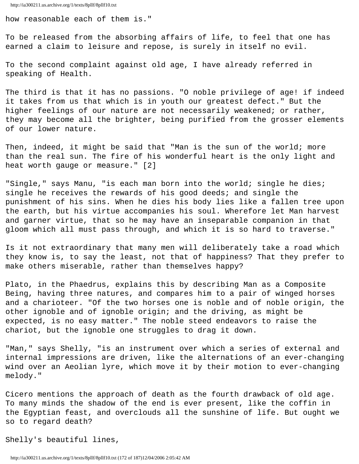how reasonable each of them is."

To be released from the absorbing affairs of life, to feel that one has earned a claim to leisure and repose, is surely in itself no evil.

To the second complaint against old age, I have already referred in speaking of Health.

The third is that it has no passions. "O noble privilege of age! if indeed it takes from us that which is in youth our greatest defect." But the higher feelings of our nature are not necessarily weakened; or rather, they may become all the brighter, being purified from the grosser elements of our lower nature.

Then, indeed, it might be said that "Man is the sun of the world; more than the real sun. The fire of his wonderful heart is the only light and heat worth gauge or measure." [2]

"Single," says Manu, "is each man born into the world; single he dies; single he receives the rewards of his good deeds; and single the punishment of his sins. When he dies his body lies like a fallen tree upon the earth, but his virtue accompanies his soul. Wherefore let Man harvest and garner virtue, that so he may have an inseparable companion in that gloom which all must pass through, and which it is so hard to traverse."

Is it not extraordinary that many men will deliberately take a road which they know is, to say the least, not that of happiness? That they prefer to make others miserable, rather than themselves happy?

Plato, in the Phaedrus, explains this by describing Man as a Composite Being, having three natures, and compares him to a pair of winged horses and a charioteer. "Of the two horses one is noble and of noble origin, the other ignoble and of ignoble origin; and the driving, as might be expected, is no easy matter." The noble steed endeavors to raise the chariot, but the ignoble one struggles to drag it down.

"Man," says Shelly, "is an instrument over which a series of external and internal impressions are driven, like the alternations of an ever-changing wind over an Aeolian lyre, which move it by their motion to ever-changing melody."

Cicero mentions the approach of death as the fourth drawback of old age. To many minds the shadow of the end is ever present, like the coffin in the Egyptian feast, and overclouds all the sunshine of life. But ought we so to regard death?

Shelly's beautiful lines,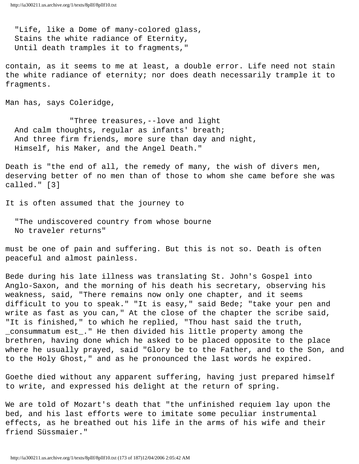"Life, like a Dome of many-colored glass, Stains the white radiance of Eternity, Until death tramples it to fragments,"

contain, as it seems to me at least, a double error. Life need not stain the white radiance of eternity; nor does death necessarily trample it to fragments.

Man has, says Coleridge,

 "Three treasures,--love and light And calm thoughts, regular as infants' breath; And three firm friends, more sure than day and night, Himself, his Maker, and the Angel Death."

Death is "the end of all, the remedy of many, the wish of divers men, deserving better of no men than of those to whom she came before she was called." [3]

It is often assumed that the journey to

 "The undiscovered country from whose bourne No traveler returns"

must be one of pain and suffering. But this is not so. Death is often peaceful and almost painless.

Bede during his late illness was translating St. John's Gospel into Anglo-Saxon, and the morning of his death his secretary, observing his weakness, said, "There remains now only one chapter, and it seems difficult to you to speak." "It is easy," said Bede; "take your pen and write as fast as you can," At the close of the chapter the scribe said, "It is finished," to which he replied, "Thou hast said the truth, \_consummatum est\_." He then divided his little property among the brethren, having done which he asked to be placed opposite to the place where he usually prayed, said "Glory be to the Father, and to the Son, and to the Holy Ghost," and as he pronounced the last words he expired.

Goethe died without any apparent suffering, having just prepared himself to write, and expressed his delight at the return of spring.

We are told of Mozart's death that "the unfinished requiem lay upon the bed, and his last efforts were to imitate some peculiar instrumental effects, as he breathed out his life in the arms of his wife and their friend Süssmaier."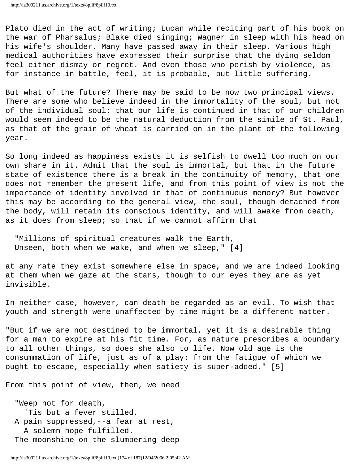Plato died in the act of writing; Lucan while reciting part of his book on the war of Pharsalus; Blake died singing; Wagner in sleep with his head on his wife's shoulder. Many have passed away in their sleep. Various high medical authorities have expressed their surprise that the dying seldom feel either dismay or regret. And even those who perish by violence, as for instance in battle, feel, it is probable, but little suffering.

But what of the future? There may be said to be now two principal views. There are some who believe indeed in the immortality of the soul, but not of the individual soul: that our life is continued in that of our children would seem indeed to be the natural deduction from the simile of St. Paul, as that of the grain of wheat is carried on in the plant of the following year.

So long indeed as happiness exists it is selfish to dwell too much on our own share in it. Admit that the soul is immortal, but that in the future state of existence there is a break in the continuity of memory, that one does not remember the present life, and from this point of view is not the importance of identity involved in that of continuous memory? But however this may be according to the general view, the soul, though detached from the body, will retain its conscious identity, and will awake from death, as it does from sleep; so that if we cannot affirm that

 "Millions of spiritual creatures walk the Earth, Unseen, both when we wake, and when we sleep," [4]

at any rate they exist somewhere else in space, and we are indeed looking at them when we gaze at the stars, though to our eyes they are as yet invisible.

In neither case, however, can death be regarded as an evil. To wish that youth and strength were unaffected by time might be a different matter.

"But if we are not destined to be immortal, yet it is a desirable thing for a man to expire at his fit time. For, as nature prescribes a boundary to all other things, so does she also to life. Now old age is the consummation of life, just as of a play: from the fatigue of which we ought to escape, especially when satiety is super-added." [5]

From this point of view, then, we need

 "Weep not for death, 'Tis but a fever stilled, A pain suppressed,--a fear at rest, A solemn hope fulfilled. The moonshine on the slumbering deep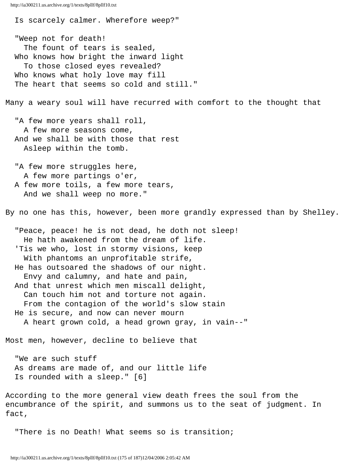```
http://ia300211.us.archive.org/1/texts/8pllf/8pllf10.txt
```
 Is scarcely calmer. Wherefore weep?" "Weep not for death! The fount of tears is sealed, Who knows how bright the inward light To those closed eyes revealed? Who knows what holy love may fill The heart that seems so cold and still." Many a weary soul will have recurred with comfort to the thought that "A few more years shall roll, A few more seasons come, And we shall be with those that rest Asleep within the tomb. "A few more struggles here, A few more partings o'er, A few more toils, a few more tears, And we shall weep no more." By no one has this, however, been more grandly expressed than by Shelley. "Peace, peace! he is not dead, he doth not sleep! He hath awakened from the dream of life. 'Tis we who, lost in stormy visions, keep With phantoms an unprofitable strife, He has outsoared the shadows of our night. Envy and calumny, and hate and pain, And that unrest which men miscall delight, Can touch him not and torture not again. From the contagion of the world's slow stain He is secure, and now can never mourn A heart grown cold, a head grown gray, in vain--" Most men, however, decline to believe that "We are such stuff As dreams are made of, and our little life Is rounded with a sleep." [6] According to the more general view death frees the soul from the encumbrance of the spirit, and summons us to the seat of judgment. In fact,

"There is no Death! What seems so is transition;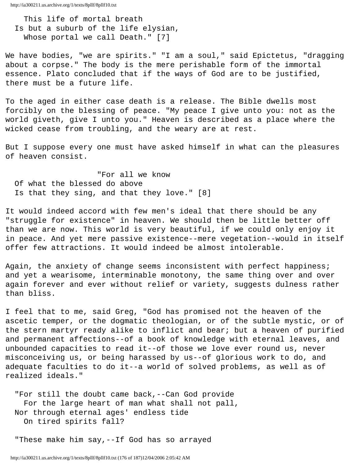This life of mortal breath Is but a suburb of the life elysian, Whose portal we call Death." [7]

We have bodies, "we are spirits." "I am a soul," said Epictetus, "dragging about a corpse." The body is the mere perishable form of the immortal essence. Plato concluded that if the ways of God are to be justified, there must be a future life.

To the aged in either case death is a release. The Bible dwells most forcibly on the blessing of peace. "My peace I give unto you: not as the world giveth, give I unto you." Heaven is described as a place where the wicked cease from troubling, and the weary are at rest.

But I suppose every one must have asked himself in what can the pleasures of heaven consist.

 "For all we know Of what the blessed do above Is that they sing, and that they love." [8]

It would indeed accord with few men's ideal that there should be any "struggle for existence" in heaven. We should then be little better off than we are now. This world is very beautiful, if we could only enjoy it in peace. And yet mere passive existence--mere vegetation--would in itself offer few attractions. It would indeed be almost intolerable.

Again, the anxiety of change seems inconsistent with perfect happiness; and yet a wearisome, interminable monotony, the same thing over and over again forever and ever without relief or variety, suggests dulness rather than bliss.

I feel that to me, said Greg, "God has promised not the heaven of the ascetic temper, or the dogmatic theologian, or of the subtle mystic, or of the stern martyr ready alike to inflict and bear; but a heaven of purified and permanent affections--of a book of knowledge with eternal leaves, and unbounded capacities to read it--of those we love ever round us, never misconceiving us, or being harassed by us--of glorious work to do, and adequate faculties to do it--a world of solved problems, as well as of realized ideals."

 "For still the doubt came back,--Can God provide For the large heart of man what shall not pall, Nor through eternal ages' endless tide On tired spirits fall?

"These make him say,--If God has so arrayed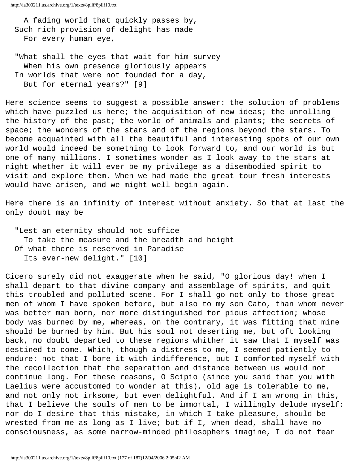A fading world that quickly passes by, Such rich provision of delight has made For every human eye,

 "What shall the eyes that wait for him survey When his own presence gloriously appears In worlds that were not founded for a day, But for eternal years?" [9]

Here science seems to suggest a possible answer: the solution of problems which have puzzled us here; the acquisition of new ideas; the unrolling the history of the past; the world of animals and plants; the secrets of space; the wonders of the stars and of the regions beyond the stars. To become acquainted with all the beautiful and interesting spots of our own world would indeed be something to look forward to, and our world is but one of many millions. I sometimes wonder as I look away to the stars at night whether it will ever be my privilege as a disembodied spirit to visit and explore them. When we had made the great tour fresh interests would have arisen, and we might well begin again.

Here there is an infinity of interest without anxiety. So that at last the only doubt may be

 "Lest an eternity should not suffice To take the measure and the breadth and height Of what there is reserved in Paradise Its ever-new delight." [10]

Cicero surely did not exaggerate when he said, "O glorious day! when I shall depart to that divine company and assemblage of spirits, and quit this troubled and polluted scene. For I shall go not only to those great men of whom I have spoken before, but also to my son Cato, than whom never was better man born, nor more distinguished for pious affection; whose body was burned by me, whereas, on the contrary, it was fitting that mine should be burned by him. But his soul not deserting me, but oft looking back, no doubt departed to these regions whither it saw that I myself was destined to come. Which, though a distress to me, I seemed patiently to endure: not that I bore it with indifference, but I comforted myself with the recollection that the separation and distance between us would not continue long. For these reasons, O Scipio (since you said that you with Laelius were accustomed to wonder at this), old age is tolerable to me, and not only not irksome, but even delightful. And if I am wrong in this, that I believe the souls of men to be immortal, I willingly delude myself: nor do I desire that this mistake, in which I take pleasure, should be wrested from me as long as I live; but if I, when dead, shall have no consciousness, as some narrow-minded philosophers imagine, I do not fear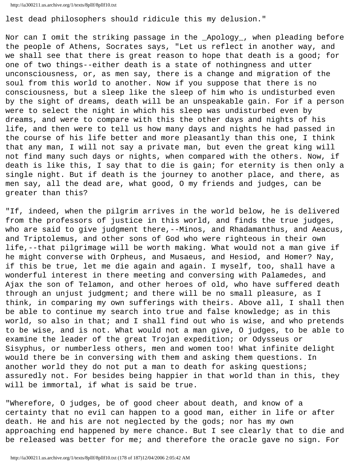```
http://ia300211.us.archive.org/1/texts/8pllf/8pllf10.txt
```
lest dead philosophers should ridicule this my delusion."

Nor can I omit the striking passage in the \_Apology\_, when pleading before the people of Athens, Socrates says, "Let us reflect in another way, and we shall see that there is great reason to hope that death is a good; for one of two things--either death is a state of nothingness and utter unconsciousness, or, as men say, there is a change and migration of the soul from this world to another. Now if you suppose that there is no consciousness, but a sleep like the sleep of him who is undisturbed even by the sight of dreams, death will be an unspeakable gain. For if a person were to select the night in which his sleep was undisturbed even by dreams, and were to compare with this the other days and nights of his life, and then were to tell us how many days and nights he had passed in the course of his life better and more pleasantly than this one, I think that any man, I will not say a private man, but even the great king will not find many such days or nights, when compared with the others. Now, if death is like this, I say that to die is gain; for eternity is then only a single night. But if death is the journey to another place, and there, as men say, all the dead are, what good, O my friends and judges, can be greater than this?

"If, indeed, when the pilgrim arrives in the world below, he is delivered from the professors of justice in this world, and finds the true judges, who are said to give judgment there, --Minos, and Rhadamanthus, and Aeacus, and Triptolemus, and other sons of God who were righteous in their own life,--that pilgrimage will be worth making. What would not a man give if he might converse with Orpheus, and Musaeus, and Hesiod, and Homer? Nay, if this be true, let me die again and again. I myself, too, shall have a wonderful interest in there meeting and conversing with Palamedes, and Ajax the son of Telamon, and other heroes of old, who have suffered death through an unjust judgment; and there will be no small pleasure, as I think, in comparing my own sufferings with theirs. Above all, I shall then be able to continue my search into true and false knowledge; as in this world, so also in that; and I shall find out who is wise, and who pretends to be wise, and is not. What would not a man give, O judges, to be able to examine the leader of the great Trojan expedition; or Odysseus or Sisyphus, or numberless others, men and women too! What infinite delight would there be in conversing with them and asking them questions. In another world they do not put a man to death for asking questions; assuredly not. For besides being happier in that world than in this, they will be immortal, if what is said be true.

"Wherefore, O judges, be of good cheer about death, and know of a certainty that no evil can happen to a good man, either in life or after death. He and his are not neglected by the gods; nor has my own approaching end happened by mere chance. But I see clearly that to die and be released was better for me; and therefore the oracle gave no sign. For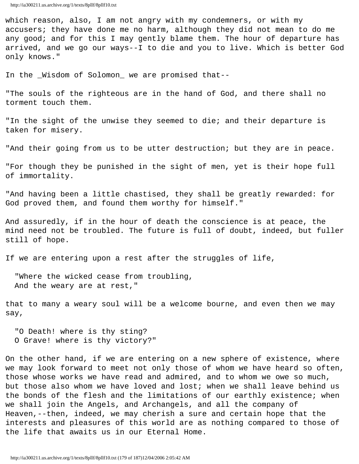which reason, also, I am not angry with my condemners, or with my accusers; they have done me no harm, although they did not mean to do me any good; and for this I may gently blame them. The hour of departure has arrived, and we go our ways--I to die and you to live. Which is better God only knows."

In the \_Wisdom of Solomon\_ we are promised that--

"The souls of the righteous are in the hand of God, and there shall no torment touch them.

"In the sight of the unwise they seemed to die; and their departure is taken for misery.

"And their going from us to be utter destruction; but they are in peace.

"For though they be punished in the sight of men, yet is their hope full of immortality.

"And having been a little chastised, they shall be greatly rewarded: for God proved them, and found them worthy for himself."

And assuredly, if in the hour of death the conscience is at peace, the mind need not be troubled. The future is full of doubt, indeed, but fuller still of hope.

If we are entering upon a rest after the struggles of life,

 "Where the wicked cease from troubling, And the weary are at rest,"

that to many a weary soul will be a welcome bourne, and even then we may say,

 "O Death! where is thy sting? O Grave! where is thy victory?"

On the other hand, if we are entering on a new sphere of existence, where we may look forward to meet not only those of whom we have heard so often, those whose works we have read and admired, and to whom we owe so much, but those also whom we have loved and lost; when we shall leave behind us the bonds of the flesh and the limitations of our earthly existence; when we shall join the Angels, and Archangels, and all the company of Heaven,--then, indeed, we may cherish a sure and certain hope that the interests and pleasures of this world are as nothing compared to those of the life that awaits us in our Eternal Home.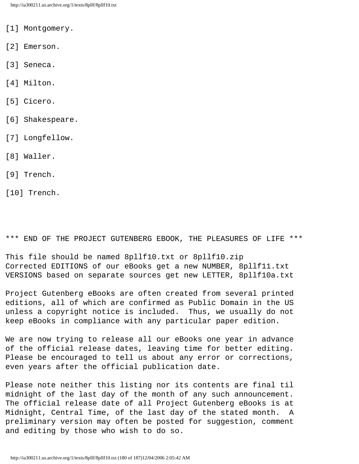- [1] Montgomery.
- [2] Emerson.
- [3] Seneca.
- [4] Milton.
- [5] Cicero.
- [6] Shakespeare.
- [7] Longfellow.
- [8] Waller.
- [9] Trench.
- [10] Trench.

\*\*\* END OF THE PROJECT GUTENBERG EBOOK, THE PLEASURES OF LIFE \*\*\*

This file should be named 8pllf10.txt or 8pllf10.zip Corrected EDITIONS of our eBooks get a new NUMBER, 8pllf11.txt VERSIONS based on separate sources get new LETTER, 8pllf10a.txt

Project Gutenberg eBooks are often created from several printed editions, all of which are confirmed as Public Domain in the US unless a copyright notice is included. Thus, we usually do not keep eBooks in compliance with any particular paper edition.

We are now trying to release all our eBooks one year in advance of the official release dates, leaving time for better editing. Please be encouraged to tell us about any error or corrections, even years after the official publication date.

Please note neither this listing nor its contents are final til midnight of the last day of the month of any such announcement. The official release date of all Project Gutenberg eBooks is at Midnight, Central Time, of the last day of the stated month. A preliminary version may often be posted for suggestion, comment and editing by those who wish to do so.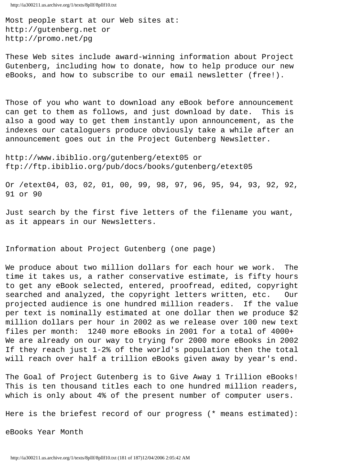Most people start at our Web sites at: http://gutenberg.net or http://promo.net/pg

These Web sites include award-winning information about Project Gutenberg, including how to donate, how to help produce our new eBooks, and how to subscribe to our email newsletter (free!).

Those of you who want to download any eBook before announcement can get to them as follows, and just download by date. This is also a good way to get them instantly upon announcement, as the indexes our cataloguers produce obviously take a while after an announcement goes out in the Project Gutenberg Newsletter.

http://www.ibiblio.org/gutenberg/etext05 or ftp://ftp.ibiblio.org/pub/docs/books/gutenberg/etext05

Or /etext04, 03, 02, 01, 00, 99, 98, 97, 96, 95, 94, 93, 92, 92, 91 or 90

Just search by the first five letters of the filename you want, as it appears in our Newsletters.

Information about Project Gutenberg (one page)

We produce about two million dollars for each hour we work. The time it takes us, a rather conservative estimate, is fifty hours to get any eBook selected, entered, proofread, edited, copyright searched and analyzed, the copyright letters written, etc. Our projected audience is one hundred million readers. If the value per text is nominally estimated at one dollar then we produce \$2 million dollars per hour in 2002 as we release over 100 new text files per month: 1240 more eBooks in 2001 for a total of 4000+ We are already on our way to trying for 2000 more eBooks in 2002 If they reach just 1-2% of the world's population then the total will reach over half a trillion eBooks given away by year's end.

The Goal of Project Gutenberg is to Give Away 1 Trillion eBooks! This is ten thousand titles each to one hundred million readers, which is only about 4% of the present number of computer users.

Here is the briefest record of our progress (\* means estimated):

eBooks Year Month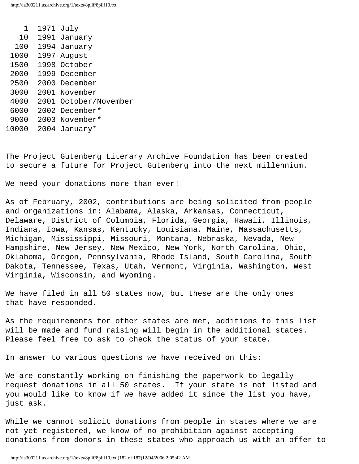| 1     | 1971 July             |
|-------|-----------------------|
| 1 O   | 1991 January          |
| 100   | 1994 January          |
| 1000  | 1997 August           |
| 1500  | 1998 October          |
| 2000  | 1999 December         |
| 2500  | 2000 December         |
| 3000  | 2001 November         |
| 4000  | 2001 October/November |
| 6000  | 2002 December*        |
| 9000  | 2003 November*        |
| 10000 | 2004 January*         |

The Project Gutenberg Literary Archive Foundation has been created to secure a future for Project Gutenberg into the next millennium.

We need your donations more than ever!

As of February, 2002, contributions are being solicited from people and organizations in: Alabama, Alaska, Arkansas, Connecticut, Delaware, District of Columbia, Florida, Georgia, Hawaii, Illinois, Indiana, Iowa, Kansas, Kentucky, Louisiana, Maine, Massachusetts, Michigan, Mississippi, Missouri, Montana, Nebraska, Nevada, New Hampshire, New Jersey, New Mexico, New York, North Carolina, Ohio, Oklahoma, Oregon, Pennsylvania, Rhode Island, South Carolina, South Dakota, Tennessee, Texas, Utah, Vermont, Virginia, Washington, West Virginia, Wisconsin, and Wyoming.

We have filed in all 50 states now, but these are the only ones that have responded.

As the requirements for other states are met, additions to this list will be made and fund raising will begin in the additional states. Please feel free to ask to check the status of your state.

In answer to various questions we have received on this:

We are constantly working on finishing the paperwork to legally request donations in all 50 states. If your state is not listed and you would like to know if we have added it since the list you have, just ask.

While we cannot solicit donations from people in states where we are not yet registered, we know of no prohibition against accepting donations from donors in these states who approach us with an offer to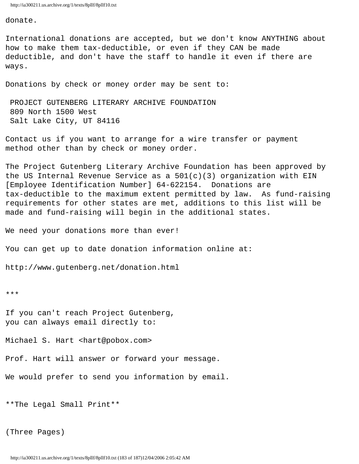http://ia300211.us.archive.org/1/texts/8pllf/8pllf10.txt

donate.

International donations are accepted, but we don't know ANYTHING about how to make them tax-deductible, or even if they CAN be made deductible, and don't have the staff to handle it even if there are ways.

Donations by check or money order may be sent to:

 PROJECT GUTENBERG LITERARY ARCHIVE FOUNDATION 809 North 1500 West Salt Lake City, UT 84116

Contact us if you want to arrange for a wire transfer or payment method other than by check or money order.

The Project Gutenberg Literary Archive Foundation has been approved by the US Internal Revenue Service as a 501(c)(3) organization with EIN [Employee Identification Number] 64-622154. Donations are tax-deductible to the maximum extent permitted by law. As fund-raising requirements for other states are met, additions to this list will be made and fund-raising will begin in the additional states.

We need your donations more than ever!

You can get up to date donation information online at:

http://www.gutenberg.net/donation.html

\*\*\*

If you can't reach Project Gutenberg, you can always email directly to:

Michael S. Hart <hart@pobox.com>

Prof. Hart will answer or forward your message.

We would prefer to send you information by email.

\*\*The Legal Small Print\*\*

(Three Pages)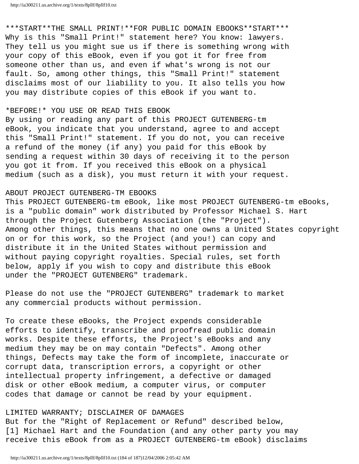http://ia300211.us.archive.org/1/texts/8pllf/8pllf10.txt

\*\*\*START\*\*THE SMALL PRINT!\*\*FOR PUBLIC DOMAIN EBOOKS\*\*START\*\*\* Why is this "Small Print!" statement here? You know: lawyers. They tell us you might sue us if there is something wrong with your copy of this eBook, even if you got it for free from someone other than us, and even if what's wrong is not our fault. So, among other things, this "Small Print!" statement disclaims most of our liability to you. It also tells you how you may distribute copies of this eBook if you want to.

## \*BEFORE!\* YOU USE OR READ THIS EBOOK

By using or reading any part of this PROJECT GUTENBERG-tm eBook, you indicate that you understand, agree to and accept this "Small Print!" statement. If you do not, you can receive a refund of the money (if any) you paid for this eBook by sending a request within 30 days of receiving it to the person you got it from. If you received this eBook on a physical medium (such as a disk), you must return it with your request.

## ABOUT PROJECT GUTENBERG-TM EBOOKS

This PROJECT GUTENBERG-tm eBook, like most PROJECT GUTENBERG-tm eBooks, is a "public domain" work distributed by Professor Michael S. Hart through the Project Gutenberg Association (the "Project"). Among other things, this means that no one owns a United States copyright on or for this work, so the Project (and you!) can copy and distribute it in the United States without permission and without paying copyright royalties. Special rules, set forth below, apply if you wish to copy and distribute this eBook under the "PROJECT GUTENBERG" trademark.

Please do not use the "PROJECT GUTENBERG" trademark to market any commercial products without permission.

To create these eBooks, the Project expends considerable efforts to identify, transcribe and proofread public domain works. Despite these efforts, the Project's eBooks and any medium they may be on may contain "Defects". Among other things, Defects may take the form of incomplete, inaccurate or corrupt data, transcription errors, a copyright or other intellectual property infringement, a defective or damaged disk or other eBook medium, a computer virus, or computer codes that damage or cannot be read by your equipment.

## LIMITED WARRANTY; DISCLAIMER OF DAMAGES

But for the "Right of Replacement or Refund" described below, [1] Michael Hart and the Foundation (and any other party you may receive this eBook from as a PROJECT GUTENBERG-tm eBook) disclaims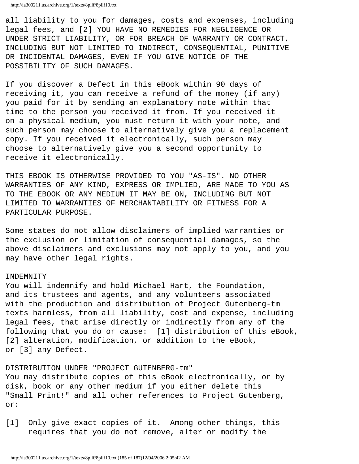all liability to you for damages, costs and expenses, including legal fees, and [2] YOU HAVE NO REMEDIES FOR NEGLIGENCE OR UNDER STRICT LIABILITY, OR FOR BREACH OF WARRANTY OR CONTRACT, INCLUDING BUT NOT LIMITED TO INDIRECT, CONSEQUENTIAL, PUNITIVE OR INCIDENTAL DAMAGES, EVEN IF YOU GIVE NOTICE OF THE POSSIBILITY OF SUCH DAMAGES.

If you discover a Defect in this eBook within 90 days of receiving it, you can receive a refund of the money (if any) you paid for it by sending an explanatory note within that time to the person you received it from. If you received it on a physical medium, you must return it with your note, and such person may choose to alternatively give you a replacement copy. If you received it electronically, such person may choose to alternatively give you a second opportunity to receive it electronically.

THIS EBOOK IS OTHERWISE PROVIDED TO YOU "AS-IS". NO OTHER WARRANTIES OF ANY KIND, EXPRESS OR IMPLIED, ARE MADE TO YOU AS TO THE EBOOK OR ANY MEDIUM IT MAY BE ON, INCLUDING BUT NOT LIMITED TO WARRANTIES OF MERCHANTABILITY OR FITNESS FOR A PARTICULAR PURPOSE.

Some states do not allow disclaimers of implied warranties or the exclusion or limitation of consequential damages, so the above disclaimers and exclusions may not apply to you, and you may have other legal rights.

## INDEMNITY

You will indemnify and hold Michael Hart, the Foundation, and its trustees and agents, and any volunteers associated with the production and distribution of Project Gutenberg-tm texts harmless, from all liability, cost and expense, including legal fees, that arise directly or indirectly from any of the following that you do or cause: [1] distribution of this eBook, [2] alteration, modification, or addition to the eBook, or [3] any Defect.

DISTRIBUTION UNDER "PROJECT GUTENBERG-tm" You may distribute copies of this eBook electronically, or by disk, book or any other medium if you either delete this "Small Print!" and all other references to Project Gutenberg, or:

[1] Only give exact copies of it. Among other things, this requires that you do not remove, alter or modify the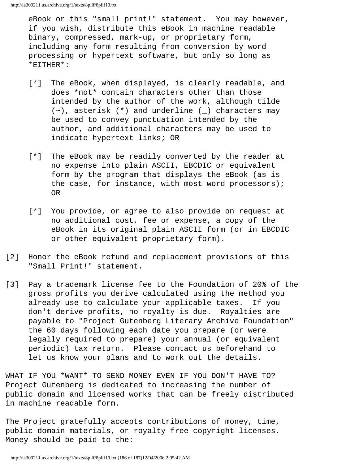eBook or this "small print!" statement. You may however, if you wish, distribute this eBook in machine readable binary, compressed, mark-up, or proprietary form, including any form resulting from conversion by word processing or hypertext software, but only so long as \*EITHER\*:

- [\*] The eBook, when displayed, is clearly readable, and does \*not\* contain characters other than those intended by the author of the work, although tilde  $(\sim)$ , asterisk  $(*)$  and underline  $(\_)$  characters may be used to convey punctuation intended by the author, and additional characters may be used to indicate hypertext links; OR
- [\*] The eBook may be readily converted by the reader at no expense into plain ASCII, EBCDIC or equivalent form by the program that displays the eBook (as is the case, for instance, with most word processors); OR
- [\*] You provide, or agree to also provide on request at no additional cost, fee or expense, a copy of the eBook in its original plain ASCII form (or in EBCDIC or other equivalent proprietary form).
- [2] Honor the eBook refund and replacement provisions of this "Small Print!" statement.
- [3] Pay a trademark license fee to the Foundation of 20% of the gross profits you derive calculated using the method you already use to calculate your applicable taxes. If you don't derive profits, no royalty is due. Royalties are payable to "Project Gutenberg Literary Archive Foundation" the 60 days following each date you prepare (or were legally required to prepare) your annual (or equivalent periodic) tax return. Please contact us beforehand to let us know your plans and to work out the details.

WHAT IF YOU \*WANT\* TO SEND MONEY EVEN IF YOU DON'T HAVE TO? Project Gutenberg is dedicated to increasing the number of public domain and licensed works that can be freely distributed in machine readable form.

The Project gratefully accepts contributions of money, time, public domain materials, or royalty free copyright licenses. Money should be paid to the: